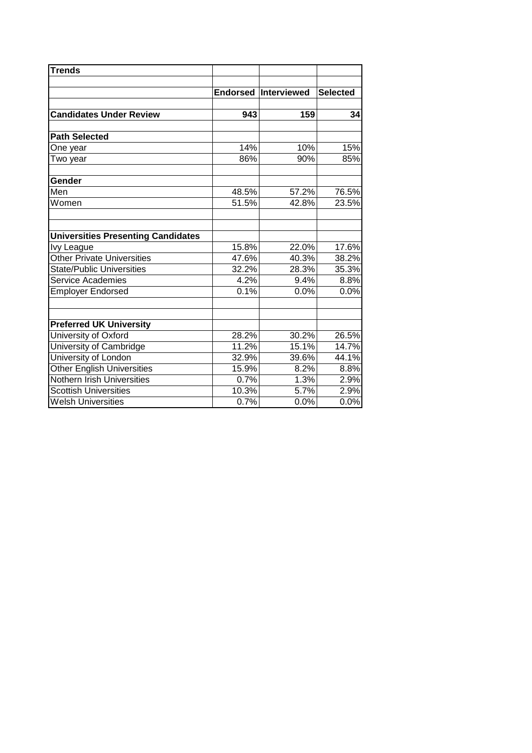| <b>Trends</b>                             |       |                             |                 |
|-------------------------------------------|-------|-----------------------------|-----------------|
|                                           |       | <b>Endorsed Interviewed</b> | <b>Selected</b> |
| <b>Candidates Under Review</b>            | 943   | 159                         | 34              |
| <b>Path Selected</b>                      |       |                             |                 |
| One year                                  | 14%   | 10%                         | 15%             |
| Two year                                  | 86%   | 90%                         | 85%             |
| Gender                                    |       |                             |                 |
| Men                                       | 48.5% | 57.2%                       | 76.5%           |
| Women                                     | 51.5% | 42.8%                       | 23.5%           |
| <b>Universities Presenting Candidates</b> |       |                             |                 |
| Ivy League                                | 15.8% | 22.0%                       | 17.6%           |
| <b>Other Private Universities</b>         | 47.6% | 40.3%                       | 38.2%           |
| <b>State/Public Universities</b>          | 32.2% | 28.3%                       | 35.3%           |
| Service Academies                         | 4.2%  | 9.4%                        | 8.8%            |
| <b>Employer Endorsed</b>                  | 0.1%  | 0.0%                        | 0.0%            |
| <b>Preferred UK University</b>            |       |                             |                 |
| University of Oxford                      | 28.2% | 30.2%                       | 26.5%           |
| University of Cambridge                   | 11.2% | 15.1%                       | 14.7%           |
| University of London                      | 32.9% | 39.6%                       | 44.1%           |
| <b>Other English Universities</b>         | 15.9% | 8.2%                        | 8.8%            |
| Nothern Irish Universities                | 0.7%  | 1.3%                        | 2.9%            |
| <b>Scottish Universities</b>              | 10.3% | 5.7%                        | 2.9%            |
| <b>Welsh Universities</b>                 | 0.7%  | 0.0%                        | 0.0%            |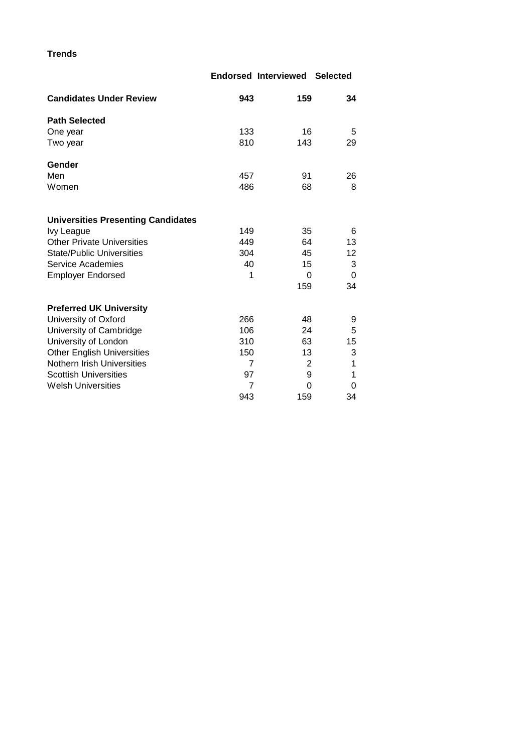**Trends**

|                                           |     | <b>Endorsed Interviewed</b> | <b>Selected</b> |
|-------------------------------------------|-----|-----------------------------|-----------------|
| <b>Candidates Under Review</b>            | 943 | 159                         | 34              |
| <b>Path Selected</b>                      |     |                             |                 |
| One year                                  | 133 | 16                          | 5               |
| Two year                                  | 810 | 143                         | 29              |
| Gender                                    |     |                             |                 |
| Men                                       | 457 | 91                          | 26              |
| Women                                     | 486 | 68                          | 8               |
| <b>Universities Presenting Candidates</b> |     |                             |                 |
| Ivy League                                | 149 | 35                          | 6               |
| <b>Other Private Universities</b>         | 449 | 64                          | 13              |
| <b>State/Public Universities</b>          | 304 | 45                          | 12              |
| <b>Service Academies</b>                  | 40  | 15                          | 3               |
| <b>Employer Endorsed</b>                  | 1   | $\Omega$                    | 0               |
|                                           |     | 159                         | 34              |
| <b>Preferred UK University</b>            |     |                             |                 |
| University of Oxford                      | 266 | 48                          | 9               |
| University of Cambridge                   | 106 | 24                          | 5               |
| University of London                      | 310 | 63                          | 15              |
| <b>Other English Universities</b>         | 150 | 13                          | 3               |
| Nothern Irish Universities                | 7   | 2                           | 1               |
| <b>Scottish Universities</b>              | 97  | 9                           | 1               |
| <b>Welsh Universities</b>                 | 7   | 0                           | 0               |
|                                           | 943 | 159                         | 34              |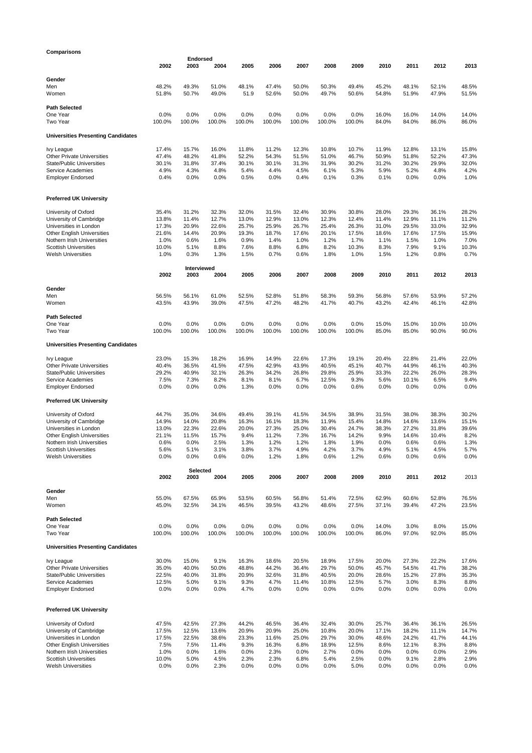## **2002 2003 2004 2005 2006 2007 2008 2009 2010 2011 2012 2013 Gender** Men 48.2% 49.3% 51.0% 48.1% 47.4% 50.0% 50.3% 49.4% 45.2% 48.1% 52.1% 48.5% Women 51.8% 50.7% 49.0% 51.9 52.6% 50.0% 49.7% 50.6% 54.8% 51.9% 47.9% 51.5% **Path Selected** One Year 0.0% 0.0% 0.0% 0.0% 0.0% 0.0% 0.0% 0.0% 16.0% 16.0% 14.0% 14.0% Two Year 100.0% 100.0% 100.0% 100.0% 100.0% 100.0% 100.0% 100.0% 84.0% 84.0% 86.0% 86.0% **Universities Presenting Candidates** Ivy League 17.4% 15.7% 16.0% 11.8% 11.2% 12.3% 10.8% 10.7% 11.9% 12.8% 13.1% 15.8% Other Private Universities 47.4% 48.2% 41.8% 52.2% 54.3% 51.5% 51.0% 46.7% 50.9% 51.8% 52.2% 47.3% State/Public Universities 30.1% 31.8% 37.4% 30.1% 30.1% 31.3% 31.9% 30.2% 31.2% 30.2% 29.9% 32.0% Service Academies Employer Endorsed 0.4% 0.0% 0.0% 0.5% 0.0% 0.4% 0.1% 0.3% 0.1% 0.0% 0.0% 1.0% **Preferred UK University** University of Oxford 35.4% 31.2% 32.3% 32.0% 31.5% 32.4% 30.9% 30.8% 28.0% 29.3% 36.1% 28.2% University of Cambridge **13.8% 11.4% 12.7% 13.0% 12.9% 13.0% 12.3**% 12.4% 11.4% 12.9% 11.1% 11.2% 11.2% 11.2% 1<br>Universities in London 17.3% 20.9% 22.6% 25.7% 25.9% 26.7% 25.4% 26.3% 31.0% 29.5% 33.0% 32.9% Universities in London 17.3% 20.9% 22.6% 25.7% 25.9% 26.7% 25.4% 26.3% 31.0% 29.5% 33.0% 32.9% Other English Universities 21.6% 14.4% 20.9% 19.3% 18.7% 17.6% 20.1% 17.5% 18.6% 17.6% 17.5% 15.9% Nothern Irish Universities 1.0% 0.6% 1.6% 0.9% 1.4% 1.0% 1.2% 1.7% 1.1% 1.5% 1.0% 7.0% Scottish Universities 10.0% 5.1% 8.8% 7.6% 8.8% 6.8% 8.2% 10.3% 8.3% 7.9% 9.1% 10.3% Welsh Universities 1.0% 0.3% 1.3% 1.5% 0.7% 0.6% 1.8% 1.0% 1.5% 1.2% 0.8% 0.7% **2002 2003 2004 2005 2006 2007 2008 2009 2010 2011 2012 2013 Gender** Men 56.5% 56.1% 61.0% 52.5% 52.8% 51.8% 58.3% 59.3% 56.8% 57.6% 53.9% 57.2% Women 43.5% 43.9% 39.0% 47.5% 47.2% 48.2% 41.7% 40.7% 43.2% 42.4% 46.1% 42.8% **Path Selected** One Year 0.0% 0.0% 0.0% 0.0% 0.0% 0.0% 0.0% 0.0% 15.0% 15.0% 10.0% 10.0% Two Year 100.0% 100.0% 100.0% 100.0% 100.0% 100.0% 100.0% 100.0% 85.0% 85.0% 90.0% 90.0% **Universities Presenting Candidates** Ivy League 23.0% 15.3% 18.2% 16.9% 14.9% 22.6% 17.3% 19.1% 20.4% 22.8% 21.4% 22.0% Other Private Universities 40.4% 36.5% 41.5% 47.5% 42.9% 43.9% 40.5% 45.1% 40.7% 44.9% 46.1% 40.3% State/Public Universities 29.2% 40.9% 32.1% 26.3% 34.2% 26.8% 29.8% 25.9% 33.3% 22.2% 26.0% 28.3% Service Academies 7.5% 7.3% 8.2% 8.1% 8.1% 6.7% 12.5% 9.3% 5.6% 10.1% 6.5% 9.4% Employer Endorsed 0.0% 0.0% 0.0% 1.3% 0.0% 0.0% 0.0% 0.6% 0.0% 0.0% 0.0% 0.0% **Preferred UK University** University of Oxford 44.7% 35.0% 34.6% 49.4% 39.1% 41.5% 34.5% 38.9% 31.5% 38.0% 38.3% 30.2% 00 University of Cambridge 14.9% 14.0% 20.8% 16.3% 16.1% 18.3% 11.9% 15.4% 14.8% 14.6% 13.6% 15.1%<br>- Universities in London 13.0% 22.3% 22.6% 20.0% 27.3% 25.0% 30.4% 24.7% 38.3% 27.2% 31.8% 39.6% Universities in London 13.0% 22.3% 22.6% 20.0% 27.3% 25.0% 30.4% 24.7% 38.3% 27.2% 31.8% 39.6% Other English Universities 21.1% 11.5% 15.7% 9.4% 11.2% 7.3% 16.7% 14.2% 9.9% 14.6% 10.4% 8.2% Nothern Irish Universities **1.3% 0.6% 0.0% 2.5% 1.3% 1.2% 1.2% 1.8% 1.9% 0.0% 0.6% 0.6% 1.3%**<br>1.3% 1.9% 1.3% 5.6% 5.1% 3.1% 3.8% 3.7% 4.9% 4.2% 3.7% 4.9% 5.1% 4.5% 5.7% Scottish Universities **5.6% 5.1% 3.1% 3.8% 3.7% 4.9% 4.2% 3.7% 4.9% 5.1% 4.5% 5.7%**<br>Scottish Universities **5.6% 5.1% 3.1% 3.8% 3.7% 4.9% 4.2% 5.1% 4.9% 4.5% 5.7% 5.7%**<br>Welsh Universities Welsh Universities 0.0% 0.0% 0.6% 0.0% 1.2% 1.8% 0.6% 1.2% 0.6% 0.0% 0.6% 0.0% **2002 2003 2004 2005 2006 2007 2008 2009 2010 2011 2012** 2013 **Gender** Men 55.0% 67.5% 65.9% 53.5% 60.5% 56.8% 51.4% 72.5% 62.9% 60.6% 52.8% 76.5% Women 45.0% 32.5% 34.1% 46.5% 39.5% 43.2% 48.6% 27.5% 37.1% 39.4% 47.2% 23.5% **Path Selected** One Year 0.0% 0.0% 0.0% 0.0% 0.0% 0.0% 0.0% 0.0% 14.0% 3.0% 8.0% 15.0% Two Year 100.0% 100.0% 100.0% 100.0% 100.0% 100.0% 100.0% 100.0% 86.0% 97.0% 92.0% 85.0% **Universities Presenting Candidates** Ivy League 30.0% 15.0% 9.1% 16.3% 18.6% 20.5% 18.9% 17.5% 20.0% 27.3% 22.2% 17.6% Other Private Universities **35.0% 40.0% 50.0% 48.8% 44.2% 36.4% 29.7% 50.0% 45.7% 54.5% 41.7% 38.2%**<br>State/Public Universities 22.5% 40.0% 31.8% 20.9% 32.6% 31.8% 40.5% 20.0% 28.6% 15.2% 27.8% 35.3% State/Public Universities 22.5% 40.0% 31.8% 20.9% 32.6% 31.8% 40.5% 20.0% 28.6% 15.2% 27.8% 35.3% Service Academies Employer Endorsed 0.0% 0.0% 0.0% 4.7% 0.0% 0.0% 0.0% 0.0% 0.0% 0.0% 0.0% 0.0% **Preferred UK University Endorsed Intervie** Selected<br>2003

University of Oxford 47.5% 42.5% 27.3% 44.2% 46.5% 36.4% 32.4% 30.0% 25.7% 36.4% 36.1% 26.5% University of Cambridge 17.5% 12.5% 13.6% 20.9% 20.9% 25.0% 10.8% 20.0% 17.1% 18.2% 11.1% 14.7% Universities in London Other English Universities 7.5% 7.5% 11.4% 9.3% 16.3% 6.8% 18.9% 12.5% 8.6% 12.1% 8.3% 8.8% Nothern Irish Universities 1.0% 0.0% 1.6% 0.0% 2.3% 0.0% 2.7% 0.0% 0.0% 0.0% 0.0% 2.9% Scottish Universities 10.0% 5.0% 4.5% 2.3% 2.3% 6.8% 5.4% 2.5% 0.0% 9.1% 2.8% 2.9% Welsh Universities 0.0% 0.0% 2.3% 0.0% 0.0% 0.0% 0.0% 5.0% 0.0% 0.0% 0.0% 0.0%

**Comparisons**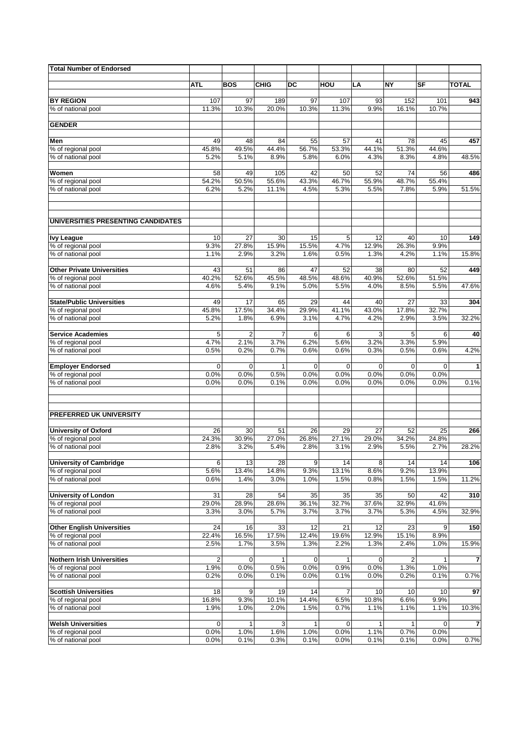| <b>Total Number of Endorsed</b>                         |                         |                     |               |                      |                     |                     |               |                     |                |
|---------------------------------------------------------|-------------------------|---------------------|---------------|----------------------|---------------------|---------------------|---------------|---------------------|----------------|
|                                                         |                         |                     |               |                      |                     |                     |               |                     |                |
|                                                         | <b>ATL</b>              | <b>BOS</b>          | <b>CHIG</b>   | DC                   | HOU                 | LA                  | <b>NY</b>     | SF                  | <b>TOTAL</b>   |
| <b>BY REGION</b>                                        | 107                     | 97                  | 189           | 97                   | 107                 | 93                  | 152           | 101                 | 943            |
| % of national pool                                      | 11.3%                   | 10.3%               | 20.0%         | 10.3%                | 11.3%               | 9.9%                | 16.1%         | 10.7%               |                |
|                                                         |                         |                     |               |                      |                     |                     |               |                     |                |
| <b>GENDER</b>                                           |                         |                     |               |                      |                     |                     |               |                     |                |
| Men                                                     | 49                      | 48                  | 84            | 55                   | 57                  | 41                  | 78            | 45                  | 457            |
| % of regional pool                                      | 45.8%                   | 49.5%               | 44.4%         | 56.7%                | 53.3%               | 44.1%               | 51.3%         | 44.6%               |                |
| % of national pool                                      | 5.2%                    | 5.1%                | 8.9%          | 5.8%                 | 6.0%                | 4.3%                | 8.3%          | 4.8%                | 48.5%          |
| Women                                                   | 58                      | 49                  | 105           | 42                   | 50                  | 52                  | 74            | 56                  | 486            |
| % of regional pool                                      | 54.2%                   | 50.5%               | 55.6%         | 43.3%                | 46.7%               | 55.9%               | 48.7%         | 55.4%               |                |
| % of national pool                                      | 6.2%                    | 5.2%                | 11.1%         | 4.5%                 | 5.3%                | 5.5%                | 7.8%          | 5.9%                | 51.5%          |
|                                                         |                         |                     |               |                      |                     |                     |               |                     |                |
| UNIVERSITIES PRESENTING CANDIDATES                      |                         |                     |               |                      |                     |                     |               |                     |                |
| <b>Ivy League</b>                                       | 10                      | 27                  | 30            | 15                   | 5                   | 12                  | 40            | 10                  | 149            |
| % of regional pool                                      | 9.3%                    | 27.8%               | 15.9%         | 15.5%                | 4.7%                | 12.9%               | 26.3%         | 9.9%                |                |
| % of national pool                                      | 1.1%                    | 2.9%                | 3.2%          | 1.6%                 | 0.5%                | 1.3%                | 4.2%          | 1.1%                | 15.8%          |
|                                                         |                         |                     |               |                      |                     |                     |               |                     |                |
| <b>Other Private Universities</b>                       | 43                      | 51                  | 86            | 47                   | 52                  | 38                  | 80            | 52                  | 449            |
| % of regional pool<br>% of national pool                | 40.2%<br>4.6%           | 52.6%<br>5.4%       | 45.5%<br>9.1% | 48.5%<br>5.0%        | 48.6%<br>5.5%       | 40.9%<br>4.0%       | 52.6%<br>8.5% | 51.5%<br>5.5%       | 47.6%          |
|                                                         |                         |                     |               |                      |                     |                     |               |                     |                |
| <b>State/Public Universities</b>                        | 49                      | 17                  | 65            | 29                   | 44                  | 40                  | 27            | 33                  | 304            |
| % of regional pool                                      | 45.8%                   | 17.5%               | 34.4%         | 29.9%                | 41.1%               | 43.0%               | 17.8%         | 32.7%               |                |
| % of national pool                                      | 5.2%                    | 1.8%                | 6.9%          | 3.1%                 | 4.7%                | 4.2%                | 2.9%          | 3.5%                | 32.2%          |
| <b>Service Academies</b>                                | 5                       | $\overline{c}$      | 7             | 6                    | 6                   | 3                   | 5             | 6                   | 40             |
| % of regional pool                                      | 4.7%                    | 2.1%                | 3.7%          | 6.2%                 | 5.6%                | 3.2%                | 3.3%          | 5.9%                |                |
| % of national pool                                      | 0.5%                    | 0.2%                | 0.7%          | 0.6%                 | 0.6%                | 0.3%                | 0.5%          | 0.6%                | 4.2%           |
|                                                         |                         |                     |               |                      |                     |                     |               |                     |                |
| <b>Employer Endorsed</b><br>% of regional pool          | 0<br>0.0%               | $\mathbf 0$<br>0.0% | 1<br>0.5%     | 0<br>0.0%            | $\Omega$<br>0.0%    | $\mathbf 0$<br>0.0% | 0<br>0.0%     | $\mathbf 0$<br>0.0% | 1              |
| % of national pool                                      | 0.0%                    | 0.0%                | 0.1%          | 0.0%                 | 0.0%                | 0.0%                | 0.0%          | 0.0%                | 0.1%           |
|                                                         |                         |                     |               |                      |                     |                     |               |                     |                |
| PREFERRED UK UNIVERSITY                                 |                         |                     |               |                      |                     |                     |               |                     |                |
|                                                         |                         |                     |               |                      |                     |                     |               |                     |                |
| <b>University of Oxford</b>                             | 26                      | 30                  | 51            | 26                   | 29                  | 27                  | 52            | 25                  | 266            |
| % of regional pool                                      | 24.3%                   | 30.9%               | 27.0%         | 26.8%                | 27.1%               | 29.0%               | 34.2%         | 24.8%               | 28.2%          |
| % of national pool                                      | 2.8%                    | 3.2%                | 5.4%          | 2.8%                 | 3.1%                | 2.9%                | 5.5%          | 2.7%                |                |
| <b>University of Cambridge</b>                          | 6                       | 13                  | 28            | 9                    | 14                  | 8                   | 14            | 14                  | 106            |
| % of regional pool                                      | 5.6%                    | 13.4%               | 14.8%         | 9.3%                 | 13.1%               | 8.6%                | 9.2%          | 13.9%               |                |
| % of national pool                                      | 0.6%                    | 1.4%                | 3.0%          | 1.0%                 | 1.5%                | 0.8%                | 1.5%          | 1.5%                | 11.2%          |
| <b>University of London</b>                             | 31                      | 28                  | 54            | 35                   | 35                  | 35                  | 50            | 42                  | 310            |
| % of regional pool                                      | 29.0%                   | 28.9%               | 28.6%         | 36.1%                | 32.7%               | 37.6%               | 32.9%         | 41.6%               |                |
| % of national pool                                      | 3.3%                    | 3.0%                | 5.7%          | 3.7%                 | 3.7%                | 3.7%                | 5.3%          | 4.5%                | 32.9%          |
|                                                         |                         |                     |               |                      |                     |                     |               |                     |                |
| <b>Other English Universities</b><br>% of regional pool | 24<br>22.4%             | 16<br>16.5%         | 33<br>17.5%   | 12<br>12.4%          | 21<br>19.6%         | 12<br>12.9%         | 23<br>15.1%   | 9<br>8.9%           | 150            |
| % of national pool                                      | 2.5%                    | 1.7%                | 3.5%          | 1.3%                 | 2.2%                | 1.3%                | 2.4%          | 1.0%                | 15.9%          |
|                                                         |                         |                     |               |                      |                     |                     |               |                     |                |
| <b>Nothern Irish Universities</b>                       | $\overline{\mathbf{c}}$ | 0                   | 1             | 0                    | 1                   | 0                   | 2             | 1                   | $\overline{7}$ |
| % of regional pool                                      | 1.9%                    | 0.0%                | 0.5%          | 0.0%                 | 0.9%                | 0.0%                | 1.3%          | 1.0%                |                |
| % of national pool                                      | 0.2%                    | 0.0%                | 0.1%          | 0.0%                 | 0.1%                | 0.0%                | 0.2%          | 0.1%                | 0.7%           |
| <b>Scottish Universities</b>                            | 18                      | 9                   | 19            | 14                   | 7                   | 10                  | 10            | 10                  | 97             |
| % of regional pool                                      | 16.8%                   | 9.3%                | 10.1%         | 14.4%                | 6.5%                | 10.8%               | 6.6%          | 9.9%                |                |
| % of national pool                                      | 1.9%                    | 1.0%                | 2.0%          | 1.5%                 | 0.7%                | 1.1%                | 1.1%          | 1.1%                | 10.3%          |
|                                                         |                         |                     |               |                      |                     |                     |               |                     |                |
| <b>Welsh Universities</b><br>% of regional pool         | 0<br>0.0%               | 1<br>1.0%           | 3<br>1.6%     | $\mathbf{1}$<br>1.0% | $\mathbf 0$<br>0.0% | 1<br>1.1%           | 0.7%          | 0<br>0.0%           | $\overline{7}$ |
| % of national pool                                      | 0.0%                    | 0.1%                | 0.3%          | 0.1%                 | 0.0%                | 0.1%                | 0.1%          | 0.0%                | 0.7%           |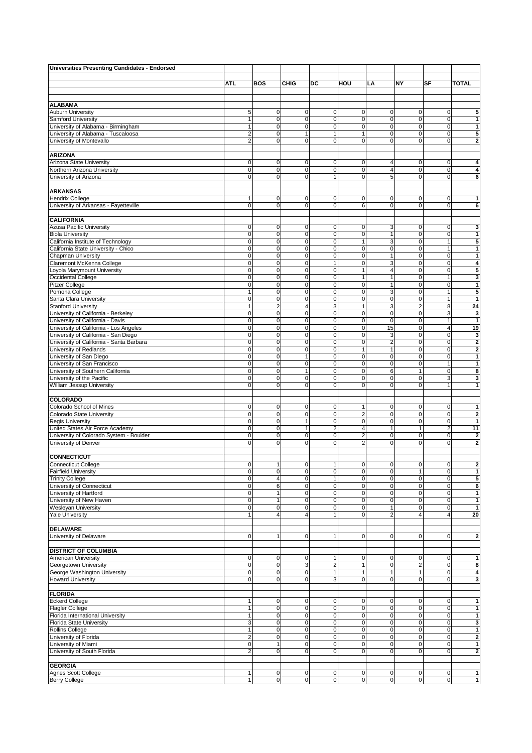| Universities Presenting Candidates - Endorsed                  |                            |                            |                               |                         |                         |                                |                  |                            |                         |
|----------------------------------------------------------------|----------------------------|----------------------------|-------------------------------|-------------------------|-------------------------|--------------------------------|------------------|----------------------------|-------------------------|
|                                                                |                            |                            |                               |                         |                         |                                |                  |                            |                         |
|                                                                | <b>ATL</b>                 | <b>BOS</b>                 | <b>CHIG</b>                   | DC                      | HOU                     | LA                             | <b>NY</b>        | SF                         | <b>TOTAL</b>            |
|                                                                |                            |                            |                               |                         |                         |                                |                  |                            |                         |
|                                                                |                            |                            |                               |                         |                         |                                |                  |                            |                         |
| <b>ALABAMA</b>                                                 |                            |                            |                               |                         |                         |                                |                  |                            |                         |
| <b>Auburn University</b><br>Samford University                 | 5<br>1                     | $\mathbf 0$<br>$\mathbf 0$ | $\overline{0}$<br>$\mathbf 0$ | 0<br>$\mathbf 0$        | 0<br>0                  | 0<br>0                         | 0<br>0           | $\mathbf 0$<br>$\mathbf 0$ | 5<br>1                  |
| University of Alabama - Birmingham                             | $\mathbf{1}$               | 0                          | $\mathbf 0$                   | $\mathbf 0$             | 0                       | 0                              | 0                | $\mathbf 0$                | 1                       |
| University of Alabama - Tuscaloosa                             | $\overline{2}$             | $\mathbf 0$                | $\mathbf{1}$                  | $\overline{1}$          | $\mathbf{1}$            | 0                              | 0                | $\mathbf 0$                | 5                       |
| University of Montevallo                                       | $\overline{2}$             | $\Omega$                   | $\overline{0}$                | $\mathbf 0$             | 0                       | 0                              | $\mathbf 0$      | $\mathbf 0$                | $\mathbf{2}$            |
|                                                                |                            |                            |                               |                         |                         |                                |                  |                            |                         |
| <b>ARIZONA</b>                                                 |                            |                            |                               |                         |                         |                                |                  |                            |                         |
| Arizona State University                                       | 0                          | $\mathbf 0$                | $\mathbf 0$                   | 0                       | $\mathbf 0$             | 4                              | 0                | 0                          | 4                       |
| Northern Arizona University                                    | $\mathbf 0$                | 0                          | $\mathbf 0$                   | $\mathbf 0$             | 0                       | $\overline{\mathbf{4}}$        | $\mathbf 0$      | $\mathbf 0$                | 4                       |
| University of Arizona                                          | $\mathbf 0$                | $\Omega$                   | $\mathbf 0$                   | $\mathbf{1}$            | 0                       | 5                              | 0                | $\mathbf 0$                | 6                       |
|                                                                |                            |                            |                               |                         |                         |                                |                  |                            |                         |
| <b>ARKANSAS</b>                                                |                            |                            |                               |                         |                         |                                |                  |                            |                         |
| <b>Hendrix College</b>                                         | 1                          | $\mathbf 0$                | $\mathbf 0$                   | 0                       | 0                       | 0                              | 0                | $\mathbf 0$                | 1                       |
| University of Arkansas - Fayetteville                          | $\mathbf 0$                | $\mathbf 0$                | $\mathbf 0$                   | 0                       | 6                       | 0                              | 0                | $\mathbf 0$                | 6                       |
|                                                                |                            |                            |                               |                         |                         |                                |                  |                            |                         |
| <b>CALIFORNIA</b>                                              |                            |                            |                               |                         |                         |                                |                  |                            |                         |
| Azusa Pacific University                                       | $\overline{0}$             | $\mathbf 0$                | $\overline{0}$                | 0                       | $\mathbf 0$             | 3                              | 0                | $\mathbf 0$                | 3                       |
| <b>Biola University</b>                                        | $\mathbf 0$                | 0                          | $\mathbf 0$                   | 0                       | 0                       | 1                              | 0                | $\mathbf 0$                | 1                       |
| California Institute of Technology                             | $\mathbf 0$                | $\mathbf 0$                | $\mathsf 0$                   | 0                       | $\mathbf{1}$            | 3                              | 0                | 1                          | 5                       |
| California State University - Chico                            | $\mathbf 0$                | $\mathbf 0$                | $\overline{0}$                | 0                       | 0                       | 0                              | $\mathbf 0$      | $\mathbf{1}$               | 1                       |
| <b>Chapman University</b>                                      | $\mathbf 0$                | $\mathbf 0$                | $\mathbf 0$                   | 0                       | 0                       | 1                              | 0                | $\mathbf 0$                | $\mathbf{1}$            |
| Claremont McKenna College                                      | $\mathbf 0$                | 0                          | $\mathbf 0$                   | $\mathbf{1}$            | 0                       | 3                              | 0                | $\mathbf 0$                | 4                       |
| Loyola Marymount University                                    | $\mathbf 0$                | 0                          | $\overline{0}$                | 0                       | $\mathbf{1}$            | 4                              | $\mathbf 0$      | $\mathbf 0$                | 5                       |
| Occidental College                                             | $\mathbf 0$                | 0                          | $\mathbf 0$                   | 0                       | 1                       | 1                              | 0                | 1                          | 3                       |
| <b>Pitzer College</b>                                          | $\mathbf 0$                | $\mathbf 0$                | $\mathbf 0$                   | 0                       | 0                       | 1                              | 0                | $\mathbf 0$                | 1                       |
| Pomona College                                                 | $\mathbf{1}$               | $\mathbf 0$                | $\overline{0}$                | $\mathbf 0$             | 0                       | 3                              | $\mathbf 0$      | $\mathbf{1}$               | 5                       |
| Santa Clara University                                         | $\mathbf 0$                | $\mathbf 0$                | $\mathbf 0$                   | 0                       | $\pmb{0}$               | 0                              | 0                | 1                          | $\mathbf{1}$            |
| <b>Stanford University</b>                                     | $\mathbf{1}$               | $\overline{2}$             | $\overline{4}$                | 3                       | $\mathbf{1}$            | 3                              | $\mathbf 2$      | 8                          | 24                      |
| University of California - Berkeley                            | $\mathbf 0$                | $\mathbf 0$                | $\overline{0}$                | 0                       | $\mathbf 0$             | 0                              | 0                | 3                          | 3                       |
| University of California - Davis                               | $\mathbf 0$                | 0                          | $\mathbf 0$                   | 0                       | 0                       | 0                              | 0                | 1                          | $\mathbf{1}$            |
| University of California - Los Angeles                         | $\overline{0}$             | $\Omega$                   | $\mathbf 0$                   | $\mathbf 0$             | 0                       | 15                             | $\mathbf 0$      | $\overline{4}$             | 19                      |
| University of California - San Diego                           | $\mathsf{O}\xspace$        | $\mathbf 0$                | $\overline{0}$                | 0                       | 0                       | 3                              | 0                | $\mathbf 0$                | 3                       |
| University of California - Santa Barbara                       | $\mathbf 0$<br>$\mathbf 0$ | $\mathbf 0$<br>0           | $\mathbf 0$<br>$\mathbf 0$    | $\mathbf 0$             | 0                       | $\overline{2}$<br>$\mathbf{1}$ | 0<br>$\mathbf 0$ | $\mathbf 0$                | $\overline{2}$          |
| University of Redlands                                         |                            |                            |                               | $\mathbf 0$             | 1                       |                                |                  | $\mathbf 0$                | $\overline{\mathbf{2}}$ |
| University of San Diego                                        | $\mathbf 0$<br>$\mathbf 0$ | $\mathbf 0$<br>$\mathbf 0$ | $\mathbf{1}$<br>$\mathbf 0$   | 0<br>0                  | 0                       | 0<br>0                         | 0<br>0           | $\mathbf 0$<br>1           | 1<br>$\mathbf{1}$       |
| University of San Francisco                                    | $\mathbf 0$                | $\mathbf 0$                | $\mathbf{1}$                  | 0                       | 0<br>0                  | 6                              | $\mathbf{1}$     |                            |                         |
| University of Southern California<br>University of the Pacific | $\mathbf 0$                | 0                          | $\mathbf 0$                   | 0                       | 0                       | 0                              | 0                | $\pmb{0}$<br>3             | 8<br>3                  |
| William Jessup University                                      | $\mathbf 0$                | $\mathbf 0$                | $\mathbf 0$                   | $\mathbf 0$             | 0                       | $\mathbf 0$                    | $\mathbf 0$      | 1                          | 1                       |
|                                                                |                            |                            |                               |                         |                         |                                |                  |                            |                         |
| <b>COLORADO</b>                                                |                            |                            |                               |                         |                         |                                |                  |                            |                         |
| Colorado School of Mines                                       | $\mathbf 0$                | $\mathbf 0$                | $\overline{0}$                | 0                       | 1                       | 0                              | 0                | $\mathbf 0$                | 1                       |
| Colorado State University                                      | $\mathbf 0$                | $\mathbf 0$                | $\mathbf 0$                   | 0                       | $\overline{\mathbf{c}}$ | 0                              | 0                | $\mathbf 0$                | 2                       |
| <b>Regis University</b>                                        | $\mathbf 0$                | 0                          | $\mathbf{1}$                  | $\mathbf 0$             | 0                       | 0                              | 0                | $\mathbf 0$                | 1                       |
| United States Air Force Academy                                | $\mathbf 0$                | $\mathbf 0$                | $\mathbf{1}$                  | $\overline{c}$          | $\overline{\mathbf{4}}$ | 1                              | $\mathbf{1}$     | $\overline{2}$             | 11                      |
| University of Colorado System - Boulder                        | $\mathbf 0$                | 0                          | $\mathbf 0$                   | $\mathbf 0$             | $\overline{2}$          | 0                              | 0                | $\mathbf 0$                | $\mathbf 2$             |
| University of Denver                                           | $\mathbf 0$                | 0                          | $\mathbf 0$                   | 0                       | 2                       | 0                              | $\mathbf 0$      | $\mathbf 0$                | $\overline{\mathbf{2}}$ |
|                                                                |                            |                            |                               |                         |                         |                                |                  |                            |                         |
| <b>CONNECTICUT</b>                                             |                            |                            |                               |                         |                         |                                |                  |                            |                         |
| Connecticut College                                            | 0                          | л.                         | $\pmb{0}$                     |                         | $\pmb{0}$               | 0                              | 0                | $\mathbf 0$                | 2                       |
| <b>Fairfield University</b>                                    | $\mathsf{O}\xspace$        | $\mathbf 0$                | $\overline{0}$                | $\pmb{0}$               | 0                       | $\mathbf 0$                    | $\mathbf{1}$     | $\mathbf 0$                | $\mathbf{1}$            |
| <b>Trinity College</b>                                         | $\overline{0}$             | $\overline{4}$             | $\overline{0}$                | $\mathbf{1}$            | 0                       | 0                              | $\mathbf 0$      | $\mathbf 0$                | 5                       |
| University of Connecticut                                      | $\mathbf 0$                | 6                          | $\mathsf{O}\xspace$           | 0                       | 0                       | 0                              | $\pmb{0}$        | 0                          | 6                       |
| University of Hartford                                         | $\pmb{0}$                  | $\mathbf{1}$               | $\mathbf 0$                   | $\pmb{0}$               | $\pmb{0}$               | $\pmb{0}$                      | 0                | $\pmb{0}$                  | 1                       |
| University of New Haven                                        | $\overline{0}$             | 1                          | $\overline{0}$                | 0                       | $\mathbf 0$             | 0                              | 0                | $\mathbf 0$                | $\mathbf{1}$            |
| Wesleyan University                                            | $\mathbf 0$                | 0                          | $\mathbf 0$                   | 0                       | 0                       | 1                              | 0                | 0                          | $\mathbf{1}$            |
| <b>Yale University</b>                                         | $\mathbf{1}$               | 4                          | $\overline{4}$                | $\overline{1}$          | 0                       | $\overline{2}$                 | 4                | $\overline{4}$             | 20                      |
|                                                                |                            |                            |                               |                         |                         |                                |                  |                            |                         |
| <b>DELAWARE</b>                                                |                            |                            |                               |                         |                         |                                |                  |                            |                         |
| University of Delaware                                         | $\mathbf 0$                | 1                          | $\mathbf 0$                   | $\mathbf{1}$            | $\mathbf 0$             | 0                              | 0                | 0                          | $\overline{\mathbf{2}}$ |
|                                                                |                            |                            |                               |                         |                         |                                |                  |                            |                         |
| <b>DISTRICT OF COLUMBIA</b>                                    |                            |                            |                               |                         |                         |                                |                  |                            |                         |
| American University                                            | $\mathbf 0$                | $\mathbf 0$                | $\mathsf{O}\xspace$           | $\mathbf{1}$            | $\pmb{0}$               | 0                              | 0                | 0                          | $\mathbf{1}$            |
| Georgetown University                                          | $\mathbf 0$                | $\mathbf 0$                | $\mathbf{3}$                  | $\overline{\mathbf{c}}$ | $\mathbf{1}$            | 0                              | $\mathbf 2$      | $\mathbf 0$                | 8                       |
| George Washington University                                   | $\pmb{0}$                  | $\mathbf 0$                | $\mathsf{O}\xspace$           | 1                       | $\mathbf{1}$            | 1                              | 1                | 0                          | 4                       |
| <b>Howard University</b>                                       | $\mathbf 0$                | 0                          | $\mathsf{O}\xspace$           | 3                       | 0                       | 0                              | 0                | $\mathbf 0$                | 3                       |
|                                                                |                            |                            |                               |                         |                         |                                |                  |                            |                         |
| <b>FLORIDA</b>                                                 |                            |                            |                               |                         |                         |                                |                  |                            |                         |
| <b>Eckerd College</b>                                          | 1                          | 0                          | $\mathbf 0$                   | 0                       | 0                       | 0                              | 0                | 0                          | 1                       |
| <b>Flagler College</b>                                         | $\mathbf{1}$               | 0                          | $\overline{0}$                | 0                       | 0                       | 0                              | 0                | $\mathbf 0$                | $\mathbf{1}$            |
| Florida International University<br>Florida State University   | 1<br>3                     | $\mathbf 0$<br>0           | $\mathbf 0$<br>$\mathbf 0$    | 0<br>$\mathbf 0$        | 0<br>0                  | 0<br>0                         | 0<br>0           | 0<br>$\mathbf 0$           | $\mathbf{1}$<br>3       |
| Rollins College                                                | $\mathbf{1}$               | $\mathbf 0$                | $\overline{0}$                | 0                       | 0                       | 0                              | 0                | 0                          | 1                       |
| University of Florida                                          | $\overline{a}$             | $\mathbf 0$                | $\overline{0}$                | 0                       | 0                       | 0                              | $\mathbf 0$      | $\mathbf 0$                | $\overline{\mathbf{2}}$ |
| University of Miami                                            | $\mathbf 0$                | $\mathbf{1}$               | $\mathsf{O}\xspace$           | $\mathbf 0$             | 0                       | 0                              | $\pmb{0}$        | 0                          | 1                       |
| University of South Florida                                    | $\overline{2}$             | $\mathbf 0$                | $\overline{0}$                | 0                       | $\mathbf 0$             | 0                              | 0                | $\mathbf 0$                | $\overline{\mathbf{2}}$ |
|                                                                |                            |                            |                               |                         |                         |                                |                  |                            |                         |
| <b>GEORGIA</b>                                                 |                            |                            |                               |                         |                         |                                |                  |                            |                         |
| Agnes Scott College                                            | 1                          | 0                          | $\overline{0}$                | 0                       | $\mathbf 0$             | 0                              | $\mathbf 0$      | $\mathbf 0$                | $\mathbf{1}$            |
| <b>Berry College</b>                                           | 1                          | $\mathbf 0$                | $\overline{0}$                | $\pmb{0}$               | $\mathbf 0$             | $\pmb{0}$                      | $\pmb{0}$        | $\mathbf 0$                | $\mathbf{1}$            |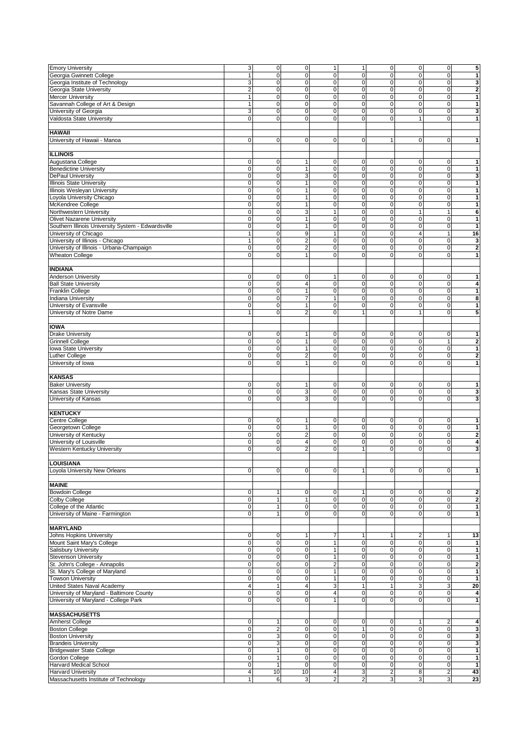| <b>Emory University</b>                                            | 3 <sup>1</sup>                 | $\overline{0}$ | $\overline{0}$       | $\mathbf{1}$                 | 1                                       | $\pmb{0}$                    | $\mathbf 0$                    | $\mathbf 0$         | 5                       |
|--------------------------------------------------------------------|--------------------------------|----------------|----------------------|------------------------------|-----------------------------------------|------------------------------|--------------------------------|---------------------|-------------------------|
|                                                                    |                                | $\mathbf 0$    | $\overline{0}$       |                              |                                         |                              | $\mathbf 0$                    |                     |                         |
| Georgia Gwinnett College                                           | $\mathbf{1}$                   |                |                      | $\mathbf 0$                  | 0                                       | 0                            |                                | $\mathbf 0$         | 1                       |
| Georgia Institute of Technology                                    | 3                              | $\mathbf 0$    | $\mathbf 0$          | $\mathbf 0$                  | 0                                       | 0                            | 0                              | 0                   | 3                       |
| Georgia State University                                           | $\overline{2}$                 | $\mathbf 0$    | $\mathsf{O}\xspace$  | $\mathbf 0$                  | 0                                       | $\mathbf 0$                  | $\pmb{0}$                      | $\mathbf 0$         | $\overline{\mathbf{2}}$ |
| <b>Mercer University</b>                                           | 1                              | $\mathbf 0$    | $\mathbf 0$          | $\mathbf 0$                  | 0                                       | 0                            | $\pmb{0}$                      | $\mathbf 0$         | $\mathbf{1}$            |
| Savannah College of Art & Design                                   | 1                              | 0              | $\mathsf{O}\xspace$  | $\mathbf 0$                  | 0                                       | 0                            | 0                              | $\mathbf 0$         | 1                       |
| University of Georgia                                              | 3                              | $\mathbf 0$    | $\mathsf{O}\xspace$  | $\mathbf 0$                  | 0                                       | $\mathbf 0$                  | $\pmb{0}$                      | $\mathbf 0$         | 3                       |
|                                                                    |                                |                |                      |                              |                                         |                              |                                |                     |                         |
| Valdosta State University                                          | $\mathbf 0$                    | $\mathbf 0$    | $\mathbf 0$          | $\mathbf 0$                  | 0                                       | 0                            | 1                              | $\mathbf 0$         | 1                       |
|                                                                    |                                |                |                      |                              |                                         |                              |                                |                     |                         |
| <b>HAWAII</b>                                                      |                                |                |                      |                              |                                         |                              |                                |                     |                         |
| University of Hawaii - Manoa                                       | $\mathbf 0$                    | $\mathbf 0$    | $\overline{0}$       | 0                            | $\mathbf 0$                             | 1                            | 0                              | 0                   | 1                       |
|                                                                    |                                |                |                      |                              |                                         |                              |                                |                     |                         |
| <b>ILLINOIS</b>                                                    |                                |                |                      |                              |                                         |                              |                                |                     |                         |
|                                                                    |                                |                |                      |                              |                                         |                              |                                |                     |                         |
| Augustana College                                                  | 0                              | 0              | $\mathbf{1}$         | 0                            | $\pmb{0}$                               | 0                            | 0                              | 0                   | 1                       |
| <b>Benedictine University</b>                                      | $\mathbf 0$                    | 0              | $\mathbf{1}$         | $\mathbf 0$                  | 0                                       | $\mathbf 0$                  | $\mathbf 0$                    | $\mathbf 0$         | $\mathbf{1}$            |
| <b>DePaul University</b>                                           | $\mathsf{O}\xspace$            | $\pmb{0}$      | $\mathbf{3}$         | $\mathbf 0$                  | 0                                       | 0                            | 0                              | $\mathbf 0$         | 3                       |
| <b>Illinois State University</b>                                   | $\overline{0}$                 | $\mathbf 0$    | $\mathbf{1}$         | $\mathbf 0$                  | 0                                       | 0                            | 0                              | $\mathbf 0$         | 1                       |
|                                                                    |                                |                |                      |                              |                                         |                              |                                |                     |                         |
| Illinois Wesleyan University                                       | $\mathbf 0$                    | 0              | $\mathbf{1}$         | $\mathbf 0$                  | $\mathbf 0$                             | $\overline{0}$               | $\mathbf 0$                    | 0                   | $\mathbf{1}$            |
| Loyola University Chicago                                          | $\mathbf 0$                    | $\mathsf 0$    | $\mathbf{1}$         | 0                            | 0                                       | 0                            | 0                              | $\mathbf 0$         | $\mathbf{1}$            |
| McKendree College                                                  | $\mathbf 0$                    | $\mathbf 0$    | $\mathbf{1}$         | 0                            | 0                                       | 0                            | $\pmb{0}$                      | $\mathbf 0$         | 1                       |
| Northwestern University                                            | $\mathbf 0$                    | $\mathbf 0$    | $\mathbf{3}$         | $\overline{1}$               | $\mathbf 0$                             | $\mathbf 0$                  | 1                              | 1                   | 6                       |
|                                                                    | $\mathbf 0$                    | $\mathbf 0$    | $\mathbf{1}$         | 0                            |                                         | 0                            |                                | $\mathbf 0$         |                         |
| <b>Olivet Nazarene University</b>                                  |                                |                |                      |                              | 0                                       |                              | 0                              |                     | 1                       |
| Southern Illinois University System - Edwardsville                 | $\mathbf 0$                    | $\mathbf 0$    | $\mathbf{1}$         | 0                            | 0                                       | $\mathbf 0$                  | 0                              | $\mathbf 0$         | $\mathbf{1}$            |
| University of Chicago                                              | $\mathbf{1}$                   | $\mathbf 0$    | $\boldsymbol{9}$     | $\mathbf{1}$                 | $\mathbf 0$                             | 0                            | $\overline{\mathbf{4}}$        | 1                   | 16                      |
| University of Illinois - Chicago                                   | $\mathbf{1}$                   | $\mathbf 0$    | $\overline{2}$       | 0                            | 0                                       | 0                            | $\pmb{0}$                      | $\mathbf 0$         | 3                       |
| University of Illinois - Urbana-Champaign                          | $\mathbf 0$                    | $\mathbf 0$    | $\overline{2}$       | $\mathbf 0$                  | 0                                       | $\overline{0}$               | $\mathbf 0$                    | $\mathbf 0$         | $\overline{\mathbf{2}}$ |
|                                                                    |                                |                |                      |                              |                                         |                              |                                |                     |                         |
| <b>Wheaton College</b>                                             | $\mathbf 0$                    | $\mathbf 0$    | $\mathbf{1}$         | 0                            | 0                                       | 0                            | $\mathbf 0$                    | $\mathbf 0$         | 1                       |
|                                                                    |                                |                |                      |                              |                                         |                              |                                |                     |                         |
| <b>INDIANA</b>                                                     |                                |                |                      |                              |                                         |                              |                                |                     |                         |
| <b>Anderson University</b>                                         | $\mathbf 0$                    | 0              | $\mathsf{O}\xspace$  | $\mathbf 1$                  | 0                                       | 0                            | 0                              | 0                   | 1                       |
|                                                                    |                                |                |                      |                              |                                         |                              |                                |                     |                         |
| <b>Ball State University</b>                                       | $\mathbf 0$                    | $\mathbf 0$    | $\overline{4}$       | 0                            | 0                                       | 0                            | 0                              | $\mathbf 0$         | 4                       |
| Franklin College                                                   | $\mathbf 0$                    | $\mathbf 0$    | $\mathbf{1}$         | 0                            | 0                                       | $\mathbf 0$                  | $\mathbf 0$                    | $\mathbf 0$         | $\mathbf{1}$            |
| <b>Indiana University</b>                                          | $\mathbf 0$                    | 0              | $\overline{7}$       | 1                            | 0                                       | 0                            | 0                              | $\mathbf 0$         | 8                       |
| University of Evansville                                           | $\mathbf 0$                    | 0              | $\mathbf{1}$         | 0                            | 0                                       | 0                            | 0                              | $\mathbf 0$         | 1                       |
| University of Notre Dame                                           | $\mathbf{1}$                   | $\Omega$       | $\overline{2}$       | 0                            | $\mathbf{1}$                            | 0                            | 1                              | $\mathbf 0$         | 5                       |
|                                                                    |                                |                |                      |                              |                                         |                              |                                |                     |                         |
|                                                                    |                                |                |                      |                              |                                         |                              |                                |                     |                         |
| <b>IOWA</b>                                                        |                                |                |                      |                              |                                         |                              |                                |                     |                         |
| <b>Drake University</b>                                            | $\mathbf 0$                    | $\mathbf 0$    | $\mathbf{1}$         | 0                            | $\pmb{0}$                               | 0                            | 0                              | 0                   | 1                       |
| <b>Grinnell College</b>                                            | $\mathbf 0$                    | $\mathbf 0$    | $\mathbf{1}$         | 0                            | $\pmb{0}$                               | 0                            | 0                              | 1                   | $\overline{\mathbf{2}}$ |
|                                                                    |                                |                |                      |                              |                                         |                              |                                |                     |                         |
| Iowa State University                                              | $\mathbf 0$                    | $\Omega$       | $\mathbf{1}$         | $\mathbf 0$                  | $\mathbf 0$                             | 0                            | $\mathbf 0$                    | $\mathbf 0$         | 1                       |
| Luther College                                                     | $\mathbf 0$                    | $\mathbf 0$    | $\overline{2}$       | 0                            | $\mathbf 0$                             | 0                            | 0                              | $\mathbf 0$         | $\overline{\mathbf{2}}$ |
| University of Iowa                                                 | $\mathbf 0$                    | $\mathbf 0$    | $\mathbf{1}$         | 0                            | 0                                       | 0                            | $\mathbf 0$                    | $\mathbf 0$         | 1                       |
|                                                                    |                                |                |                      |                              |                                         |                              |                                |                     |                         |
| <b>KANSAS</b>                                                      |                                |                |                      |                              |                                         |                              |                                |                     |                         |
|                                                                    |                                |                |                      |                              |                                         |                              |                                |                     |                         |
| <b>Baker University</b>                                            | $\mathbf 0$                    | 0              | $\mathbf{1}$         | 0                            | $\mathbf 0$                             | 0                            | 0                              | $\mathbf 0$         | 1                       |
| Kansas State University                                            | $\mathbf 0$                    | 0              | 3                    | $\mathbf 0$                  | 0                                       | 0                            | $\mathbf 0$                    | $\mathbf 0$         | 3                       |
| University of Kansas                                               | $\mathbf 0$                    | $\Omega$       | 3                    | $\mathbf 0$                  | 0                                       | $\mathbf 0$                  | $\mathbf 0$                    | $\mathbf 0$         | 3                       |
|                                                                    |                                |                |                      |                              |                                         |                              |                                |                     |                         |
|                                                                    |                                |                |                      |                              |                                         |                              |                                |                     |                         |
| <b>KENTUCKY</b>                                                    |                                |                |                      |                              |                                         |                              |                                |                     |                         |
| Centre College                                                     | $\mathbf 0$                    | $\mathbf 0$    | $\mathbf{1}$         | 0                            | 0                                       | 0                            | 0                              | 0                   | 1                       |
| Georgetown College                                                 | $\mathbf 0$                    | $\mathbf 0$    | $\mathbf{1}$         | $\mathbf 0$                  | 0                                       | $\mathbf 0$                  | $\mathbf 0$                    | $\mathbf 0$         | $\mathbf{1}$            |
| University of Kentucky                                             | $\mathbf 0$                    | $\mathbf 0$    | $\boldsymbol{2}$     | 0                            | 0                                       | 0                            | $\pmb{0}$                      | $\mathbf 0$         | $\mathbf 2$             |
| University of Louisville                                           | $\mathbf 0$                    | $\mathbf 0$    | $\overline{4}$       | 0                            | 0                                       | 0                            | 0                              | 0                   | 4                       |
|                                                                    |                                |                |                      |                              |                                         |                              |                                |                     |                         |
| Western Kentucky University                                        | $\mathbf 0$                    | $\mathbf 0$    | $\overline{2}$       | $\mathbf 0$                  | $\mathbf{1}$                            | 0                            | $\mathbf 0$                    | $\mathbf 0$         | 3                       |
|                                                                    |                                |                |                      |                              |                                         |                              |                                |                     |                         |
| <b>LOUISIANA</b>                                                   |                                |                |                      |                              |                                         |                              |                                |                     |                         |
| Loyola University New Orleans                                      | $\overline{0}$                 | $\overline{0}$ | $\overline{0}$       | $\mathbf 0$                  | 1                                       | 0                            | $\mathbf 0$                    | $\mathbf 0$         | $\mathbf{1}$            |
|                                                                    |                                |                |                      |                              |                                         |                              |                                |                     |                         |
| <b>MAINE</b>                                                       |                                |                |                      |                              |                                         |                              |                                |                     |                         |
|                                                                    |                                |                |                      |                              |                                         |                              |                                |                     |                         |
| <b>Bowdoin College</b>                                             | $\mathbf 0$                    | 1              | $\overline{0}$       | 0                            | $\mathbf{1}$                            | 0                            | 0                              | $\mathbf 0$         | $\mathbf 2$             |
| Colby College                                                      | $\mathbf 0$                    | $\mathbf{1}$   | $\mathbf{1}$         | 0                            | $\mathbf 0$                             | 0                            | $\mathbf 0$                    | $\mathbf 0$         | $\overline{\mathbf{2}}$ |
| College of the Atlantic                                            | $\mathbf 0$                    | 1              | $\mathsf{O}\xspace$  | 0                            | 0                                       | 0                            | $\pmb{0}$                      | $\mathbf 0$         | 1                       |
| University of Maine - Farmington                                   | $\mathbf 0$                    | 1              | $\overline{0}$       | 0                            | 0                                       | 0                            | $\mathbf 0$                    | 0                   | $\mathbf{1}$            |
|                                                                    |                                |                |                      |                              |                                         |                              |                                |                     |                         |
|                                                                    |                                |                |                      |                              |                                         |                              |                                |                     |                         |
| <b>MARYLAND</b>                                                    |                                |                |                      |                              |                                         |                              |                                |                     |                         |
| Johns Hopkins University                                           | $\pmb{0}$                      | $\mathbf 0$    | $\mathbf{1}$         | 7                            | 1                                       | 1                            | 2                              | 1                   | 13                      |
| Mount Saint Mary's College                                         | $\overline{0}$                 | $\mathbf 0$    | $\overline{0}$       | $\mathbf{1}$                 | $\mathbf 0$                             | 0                            | $\pmb{0}$                      | $\mathbf 0$         | $\mathbf{1}$            |
| Salisbury University                                               | $\mathbf 0$                    | $\mathbf 0$    | $\mathsf{O}\xspace$  | $\mathbf{1}$                 | 0                                       | 0                            | 0                              | $\mathbf 0$         | $\mathbf{1}$            |
|                                                                    |                                |                |                      |                              |                                         |                              |                                |                     |                         |
| <b>Stevenson University</b>                                        | $\mathbf 0$                    | $\mathbf 0$    | $\mathbf 0$          | $\mathbf{1}$                 | $\pmb{0}$                               | 0                            | 0                              | $\mathbf 0$         | $\mathbf{1}$            |
| St. John's College - Annapolis                                     | $\overline{0}$                 | $\mathbf 0$    | $\overline{0}$       | $\overline{\mathbf{c}}$      | $\pmb{0}$                               | 0                            | 0                              | $\mathbf 0$         | $\mathbf 2$             |
| St. Mary's College of Maryland                                     | $\mathbf 0$                    | $\mathbf 0$    | $\overline{0}$       | $\mathbf{1}$                 | 0                                       | 0                            | $\pmb{0}$                      | $\mathbf 0$         | $\mathbf{1}$            |
| <b>Towson University</b>                                           | $\mathbf 0$                    | $\mathbf 0$    | $\overline{0}$       | $\mathbf{1}$                 | $\pmb{0}$                               | 0                            | 0                              | $\mathbf 0$         | 1                       |
|                                                                    |                                |                |                      |                              |                                         |                              |                                |                     |                         |
| United States Naval Academy                                        | $\overline{4}$                 | $\mathbf{1}$   | 4 <sup>1</sup>       | 3                            | $\mathbf{1}$                            | 1                            | 3                              | 3                   | 20                      |
| University of Maryland - Baltimore County                          | $\mathbf 0$                    | $\mathbf 0$    | $\overline{0}$       | $\overline{\mathbf{4}}$      | 0                                       | 0                            | $\pmb{0}$                      | $\mathbf 0$         | 4                       |
| University of Maryland - College Park                              | $\mathbf 0$                    | $\mathbf 0$    | $\overline{0}$       | $\mathbf{1}$                 | 0                                       | 0                            | $\mathbf 0$                    | $\mathbf 0$         | $\mathbf{1}$            |
|                                                                    |                                |                |                      |                              |                                         |                              |                                |                     |                         |
| <b>MASSACHUSETTS</b>                                               |                                |                |                      |                              |                                         |                              |                                |                     |                         |
|                                                                    |                                |                |                      |                              |                                         |                              |                                |                     |                         |
| Amherst College                                                    | 0                              |                | $\mathbf 0$          | 0                            | 0                                       | 0                            | 1                              | 2                   | 4                       |
| <b>Boston College</b>                                              | $\mathbf 0$                    | $\overline{2}$ | $\overline{0}$       | 0                            | $\mathbf{1}$                            | 0                            | $\pmb{0}$                      | $\mathbf 0$         | 3                       |
| <b>Boston University</b>                                           | $\mathbf 0$                    | 3              | $\mathsf{O}\xspace$  | 0                            | 0                                       | 0                            | $\pmb{0}$                      | $\mathbf 0$         | 3                       |
| <b>Brandeis University</b>                                         | $\mathbf 0$                    | 3              | $\overline{0}$       | 0                            | $\mathbf 0$                             | 0                            | 0                              | $\mathbf 0$         | 3                       |
|                                                                    |                                |                |                      |                              |                                         |                              |                                |                     |                         |
| <b>Bridgewater State College</b>                                   | $\overline{\mathbf{0}}$        | 1              | $\overline{0}$       | 0                            | $\overline{\mathbf{0}}$                 | 0                            | $\overline{0}$                 | $\mathbf 0$         | $\mathbf{1}$            |
| Gordon College                                                     |                                | $\mathbf{1}$   | $\overline{0}$       | 0                            | $\mathbf 0$                             | 0                            | $\mathbf 0$                    | $\mathbf 0$         | $\mathbf{1}$            |
|                                                                    | $\mathbf 0$                    |                |                      |                              |                                         |                              |                                |                     |                         |
| <b>Harvard Medical School</b>                                      | $\overline{0}$                 | $\mathbf{1}$   | $\overline{0}$       | 0                            | $\mathbf 0$                             | 0                            | 0                              | $\mathbf 0$         | $\mathbf{1}$            |
|                                                                    |                                |                |                      |                              |                                         |                              |                                |                     |                         |
| <b>Harvard University</b><br>Massachusetts Institute of Technology | $\overline{4}$<br>$\mathbf{1}$ | 10<br>6        | 10<br>3 <sup>1</sup> | 4<br>$\overline{\mathbf{c}}$ | $\mathbf{3}$<br>$\overline{\mathbf{c}}$ | $\overline{\mathbf{c}}$<br>3 | 8<br>$\ensuremath{\mathsf{3}}$ | $\overline{a}$<br>3 | 43<br>23                |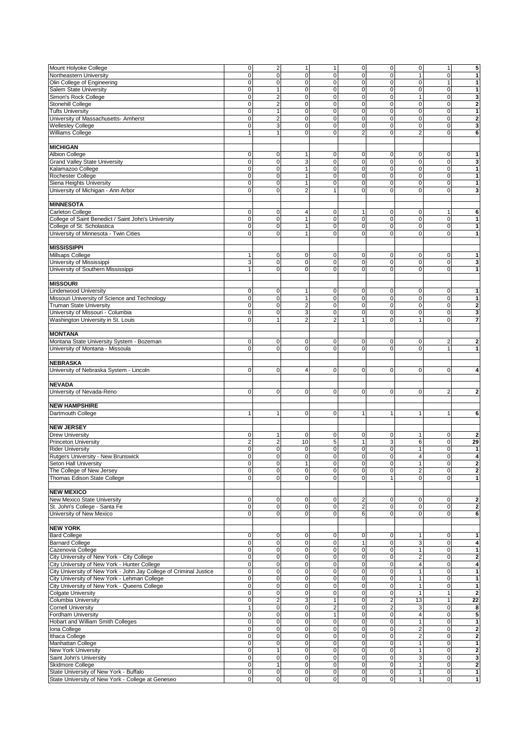| Mount Holyoke College                                                                       | $\mathbf 0$                      | $\overline{2}$                | $\mathbf{1}$                  | $\mathbf{1}$             | $\pmb{0}$              | $\mathbf 0$    | $\mathbf 0$                  | $\mathbf{1}$             | 5                            |
|---------------------------------------------------------------------------------------------|----------------------------------|-------------------------------|-------------------------------|--------------------------|------------------------|----------------|------------------------------|--------------------------|------------------------------|
| Northeastern University                                                                     | $\mathbf 0$                      | $\overline{0}$                | $\mathbf 0$                   | $\mathbf 0$              | $\mathbf 0$            | 0              | 1                            | $\mathbf 0$              | 1                            |
| Olin College of Engineering                                                                 | $\mathbf 0$                      | $\mathbf 0$                   | $\mathbf 0$                   | $\mathbf 0$              | $\pmb{0}$              | 0              | $\mathbf 0$                  | $\mathbf{1}$             | 1                            |
| <b>Salem State University</b>                                                               |                                  | $\mathbf{1}$                  | $\pmb{0}$                     | $\mathbf 0$              |                        | 0              | $\mathbf 0$                  |                          | $\mathbf{1}$                 |
|                                                                                             | $\mathbf 0$                      |                               |                               |                          | $\pmb{0}$              |                |                              | $\mathbf 0$              |                              |
| Simon's Rock College                                                                        | $\mathbf 0$                      | $\overline{2}$                | $\mathbf 0$                   | $\mathbf 0$              | $\mathbf 0$            | 0              | $\mathbf{1}$                 | $\mathbf 0$              | 3                            |
| Stonehill College                                                                           | $\mathbf 0$                      | $\overline{2}$                | $\mathbf 0$                   | $\mathbf 0$              | $\mathbf 0$            | $\overline{0}$ | $\mathbf 0$                  | $\mathbf 0$              | $\overline{\mathbf{2}}$      |
| <b>Tufts University</b>                                                                     | $\mathbf 0$                      | 1                             | $\mathbf 0$                   | $\mathbf 0$              | 0                      | 0              | $\mathbf 0$                  | $\mathbf 0$              | 1                            |
|                                                                                             |                                  |                               |                               |                          |                        |                |                              |                          |                              |
| University of Massachusetts- Amherst                                                        | $\mathbf 0$                      | $\overline{2}$                | $\mathbf 0$                   | $\mathbf 0$              | $\mathbf 0$            | 0              | $\mathbf 0$                  | $\mathbf 0$              | $\overline{\mathbf{2}}$      |
| <b>Wellesley College</b>                                                                    | 0                                | 3                             | $\mathbf 0$                   | $\mathbf 0$              | $\mathbf 0$            | $\overline{0}$ | $\mathbf 0$                  | $\mathbf 0$              | 3                            |
| Williams College                                                                            | $\mathbf{1}$                     | 1                             | $\mathbf 0$                   | $\mathbf 0$              | $\overline{2}$         | 0              | $\overline{2}$               | $\mathbf 0$              | 6                            |
|                                                                                             |                                  |                               |                               |                          |                        |                |                              |                          |                              |
|                                                                                             |                                  |                               |                               |                          |                        |                |                              |                          |                              |
| <b>MICHIGAN</b>                                                                             |                                  |                               |                               |                          |                        |                |                              |                          |                              |
| <b>Albion College</b>                                                                       | 0                                | $\mathbf 0$                   | $\overline{1}$                | 0                        | 0                      | 0              | 0                            | 0                        | 1                            |
|                                                                                             |                                  |                               |                               |                          |                        |                |                              |                          |                              |
| <b>Grand Valley State University</b>                                                        | $\mathbf 0$                      | $\mathbf 0$                   | 3                             | $\mathbf 0$              | $\pmb{0}$              | 0              | $\mathbf 0$                  | $\mathbf 0$              | 3                            |
| Kalamazoo College                                                                           | $\mathbf 0$                      | $\mathbf 0$                   | $\overline{1}$                | 0                        | $\pmb{0}$              | 0              | $\mathbf 0$                  | $\mathbf 0$              | 1                            |
| Rochester College                                                                           | $\mathbf 0$                      | $\mathbf 0$                   | $\mathbf{1}$                  | $\mathbf 0$              | $\mathbf 0$            | 0              | $\mathbf 0$                  | $\mathbf 0$              | 1                            |
|                                                                                             |                                  |                               |                               |                          |                        |                |                              |                          |                              |
| Siena Heights University                                                                    | $\mathbf 0$                      | $\mathbf 0$                   | $\mathbf{1}$                  | $\mathbf 0$              | $\pmb{0}$              | 0              | $\mathbf 0$                  | $\mathbf 0$              | 1                            |
| University of Michigan - Ann Arbor                                                          | $\mathbf 0$                      | $\overline{0}$                | $\overline{2}$                | $\overline{1}$           | $\pmb{0}$              | 0              | $\mathbf 0$                  | $\mathbf 0$              | 3                            |
|                                                                                             |                                  |                               |                               |                          |                        |                |                              |                          |                              |
|                                                                                             |                                  |                               |                               |                          |                        |                |                              |                          |                              |
| <b>MINNESOTA</b>                                                                            |                                  |                               |                               |                          |                        |                |                              |                          |                              |
| Carleton College                                                                            | 0                                | 0                             | $\overline{4}$                | 0                        | $\mathbf{1}$           | 0              | 0                            | 1                        | 6                            |
| College of Saint Benedict / Saint John's University                                         | $\mathbf 0$                      | 0                             | $\overline{1}$                | $\mathbf 0$              | $\mathbf 0$            | 0              | $\mathbf 0$                  | $\mathbf 0$              | 1                            |
|                                                                                             |                                  |                               |                               |                          |                        |                |                              |                          |                              |
| College of St. Scholastica                                                                  | $\mathbf 0$                      | $\mathbf 0$                   | $\overline{1}$                | $\mathbf 0$              | $\mathbf 0$            | 0              | $\mathbf 0$                  | $\mathbf 0$              | 1                            |
| University of Minnesota - Twin Cities                                                       | $\mathbf 0$                      | $\mathbf 0$                   | $\overline{1}$                | $\mathbf 0$              | $\mathbf 0$            | 0              | $\mathbf 0$                  | $\mathbf 0$              | 1                            |
|                                                                                             |                                  |                               |                               |                          |                        |                |                              |                          |                              |
|                                                                                             |                                  |                               |                               |                          |                        |                |                              |                          |                              |
| <b>MISSISSIPPI</b>                                                                          |                                  |                               |                               |                          |                        |                |                              |                          |                              |
| Millsaps College                                                                            | 1                                | 0                             | 0                             | 0                        | 0                      | 0              | 0                            | 0                        | 1                            |
| University of Mississippi                                                                   | 3                                | 0                             | $\mathbf 0$                   | $\mathbf 0$              | 0                      | 0              | $\mathbf 0$                  | $\mathbf 0$              | 3                            |
|                                                                                             |                                  |                               |                               |                          |                        |                |                              |                          |                              |
| University of Southern Mississippi                                                          | $\mathbf{1}$                     | $\Omega$                      | $\mathbf 0$                   | $\mathbf 0$              | $\mathbf 0$            | $\Omega$       | $\mathbf 0$                  | $\mathbf 0$              | 1                            |
|                                                                                             |                                  |                               |                               |                          |                        |                |                              |                          |                              |
| <b>MISSOURI</b>                                                                             |                                  |                               |                               |                          |                        |                |                              |                          |                              |
|                                                                                             |                                  |                               |                               |                          |                        |                |                              |                          |                              |
| <b>Lindenwood University</b>                                                                | $\mathbf 0$                      | $\mathbf 0$                   | $\mathbf{1}$                  | 0                        | $\mathbf 0$            | $\mathbf 0$    | 0                            | $\mathbf 0$              | 1                            |
| Missouri University of Science and Technology                                               | $\mathbf 0$                      | $\mathbf 0$                   | $\overline{1}$                | $\mathbf 0$              | $\pmb{0}$              | 0              | $\mathbf 0$                  | $\mathbf 0$              | $\mathbf{1}$                 |
| <b>Truman State University</b>                                                              | $\mathbf 0$                      | $\Omega$                      | $\overline{2}$                | $\mathbf 0$              | $\mathbf 0$            | $\overline{0}$ | $\mathbf 0$                  | $\mathbf 0$              | $\overline{\mathbf{2}}$      |
|                                                                                             |                                  |                               |                               |                          |                        |                |                              |                          |                              |
| University of Missouri - Columbia                                                           | 0                                | $\mathbf 0$                   | 3                             | $\mathbf 0$              | $\pmb{0}$              | 0              | $\mathbf 0$                  | $\mathbf 0$              | 3                            |
| Washington University in St. Louis                                                          | $\mathbf 0$                      | 1                             | $\overline{2}$                | $\overline{2}$           | 1                      | 0              | $\mathbf{1}$                 | $\mathbf 0$              | 7                            |
|                                                                                             |                                  |                               |                               |                          |                        |                |                              |                          |                              |
|                                                                                             |                                  |                               |                               |                          |                        |                |                              |                          |                              |
| <b>MONTANA</b>                                                                              |                                  |                               |                               |                          |                        |                |                              |                          |                              |
| Montana State University System - Bozeman                                                   | $\mathbf 0$                      | $\mathbf 0$                   | $\mathbf 0$                   | 0                        | $\pmb{0}$              | 0              | $\mathbf 0$                  | $\overline{2}$           | $\overline{\mathbf{2}}$      |
|                                                                                             |                                  |                               |                               |                          |                        |                |                              |                          |                              |
| University of Montana - Missoula                                                            | $\mathbf 0$                      | $\mathbf 0$                   | $\mathbf 0$                   | $\mathbf 0$              | $\mathbf 0$            | 0              | $\mathbf 0$                  | $\mathbf{1}$             | 1                            |
|                                                                                             |                                  |                               |                               |                          |                        |                |                              |                          |                              |
|                                                                                             |                                  |                               |                               |                          |                        |                |                              |                          |                              |
| <b>NEBRASKA</b>                                                                             |                                  |                               |                               |                          |                        |                |                              |                          |                              |
| University of Nebraska System - Lincoln                                                     | 0                                | $\mathbf 0$                   | $\overline{4}$                | $\mathbf 0$              | 0                      | 0              | $\mathbf 0$                  | $\mathbf 0$              | 4                            |
|                                                                                             |                                  |                               |                               |                          |                        |                |                              |                          |                              |
|                                                                                             |                                  |                               |                               |                          |                        |                |                              |                          |                              |
| <b>NEVADA</b>                                                                               |                                  |                               |                               |                          |                        |                |                              |                          |                              |
| University of Nevada-Reno                                                                   | 0                                | $\mathbf 0$                   | $\mathbf 0$                   | $\mathbf 0$              | 0                      | $\mathbf 0$    | $\mathbf 0$                  | $\overline{2}$           | $\overline{\mathbf{2}}$      |
|                                                                                             |                                  |                               |                               |                          |                        |                |                              |                          |                              |
| <b>NEW HAMPSHIRE</b>                                                                        |                                  |                               |                               |                          |                        |                |                              |                          |                              |
|                                                                                             |                                  |                               |                               |                          |                        |                |                              |                          |                              |
| Dartmouth College                                                                           | 1                                | 1                             | $\mathbf 0$                   | 0                        | 1                      | 1              | $\mathbf{1}$                 | 1                        | 6                            |
|                                                                                             |                                  |                               |                               |                          |                        |                |                              |                          |                              |
|                                                                                             |                                  |                               |                               |                          |                        |                |                              |                          |                              |
| <b>NEW JERSEY</b>                                                                           |                                  |                               |                               |                          |                        |                |                              |                          |                              |
| <b>Drew University</b>                                                                      | 0                                | 1                             | $\mathbf 0$                   | 0                        | 0                      | 0              | 1                            | 0                        | $\mathbf{2}$                 |
| <b>Princeton University</b>                                                                 | $\overline{2}$                   | $\overline{2}$                | 10                            | 5                        | 1                      | 3              | 6                            | $\mathbf 0$              | 29                           |
|                                                                                             |                                  |                               |                               |                          |                        |                |                              |                          |                              |
| <b>Rider University</b>                                                                     | 0                                | $\mathbf 0$                   | $\mathbf 0$                   | $\mathbf 0$              | 0                      | 0              | $\mathbf{1}$                 | $\mathbf 0$              | 1                            |
| Rutgers University - New Brunswick                                                          | $\mathbf 0$                      | $\overline{0}$                | $\mathbf 0$                   | $\mathbf 0$              | $\mathbf 0$            | 0              | $\overline{4}$               | $\mathbf 0$              | 4                            |
| Seton Hall University                                                                       | 0                                | 0                             |                               | $\pmb{0}$                | 0                      | 0              |                              | $\pmb{0}$                | 2                            |
|                                                                                             |                                  |                               |                               |                          |                        |                |                              |                          |                              |
| The College of New Jersey                                                                   | $\mathbf 0$                      | $\mathbf 0$                   | $\overline{0}$                | $\pmb{0}$                | $\mathbf 0$            | $\pmb{0}$      | $\overline{c}$               | $\mathbf 0$              | $\overline{2}$               |
| Thomas Edison State College                                                                 | $\mathbf 0$                      | $\overline{0}$                | $\overline{0}$                | $\mathbf 0$              | $\mathbf{0}$           | 1              | $\mathbf 0$                  | $\mathbf 0$              | 1                            |
|                                                                                             |                                  |                               |                               |                          |                        |                |                              |                          |                              |
|                                                                                             |                                  |                               |                               |                          |                        |                |                              |                          |                              |
| <b>NEW MEXICO</b>                                                                           |                                  |                               |                               |                          |                        |                |                              |                          |                              |
| New Mexico State University                                                                 | 0                                | $\overline{0}$                | $\mathbf 0$                   | 0                        | $\overline{2}$         | 0              | $\mathbf 0$                  | 0                        | $\overline{\mathbf{2}}$      |
| St. John's College - Santa Fe                                                               | $\mathsf{O}\xspace$              | $\overline{0}$                | $\mathbf 0$                   | $\mathsf 0$              | $\mathbf 2$            | 0              | $\mathbf 0$                  | $\mathbf 0$              | $\bf{2}$                     |
|                                                                                             | $\mathbf 0$                      | $\mathbf 0$                   | $\mathbf 0$                   | $\mathbf 0$              | 6                      | 0              | $\mathbf 0$                  | $\mathbf 0$              |                              |
| University of New Mexico                                                                    |                                  |                               |                               |                          |                        |                |                              |                          | 6                            |
|                                                                                             |                                  |                               |                               |                          |                        |                |                              |                          |                              |
| <b>NEW YORK</b>                                                                             |                                  |                               |                               |                          |                        |                |                              |                          |                              |
| <b>Bard College</b>                                                                         | 0                                | 0                             | 0                             | 0                        |                        | 0              |                              |                          | 1                            |
|                                                                                             |                                  |                               |                               |                          | 0                      |                | 1                            | $\mathbf 0$              |                              |
| <b>Barnard College</b>                                                                      | $\mathbf 0$                      | $\mathbf 0$                   | $\mathbf 0$                   | $\mathbf 0$              | $\mathbf{1}$           | 0              | 3                            | $\mathbf 0$              | 4                            |
| Cazenovia College                                                                           | $\pmb{0}$                        | $\mathbf 0$                   | $\pmb{0}$                     | 0                        | $\mathbf 0$            | $\mathbf 0$    | $\mathbf{1}$                 | 0                        | $\mathbf{1}$                 |
|                                                                                             |                                  |                               |                               |                          |                        |                |                              |                          |                              |
| City University of New York - City College                                                  | $\mathbf 0$                      | $\mathbf 0$                   | $\mathbf 0$                   | $\mathbf 0$              | $\pmb{0}$              | 0              | $\overline{\mathbf{c}}$      | $\mathbf 0$              | $\overline{\mathbf{2}}$      |
| City University of New York - Hunter College                                                | $\mathbf 0$                      | $\mathbf 0$                   | $\mathbf 0$                   | $\mathbf 0$              | $\pmb{0}$              | 0              | $\overline{\mathbf{4}}$      | $\mathbf 0$              | 4                            |
| City University of New York - John Jay College of Criminal Justice                          | $\pmb{0}$                        | $\mathbf 0$                   | $\pmb{0}$                     | $\pmb{0}$                | $\mathbf 0$            | 0              | 1                            | 0                        | $\mathbf{1}$                 |
|                                                                                             |                                  |                               |                               |                          |                        |                |                              |                          |                              |
| City University of New York - Lehman College                                                | $\mathbf 0$                      | $\mathbf 0$                   | $\mathbf 0$                   | $\mathbf 0$              | 0                      | 0              | $\mathbf{1}$                 | $\mathbf 0$              | $\mathbf{1}$                 |
| City University of New York - Queens College                                                | $\mathbf 0$                      | $\mathbf 0$                   | $\mathbf 0$                   | $\mathbf 0$              | $\mathbf 0$            | 0              | $\mathbf{1}$                 | $\mathbf 0$              | $\mathbf{1}$                 |
| <b>Colgate University</b>                                                                   | $\mathbf 0$                      | $\overline{0}$                | $\mathbf 0$                   | $\mathsf 0$              | $\mathbf 0$            | 0              | $\mathbf{1}$                 | 1                        | $\overline{2}$               |
|                                                                                             |                                  |                               |                               |                          |                        |                |                              |                          |                              |
| Columbia University                                                                         | $\mathbf 0$                      | $\overline{2}$                | 3                             |                          | $\pmb{0}$              | $\overline{c}$ | 13                           | $\mathbf{1}$             | 22                           |
| <b>Cornell University</b>                                                                   | $\mathbf{1}$                     | $\overline{0}$                | $\overline{0}$                | $\overline{2}$           | $\mathbf 0$            | $\overline{c}$ | 3                            | $\mathbf 0$              | 8                            |
| Fordham University                                                                          |                                  | $\overline{0}$                | $\mathbf 0$                   | $\mathbf{1}$             | $\mathbf 0$            | $\mathbf 0$    | $\overline{4}$               | $\mathbf 0$              | 5                            |
|                                                                                             |                                  |                               |                               |                          |                        |                |                              |                          |                              |
|                                                                                             | $\pmb{0}$                        |                               |                               |                          |                        |                |                              |                          |                              |
| Hobart and William Smith Colleges                                                           | $\mathbf 0$                      | $\mathbf 0$                   | $\mathbf 0$                   | $\mathbf 0$              | $\pmb{0}$              | 0              | $\mathbf{1}$                 | $\mathbf 0$              | 1                            |
|                                                                                             | $\mathbf 0$                      | $\mathbf 0$                   | $\mathbf 0$                   | $\mathsf 0$              | $\mathbf 0$            | $\mathbf 0$    | $\overline{c}$               | $\mathbf 0$              | $\overline{\mathbf{2}}$      |
| Iona College                                                                                |                                  |                               |                               |                          |                        |                |                              |                          |                              |
| Ithaca College                                                                              | $\pmb{0}$                        | $\overline{0}$                | $\mathbf 0$                   | $\mathsf 0$              | $\mathbf 0$            | $\mathbf 0$    | $\overline{c}$               | $\mathbf 0$              | $\overline{2}$               |
| Manhattan College                                                                           | $\mathbf 0$                      | $\mathbf 0$                   | $\mathbf 0$                   | $\mathbf 0$              | $\pmb{0}$              | 0              | $\mathbf{1}$                 | $\mathbf 0$              | 1                            |
|                                                                                             |                                  | 1                             |                               |                          |                        | $\mathbf 0$    |                              |                          |                              |
| New York University                                                                         | $\mathbf 0$                      |                               | $\mathbf 0$                   | 0                        | $\mathbf 0$            |                | $\mathbf{1}$                 | 0                        | $\mathbf{2}$                 |
| Saint John's University                                                                     | $\mathbf 0$                      | $\overline{0}$                | $\mathbf 0$                   | $\mathsf 0$              | $\pmb{0}$              | 0              | 3                            | $\mathbf 0$              | 3                            |
| Skidmore College                                                                            | $\mathbf 0$                      | $\mathbf{1}$                  | $\mathbf 0$                   | $\mathbf 0$              | $\pmb{0}$              | 0              | $\mathbf{1}$                 | $\mathsf{O}\xspace$      | $\overline{\mathbf{2}}$      |
|                                                                                             |                                  |                               |                               |                          |                        |                |                              |                          |                              |
| State University of New York - Buffalo<br>State University of New York - College at Geneseo | $\pmb{0}$<br>$\mathsf{O}\xspace$ | $\overline{0}$<br>$\mathbf 0$ | $\mathbf 0$<br>$\overline{0}$ | $\mathsf 0$<br>$\pmb{0}$ | $\pmb{0}$<br>$\pmb{0}$ | 0<br>0         | $\mathbf{1}$<br>$\mathbf{1}$ | $\mathbf 0$<br>$\pmb{0}$ | $\mathbf{1}$<br>$\mathbf{1}$ |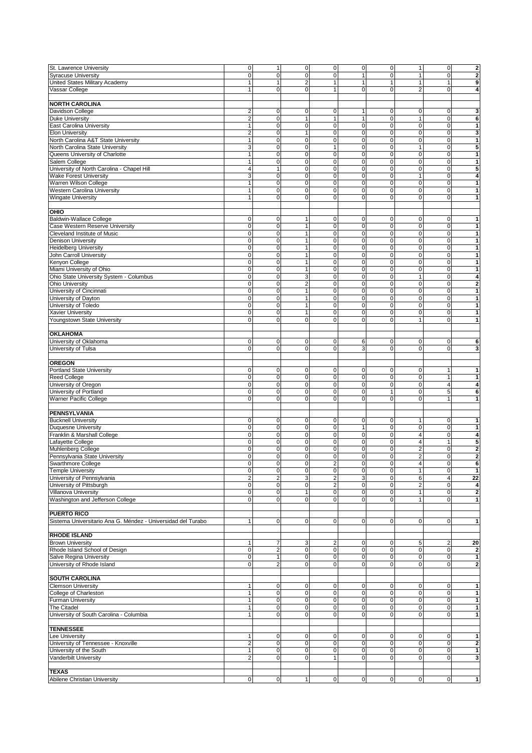| St. Lawrence University                                      | $\mathbf 0$         | 1                       | $\mathsf 0$         | $\overline{0}$      | 0            | $\pmb{0}$   | 1                       | $\mathbf 0$             | $\overline{\mathbf{c}}$ |
|--------------------------------------------------------------|---------------------|-------------------------|---------------------|---------------------|--------------|-------------|-------------------------|-------------------------|-------------------------|
| <b>Syracuse University</b>                                   | $\mathbf 0$         | $\mathbf 0$             | $\mathbf 0$         | $\mathbf 0$         | 1            | $\mathbf 0$ | $\overline{1}$          | $\pmb{0}$               | $\overline{\mathbf{c}}$ |
| United States Military Academy                               | 1                   | 1                       | $\overline{2}$      | $\mathbf{1}$        | $\mathbf{1}$ | 1           | $\mathbf{1}$            | $\mathbf{1}$            | 9                       |
| Vassar College                                               | $\mathbf{1}$        | $\overline{0}$          | $\mathbf 0$         | $\mathbf{1}$        | 0            | 0           | $\overline{2}$          | $\mathbf 0$             | 4                       |
|                                                              |                     |                         |                     |                     |              |             |                         |                         |                         |
| <b>NORTH CAROLINA</b>                                        |                     |                         |                     |                     |              |             |                         |                         |                         |
|                                                              |                     |                         |                     |                     |              |             |                         |                         |                         |
| Davidson College                                             | $\overline{2}$      | 0                       | 0                   | $\mathbf 0$         | 1            | $\pmb{0}$   | 0                       | 0                       | 3                       |
| <b>Duke University</b>                                       | $\overline{2}$      | $\mathbf 0$             | $\overline{1}$      | $\mathbf{1}$        | 1            | $\mathbf 0$ | $\overline{1}$          | $\pmb{0}$               | 6                       |
| East Carolina University                                     | 1                   | $\mathbf 0$             | $\mathbf 0$         | $\mathsf 0$         | $\mathbf 0$  | 0           | 0                       | 0                       | 1                       |
| <b>Elon University</b>                                       | $\overline{a}$      | $\mathbf 0$             | $\mathbf{1}$        | $\mathbf 0$         | $\pmb{0}$    | $\pmb{0}$   | $\mathbf 0$             | 0                       | 3                       |
| North Carolina A&T State University                          | 1                   | $\mathbf 0$             | $\mathbf 0$         | $\mathbf 0$         | $\pmb{0}$    | $\mathbf 0$ | $\mathbf 0$             | $\pmb{0}$               | 1                       |
| North Carolina State University                              | 3                   | $\mathbf 0$             | $\mathbf 0$         | $\mathbf{1}$        | 0            | 0           | $\mathbf{1}$            | 0                       | 5                       |
|                                                              |                     | $\mathbf 0$             | $\mathbf 0$         | $\mathbf 0$         |              | $\mathbf 0$ | $\mathbf 0$             | $\mathbf 0$             |                         |
| Queens University of Charlotte                               | 1                   |                         |                     |                     | $\pmb{0}$    |             |                         |                         | $\mathbf{1}$            |
| Salem College                                                | 1                   | $\mathbf 0$             | $\mathbf 0$         | $\mathbf 0$         | $\mathbf 0$  | 0           | $\mathbf 0$             | $\pmb{0}$               | 1                       |
| University of North Carolina - Chapel Hill                   | $\overline{4}$      | 1                       | $\mathbf 0$         | $\mathbf 0$         | 0            | $\mathbf 0$ | 0                       | 0                       | 5                       |
| <b>Wake Forest University</b>                                | 3                   | $\mathbf 0$             | $\mathbf 0$         | $\pmb{0}$           | $\pmb{0}$    | $\mathbf 0$ | $\mathbf{1}$            | $\pmb{0}$               | 4                       |
| Warren Wilson College                                        | 1                   | $\mathbf 0$             | $\mathbf 0$         | $\mathbf 0$         | 0            | 0           | 0                       | 0                       | 1                       |
| <b>Western Carolina University</b>                           | $\mathbf{1}$        | $\mathbf 0$             | $\mathbf 0$         | $\mathbf 0$         | 0            | $\mathbf 0$ | 0                       | 0                       | 1                       |
| <b>Wingate University</b>                                    | 1                   | $\Omega$                | $\Omega$            | $\Omega$            | 0            | $\mathbf 0$ | $\mathbf 0$             | $\mathbf 0$             | 1                       |
|                                                              |                     |                         |                     |                     |              |             |                         |                         |                         |
|                                                              |                     |                         |                     |                     |              |             |                         |                         |                         |
| OHIO                                                         |                     |                         |                     |                     |              |             |                         |                         |                         |
| <b>Baldwin-Wallace College</b>                               | $\mathbf 0$         | 0                       | $\mathbf{1}$        | $\mathbf 0$         | 0            | 0           | 0                       | $\pmb{0}$               | 1                       |
| Case Western Reserve University                              | $\mathbf 0$         | $\overline{0}$          | $\mathbf{1}$        | $\mathbf 0$         | 0            | $\mathbf 0$ | 0                       | 0                       | 1                       |
| Cleveland Institute of Music                                 | $\mathbf 0$         | $\mathbf 0$             | 1                   | $\mathbf 0$         | $\mathbf 0$  | $\mathbf 0$ | $\mathbf 0$             | $\pmb{0}$               | 1                       |
|                                                              | $\mathsf{O}\xspace$ | $\mathbf 0$             | $\mathbf{1}$        | $\mathbf 0$         | $\pmb{0}$    | $\mathbf 0$ | $\pmb{0}$               | 0                       | 1                       |
| Denison University                                           |                     |                         |                     |                     |              |             |                         |                         |                         |
| <b>Heidelberg University</b>                                 | $\mathbf 0$         | $\overline{0}$          | $\mathbf{1}$        | $\mathbf 0$         | $\pmb{0}$    | 0           | 0                       | 0                       | 1                       |
| John Carroll University                                      | $\mathbf 0$         | $\mathbf 0$             | 1                   | $\mathbf 0$         | $\mathbf 0$  | 0           | $\mathbf 0$             | $\pmb{0}$               | 1                       |
| Kenyon College                                               | $\mathsf{O}\xspace$ | $\mathbf 0$             | $\mathbf{1}$        | $\mathbf 0$         | $\pmb{0}$    | $\mathbf 0$ | $\pmb{0}$               | 0                       | 1                       |
| Miami University of Ohio                                     | $\mathbf 0$         | $\mathbf 0$             | $\mathbf{1}$        | $\mathbf 0$         | 0            | 0           | 0                       | 0                       | 1                       |
| Ohio State University System - Columbus                      | $\mathbf 0$         | $\mathbf 0$             | 3                   | $\mathbf 0$         | $\mathbf 0$  | $\mathbf 0$ | $\overline{1}$          | $\pmb{0}$               | 4                       |
|                                                              |                     | $\mathbf 0$             |                     |                     |              |             |                         |                         |                         |
| <b>Ohio University</b>                                       | $\mathbf 0$         |                         | $\overline{2}$      | $\mathsf 0$         | $\mathbf 0$  | 0           | $\pmb{0}$               | 0                       | $\overline{2}$          |
| University of Cincinnati                                     | $\mathbf 0$         | $\mathbf 0$             | $\mathbf{1}$        | $\mathbf 0$         | $\pmb{0}$    | 0           | 0                       | 0                       | 1                       |
| University of Dayton                                         | $\mathbf 0$         | $\mathbf 0$             | $\mathbf{1}$        | $\mathbf 0$         | $\pmb{0}$    | 0           | $\mathbf 0$             | $\mathbf 0$             | 1                       |
| University of Toledo                                         | $\mathbf 0$         | $\mathbf 0$             | $\mathbf{1}$        | $\mathsf 0$         | 0            | 0           | 0                       | 0                       | 1                       |
| <b>Xavier University</b>                                     | $\mathbf 0$         | $\mathbf 0$             | $\mathbf{1}$        | $\mathbf 0$         | $\mathbf 0$  | $\mathbf 0$ | $\mathbf 0$             | $\mathbf 0$             | 1                       |
| Youngstown State University                                  | $\mathbf 0$         | $\overline{0}$          | $\mathbf 0$         | $\mathbf 0$         | 0            | 0           | 1                       | 0                       | 1                       |
|                                                              |                     |                         |                     |                     |              |             |                         |                         |                         |
|                                                              |                     |                         |                     |                     |              |             |                         |                         |                         |
| <b>OKLAHOMA</b>                                              |                     |                         |                     |                     |              |             |                         |                         |                         |
| University of Oklahoma                                       | $\mathbf 0$         | 0                       | 0                   | $\mathbf 0$         | 6            | 0           | 0                       | 0                       | 6                       |
| University of Tulsa                                          | $\mathbf 0$         | $\mathbf 0$             | $\mathbf 0$         | $\mathbf 0$         | 3            | $\mathbf 0$ | $\mathbf 0$             | 0                       | 3                       |
|                                                              |                     |                         |                     |                     |              |             |                         |                         |                         |
| <b>OREGON</b>                                                |                     |                         |                     |                     |              |             |                         |                         |                         |
|                                                              |                     |                         |                     |                     |              |             |                         |                         |                         |
| <b>Portland State University</b>                             | 0                   | 0                       | $\mathbf 0$         | $\mathsf 0$         | 0            | 0           | 0                       | 1                       | 1                       |
| Reed College                                                 | $\mathbf 0$         | $\mathbf 0$             | $\mathbf 0$         | $\mathbf 0$         | $\pmb{0}$    | $\mathbf 0$ | 0                       | $\mathbf{1}$            | 1                       |
| University of Oregon                                         | $\mathbf 0$         | 0                       | $\mathbf 0$         | $\mathsf 0$         | $\pmb{0}$    | $\mathbf 0$ | 0                       | $\overline{\mathbf{4}}$ | 4                       |
| University of Portland                                       | $\mathbf 0$         | $\mathbf 0$             | $\mathbf 0$         | $\mathbf 0$         | 0            | 1           | 0                       | 5                       | 6                       |
| Warner Pacific College                                       | $\mathbf 0$         | $\Omega$                | $\mathbf 0$         | $\mathbf 0$         | 0            | $\mathbf 0$ | $\mathbf 0$             | $\mathbf{1}$            | 1                       |
|                                                              |                     |                         |                     |                     |              |             |                         |                         |                         |
|                                                              |                     |                         |                     |                     |              |             |                         |                         |                         |
| <b>PENNSYLVANIA</b>                                          |                     |                         |                     |                     |              |             |                         |                         |                         |
| <b>Bucknell University</b>                                   | $\mathbf 0$         | $\mathbf 0$             | 0                   | $\mathbf 0$         | 0            | 0           | 1                       | 0                       | 1                       |
| <b>Duquesne University</b>                                   | $\mathbf 0$         | $\mathbf 0$             | $\mathbf 0$         | $\mathsf 0$         | 1            | $\pmb{0}$   | $\mathbf 0$             | 0                       | 1                       |
| Franklin & Marshall College                                  | $\mathbf 0$         | $\mathbf 0$             | $\mathbf 0$         | $\mathbf 0$         | 0            | $\mathbf 0$ | 4                       | $\pmb{0}$               | 4                       |
| Lafayette College                                            | 0                   | $\mathbf 0$             | $\mathbf 0$         | $\mathbf 0$         | $\mathbf 0$  | 0           | 4                       | $\mathbf{1}$            | 5                       |
| Muhlenberg College                                           | $\mathbf 0$         | $\mathbf 0$             | $\mathbf 0$         | $\mathsf 0$         | $\pmb{0}$    | $\pmb{0}$   | $\overline{\mathbf{c}}$ | 0                       | $\overline{\mathbf{c}}$ |
|                                                              |                     |                         |                     |                     |              |             |                         |                         |                         |
| Pennsylvania State University                                | $\mathbf 0$         | $\mathbf 0$             | 0                   | 0                   | $\mathbf 0$  | $\mathbf 0$ | $\overline{\mathbf{c}}$ | 0                       | $\overline{2}$          |
| Swarthmore College                                           | 0                   | 0                       | 0                   | c                   | 0            | 0           | 4                       | 0                       | 6                       |
| <b>Temple University</b>                                     | $\mathsf{O}\xspace$ | $\overline{0}$          | $\mathsf{O}\xspace$ | $\overline{0}$      | $\pmb{0}$    | $\pmb{0}$   | $\mathbf{1}$            | $\mathbf 0$             | $\mathbf{1}$            |
| University of Pennsylvania                                   | $\overline{a}$      | $\overline{2}$          | 3                   | $\overline{2}$      | 3            | $\mathbf 0$ | 6                       | $\overline{\mathbf{4}}$ | 22                      |
| University of Pittsburgh                                     | 0                   | $\mathbf 0$             | $\mathsf 0$         | $\overline{2}$      | 0            | 0           | $\overline{\mathbf{c}}$ | 0                       | 4                       |
| Villanova University                                         | $\mathbf 0$         | $\overline{0}$          | $\mathbf{1}$        | $\mathsf{O}\xspace$ | $\pmb{0}$    | $\pmb{0}$   | $\mathbf{1}$            | $\mathbf 0$             | $\overline{2}$          |
|                                                              | $\mathbf 0$         | $\overline{0}$          | $\mathbf 0$         | $\overline{0}$      | 0            | 0           | 1                       | $\mathbf 0$             |                         |
| Washington and Jefferson College                             |                     |                         |                     |                     |              |             |                         |                         | 1                       |
|                                                              |                     |                         |                     |                     |              |             |                         |                         |                         |
| <b>PUERTO RICO</b>                                           |                     |                         |                     |                     |              |             |                         |                         |                         |
| Sistema Universitario Ana G. Méndez - Universidad del Turabo | 1                   | $\overline{0}$          | $\mathbf 0$         | $\overline{0}$      | 0            | $\mathbf 0$ | 0                       | 0                       | 1                       |
|                                                              |                     |                         |                     |                     |              |             |                         |                         |                         |
| <b>RHODE ISLAND</b>                                          |                     |                         |                     |                     |              |             |                         |                         |                         |
| <b>Brown University</b>                                      | 1                   | 7                       | 3                   | 2                   | 0            | 0           | 5                       | 2                       | 20                      |
|                                                              |                     |                         |                     |                     |              |             |                         |                         |                         |
| Rhode Island School of Design                                | $\mathbf 0$         | $\overline{\mathbf{c}}$ | $\mathbf 0$         | $\mathbf 0$         | 0            | 0           | 0                       | 0                       | $\overline{\mathbf{2}}$ |
| Salve Regina University                                      | $\mathbf 0$         | 1                       | $\pmb{0}$           | $\mathsf 0$         | $\pmb{0}$    | $\mathbf 0$ | $\pmb{0}$               | 0                       | 1                       |
| University of Rhode Island                                   | $\mathbf 0$         | 2 <sub>l</sub>          | $\mathbf 0$         | $\overline{0}$      | 0            | 0           | 0                       | 0                       | 2                       |
|                                                              |                     |                         |                     |                     |              |             |                         |                         |                         |
| <b>SOUTH CAROLINA</b>                                        |                     |                         |                     |                     |              |             |                         |                         |                         |
|                                                              |                     |                         |                     |                     |              |             |                         |                         |                         |
| <b>Clemson University</b>                                    | 1                   | $\overline{0}$          | 0                   | $\overline{0}$      | 0            | 0           | $\mathbf 0$             | 0                       | 1                       |
| College of Charleston                                        | 1                   | $\mathbf 0$             | $\mathbf 0$         | $\mathbf 0$         | 0            | 0           | $\mathbf 0$             | 0                       | 1                       |
| <b>Furman University</b>                                     | $\mathbf{1}$        | $\overline{0}$          | $\mathbf 0$         | $\overline{0}$      | $\pmb{0}$    | 0           | $\pmb{0}$               | 0                       | 1                       |
| <b>The Citadel</b>                                           | $\mathbf{1}$        | $\overline{0}$          | $\mathbf 0$         | $\overline{0}$      | 0            | 0           | 0                       | 0                       | 1                       |
| University of South Carolina - Columbia                      |                     | $\overline{0}$          | $\mathbf 0$         | $\overline{0}$      | 0            | $\mathbf 0$ | 0                       | 0                       | 1                       |
|                                                              |                     |                         |                     |                     |              |             |                         |                         |                         |
|                                                              |                     |                         |                     |                     |              |             |                         |                         |                         |
| <b>TENNESSEE</b>                                             |                     |                         |                     |                     |              |             |                         |                         |                         |
| Lee University                                               | 1                   | 0                       | 0                   | $\mathbf 0$         | 0            | 0           | 0                       | 0                       | $\mathbf{1}$            |
| University of Tennessee - Knoxville                          | $\overline{2}$      | 0                       | $\mathbf 0$         | $\mathbf 0$         | 0            | 0           | 0                       | 0                       | $\overline{\mathbf{c}}$ |
| University of the South                                      | 1                   | $\overline{0}$          | $\mathbf 0$         | $\overline{0}$      | $\pmb{0}$    | 0           | 0                       | 0                       | 1                       |
| Vanderbilt University                                        | $\overline{a}$      | $\overline{0}$          | $\mathbf 0$         | $\mathbf{1}$        | 0            | 0           | 0                       | $\mathbf 0$             | 3                       |
|                                                              |                     |                         |                     |                     |              |             |                         |                         |                         |
| <b>TEXAS</b>                                                 |                     |                         |                     |                     |              |             |                         |                         |                         |
|                                                              |                     |                         |                     |                     |              |             |                         |                         |                         |
| Abilene Christian University                                 | $\pmb{0}$           | $\mathbf 0$             | $\mathbf{1}$        | $\overline{0}$      | 0            | $\pmb{0}$   | $\pmb{0}$               | $\overline{0}$          | 1                       |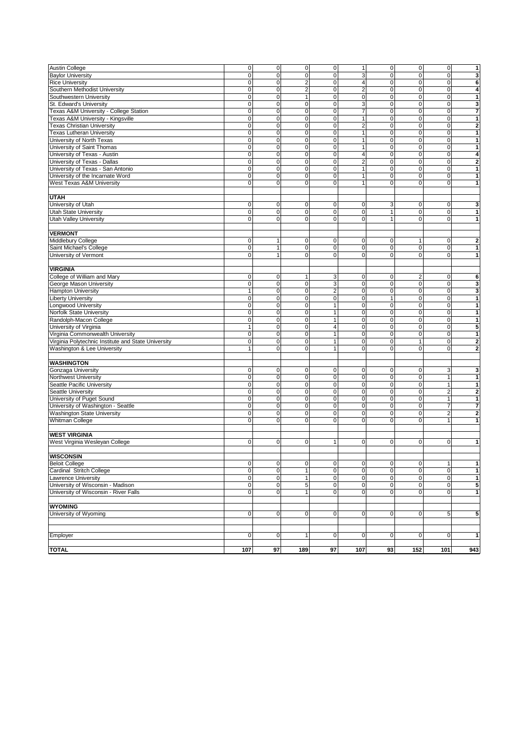| <b>Austin College</b>                               | $\overline{0}$ | $\overline{0}$      | $\mathbf 0$             | $\mathbf 0$             | $\mathbf{1}$            | $\mathbf 0$  | $\mathbf 0$    | $\mathbf 0$    | $\mathbf{1}$            |
|-----------------------------------------------------|----------------|---------------------|-------------------------|-------------------------|-------------------------|--------------|----------------|----------------|-------------------------|
|                                                     | $\mathbf 0$    | $\mathbf 0$         |                         | 0                       |                         |              |                |                |                         |
| <b>Baylor University</b>                            |                |                     | $\mathbf 0$             |                         | 3                       | 0            | $\mathbf 0$    | $\overline{0}$ | 3                       |
| <b>Rice University</b>                              | $\mathbf 0$    | $\mathbf 0$         | $\overline{\mathbf{c}}$ | 0                       | $\overline{\mathbf{4}}$ | 0            | $\mathbf 0$    | $\mathbf 0$    | 6                       |
| Southern Methodist University                       | $\mathbf 0$    | $\mathbf 0$         | $\overline{c}$          | 0                       | $\overline{\mathbf{c}}$ | $\pmb{0}$    | $\mathbf 0$    | $\overline{0}$ | 4                       |
| Southwestern University                             | $\mathbf 0$    | $\mathbf 0$         | $\mathbf{1}$            | 0                       | $\pmb{0}$               | $\mathbf 0$  | $\mathbf 0$    | $\mathbf 0$    | $\mathbf{1}$            |
| St. Edward's University                             | $\mathbf 0$    | $\mathbf 0$         | 0                       | 0                       | 3                       | 0            | $\mathbf 0$    | $\mathbf 0$    | 3                       |
| Texas A&M University - College Station              | $\mathbf 0$    | $\mathbf 0$         | $\pmb{0}$               | 0                       | $\overline{7}$          | $\pmb{0}$    | $\mathbf 0$    | $\mathbf 0$    | $\overline{7}$          |
| Texas A&M University - Kingsville                   | $\mathbf 0$    | $\mathbf 0$         | $\mathbf 0$             | 0                       | 1                       | $\mathbf 0$  | $\mathbf 0$    | $\mathbf 0$    | $\mathbf{1}$            |
| <b>Texas Christian University</b>                   | $\mathbf 0$    | $\mathbf 0$         | 0                       | 0                       | $\overline{\mathbf{c}}$ | 0            | $\mathbf 0$    | $\mathbf 0$    | $\mathbf 2$             |
| <b>Texas Lutheran University</b>                    | $\mathbf 0$    | $\mathbf 0$         | $\pmb{0}$               | 0                       | $\mathbf{1}$            | $\mathbf 0$  | $\mathbf 0$    | $\overline{0}$ | $\mathbf{1}$            |
| University of North Texas                           | $\mathbf 0$    | $\Omega$            | 0                       | 0                       | $\mathbf{1}$            | 0            | $\mathbf 0$    | $\mathbf 0$    | $\mathbf{1}$            |
| University of Saint Thomas                          | $\mathbf 0$    | $\mathbf 0$         | 0                       | 0                       | 1                       | 0            | $\mathbf 0$    | $\mathbf 0$    | 1                       |
| University of Texas - Austin                        | $\mathbf 0$    | $\mathbf 0$         | $\pmb{0}$               | 0                       | $\overline{4}$          | $\pmb{0}$    | $\pmb{0}$      | $\mathbf 0$    | 4                       |
| University of Texas - Dallas                        | $\mathbf 0$    | $\Omega$            | 0                       | 0                       | $\overline{\mathbf{c}}$ | 0            | $\mathbf 0$    | $\mathbf 0$    | $\boldsymbol{2}$        |
| University of Texas - San Antonio                   | $\mathbf 0$    | $\mathbf 0$         |                         | $\mathbf 0$             | $\mathbf{1}$            | $\mathbf 0$  | $\mathbf 0$    | $\mathbf 0$    | $\mathbf{1}$            |
|                                                     |                |                     | $\mathbf 0$             |                         |                         |              |                |                |                         |
| University of the Incarnate Word                    | $\mathbf 0$    | $\mathbf 0$         | $\mathbf 0$             | 0                       | $\mathbf{1}$            | $\pmb{0}$    | $\mathbf 0$    | $\mathbf 0$    | $\mathbf 1$             |
| West Texas A&M University                           | $\mathbf 0$    | $\Omega$            | 0                       | 0                       | $\mathbf{1}$            | 0            | $\mathbf 0$    | $\overline{0}$ | $\mathbf{1}$            |
|                                                     |                |                     |                         |                         |                         |              |                |                |                         |
| <b>UTAH</b>                                         |                |                     |                         |                         |                         |              |                |                |                         |
| University of Utah                                  | $\mathbf 0$    | $\overline{0}$      | $\mathsf 0$             | $\mathbf 0$             | $\pmb{0}$               | 3            | $\mathbf 0$    | $\overline{0}$ | 3                       |
| <b>Utah State University</b>                        | $\mathbf 0$    | $\mathbf 0$         | 0                       | 0                       | $\mathbf 0$             | $\mathbf{1}$ | $\mathbf 0$    | $\mathbf 0$    | $\mathbf{1}$            |
| Utah Valley University                              | $\Omega$       | $\Omega$            | 0                       | 0                       | $\mathbf 0$             | $\mathbf{1}$ | 0              | $\mathbf 0$    | 1                       |
|                                                     |                |                     |                         |                         |                         |              |                |                |                         |
| <b>VERMONT</b>                                      |                |                     |                         |                         |                         |              |                |                |                         |
| Middlebury College                                  | $\mathbf 0$    | $\mathbf{1}$        | $\mathsf 0$             | 0                       | $\pmb{0}$               | 0            | 1              | $\mathbf 0$    | $\mathbf{z}$            |
| Saint Michael's College                             | $\mathbf 0$    | $\mathbf{1}$        | 0                       | 0                       | $\mathbf 0$             | $\mathbf 0$  | $\mathbf 0$    | $\overline{0}$ | $\mathbf{1}$            |
|                                                     |                |                     |                         |                         |                         |              |                |                |                         |
| University of Vermont                               | $\overline{0}$ | $\mathbf{1}$        | 0                       | 0                       | $\pmb{0}$               | 0            | $\mathbf 0$    | $\overline{0}$ | $\mathbf 1$             |
|                                                     |                |                     |                         |                         |                         |              |                |                |                         |
| <b>VIRGINIA</b>                                     |                |                     |                         |                         |                         |              |                |                |                         |
| College of William and Mary                         | $\mathbf 0$    | $\mathbf 0$         | 1                       | 3                       | $\pmb{0}$               | $\pmb{0}$    | $\overline{2}$ | $\mathbf 0$    | 6                       |
| George Mason University                             | $\mathbf 0$    | $\mathbf 0$         | 0                       | 3                       | 0                       | 0            | $\mathbf 0$    | $\mathbf 0$    | 3                       |
| <b>Hampton University</b>                           | 1              | $\mathbf 0$         | $\pmb{0}$               | $\overline{c}$          | $\mathbf 0$             | $\mathbf 0$  | $\mathbf 0$    | $\mathbf 0$    | 3                       |
| <b>Liberty University</b>                           | $\mathbf 0$    | $\mathbf 0$         | $\mathbf 0$             | 0                       | $\pmb{0}$               | $\mathbf{1}$ | $\mathbf 0$    | $\mathbf 0$    | $\mathbf{1}$            |
| <b>Longwood University</b>                          | $\mathbf 0$    | $\mathbf 0$         | 0                       | $\mathbf{1}$            | 0                       | 0            | $\mathbf 0$    | $\mathbf 0$    | 1                       |
| Norfolk State University                            | $\mathbf 0$    | $\mathbf 0$         | $\pmb{0}$               | 1                       | $\pmb{0}$               | $\pmb{0}$    | $\mathbf 0$    | $\mathbf 0$    | $\mathbf{1}$            |
| Randolph-Macon College                              | $\mathbf 0$    | $\mathbf 0$         | $\pmb{0}$               | 1                       | 0                       | 0            | $\mathbf 0$    | $\mathbf 0$    | $\mathbf{1}$            |
| University of Virginia                              | 1              | $\mathbf 0$         | 0                       | 4                       | 0                       | 0            | $\mathbf 0$    | $\mathbf 0$    | 5                       |
| Virginia Commonwealth University                    | $\mathbf 0$    | $\mathsf{O}\xspace$ | 0                       | 1                       | $\mathbf 0$             | $\pmb{0}$    | $\mathbf 0$    | $\mathbf 0$    | $\mathbf{1}$            |
| Virginia Polytechnic Institute and State University | $\mathbf 0$    | $\mathbf 0$         | $\mathbf 0$             | $\mathbf{1}$            | $\pmb{0}$               | $\pmb{0}$    | 1              | $\overline{0}$ | $\overline{\mathbf{2}}$ |
|                                                     | $\mathbf{1}$   | $\Omega$            | $\mathbf 0$             | $\mathbf{1}$            | $\overline{0}$          | 0            | $\mathbf 0$    | $\mathbf 0$    |                         |
| Washington & Lee University                         |                |                     |                         |                         |                         |              |                |                | $\bf{2}$                |
|                                                     |                |                     |                         |                         |                         |              |                |                |                         |
| <b>WASHINGTON</b>                                   |                |                     |                         |                         |                         |              |                |                |                         |
| Gonzaga University                                  | $\mathbf 0$    | $\mathbf 0$         | $\mathsf 0$             | 0                       | $\pmb{0}$               | $\mathbf 0$  | $\mathbf 0$    | 3              | 3                       |
| Northwest University                                | $\mathbf 0$    | $\mathbf 0$         | 0                       | 0                       | $\pmb{0}$               | $\pmb{0}$    | $\mathbf 0$    | 1              | 1                       |
| Seattle Pacific University                          | $\mathbf 0$    | $\mathbf 0$         | $\mathsf 0$             | 0                       | $\pmb{0}$               | $\pmb{0}$    | $\mathbf 0$    | $\mathbf{1}$   | $\mathbf{1}$            |
| Seattle University                                  | $\mathbf 0$    | $\mathbf 0$         | $\mathbf 0$             | 0                       | $\mathbf 0$             | 0            | $\mathbf 0$    | $\overline{2}$ | $\bf{2}$                |
| University of Puget Sound                           | $\mathbf 0$    | $\mathbf 0$         | 0                       | 0                       | $\pmb{0}$               | $\pmb{0}$    | $\mathbf 0$    | $\mathbf{1}$   | $\mathbf{1}$            |
| University of Washington - Seattle                  | $\mathbf 0$    | $\mathbf 0$         | $\mathsf 0$             | $\mathsf 0$             | $\pmb{0}$               | $\pmb{0}$    | $\mathbf 0$    | $\overline{7}$ | $\overline{\mathbf{r}}$ |
| <b>Washington State University</b>                  | $\mathbf 0$    | $\mathbf 0$         | 0                       | 0                       | $\mathbf 0$             | 0            | $\mathbf 0$    | $\overline{2}$ | $\overline{\mathbf{2}}$ |
| <b>Whitman College</b>                              | $\Omega$       | $\Omega$            | 0                       | 0                       | 0                       | 0            | 0              | $\mathbf{1}$   | 1                       |
|                                                     |                |                     |                         |                         |                         |              |                |                |                         |
| <b>WEST VIRGINIA</b>                                |                |                     |                         |                         |                         |              |                |                |                         |
| West Virginia Wesleyan College                      | $\mathbf 0$    | $\mathbf 0$         | 0                       | $\mathbf{1}$            | $\mathbf 0$             | $\mathbf 0$  | 0              | $\mathbf 0$    | $\mathbf{1}$            |
|                                                     |                |                     |                         |                         |                         |              |                |                |                         |
|                                                     |                |                     |                         |                         |                         |              |                |                |                         |
| <b>WISCONSIN</b>                                    |                |                     |                         |                         |                         |              |                |                |                         |
| <b>Beloit College</b>                               | 0              | 0                   | 0                       | 0                       | 0                       | 0            | 0              |                | 1                       |
| Cardinal Stritch College                            | $\overline{0}$ | $\overline{0}$      | $\mathbf{1}$            | $\overline{\mathbf{0}}$ | $\pmb{0}$               | $\pmb{0}$    | $\mathbf 0$    | $\overline{0}$ | $\mathbf{1}$            |
| Lawrence University                                 | $\overline{0}$ | $\overline{0}$      | $\mathbf{1}$            | $\mathbf 0$             | 0                       | 0            | $\mathbf 0$    | $\overline{0}$ | 1                       |
| University of Wisconsin - Madison                   | $\mathbf 0$    | $\overline{0}$      | 5                       | $\mathbf 0$             | 0                       | $\pmb{0}$    | $\mathbf 0$    | $\overline{0}$ | 5                       |
| University of Wisconsin - River Falls               | $\mathbf 0$    | $\overline{0}$      | $\mathbf{1}$            | 0                       | $\pmb{0}$               | $\pmb{0}$    | $\mathbf 0$    | $\overline{0}$ | $\mathbf 1$             |
|                                                     |                |                     |                         |                         |                         |              |                |                |                         |
| <b>WYOMING</b>                                      |                |                     |                         |                         |                         |              |                |                |                         |
| University of Wyoming                               | $\mathbf 0$    | $\overline{0}$      | $\mathsf 0$             | $\mathbf 0$             | $\pmb{0}$               | $\pmb{0}$    | $\mathbf 0$    | 5              | 5                       |
|                                                     |                |                     |                         |                         |                         |              |                |                |                         |
|                                                     |                |                     |                         |                         |                         |              |                |                |                         |
| Employer                                            | $\mathbf 0$    | $\overline{0}$      | $\mathbf{1}$            | $\mathbf 0$             | 0                       | $\pmb{0}$    | $\mathbf 0$    | $\overline{0}$ | $\mathbf 1$             |
|                                                     |                |                     |                         |                         |                         |              |                |                |                         |
|                                                     |                |                     |                         |                         |                         |              |                |                |                         |
| <b>TOTAL</b>                                        | 107            | 97                  | 189                     | 97                      | 107                     | 93           | 152            | 101            | 943                     |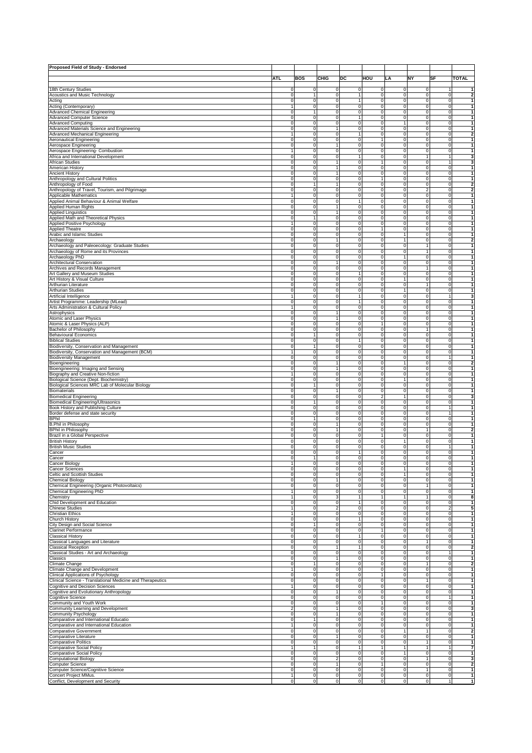| Proposed Field of Study - Endorsed                                                                |                                        |                                           |                                        |                                  |                                            |                            |                                |                                  |                                         |
|---------------------------------------------------------------------------------------------------|----------------------------------------|-------------------------------------------|----------------------------------------|----------------------------------|--------------------------------------------|----------------------------|--------------------------------|----------------------------------|-----------------------------------------|
|                                                                                                   |                                        |                                           |                                        |                                  |                                            |                            |                                |                                  |                                         |
|                                                                                                   | ATL                                    | <b>BOS</b>                                | CHIG                                   | DC                               | HOU                                        | LA                         | NΥ                             | SF                               | <b>TOTAL</b>                            |
| 18th Century Studies                                                                              |                                        |                                           |                                        |                                  |                                            |                            |                                |                                  |                                         |
| Acoustics and Music Technology                                                                    | 0<br>0                                 | 0<br>$\mathbf{1}$                         | 0<br>0                                 | 0<br>1                           | 0<br>0                                     | 0<br>0                     | 0<br>0                         | 1<br>$\mathbf 0$                 | $\overline{\mathbf{2}}$                 |
| Acting                                                                                            | 0                                      | 0                                         | 0                                      | 1                                | 0                                          | 0                          | 0                              | $\overline{0}$                   | 1                                       |
| Acting (Contemporary)                                                                             | 1                                      | $\mathbf 0$                               | $\mathsf 0$                            | 0                                | 0                                          | 0                          | $\mathbf 0$                    | $\overline{0}$                   | $\mathbf{1}$                            |
| Advanced Chemical Engineering                                                                     | $\mathbf 0$                            | $\mathbf{1}$                              | $\mathsf 0$                            | $\mathbf 0$                      | $\mathbf 0$                                | $\mathbf 0$                | $\mathsf 0$                    | $\mathbf 0$                      | $\mathbf{1}$                            |
| <b>Advanced Computer Science</b>                                                                  | $\mathbf 0$                            | $\pmb{0}$                                 | $\mathsf 0$                            | 1                                | $\mathbf 0$                                | $\mathbf 0$                | $\mathbf 0$                    | $\mathbf 0$                      | $\mathbf{1}$<br>-1                      |
| <b>Advanced Computing</b><br>Advanced Materials Science and Engineering                           | 0<br>0                                 | $\overline{\mathbf{0}}$<br>0              | $\overline{0}$<br>1                    | 0<br>0                           | $\overline{0}$<br>0                        | 1<br>0                     | $\overline{0}$<br>$\mathbf 0$  | ō<br>$\mathbf 0$                 | $\overline{1}$                          |
| Advanced Mechanical Engineering                                                                   | 1                                      | 0                                         | 0                                      | 1                                | 0                                          | 0                          | 0                              | $\mathbf 0$                      | $\overline{\mathbf{2}}$                 |
| Aeronautical Engineering                                                                          | 0                                      | 0                                         | $\mathsf 0$                            | 0                                | $\mathbf{1}$                               | 0                          | $\mathsf 0$                    | $\mathbf 0$                      | 1                                       |
| Aerospace Engineering                                                                             | 0                                      | 0                                         | 1                                      | 0                                | 0                                          | $\pmb{0}$                  | $\pmb{0}$                      | $\mathbf 0$                      | 1                                       |
| Aerospace Engineering- Combustion                                                                 |                                        | 0                                         | 0                                      | 0                                | 0                                          | $\mathbf 0$                | $\mathbf 0$                    | $\mathbf 0$                      | 1                                       |
| Africa and International Development                                                              | 0                                      | $\mathbf 0$                               | 0                                      | $\mathbf{1}$                     | $\mathsf 0$                                | $\mathbf 0$                | $\mathbf{1}$                   | $\mathbf{1}$                     | 3                                       |
| African Studies<br>American History                                                               | 0<br>0                                 | $\mathbf 0$<br>0                          | 1<br>1                                 | 0<br>0                           | 1<br>0                                     | $\mathbf 0$<br>$\mathbf 0$ | 0<br>0                         | $\mathbf{1}$<br>$\mathbf 0$      | 3<br>$\mathbf{1}$                       |
| Ancient History                                                                                   | 0                                      | $\mathbf 0$                               | 1                                      | 0                                | 0                                          | 0                          | $\mathsf 0$                    | $\mathbf 0$                      | $\mathbf{1}$                            |
| Anthropology and Cultural Politics                                                                | 0                                      | $\mathbf 0$                               | $\mathsf 0$                            | 0                                | $\mathbf{1}$                               | 0                          | $\mathbf 0$                    | $\mathbf 0$                      | $\mathbf{1}$                            |
| Anthropology of Food                                                                              | $\mathbf 0$                            | $\mathbf{1}$                              | 1                                      | $\mathbf 0$                      | $\mathbf 0$                                | $\mathbf 0$                | $\mathbf 0$                    | $\mathbf 0$                      | $\overline{2}$                          |
| Anthropology of Travel, Tourism, and Pilgrimage                                                   | 0                                      | $\pmb{0}$                                 | 0                                      | $\overline{0}$                   | $\overline{0}$                             | $\mathbf 0$                | $\overline{2}$                 | $\mathbf 0$                      | $\overline{2}$                          |
| Applicable Mathematics<br>Applied Animal Behaviour & Animal Welfare                               | $\overline{1}$<br>0                    | 0<br>0                                    | 0<br>0                                 | 0<br>1                           | $\overline{0}$<br>0                        | $\pmb{0}$<br>0             | $\mathbf 0$<br>0               | $\mathbf 0$<br>$\mathbf 0$       | 1<br>$\mathbf{1}$                       |
| Applied Human Rights                                                                              | $\mathbf 0$                            | 0                                         | 1                                      | 0                                | 0                                          | $\mathbf 0$                | $\mathsf 0$                    | $\mathbf 0$                      | $\mathbf{1}$                            |
| <b>Applied Linguistics</b>                                                                        | 0                                      | 0                                         | 1                                      | 0                                | 0                                          | 0                          | $\pmb{0}$                      | $\mathbf 0$                      | 1                                       |
| Applied Math and Theoretical Physics                                                              | $\mathbf 0$                            | $\mathbf{1}$                              | 0                                      | 0                                | 0                                          | $\mathbf 0$                | $\pmb{0}$                      | $\mathbf 0$                      | 1                                       |
| Applied Positive Psychology                                                                       | $\mathbf{1}$                           | $\pmb{0}$                                 | 0                                      | 0                                | 0                                          | $\pmb{0}$                  | $\pmb{0}$                      | $\mathbf 0$                      | 1                                       |
| <b>Applied Theatre</b>                                                                            | 0                                      | $\mathbf 0$                               | 0                                      | 0                                | $\mathbf{1}$                               | $\mathbf 0$                | 0                              | $\mathbf 0$                      | $\mathbf{1}$                            |
| Arabic and Islamic Studies<br>Archaeology                                                         | 0<br>0                                 | 0<br>$\mathbf 0$                          | 0<br>1                                 | 0<br>0                           | 0<br>0                                     | 1<br>1                     | 0<br>0                         | $\mathbf 0$<br>$\mathbf 0$       | $\mathbf{1}$<br>$\overline{\mathbf{2}}$ |
| Archaeology and Paleoecology: Graduate Studies                                                    | 0                                      | $\mathbf 0$                               | $\mathsf 0$                            | 0                                | 0                                          | $\mathbf 0$                | 1                              | $\overline{0}$                   | 1                                       |
| Archaeology of Rome and its Provinces                                                             | $\mathbf 0$                            | 0                                         | $\mathbf 0$                            | 0                                | $\mathbf 0$                                | $\mathbf 0$                | $\mathbf{1}$                   | $\mathbf 0$                      | $\mathbf{1}$                            |
| Archaeology PhD                                                                                   | $\mathbf 0$                            | 0                                         | 0                                      | 0                                | $\mathbf 0$                                | $\mathbf{1}$               | $\mathbf 0$                    | $\mathbf 0$                      | $\mathbf{1}$                            |
| <b>Architectural Conservation</b>                                                                 | 0                                      | $\pmb{0}$                                 | 1                                      | 0                                | 0                                          | $\mathbf 0$                | $\mathbf 0$                    | $\mathbf 0$                      | $\mathbf{1}$                            |
| Archives and Records Management<br>Art Gallery and Museum Studies                                 | 0<br>0                                 | 0<br>$\mathbf 0$                          | 0<br>0                                 | 0<br>1                           | 0<br>0                                     | 0<br>0                     | 1<br>0                         | $\mathbf 0$<br>$\mathbf 0$       | $\mathbf{1}$<br>1                       |
| Art History & Visual Culture                                                                      | 0                                      | 0                                         | 0                                      | 0                                | 0                                          | 1                          | $\pmb{0}$                      | $\mathbf 0$                      | 1                                       |
| Arthurian Literature                                                                              | $\mathbf 0$                            | 0                                         | 0                                      | 0                                | 0                                          | $\mathbf 0$                | 1                              | $\mathbf 0$                      | 1                                       |
| Arthurian Studies                                                                                 | $\mathbf 0$                            | 0                                         | 0                                      | 0                                | 0                                          | 1                          | $\pmb{0}$                      | $\mathbf 0$                      | 1                                       |
| Artificial Intelligence                                                                           | $\mathbf{1}$                           | $\mathbf 0$                               | $\mathsf 0$                            | 1                                | 0                                          | $\mathbf 0$                | $\mathbf 0$                    | $\mathbf{1}$                     | 3                                       |
| Artist Programme: Leadership (MLead)<br>Arts Administration & Cultural Policy                     | 0<br>-1                                | 0                                         | 0                                      | 1                                | 0                                          | $\mathbf 0$                | 0                              | $\mathbf 0$                      | $\mathbf{1}$<br>$\mathbf{1}$            |
| Astrophysics                                                                                      | 0                                      | 0<br>0                                    | 0<br>1                                 | 0<br>0                           | 0<br>$\Omega$                              | $\mathbf 0$<br>0           | 0<br>$\mathsf 0$               | $\mathbf 0$<br>$\mathbf 0$       | $\mathbf{1}$                            |
| Atomic and Laser Physics                                                                          | $\mathbf 0$                            | 0                                         | 1                                      | $\mathbf 0$                      | $\mathbf 0$                                | $\mathbf 0$                | $\mathbf 0$                    | $\mathbf 0$                      | $\mathbf{1}$                            |
| Atomic & Laser Physics (ALP)                                                                      | $\mathbf 0$                            | 0                                         | 0                                      | 0                                | $\mathbf{1}$                               | $\pmb{0}$                  | $\mathbf 0$                    | $\mathbf 0$                      | $\mathbf{1}$                            |
| Bachelor of Philosophy                                                                            | 0                                      | $\mathbf 0$                               | 0                                      | 0                                | 0                                          | $\pmb{0}$                  | 1                              | $\mathbf 0$                      | $\overline{1}$                          |
| Behavioural Economics                                                                             | 0                                      | $\mathbf{1}$                              | 0                                      | 0<br>1                           | $\overline{0}$                             | $\mathbf 0$                | 0                              | $\mathbf 0$                      | $\overline{1}$<br>$\mathbf{1}$          |
| <b>Biblical Studies</b><br>Biodiversity, Conservation and Management                              | 0<br>0                                 | 0<br>$\mathbf{1}$                         | 0<br>0                                 | 0                                | 0<br>0                                     | 0<br>0                     | $\pmb{0}$<br>$\mathsf 0$       | $\mathbf 0$<br>$\mathbf 0$       | 1                                       |
| Biodiversity, Conservation and Management (BCM)                                                   | 1                                      | 0                                         | 0                                      | 0                                | 0                                          | 0                          | $\mathsf 0$                    | $\mathbf 0$                      | 1                                       |
| <b>Biodiversity Management</b>                                                                    | $\mathbf 0$                            | $\overline{0}$                            | $\mathsf 0$                            | 0                                | $\mathsf{O}\xspace$                        | $\pmb{0}$                  | $\pmb{0}$                      | 1                                | 1                                       |
| Bioengineering                                                                                    | 0                                      | $\mathbf 0$                               | $\mathbf{1}$                           | $\overline{0}$                   | $\overline{0}$                             | $\mathbf{1}$               | $\mathbf 0$                    | $\mathbf 0$                      | $\overline{2}$                          |
| Bioengineering: Imaging and Sensing<br>Biography and Creative Non-fiction                         | 0<br>-1                                | 0<br>0                                    | 1<br>0                                 | 0<br>0                           | $\pmb{0}$<br>0                             | $\mathbf 0$<br>0           | 0<br>0                         | $\mathbf 0$<br>$\mathbf 0$       | 1<br>$\mathbf{1}$                       |
| Biological Science (Dept. Biochemistry)                                                           | 0                                      | $\mathbf 0$                               | $\mathsf 0$                            | 0                                | 0                                          | $\mathbf{1}$               | $\mathbf 0$                    | $\mathbf 0$                      | $\mathbf{1}$                            |
| Biological Sciences MRC Lab of Molecular Biology                                                  | 0                                      | $\mathbf{1}$                              | $\mathsf 0$                            | 0                                | 0                                          | 0                          | $\mathbf 0$                    | $\mathbf 0$                      | $\mathbf{1}$                            |
| Biomaterials                                                                                      | $\mathbf 0$                            | 0                                         | 1                                      | 0                                | $\mathbf 0$                                | $\mathbf 0$                | $\mathsf 0$                    | $\mathbf 0$                      | $\mathbf{1}$                            |
| <b>Biomedical Engineering</b>                                                                     | $\pmb{0}$                              | $\mathbf 0$<br>$\mathbf{1}$               | $\mathbf 0$                            | 0<br>0                           | $\overline{\mathbf{c}}$<br>$\overline{0}$  | $\mathbf{1}$               | $\pmb{0}$                      | $\mathbf 0$                      | 3<br>1                                  |
| Biomedical Engineering/Ultrasonics<br>Book History and Publishing Culture                         | 0<br>0                                 | 0                                         | 0<br>0                                 | 0                                | 0                                          | $\mathbf 0$<br>0           | $\mathbf 0$<br>0               | $\mathbf 0$<br>$\mathbf{1}$      | $\mathbf{1}$                            |
| Border defense and state security                                                                 | 0                                      | 0                                         | 0                                      | 0                                | 0                                          | 0                          | 0                              | $\mathbf{1}$                     | $\mathbf{1}$                            |
| <b>BPhil</b>                                                                                      | 0                                      | 1                                         | 0                                      | 0                                | 0                                          | 0                          | $\pmb{0}$                      | $\mathbf 0$                      | 1                                       |
| <b>B.Phil in Philosophy</b>                                                                       | 0                                      | 0                                         | $\overline{1}$                         | 0                                | 0                                          | $\mathbf 0$                | $\mathbf 0$                    | $\mathbf 0$                      | 1                                       |
| <b>BPhil in Philosophy</b>                                                                        | 0                                      | 0                                         | 1                                      | 0                                | 0                                          | $\mathbf 0$                | 1                              | $\mathbf 0$                      | $\overline{\mathbf{2}}$                 |
| Brazil in a Global Perspective<br><b>British History</b>                                          | 0<br>0                                 | 0<br>0                                    | 0<br>0                                 | 0<br>0                           | 1<br>0                                     | $\mathbf 0$<br>1           | 0<br>0                         | $\mathbf 0$<br>$\mathbf 0$       | 1<br>$\mathbf{1}$                       |
| <b>British Music Studies</b>                                                                      | 0                                      | 0                                         | 0                                      | 0                                | 0                                          | $\mathbf 0$                | 0                              | $\mathbf{1}$                     | 1                                       |
| Cancer                                                                                            | 0                                      | $\mathbf 0$                               | $\mathsf 0$                            | $\mathbf{1}$                     | 0                                          | $\mathbf 0$                | $\mathbf 0$                    | $\mathbf 0$                      | $\mathbf{1}$                            |
| Cancer                                                                                            | 0                                      | $\mathbf{1}$                              | $\mathsf 0$                            | 0                                | $\mathsf{O}\xspace$                        | $\mathbf 0$                | $\mathsf 0$                    | $\overline{0}$                   | 1                                       |
| ancer Biology                                                                                     |                                        |                                           | $\Omega$                               | $\Omega$                         | $\Omega$                                   | $\Omega$                   | O                              | $\Omega$                         |                                         |
| Cancer Sciences<br>Celtic and Scottish Studies                                                    | 0<br>0                                 | $\pmb{0}$<br>0                            | 0<br>$\pmb{0}$                         | 0<br>0                           | $\overline{0}$<br>0                        | 1<br>$\mathbf{1}$          | $\overline{0}$<br>$\pmb{0}$    | ō<br>$\mathbf 0$                 | $\overline{1}$<br>$\mathbf{1}$          |
| Chemical Biology                                                                                  | 0                                      | 0                                         | 1                                      | 0                                | 0                                          | 0                          | 0                              | $\mathbf 0$                      | 1                                       |
| Chemical Engineering (Organic Photovoltaics)                                                      | 0                                      | $\mathbf 0$                               | $\mathsf 0$                            | 0                                | 0                                          | 0                          | 1                              | $\mathbf 0$                      | 1                                       |
| Chemical Engineering PhD                                                                          | $\mathbf{1}$                           | $\pmb{0}$                                 | 0                                      | 0                                | 0                                          | $\pmb{0}$                  | $\pmb{0}$                      | $\mathbf 0$                      | $\mathbf{1}$                            |
| Chemistry                                                                                         | 1                                      | $\overline{0}$                            | 3                                      | 1                                | 1                                          | 1                          | 1                              | $\mathbf 0$                      | 8                                       |
| Chid Development and Education<br>Chinese Studies                                                 | $\mathbf 0$<br>1                       | $\mathbf 0$<br>$\mathbf 0$                | $\mathbf 0$<br>$\overline{\mathbf{c}}$ | $\mathbf{1}$<br>0                | $\mathsf{O}\xspace$<br>$\mathsf{O}\xspace$ | $\mathbf 0$<br>$\mathbf 0$ | $\mathbf 0$<br>$\mathbf 0$     | $\mathbf 0$<br>$\overline{a}$    | 1<br>5                                  |
| Christian Ethics                                                                                  | 1                                      | $\circ$                                   | 0                                      | 0                                | 0                                          | 0                          | 0                              | $\overline{0}$                   | 1                                       |
| Church History                                                                                    | $\mathbf 0$                            | $\mathbf 0$                               | $\mathsf 0$                            | 1                                | 0                                          | 0                          | $\mathsf 0$                    | $\overline{0}$                   | $\mathbf{1}$                            |
| City Design and Social Science                                                                    | $\pmb{0}$                              | $\mathbf{1}$                              | 0                                      | 0                                | $\mathsf{O}\xspace$                        | $\mathbf 0$                | $\mathbf 0$                    | $\overline{0}$                   | $\mathbf{1}$                            |
| <b>Clarinet Performance</b>                                                                       | $\overline{0}$                         | $\overline{0}$                            | 0                                      | $\overline{0}$                   | $\mathbf{1}$                               | $\mathbf 0$                | $\mathbf 0$                    | ō                                | $\mathbf{1}$                            |
| <b>Classical History</b><br>Classical Languages and Literature                                    | 0<br>0                                 | $\overline{0}$<br>$\pmb{0}$               | $\overline{0}$<br>0                    | $\overline{1}$<br>0              | $\overline{0}$<br>$\overline{0}$           | $\mathbf 0$<br>$\mathbf 0$ | $\overline{0}$<br>$\mathbf{1}$ | ō<br>$\mathbf 0$                 | $\overline{1}$<br>$\mathbf{1}$          |
| Classical Reception                                                                               | 0                                      | 0                                         | 1                                      | 1                                | 0                                          | 0                          | 0                              | $\mathbf 0$                      | $\overline{\mathbf{2}}$                 |
| Classical Studies - Art and Archaeology                                                           | 0                                      | $\mathbf 0$                               | $\mathsf 0$                            | 0                                | 0                                          | $\pmb{0}$                  | $\mathsf 0$                    | $\mathbf{1}$                     | $\mathbf{1}$                            |
| Classics                                                                                          | 0                                      | $\mathbf 0$                               | 1                                      | 0                                | 0                                          | 0                          | $\pmb{0}$                      | $\mathbf 0$                      | 1                                       |
| Climate Change                                                                                    | 0                                      | $\mathbf{1}$                              | 0                                      | 0                                | 0                                          | $\pmb{0}$                  | 1                              | $\mathbf 0$                      | 2                                       |
| Climate Change and Development                                                                    | $\mathbf{1}$<br>$\pmb{0}$              | $\mathbf 0$<br>$\mathbf 0$                | 0<br>0                                 | 0<br>0                           | $\pmb{0}$<br>$\mathbf{1}$                  | $\pmb{0}$                  | $\pmb{0}$<br>$\mathbf 0$       | $\mathbf 0$                      | 1<br>$\mathbf{1}$                       |
| Clinical Applications of Psychology<br>Clinical Science - Translational Medicine and Therapeutics | 0                                      | $\mathbf 0$                               | 0                                      | 0                                | 0                                          | $\mathbf 0$<br>$\mathbf 0$ | 1                              | $\mathbf 0$<br>$\mathbf 0$       | $\mathbf{1}$                            |
| Cognitive and Decision Sciences                                                                   | 1                                      | 0                                         | 0                                      | 0                                | 0                                          | $\mathbf 0$                | 0                              | $\mathbf 0$                      | $\mathbf{1}$                            |
| Cognitive and Evolutionary Anthropology                                                           | 0                                      | $\mathbf 0$                               | 1                                      | 0                                | 0                                          | $\mathbf 0$                | $\mathbf 0$                    | $\overline{0}$                   | $\mathbf{1}$                            |
| Cognitive Science                                                                                 | 0                                      | 0                                         | $\mathsf 0$                            | 0                                | 0                                          | $\mathbf 0$                | $\mathbf 0$                    | $\mathbf{1}$                     | $\mathbf{1}$                            |
| Community and Youth Work<br>Community Learning and Development                                    | $\mathbf 0$<br>$\overline{\mathbf{c}}$ | 0<br>$\pmb{0}$                            | 0<br>1                                 | 0<br>0                           | $\mathbf{1}$<br>$\mathsf 0$                | $\mathbf 0$<br>$\mathbf 0$ | $\mathbf 0$<br>$\mathbf 0$     | $\mathbf 0$<br>$\mathbf 0$       | $\mathbf{1}$<br>3                       |
| Community Psychology                                                                              | 0                                      | $\mathbf 0$                               | 1                                      | 0                                | 0                                          | 0                          | $\pmb{0}$                      | $\mathbf 0$                      | $\mathbf{1}$                            |
| Comparative and International Educatio                                                            | 0                                      | 1                                         | 0                                      | 0                                | 0                                          | 0                          | $\pmb{0}$                      | $\mathbf 0$                      | $\mathbf{1}$                            |
| Comparative and International Education                                                           | $\mathbf{1}$                           | $\pmb{0}$                                 | 0                                      | 0                                | $\mathsf{O}\xspace$                        | 0                          | $\mathbf 0$                    | $\mathbf 0$                      | 1                                       |
| Comparative Government                                                                            | 0                                      | $\pmb{0}$                                 | 0                                      | 0                                | 0                                          | $\mathbf{1}$               | 1                              | $\mathbf 0$                      | 2                                       |
| Comparative Literature                                                                            | 0<br>$\mathbf 0$                       | o<br>o                                    | 1<br>O                                 | $\overline{0}$<br>$\overline{0}$ | $\mathsf{O}\xspace$<br>o                   | $\pmb{0}$                  | $\pmb{0}$<br>$\mathbf{1}$      | $\mathbf 0$<br>ō                 | 1<br>$\overline{1}$                     |
| <b>Comparative Politics</b><br>Comparative Social Policy                                          | 1                                      | 1                                         | 0                                      | 1                                | $\mathbf{1}$                               | $\mathbf 0$<br>1           | $\mathbf{1}$                   | $\mathbf{1}$                     | $\overline{7}$                          |
| Comparative Social Policy                                                                         | 0                                      | $\mathbf 0$                               | 0                                      | 0                                | 0                                          | $\mathbf{1}$               | 0                              | $\overline{0}$                   | 1                                       |
| <b>Computational Biology</b>                                                                      | 0                                      | $\mathbf 0$                               | $\overline{2}$                         | 0                                | 0                                          | 0                          | 1                              | $\mathbf 0$                      | 3                                       |
| Computer Science                                                                                  | 0                                      | $\mathbf 0$                               | 1                                      | 0                                | $\mathbf{1}$                               | $\mathbf 0$                | $\mathbf 0$                    | $\mathbf 0$                      | $\overline{\mathbf{2}}$                 |
| Computer Science/Cognitive Science                                                                | 0<br>$\overline{1}$                    | $\overline{\mathbf{0}}$<br>$\overline{0}$ | $\overline{0}$                         | 0                                | $\pmb{0}$<br>o                             | $\mathbf 0$                | $\mathbf{1}$<br>o              | $\overline{0}$<br>$\overline{0}$ | $\mathbf{1}$<br>$\overline{1}$          |
| Concert Project MMus.<br>Conflict, Development and Security                                       | $\overline{0}$                         | $\overline{0}$                            | $\mathbf 0$<br>O                       | 0<br>0                           | O                                          | $\pmb{0}$<br>$\circ$       | o                              | $\overline{1}$                   | $\overline{1}$                          |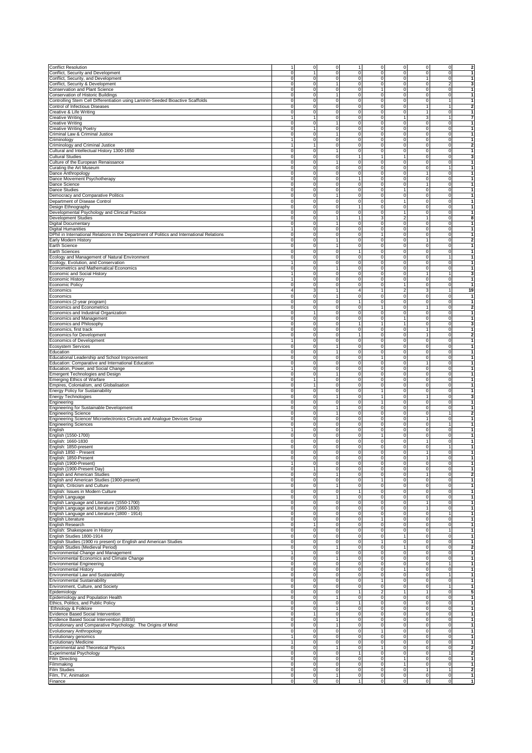|                                                                                                                                                                                                                                                                                                                                                                                                                                                                                                                                                                                                                                                                                   |                            | 0                       | 0                   | 1                                          | $\mathbf 0$             | 0                           | $\mathbf 0$         | 0                                | $\mathbf 2$                                                                                                                                                                                                                                                                                                                                                       |
|-----------------------------------------------------------------------------------------------------------------------------------------------------------------------------------------------------------------------------------------------------------------------------------------------------------------------------------------------------------------------------------------------------------------------------------------------------------------------------------------------------------------------------------------------------------------------------------------------------------------------------------------------------------------------------------|----------------------------|-------------------------|---------------------|--------------------------------------------|-------------------------|-----------------------------|---------------------|----------------------------------|-------------------------------------------------------------------------------------------------------------------------------------------------------------------------------------------------------------------------------------------------------------------------------------------------------------------------------------------------------------------|
| <b>Conflict Resolution</b><br>Conflict, Security and Development                                                                                                                                                                                                                                                                                                                                                                                                                                                                                                                                                                                                                  | 0                          |                         | 0                   | 0                                          | $\mathbf 0$             | 0                           | $\mathbf 0$         | 0                                | 1                                                                                                                                                                                                                                                                                                                                                                 |
|                                                                                                                                                                                                                                                                                                                                                                                                                                                                                                                                                                                                                                                                                   |                            |                         |                     |                                            |                         |                             |                     |                                  |                                                                                                                                                                                                                                                                                                                                                                   |
| Conflict, Security, and Development                                                                                                                                                                                                                                                                                                                                                                                                                                                                                                                                                                                                                                               | 0                          | $\mathbf 0$             | 0                   | 0                                          | $\mathsf{O}\xspace$     | 0                           | $\mathbf{1}$        | $\mathbf 0$                      |                                                                                                                                                                                                                                                                                                                                                                   |
| Conflict, Security & Development                                                                                                                                                                                                                                                                                                                                                                                                                                                                                                                                                                                                                                                  | 0                          | 0                       | 1                   | 0                                          | $\mathbf 0$             | 0                           | $\mathbf 0$         | $\overline{2}$                   | 3                                                                                                                                                                                                                                                                                                                                                                 |
| <b>Conservation and Plant Science</b>                                                                                                                                                                                                                                                                                                                                                                                                                                                                                                                                                                                                                                             | 0                          | 0                       | 0                   | $\mathsf{O}\xspace$                        | 1                       | $\mathbf 0$                 | $\mathbf 0$         | $\mathbf{0}$                     | $\mathbf{1}$                                                                                                                                                                                                                                                                                                                                                      |
| Conservation of Historic Buildings                                                                                                                                                                                                                                                                                                                                                                                                                                                                                                                                                                                                                                                | $\pmb{0}$                  | 0                       | 1                   | $\overline{0}$                             | $\mathsf{O}$            | $\mathbf 0$                 | $\mathbf 0$         | $\overline{0}$                   | $\mathbf{1}$                                                                                                                                                                                                                                                                                                                                                      |
| Controlling Stem Cell Differentiation using Laminin-Seeded Bioactive Scaffolds                                                                                                                                                                                                                                                                                                                                                                                                                                                                                                                                                                                                    | 0                          | 0                       | $\pmb{0}$           | $\mathsf{O}\xspace$                        | $\mathbf 0$             | $\mathbf 0$                 | $\mathbf 0$         | $\mathbf{1}$                     | 1                                                                                                                                                                                                                                                                                                                                                                 |
| Control of Infectious Diseases                                                                                                                                                                                                                                                                                                                                                                                                                                                                                                                                                                                                                                                    | 0                          | 0                       | 0                   | 0                                          | $\mathbf 0$             | $\mathbf 0$                 | $\mathbf{1}$        | $\mathbf{1}$                     | $\mathbf{2}$                                                                                                                                                                                                                                                                                                                                                      |
| Creative & Life Writing                                                                                                                                                                                                                                                                                                                                                                                                                                                                                                                                                                                                                                                           | $\pmb{0}$                  | 0                       | 0                   | 0                                          | $\mathsf{O}$            | $\mathbf 0$                 | $\mathbf{1}$        | $\overline{0}$                   | 1                                                                                                                                                                                                                                                                                                                                                                 |
| Creative Writing                                                                                                                                                                                                                                                                                                                                                                                                                                                                                                                                                                                                                                                                  | $\mathbf{1}$               | 1                       | 0                   | 0                                          | $\mathsf{O}$            | 1                           | 3                   | $\mathbf{1}$                     | $\overline{7}$                                                                                                                                                                                                                                                                                                                                                    |
| Creative Writing                                                                                                                                                                                                                                                                                                                                                                                                                                                                                                                                                                                                                                                                  | $\mathbf 0$                | $\mathbf 0$             | 1                   | $\mathbf 0$                                | $\mathbf 0$             | ō                           | ō                   | $\overline{0}$                   | $\mathbf{1}$                                                                                                                                                                                                                                                                                                                                                      |
| Creative Writing Poetry                                                                                                                                                                                                                                                                                                                                                                                                                                                                                                                                                                                                                                                           | $\pmb{0}$                  | 1                       | 0                   | 0                                          | $\mathsf{O}\xspace$     | $\mathbf 0$                 | $\mathbf 0$         | $\overline{0}$                   | $\mathbf{1}$                                                                                                                                                                                                                                                                                                                                                      |
| Criminal Law & Criminal Justice                                                                                                                                                                                                                                                                                                                                                                                                                                                                                                                                                                                                                                                   | 0                          | $\overline{0}$          | $\overline{1}$      | $\overline{0}$                             | $\mathsf{O}$            | $\mathbf 0$                 | ō                   | $\overline{0}$                   | $\overline{1}$                                                                                                                                                                                                                                                                                                                                                    |
| Criminology                                                                                                                                                                                                                                                                                                                                                                                                                                                                                                                                                                                                                                                                       |                            | 0                       | 0                   | 0                                          | $\mathbf 0$             | 0                           | $\mathbf 0$         | 0                                | $\mathbf{1}$                                                                                                                                                                                                                                                                                                                                                      |
|                                                                                                                                                                                                                                                                                                                                                                                                                                                                                                                                                                                                                                                                                   | $\mathbf{1}$               | 1                       | 0                   | 0                                          | $\mathbf 0$             | 0                           | $\mathbf 0$         | $\circ$                          | $\overline{2}$                                                                                                                                                                                                                                                                                                                                                    |
| Criminology and Criminal Justice                                                                                                                                                                                                                                                                                                                                                                                                                                                                                                                                                                                                                                                  |                            |                         |                     |                                            |                         |                             |                     |                                  |                                                                                                                                                                                                                                                                                                                                                                   |
| Cultural and Intellectual History 1300-1650                                                                                                                                                                                                                                                                                                                                                                                                                                                                                                                                                                                                                                       | 0                          | $\mathbf 0$             | 1                   | 0                                          | $\mathbf 0$             | 0                           | $\mathbf 0$         | 0                                | $\mathbf{1}$                                                                                                                                                                                                                                                                                                                                                      |
| <b>Cultural Studies</b>                                                                                                                                                                                                                                                                                                                                                                                                                                                                                                                                                                                                                                                           | $\mathbf 0$                | $\mathbf 0$             | 0                   | $\mathbf{1}$                               | 1                       | 1                           | $\mathbf 0$         | $\circ$                          | 3                                                                                                                                                                                                                                                                                                                                                                 |
| Culture of the European Renaissance                                                                                                                                                                                                                                                                                                                                                                                                                                                                                                                                                                                                                                               | 0                          | $\mathbf 0$             | 1                   | 0                                          | $\mathsf{O}$            | $\mathbf 0$                 | $\mathbf 0$         | $\circ$                          | 1                                                                                                                                                                                                                                                                                                                                                                 |
| Curating the Art Museum                                                                                                                                                                                                                                                                                                                                                                                                                                                                                                                                                                                                                                                           | 0                          | 0                       | 0                   | $\pmb{0}$                                  | $\mathbf 0$             | $\mathbf 0$                 | $\mathbf 0$         | $\mathbf{1}$                     | $\mathbf{1}$                                                                                                                                                                                                                                                                                                                                                      |
| Dance Anthropology                                                                                                                                                                                                                                                                                                                                                                                                                                                                                                                                                                                                                                                                | 0                          | 0                       | 0                   | 0                                          | $\mathbf 0$             | $\mathbf 0$                 | $\mathbf{1}$        | $\overline{0}$                   | 1                                                                                                                                                                                                                                                                                                                                                                 |
| Dance Movement Psychotherapy                                                                                                                                                                                                                                                                                                                                                                                                                                                                                                                                                                                                                                                      | 0                          | 0                       | 0                   | 1                                          | $\mathbf 0$             | $\mathbf 0$                 | $\mathbf 0$         | $\overline{0}$                   | 1                                                                                                                                                                                                                                                                                                                                                                 |
| Dance Science                                                                                                                                                                                                                                                                                                                                                                                                                                                                                                                                                                                                                                                                     | 0                          | $\mathbf 0$             | 0                   | 0                                          | $\mathsf{O}$            | $\mathbf 0$                 | $\mathbf{1}$        | $\circ$                          | $\mathbf{1}$                                                                                                                                                                                                                                                                                                                                                      |
| <b>Dance Studies</b>                                                                                                                                                                                                                                                                                                                                                                                                                                                                                                                                                                                                                                                              | $\mathbf 0$                | $\mathbf 0$             | 0                   | $\mathbf 0$                                | $\mathbf 0$             | $\mathbf{1}$                | $\mathbf 0$         | $\overline{0}$                   | 1                                                                                                                                                                                                                                                                                                                                                                 |
| Democracy and Comparative Politics                                                                                                                                                                                                                                                                                                                                                                                                                                                                                                                                                                                                                                                | 0                          | $\mathbf 0$             | 1                   | $\mathbf 0$                                | $\mathsf{O}$            | $\mathbf 0$                 | $\mathbf 0$         | $\overline{0}$                   | $\mathbf{1}$                                                                                                                                                                                                                                                                                                                                                      |
| Department of Disease Control                                                                                                                                                                                                                                                                                                                                                                                                                                                                                                                                                                                                                                                     | 0                          | $\overline{0}$          | $\overline{0}$      | $\overline{0}$                             | $\mathsf{O}$            | $\overline{1}$              | ō                   | $\mathbf 0$                      | $\overline{1}$                                                                                                                                                                                                                                                                                                                                                    |
|                                                                                                                                                                                                                                                                                                                                                                                                                                                                                                                                                                                                                                                                                   | 0                          | $\mathbf 0$             | 0                   | $\mathbf{1}$                               | $\mathbf 0$             | $\pmb{0}$                   | $\mathbf 0$         | $\mathbf 0$                      | $\overline{1}$                                                                                                                                                                                                                                                                                                                                                    |
| Design Ethnography                                                                                                                                                                                                                                                                                                                                                                                                                                                                                                                                                                                                                                                                |                            |                         |                     |                                            |                         |                             |                     |                                  | 1                                                                                                                                                                                                                                                                                                                                                                 |
| Developmental Psychology and Clinical Practice                                                                                                                                                                                                                                                                                                                                                                                                                                                                                                                                                                                                                                    | 0                          | 0                       | 0<br>1              | 0                                          | $\mathbf 0$             | 1                           | $\mathbf 0$         | 0                                |                                                                                                                                                                                                                                                                                                                                                                   |
| <b>Development Studies</b>                                                                                                                                                                                                                                                                                                                                                                                                                                                                                                                                                                                                                                                        | 0                          | $\mathbf 0$             |                     | $\mathbf{1}$                               | 3                       | 2                           | 1                   | $\mathbf 0$                      | 8                                                                                                                                                                                                                                                                                                                                                                 |
| Digital Documentary                                                                                                                                                                                                                                                                                                                                                                                                                                                                                                                                                                                                                                                               | 0                          | $\mathbf 0$             | 1                   | 0                                          | $\mathsf{O}\xspace$     | $\mathbf 0$                 | $\mathbf 0$         | $\circ$                          | $\mathbf{1}$                                                                                                                                                                                                                                                                                                                                                      |
| Digital Humanities                                                                                                                                                                                                                                                                                                                                                                                                                                                                                                                                                                                                                                                                |                            | $\mathbf 0$             | 0                   | $\mathsf{O}\xspace$                        | $\mathsf{O}\xspace$     | $\mathbf 0$                 | $\mathbf 0$         | $\circ$                          | 1                                                                                                                                                                                                                                                                                                                                                                 |
| DPhil in International Relations in the Department of Politics and International Relations                                                                                                                                                                                                                                                                                                                                                                                                                                                                                                                                                                                        | $\mathbf 0$                | 0                       | $\pmb{0}$           | $\mathsf{O}\xspace$                        | $\mathbf{1}$            | $\mathbf 0$                 | $\mathbf 0$         | $\overline{0}$                   | $\mathbf{1}$                                                                                                                                                                                                                                                                                                                                                      |
| Early Modern History                                                                                                                                                                                                                                                                                                                                                                                                                                                                                                                                                                                                                                                              | $\pmb{0}$                  | 0                       | 1                   | $\mathsf{O}\xspace$                        | $\mathbf 0$             | $\mathbf 0$                 | $\mathbf{1}$        | $\overline{0}$                   | $\mathbf{2}$                                                                                                                                                                                                                                                                                                                                                      |
| Earth Science                                                                                                                                                                                                                                                                                                                                                                                                                                                                                                                                                                                                                                                                     | 0                          | 0                       | 1                   | 0                                          | $\mathbf 0$             | $\mathbf 0$                 | $\overline{0}$      | $\overline{0}$                   | $\mathbf{1}$                                                                                                                                                                                                                                                                                                                                                      |
| <b>Earth Sciences</b>                                                                                                                                                                                                                                                                                                                                                                                                                                                                                                                                                                                                                                                             | 0                          | 0                       | 0                   | $\mathbf{1}$                               | $\mathbf 0$             | $\mathbf 0$                 | $\mathbf 0$         | $\circ$                          | 1                                                                                                                                                                                                                                                                                                                                                                 |
| Ecology and Management of Natural Environment                                                                                                                                                                                                                                                                                                                                                                                                                                                                                                                                                                                                                                     | $\mathbf 0$                | 0                       | 0                   | 0                                          | $\mathsf{O}$            | $\mathbf 0$                 | $\mathbf 0$         | $\mathbf{1}$                     | 1                                                                                                                                                                                                                                                                                                                                                                 |
| Ecology, Evolution, and Conservation                                                                                                                                                                                                                                                                                                                                                                                                                                                                                                                                                                                                                                              | $\mathbf{1}$               | $\mathbf 0$             | $\overline{0}$      | $\mathbf 0$                                | $\mathbf 0$             | $\mathbf 0$                 | ō                   | $\overline{0}$                   | $\mathbf{1}$                                                                                                                                                                                                                                                                                                                                                      |
| Econometrics and Mathematical Economics                                                                                                                                                                                                                                                                                                                                                                                                                                                                                                                                                                                                                                           | $\overline{0}$             | $\overline{0}$          | $\overline{1}$      | $\overline{0}$                             | $\mathsf{O}$            | o                           | ō                   | ō                                | $\mathbf{1}$                                                                                                                                                                                                                                                                                                                                                      |
| Economic and Social History                                                                                                                                                                                                                                                                                                                                                                                                                                                                                                                                                                                                                                                       | $\mathbf{1}$               | 0                       | $\overline{0}$      | $\overline{0}$                             | $\mathsf{O}$            | $\mathbf 0$                 | $\overline{1}$      | $\mathbf{1}$                     | 3                                                                                                                                                                                                                                                                                                                                                                 |
| <b>Economic History</b>                                                                                                                                                                                                                                                                                                                                                                                                                                                                                                                                                                                                                                                           | 1                          | 0                       | 0                   | 0                                          | $\mathbf 0$             | 0                           | $\mathbf 0$         | 0                                | $\mathbf{1}$                                                                                                                                                                                                                                                                                                                                                      |
|                                                                                                                                                                                                                                                                                                                                                                                                                                                                                                                                                                                                                                                                                   |                            |                         |                     |                                            |                         |                             |                     |                                  |                                                                                                                                                                                                                                                                                                                                                                   |
| Economic Policy                                                                                                                                                                                                                                                                                                                                                                                                                                                                                                                                                                                                                                                                   | 0                          | $\mathbf 0$             | 0                   | 0                                          | $\mathbf 0$             | 1                           | $\mathbf 0$         | $\mathbf 0$                      | $\mathbf{1}$                                                                                                                                                                                                                                                                                                                                                      |
| Economics                                                                                                                                                                                                                                                                                                                                                                                                                                                                                                                                                                                                                                                                         | $\sqrt{4}$                 | 3                       | 1                   | 4                                          | $\mathbf{1}$            | 2                           | 3                   | 1                                | 19                                                                                                                                                                                                                                                                                                                                                                |
| Economics                                                                                                                                                                                                                                                                                                                                                                                                                                                                                                                                                                                                                                                                         | 0                          | $\mathbf 0$             | 1                   | 0                                          | $\mathbf 0$             | $\mathbf 0$                 | $\mathbf 0$         | $\circ$                          | $\mathbf{1}$                                                                                                                                                                                                                                                                                                                                                      |
| Economics (2-year program)                                                                                                                                                                                                                                                                                                                                                                                                                                                                                                                                                                                                                                                        | 0                          | $\mathbf 0$             | 0                   | $\mathbf{1}$                               | $\mathbf 0$             | $\mathbf 0$                 | $\mathbf 0$         | $\circ$                          | $\mathbf 1$                                                                                                                                                                                                                                                                                                                                                       |
| Economics and Econometrics                                                                                                                                                                                                                                                                                                                                                                                                                                                                                                                                                                                                                                                        | 0                          | 0                       | 0                   | 0                                          | 1                       | $\mathbf 0$                 | $\mathbf{1}$        | $\overline{0}$                   | $\mathbf{2}$                                                                                                                                                                                                                                                                                                                                                      |
| Economics and Industrial Organization                                                                                                                                                                                                                                                                                                                                                                                                                                                                                                                                                                                                                                             | 0                          | 1                       | 0                   | 0                                          | $\mathbf 0$             | $\mathbf 0$                 | $\mathbf 0$         | $\overline{0}$                   | 1                                                                                                                                                                                                                                                                                                                                                                 |
| Economics and Management                                                                                                                                                                                                                                                                                                                                                                                                                                                                                                                                                                                                                                                          | 0                          | 0                       | 0                   | 0                                          | $\mathsf{O}$            | 1                           | $\mathbf 0$         | $\circ$                          | $\mathbf{1}$                                                                                                                                                                                                                                                                                                                                                      |
| Economics and Philosophy                                                                                                                                                                                                                                                                                                                                                                                                                                                                                                                                                                                                                                                          | $\mathbf 0$                | 0                       | 0                   | $\mathbf{1}$                               | $\mathbf{1}$            | $\mathbf{1}$                | $\mathbf 0$         | $\circ$                          | 3                                                                                                                                                                                                                                                                                                                                                                 |
| Economics, first track                                                                                                                                                                                                                                                                                                                                                                                                                                                                                                                                                                                                                                                            | $\mathbf 0$                | $\mathbf 0$             | 0                   | $\mathbf 0$                                | $\mathbf 0$             | $\mathbf 0$                 | 1                   | $\mathbf{0}$                     | 1                                                                                                                                                                                                                                                                                                                                                                 |
| Economics for Development                                                                                                                                                                                                                                                                                                                                                                                                                                                                                                                                                                                                                                                         | 0                          | $\mathbf 0$             | 0                   | $\mathbf{1}$                               | $\mathsf{O}$            | $\mathbf 0$                 | $\mathbf{1}$        | $\mathbf{0}$                     | $\overline{2}$                                                                                                                                                                                                                                                                                                                                                    |
|                                                                                                                                                                                                                                                                                                                                                                                                                                                                                                                                                                                                                                                                                   | $\mathbf{1}$               |                         | $\overline{0}$      | $\overline{0}$                             |                         | $\mathbf 0$                 | ō                   | $\mathbf 0$                      | $\mathbf{1}$                                                                                                                                                                                                                                                                                                                                                      |
| <b>Economics of Development</b>                                                                                                                                                                                                                                                                                                                                                                                                                                                                                                                                                                                                                                                   |                            | 0                       |                     |                                            | $\mathsf{O}$            |                             |                     |                                  |                                                                                                                                                                                                                                                                                                                                                                   |
| Ecosystem Services                                                                                                                                                                                                                                                                                                                                                                                                                                                                                                                                                                                                                                                                | 0                          | 0                       | 1                   | 0                                          | $\mathbf 0$             | 0                           | $\mathbf 0$         | 0                                | 1                                                                                                                                                                                                                                                                                                                                                                 |
| Education                                                                                                                                                                                                                                                                                                                                                                                                                                                                                                                                                                                                                                                                         | 0                          | 0                       | 1                   | 0                                          | $\mathbf 0$             | 0                           | $\mathbf 0$         | 0                                | 1                                                                                                                                                                                                                                                                                                                                                                 |
| Educational Leadership and School Improvement                                                                                                                                                                                                                                                                                                                                                                                                                                                                                                                                                                                                                                     | 0                          | 0                       | 0                   | 0                                          | 1                       | 0                           | $\mathbf 0$         | 0                                | 1                                                                                                                                                                                                                                                                                                                                                                 |
| Education: Comparative and International Education                                                                                                                                                                                                                                                                                                                                                                                                                                                                                                                                                                                                                                | 0                          | $\Omega$                | 0                   | 0                                          | $\mathbf 0$             | 0                           | 1                   | $\circ$                          | 1                                                                                                                                                                                                                                                                                                                                                                 |
| Education, Power, and Social Change                                                                                                                                                                                                                                                                                                                                                                                                                                                                                                                                                                                                                                               |                            | $\mathbf 0$             | 0                   | $\mathsf{O}\xspace$                        | $\mathsf{O}\xspace$     | $\mathbf 0$                 | $\mathbf 0$         | $\circ$                          | 1                                                                                                                                                                                                                                                                                                                                                                 |
|                                                                                                                                                                                                                                                                                                                                                                                                                                                                                                                                                                                                                                                                                   |                            |                         |                     |                                            |                         |                             |                     |                                  |                                                                                                                                                                                                                                                                                                                                                                   |
|                                                                                                                                                                                                                                                                                                                                                                                                                                                                                                                                                                                                                                                                                   | $\pmb{0}$                  | 0                       | 1                   | O                                          | $\mathbf 0$             | $\mathbf 0$                 | $\mathbf 0$         | $\overline{0}$                   | $\mathbf{1}$                                                                                                                                                                                                                                                                                                                                                      |
|                                                                                                                                                                                                                                                                                                                                                                                                                                                                                                                                                                                                                                                                                   | 0                          | 1                       | 0                   | 0                                          | $\mathbf 0$             | $\mathbf 0$                 |                     | $\overline{0}$                   | $\mathbf{1}$                                                                                                                                                                                                                                                                                                                                                      |
|                                                                                                                                                                                                                                                                                                                                                                                                                                                                                                                                                                                                                                                                                   |                            | 1                       |                     |                                            |                         |                             | $\mathbf 0$         |                                  | 1                                                                                                                                                                                                                                                                                                                                                                 |
|                                                                                                                                                                                                                                                                                                                                                                                                                                                                                                                                                                                                                                                                                   | 0                          |                         | 0                   | 0                                          | $\mathbf 0$             | $\mathbf 0$                 | $\mathbf 0$         | $\overline{0}$                   |                                                                                                                                                                                                                                                                                                                                                                   |
|                                                                                                                                                                                                                                                                                                                                                                                                                                                                                                                                                                                                                                                                                   | $\mathbf 0$                | 0                       | 0                   | 0                                          | $\mathbf{1}$            | $\mathbf 0$                 | $\mathbf 0$         | $\circ$                          | 1                                                                                                                                                                                                                                                                                                                                                                 |
|                                                                                                                                                                                                                                                                                                                                                                                                                                                                                                                                                                                                                                                                                   | $\mathbf 0$                | $\Omega$                | 1                   | $\mathbf 0$                                | $\mathbf{1}$            | $\mathbf 0$                 | $\mathbf{1}$        | $\overline{0}$                   | 3                                                                                                                                                                                                                                                                                                                                                                 |
| Emergent Technologies and Design<br>Emerging Ethics of Warfare<br>Empires, Colonialism, and Globalisation<br><b>Energy Policy for Sustainability</b><br>Energy Technologies<br>Engineering                                                                                                                                                                                                                                                                                                                                                                                                                                                                                        | 0                          | $\mathbf 0$             | 0                   | $\mathbf 0$                                | $\mathbf{1}$            | $\mathbf 0$                 | ō                   | $\overline{0}$                   |                                                                                                                                                                                                                                                                                                                                                                   |
| <b>Engineering for Sustainable Development</b>                                                                                                                                                                                                                                                                                                                                                                                                                                                                                                                                                                                                                                    | $\overline{0}$             | $\overline{0}$          | $\overline{1}$      | $\overline{0}$                             | $\mathsf{O}$            | ō                           | ō                   | ō                                | $\overline{1}$                                                                                                                                                                                                                                                                                                                                                    |
|                                                                                                                                                                                                                                                                                                                                                                                                                                                                                                                                                                                                                                                                                   | 0                          | 0                       | 1                   | $\overline{0}$                             | $\mathsf{O}$            | $\mathbf 0$                 | $\circ$             | $\mathbf{1}$                     |                                                                                                                                                                                                                                                                                                                                                                   |
| <b>Engineering Science</b><br>Engineering Science/ Microelectronics Circuits and Analogue Devices Group                                                                                                                                                                                                                                                                                                                                                                                                                                                                                                                                                                           | 0                          | 0                       | 0                   | 0                                          | $\mathbf 0$             | $\mathbf 0$                 | $\mathbf{1}$        | $\mathbf 0$                      | 1                                                                                                                                                                                                                                                                                                                                                                 |
| <b>Engineering Sciences</b>                                                                                                                                                                                                                                                                                                                                                                                                                                                                                                                                                                                                                                                       | $\mathbf 0$                | 0                       | 0                   | 0                                          | $\mathbf 0$             | 0                           | $\mathbf 0$         | $\mathbf{1}$                     | $\mathbf{1}$                                                                                                                                                                                                                                                                                                                                                      |
| English                                                                                                                                                                                                                                                                                                                                                                                                                                                                                                                                                                                                                                                                           | 1                          | 0                       | 0                   | 0                                          | $\mathbf 0$             | 0                           | $\mathbf 0$         | $\overline{0}$                   |                                                                                                                                                                                                                                                                                                                                                                   |
| English (1550-1700)                                                                                                                                                                                                                                                                                                                                                                                                                                                                                                                                                                                                                                                               | 0                          | 0                       | 0                   | $\pmb{0}$                                  | 1                       | $\mathbf 0$                 | $\mathbf 0$         | $\circ$                          |                                                                                                                                                                                                                                                                                                                                                                   |
| English: 1660-1830                                                                                                                                                                                                                                                                                                                                                                                                                                                                                                                                                                                                                                                                | 0                          | 0                       | 0                   | $\mathsf 0$                                | $\mathbf 0$             | $\mathbf 0$                 | $\mathbf{1}$        | $\overline{0}$                   |                                                                                                                                                                                                                                                                                                                                                                   |
| English: 1850-present                                                                                                                                                                                                                                                                                                                                                                                                                                                                                                                                                                                                                                                             | 0                          | 0                       | 0                   | 0                                          | $\mathbf 0$             | $\mathbf 0$                 | $\mathbf 0$         | 1                                | $\mathbf{1}$                                                                                                                                                                                                                                                                                                                                                      |
| English 1850 - Present                                                                                                                                                                                                                                                                                                                                                                                                                                                                                                                                                                                                                                                            | 0                          | 0                       | 0                   | 0                                          | $\mathbf 0$             | $\mathbf 0$                 | $\mathbf{1}$        | $\overline{0}$                   | 1                                                                                                                                                                                                                                                                                                                                                                 |
|                                                                                                                                                                                                                                                                                                                                                                                                                                                                                                                                                                                                                                                                                   |                            |                         |                     |                                            |                         |                             |                     |                                  |                                                                                                                                                                                                                                                                                                                                                                   |
| English: 1850-Present<br>English (1900-Present)                                                                                                                                                                                                                                                                                                                                                                                                                                                                                                                                                                                                                                   | 0<br>$\mathbf{1}$          | $\mathbf 0$<br>$\Omega$ | 0<br>0              | $\mathsf{O}\xspace$<br>$\mathbf 0$         | $\mathbf 0$<br>$\Omega$ | $\mathbf 0$<br>$\mathbf 0$  | 1<br>$\overline{0}$ | $\circ$<br>$\overline{0}$        | 1<br>4                                                                                                                                                                                                                                                                                                                                                            |
|                                                                                                                                                                                                                                                                                                                                                                                                                                                                                                                                                                                                                                                                                   |                            |                         |                     |                                            |                         |                             |                     |                                  |                                                                                                                                                                                                                                                                                                                                                                   |
| English (1900-Present Day)                                                                                                                                                                                                                                                                                                                                                                                                                                                                                                                                                                                                                                                        | $\mathbf 0$                |                         | 0                   | $\mathbf 0$                                | $\mathbf 0$             | 0                           | $\mathbf 0$         | $\mathbf 0$                      |                                                                                                                                                                                                                                                                                                                                                                   |
| <b>English and American Studies</b>                                                                                                                                                                                                                                                                                                                                                                                                                                                                                                                                                                                                                                               | 0                          | 0                       | 1                   | 0                                          | $\mathbf 0$             | $\mathbf 0$                 | $\mathbf{1}$        | $\mathbf 0$                      |                                                                                                                                                                                                                                                                                                                                                                   |
|                                                                                                                                                                                                                                                                                                                                                                                                                                                                                                                                                                                                                                                                                   | 0                          | 0                       | $\overline{0}$      | $\overline{0}$                             | 1                       | $\mathbf 0$                 | $\mathbf 0$         | $\circ$                          | $\mathbf{1}$                                                                                                                                                                                                                                                                                                                                                      |
| English and American Studies (1900-present)<br>English, Criticism and Culture                                                                                                                                                                                                                                                                                                                                                                                                                                                                                                                                                                                                     | 0                          | 0                       | 1                   | 0                                          | $\mathbf 0$             | 0                           | $\mathbf 0$         | $\overline{0}$                   | $\mathbf{1}$                                                                                                                                                                                                                                                                                                                                                      |
| English: Issues in Modern Culture                                                                                                                                                                                                                                                                                                                                                                                                                                                                                                                                                                                                                                                 | $\mathbf 0$                | 0                       | 0                   | $\mathbf{1}$                               | $\mathbf 0$             | $\mathbf 0$                 | $\mathbf 0$         | $\circ$                          |                                                                                                                                                                                                                                                                                                                                                                   |
|                                                                                                                                                                                                                                                                                                                                                                                                                                                                                                                                                                                                                                                                                   | $\mathbf 0$                | 0                       | 1                   | 0                                          | $\mathsf{O}\xspace$     | 0                           | $\mathbf 0$         | $\circ$                          | $\mathbf{1}$<br>$\overline{2}$<br>1<br>1<br>$\mathbf{1}$<br>$\mathbf{1}$<br>$\overline{\mathbf{2}}$<br>$\mathbf{1}$<br>1                                                                                                                                                                                                                                          |
|                                                                                                                                                                                                                                                                                                                                                                                                                                                                                                                                                                                                                                                                                   | 0                          | $\mathbf 0$             | 0                   | $\mathsf{O}\xspace$                        | $\mathbf 0$             | 0                           | $\mathbf{1}$        | $\circ$                          |                                                                                                                                                                                                                                                                                                                                                                   |
|                                                                                                                                                                                                                                                                                                                                                                                                                                                                                                                                                                                                                                                                                   | 0                          | 0                       | 0                   | $\mathsf{O}\xspace$                        | $\mathsf{O}\xspace$     | $\mathbf 0$                 | 1                   | $\circ$                          |                                                                                                                                                                                                                                                                                                                                                                   |
| English Language<br>English Language and Literature (1550-1700)<br>English Language and Literature (1660-1830)<br>English Language and Literature (1800 - 1914)                                                                                                                                                                                                                                                                                                                                                                                                                                                                                                                   | $\pmb{0}$                  | 0                       | 0                   | $\mathsf{O}\xspace$                        | $\mathbf 0$             | $\overline{0}$              | $\mathbf 0$         | $\mathbf{1}$                     |                                                                                                                                                                                                                                                                                                                                                                   |
|                                                                                                                                                                                                                                                                                                                                                                                                                                                                                                                                                                                                                                                                                   | 0                          | 0                       | 0                   | 0                                          | 1                       | 0                           | $\overline{0}$      | $\circ$                          | $\mathbf{1}$<br>$\mathbf{1}$<br>$\mathbf{1}$<br>$\mathbf{1}$                                                                                                                                                                                                                                                                                                      |
| English Literature<br>English Research                                                                                                                                                                                                                                                                                                                                                                                                                                                                                                                                                                                                                                            | $\mathbf 0$                | 1                       | 0                   | 0                                          | $\mathbf 0$             | $\mathbf 0$                 | $\overline{0}$      | $\overline{0}$                   |                                                                                                                                                                                                                                                                                                                                                                   |
|                                                                                                                                                                                                                                                                                                                                                                                                                                                                                                                                                                                                                                                                                   | $\mathbf 0$                | 0                       | 0                   | $\mathsf{O}\xspace$                        | $\mathbf 0$             | $\mathbf 0$                 | $\overline{0}$      | $\mathbf{1}$                     |                                                                                                                                                                                                                                                                                                                                                                   |
| English: Shakespeare in History                                                                                                                                                                                                                                                                                                                                                                                                                                                                                                                                                                                                                                                   |                            | $\mathbf 0$             |                     | $\overline{0}$                             |                         | $\mathbf{1}$                |                     |                                  |                                                                                                                                                                                                                                                                                                                                                                   |
| English Studies 1800-1914                                                                                                                                                                                                                                                                                                                                                                                                                                                                                                                                                                                                                                                         | $\overline{0}$<br>0        | 0                       | $\overline{0}$<br>0 | 0                                          | $\mathsf{O}$            | $\mathbf 0$                 | ō<br>$\mathbf 0$    | $\overline{0}$<br>$\overline{0}$ |                                                                                                                                                                                                                                                                                                                                                                   |
|                                                                                                                                                                                                                                                                                                                                                                                                                                                                                                                                                                                                                                                                                   |                            |                         |                     |                                            | 1                       |                             |                     |                                  |                                                                                                                                                                                                                                                                                                                                                                   |
|                                                                                                                                                                                                                                                                                                                                                                                                                                                                                                                                                                                                                                                                                   | $\overline{0}$             | $\overline{0}$          | 1                   | $\overline{0}$                             | $\mathsf{O}$            | $\overline{1}$              | ō                   | ō                                | $\mathbf 1$<br>$\mathbf{1}$<br>$\mathbf{1}$<br>$\mathbf{1}$<br>Ŋ,                                                                                                                                                                                                                                                                                                 |
| English Studies (1900 ro present) or English and American Studies<br>English Studies (Medieval Period)<br>Environmental Change and Management                                                                                                                                                                                                                                                                                                                                                                                                                                                                                                                                     | $\mathbf{1}$               | 0                       | 0                   | 0                                          | $\mathsf{O}$            | $\mathbf 0$                 | $\mathbf 0$         | $\mathbf 0$                      |                                                                                                                                                                                                                                                                                                                                                                   |
|                                                                                                                                                                                                                                                                                                                                                                                                                                                                                                                                                                                                                                                                                   | 0                          | 0                       | 1                   | 0                                          | $\mathbf 0$             | 0                           | $\mathbf 0$         | $\overline{0}$                   |                                                                                                                                                                                                                                                                                                                                                                   |
|                                                                                                                                                                                                                                                                                                                                                                                                                                                                                                                                                                                                                                                                                   | $\mathbf 0$                | 0                       | 0                   | $\mathsf{O}\xspace$                        | $\mathbf 0$             | 0                           | $\mathbf 0$         | $\mathbf{1}$                     |                                                                                                                                                                                                                                                                                                                                                                   |
|                                                                                                                                                                                                                                                                                                                                                                                                                                                                                                                                                                                                                                                                                   | 0                          | 0                       | 0                   | $\mathsf{O}\xspace$                        | $\mathsf{O}\xspace$     | 1                           | $\mathbf 0$         | $\circ$                          |                                                                                                                                                                                                                                                                                                                                                                   |
|                                                                                                                                                                                                                                                                                                                                                                                                                                                                                                                                                                                                                                                                                   | 0                          | 0                       | 0                   | $\pmb{0}$                                  | $\mathsf{O}\xspace$     | $\mathbf 0$                 | $\mathbf 0$         | 1                                |                                                                                                                                                                                                                                                                                                                                                                   |
|                                                                                                                                                                                                                                                                                                                                                                                                                                                                                                                                                                                                                                                                                   | $\mathbf 0$                | 0                       | 0                   | o                                          | $\mathbf{1}$            | $\mathbf 0$                 | $\mathbf 0$         | $\overline{0}$                   |                                                                                                                                                                                                                                                                                                                                                                   |
|                                                                                                                                                                                                                                                                                                                                                                                                                                                                                                                                                                                                                                                                                   | $\mathbf 0$                | 0                       | 0                   | $\mathsf{O}\xspace$                        | $\mathbf 0$             | $\mathbf 0$                 | $\circ$             | $\mathbf{1}$                     |                                                                                                                                                                                                                                                                                                                                                                   |
|                                                                                                                                                                                                                                                                                                                                                                                                                                                                                                                                                                                                                                                                                   | 0                          | 0                       | 0                   | 1                                          | $\overline{c}$          | 1                           | $\mathbf{1}$        | $\overline{0}$                   |                                                                                                                                                                                                                                                                                                                                                                   |
|                                                                                                                                                                                                                                                                                                                                                                                                                                                                                                                                                                                                                                                                                   | $\mathbf 0$                | $\mathbf 0$             | 1                   | 0                                          | $\mathbf 0$             | $\mathbf 0$                 | $\mathbf 0$         | $\circ$                          |                                                                                                                                                                                                                                                                                                                                                                   |
|                                                                                                                                                                                                                                                                                                                                                                                                                                                                                                                                                                                                                                                                                   | $\mathbf 0$                | 0                       | 0                   | $\mathbf{1}$                               | $\mathsf{O}$            | $\mathbf 0$                 | $\overline{0}$      | $\circ$                          |                                                                                                                                                                                                                                                                                                                                                                   |
|                                                                                                                                                                                                                                                                                                                                                                                                                                                                                                                                                                                                                                                                                   |                            |                         |                     |                                            |                         |                             |                     |                                  |                                                                                                                                                                                                                                                                                                                                                                   |
|                                                                                                                                                                                                                                                                                                                                                                                                                                                                                                                                                                                                                                                                                   | 0                          | 0<br>1                  | 1                   | 0                                          | $\mathsf{o}$            | $\mathbf 0$                 | $\mathbf 0$         | $\mathbf{0}$                     |                                                                                                                                                                                                                                                                                                                                                                   |
|                                                                                                                                                                                                                                                                                                                                                                                                                                                                                                                                                                                                                                                                                   | $\pmb{0}$                  |                         | $\overline{0}$      | $\overline{0}$                             | $\mathsf{O}$            | o                           | ō                   | $\mathbf 0$                      |                                                                                                                                                                                                                                                                                                                                                                   |
|                                                                                                                                                                                                                                                                                                                                                                                                                                                                                                                                                                                                                                                                                   | $\pmb{0}$                  | 0                       | 1                   | $\overline{0}$                             | $\mathsf{o}$            | $\mathbf 0$                 | $\mathbf 0$         | $\circ$                          |                                                                                                                                                                                                                                                                                                                                                                   |
|                                                                                                                                                                                                                                                                                                                                                                                                                                                                                                                                                                                                                                                                                   | 0                          | 0                       | 1                   | 0                                          | $\mathbf 0$             | $\mathbf 0$                 | $\mathbf 0$         | $\overline{0}$                   |                                                                                                                                                                                                                                                                                                                                                                   |
|                                                                                                                                                                                                                                                                                                                                                                                                                                                                                                                                                                                                                                                                                   | $\mathbf 0$                | 0                       | 0                   | $\mathsf{O}\xspace$                        | $\mathbf{1}$            | $\mathbf 0$                 | $\mathbf 0$         | $\circ$                          |                                                                                                                                                                                                                                                                                                                                                                   |
|                                                                                                                                                                                                                                                                                                                                                                                                                                                                                                                                                                                                                                                                                   | $\mathbf{1}$               | 0                       | 0                   | $\pmb{0}$                                  | $\mathsf{O}\xspace$     | 0                           | $\mathbf 0$         | $\circ$                          |                                                                                                                                                                                                                                                                                                                                                                   |
|                                                                                                                                                                                                                                                                                                                                                                                                                                                                                                                                                                                                                                                                                   | $\mathbf{1}$               | 0                       | 0                   | $\mathsf{O}\xspace$                        | $\mathbf 0$             | $\mathbf 0$                 | $\mathbf 0$         | $\circ$                          |                                                                                                                                                                                                                                                                                                                                                                   |
|                                                                                                                                                                                                                                                                                                                                                                                                                                                                                                                                                                                                                                                                                   | 0                          | 0                       | 1                   | $\mathsf{O}\xspace$                        | 1                       | $\mathbf 0$                 | $\mathbf 0$         | $\circ$                          |                                                                                                                                                                                                                                                                                                                                                                   |
| Environmental Economics and Climate Change<br><b>Environmental Engineering</b><br><b>Environmental History</b><br>Environmental Law and Sustainability<br><b>Environmental Sustainability</b><br>Environment, Culture, and Society<br>Epidemiology<br>Epidemiology and Population Health<br>Ethics, Politics, and Public Policy<br>Ethnology & Folklore<br>Evidence Based Social Intervention<br>Evidence Based Social Intervention (EBSI)<br>Evolutionary and Comparative Psychology: The Origins of Mind<br>Evolutionary Anthropology<br>Evolutionary genomics<br><b>Evolutionary Medicine</b><br><b>Experimental and Theoretical Physics</b><br><b>Experimental Psychology</b> | $\mathbf 0$                | 0                       | 0                   | $\mathbf{1}$                               | $\mathbf 0$             | $\mathbf 0$                 | $\circ$             | $\mathbf{1}$                     |                                                                                                                                                                                                                                                                                                                                                                   |
| Film Directing                                                                                                                                                                                                                                                                                                                                                                                                                                                                                                                                                                                                                                                                    | 0                          | 0                       | 0                   | 0                                          | $\mathbf 0$             | 1                           | $\overline{0}$      | $\circ$                          |                                                                                                                                                                                                                                                                                                                                                                   |
|                                                                                                                                                                                                                                                                                                                                                                                                                                                                                                                                                                                                                                                                                   |                            |                         |                     |                                            |                         |                             |                     |                                  |                                                                                                                                                                                                                                                                                                                                                                   |
| Filmmaking                                                                                                                                                                                                                                                                                                                                                                                                                                                                                                                                                                                                                                                                        | $\mathbf 0$<br>$\mathbf 0$ | 0<br>0                  | 0<br>0              | $\mathsf{O}\xspace$<br>$\mathsf{O}\xspace$ | $\mathsf{O}$<br>$\circ$ | $\mathbf{1}$<br>$\mathbf 0$ | $\overline{0}$<br>1 | $\circ$<br>1                     |                                                                                                                                                                                                                                                                                                                                                                   |
| <b>Film Studies</b><br>Film, TV, Animation                                                                                                                                                                                                                                                                                                                                                                                                                                                                                                                                                                                                                                        | 0                          | $\overline{0}$          | $\overline{1}$      | o                                          | $\mathsf{O}$            | $\overline{\mathbf{0}}$     | $\overline{0}$      | $\overline{0}$                   | $\mathbf{1}$<br>$\mathbf 1$<br>$\mathbf{1}$<br>$\mathbf 1$<br>$\mathbf{1}$<br>$\mathbf{1}$<br>$\mathbf{1}$<br>5<br>$\mathbf{1}$<br>$\mathbf{1}$<br>$\mathbf{1}$<br>$\mathbf{1}$<br>$\mathbf{1}$<br>$\mathbf{1}$<br>$\mathbf{1}$<br>1<br>$\mathbf{1}$<br>$\overline{2}$<br>$\mathbf{2}$<br>$\mathbf{1}$<br>$\mathbf{1}$<br>$\overline{\mathbf{2}}$<br>$\mathbf{1}$ |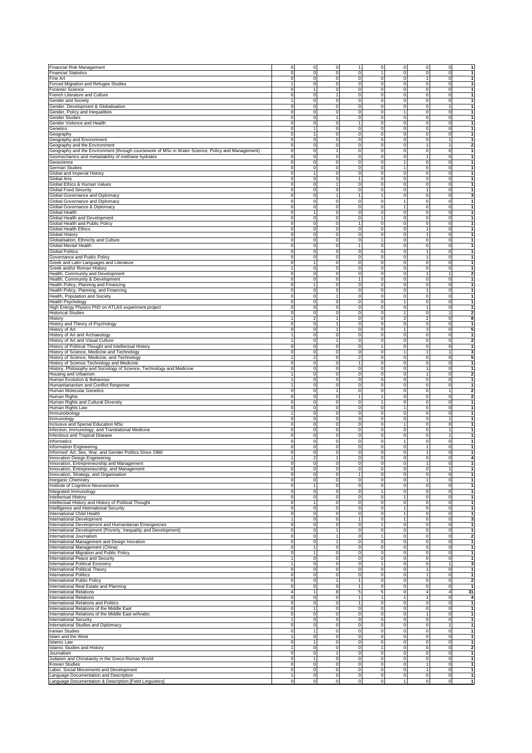| <b>Financial Risk Management</b>                                                                                                                                                                                                                                                 | 0<br>0                                                                   | 0                   | 1                                | $\mathbf 0$                        |                              | $\mathbf 0$<br>$\mathbf 0$                     | $\circ$                          | 1                                                                                                            |
|----------------------------------------------------------------------------------------------------------------------------------------------------------------------------------------------------------------------------------------------------------------------------------|--------------------------------------------------------------------------|---------------------|----------------------------------|------------------------------------|------------------------------|------------------------------------------------|----------------------------------|--------------------------------------------------------------------------------------------------------------|
| <b>Financial Statistics</b>                                                                                                                                                                                                                                                      | $\mathbf 0$<br>0                                                         | 0                   | 0                                | 1                                  | 0                            | $\mathbf 0$                                    | 0                                |                                                                                                              |
| Fine Art                                                                                                                                                                                                                                                                         | 0<br>$\Omega$                                                            | 0                   | 0                                | $\mathbf 0$                        | $\mathbf 0$                  | 1                                              | $\overline{0}$                   | 1                                                                                                            |
| Forced Migration and Refugee Studies                                                                                                                                                                                                                                             | $\mathbf 0$                                                              | 0                   | 0                                | $\mathbf 0$                        |                              | $\mathbf 0$<br>$\mathbf 0$                     | $\mathbf{0}$                     | $\mathbf{1}$                                                                                                 |
| Forensic Science                                                                                                                                                                                                                                                                 | 0<br>$\overline{1}$                                                      | $\mathsf 0$         | $\mathbf 0$                      | $\mathbf 0$                        | $\mathbf 0$                  | $\mathbf 0$                                    | $\overline{0}$                   | $\mathbf{1}$                                                                                                 |
| French Literature and Culture<br>Gender and Society                                                                                                                                                                                                                              | 0<br>0<br>0<br>$\mathbf{1}$                                              | 1<br>0              | 0<br>0                           | $\mathbf 0$<br>$\mathbf 0$         | $\mathbf 0$<br>$\mathbf 0$   | $\overline{0}$<br>$\mathbf 0$                  | $\overline{0}$<br>$\overline{0}$ | 1<br>1                                                                                                       |
| Gender, Development & Globalisation                                                                                                                                                                                                                                              | 0<br>0                                                                   | $\mathbf 0$         | 0                                | $\mathsf{O}$                       | $\mathbf 0$                  | $\mathbf 0$                                    | $\mathbf{1}$                     | $\mathbf{1}$                                                                                                 |
| Gender, Policy and Inequalities                                                                                                                                                                                                                                                  | $\mathbf 0$<br>$\mathbf 0$                                               | 0                   | $\mathbf 0$                      | $\mathbf 0$                        | $\mathbf{1}$                 | $\mathbf 0$                                    | $\overline{0}$                   | $\mathbf{1}$                                                                                                 |
| Gender Studies                                                                                                                                                                                                                                                                   | $\pmb{0}$<br>$\mathbf 0$                                                 | 1                   | $\mathbf 0$                      | $\mathsf{O}$                       | $\mathbf 0$                  | $\mathbf 0$                                    | $\overline{0}$                   | $\mathbf{1}$                                                                                                 |
| Gender Violence and Health                                                                                                                                                                                                                                                       | $\pmb{0}$<br>$\mathbf 0$                                                 | 0                   | $\overline{1}$                   | $\mathsf{O}$                       | o                            | $\circ$                                        | $\mathbf 0$                      | $\mathbf{1}$                                                                                                 |
| Genetics                                                                                                                                                                                                                                                                         | 0<br>1                                                                   | 0                   | 0                                | $\mathsf{O}\xspace$                | $\pmb{0}$                    | $\mathbf 0$                                    | $\mathbf 0$                      | $\mathbf{1}$                                                                                                 |
| Geography                                                                                                                                                                                                                                                                        | 0<br>1                                                                   | 0                   | 0                                | $\mathbf 0$                        | 0                            | $\mathbf 0$                                    | 0                                | $\mathbf{1}$                                                                                                 |
| Geography and Environment<br>Geography and the Environment                                                                                                                                                                                                                       | $\mathbf 0$<br>$\mathbf 0$<br>0<br>$\mathbf 0$                           | 0<br>0              | $\mathsf{O}\xspace$<br>0         | $\mathbf 0$<br>$\mathbf 0$         |                              | $\mathbf 0$<br>0<br>0<br>1                     | 1<br>$\mathbf{1}$                | $\mathbf 2$                                                                                                  |
| Geography and the Environment (through coursework of MSc in Water Science, Policy and Management)                                                                                                                                                                                | 0<br>$\mathbf 0$                                                         | 1                   | 0                                | $\mathsf{O}$                       |                              | $\mathbf 0$<br>$\mathbf 0$                     | $\overline{0}$                   | $\mathbf{1}$                                                                                                 |
| Geomechanics and metastability of methane hydrates                                                                                                                                                                                                                               | $\pmb{0}$<br>$\mathbf 0$                                                 | $\mathbf 0$         | $\overline{0}$                   | $\mathsf{O}$                       | $\mathbf 0$                  | $\mathbf{1}$                                   | $\overline{0}$                   | $\mathbf{1}$                                                                                                 |
| Geoscience                                                                                                                                                                                                                                                                       | 0<br>0                                                                   | $\pmb{0}$           | $\pmb{0}$                        | $\mathbf 0$                        | 1                            | $\mathbf 0$                                    | $\overline{0}$                   | $\mathbf 1$                                                                                                  |
| German Studies                                                                                                                                                                                                                                                                   | 0<br>0                                                                   | 0                   | 0                                | $\mathbf 0$                        | 1                            | $\mathbf 0$                                    | $\overline{0}$                   | 1                                                                                                            |
| Global and Imperial History                                                                                                                                                                                                                                                      | 0                                                                        | 0                   | 0                                | $\mathbf 0$                        | $\mathbf 0$                  | $\mathbf 0$                                    | $\overline{0}$                   | $\mathbf{1}$<br>$\mathbf{1}$                                                                                 |
| Global Arts<br>Global Ethics & Human Values                                                                                                                                                                                                                                      | 0<br>0<br>0<br>$\mathbf 0$                                               | 0<br>1              | $\mathbf{1}$<br>$\mathbf 0$      | $\mathbf 0$<br>$\mathsf{O}$        | $\mathbf 0$                  | $\mathbf 0$<br>$\mathbf 0$<br>$\mathbf 0$      | $\overline{0}$<br>$\mathbf{0}$   | $\mathbf{1}$                                                                                                 |
| <b>Global Food Security</b>                                                                                                                                                                                                                                                      | 0<br>$\mathbf 0$                                                         | 0                   | $\overline{0}$                   | $\mathsf{O}$                       | $\mathbf 0$                  | $\overline{1}$                                 | $\mathbf 0$                      | $\overline{1}$                                                                                               |
| Global Governance and Diplomacy                                                                                                                                                                                                                                                  | $\pmb{0}$<br>$\mathbf 0$                                                 | 1                   | $\overline{1}$                   | 1                                  | $\mathbf 0$                  | $\mathbf 0$                                    | $\mathbf 0$                      | 3                                                                                                            |
| Global Governance and Diplomacy                                                                                                                                                                                                                                                  | 0<br>0                                                                   | 0                   | 0                                | $\mathbf 0$                        | 1                            | $\mathbf 0$                                    | 0                                | $\mathbf{1}$                                                                                                 |
| Global Governance & Diplomacy                                                                                                                                                                                                                                                    | 0<br>$\mathbf 0$                                                         | 0                   | 0                                | $\mathbf 0$                        | 1                            | $\mathbf 0$                                    | $\mathbf 0$                      |                                                                                                              |
| Global Health                                                                                                                                                                                                                                                                    | 0<br>$\mathbf 0$<br>$\mathbf 0$                                          | 0<br>0              | 0<br>0                           | $\mathbf 0$<br>1                   |                              | 0<br>$\mathbf 0$<br>$\mathbf 0$<br>$\mathbf 0$ | 0<br>$\circ$                     | 1                                                                                                            |
| Global Health and Development<br>Global Health and Public Policy                                                                                                                                                                                                                 | 0<br>$\mathbf 0$                                                         | 0                   | $\mathbf{1}$                     | $\mathbf 0$                        |                              | $\mathbf 0$<br>$\mathbf 0$                     | $\mathbf{0}$                     | $\mathbf{1}$                                                                                                 |
| Global Health Ethics                                                                                                                                                                                                                                                             | 0<br>0                                                                   | $\mathbf 0$         | $\,0\,$                          | $\mathbf 0$                        | $\mathbf 0$                  | $\mathbf{1}$                                   | $\overline{0}$                   | 1                                                                                                            |
| Global History                                                                                                                                                                                                                                                                   | 0<br>0                                                                   | 0                   | 0                                | $\mathbf 0$                        | $\mathbf 0$                  | $\mathbf{1}$                                   | $\overline{0}$                   | $\mathbf{1}$                                                                                                 |
| Globalisation, Ethnicity and Culture                                                                                                                                                                                                                                             | 0<br>0                                                                   | 0                   | 0                                | $\mathbf{1}$                       | $\mathbf 0$                  | $\overline{0}$                                 | $\overline{0}$                   | 1                                                                                                            |
| Global Mental Health                                                                                                                                                                                                                                                             | $\mathbf 0$<br>0<br>$\Omega$                                             | 0                   | $\mathbf{1}$                     | $\mathsf{O}$                       | $\mathbf 0$                  | $\mathbf 0$                                    | $\circ$                          | $\mathbf{1}$                                                                                                 |
| <b>Global Politics</b><br>Governance and Public Policy                                                                                                                                                                                                                           | $\mathbf 0$<br>0<br>$\mathbf 0$                                          | 0<br>0              | $\mathbf 0$<br>$\mathbf 0$       | $\mathbf 0$<br>$\mathsf{O}$        | $\mathbf 0$                  | $\mathbf 0$<br>1<br>$\mathbf{1}$               | $\mathbf{0}$<br>$\mathbf 0$      | $\mathbf{1}$<br>$\mathbf{1}$                                                                                 |
| Greek and Latin Languages and Literature                                                                                                                                                                                                                                         | $\pmb{0}$<br>1                                                           | 0                   | $\overline{0}$                   | $\mathbf 0$                        | o                            | $\mathbf 0$                                    | $\mathbf 0$                      | $\mathbf{1}$                                                                                                 |
| Greek and/or Roman History                                                                                                                                                                                                                                                       | $\mathbf{1}$<br>0                                                        | 0                   | 0                                | $\mathbf 0$                        | 0                            | $\mathbf 0$                                    | 0                                | $\mathbf{1}$                                                                                                 |
| Health, Community and Development                                                                                                                                                                                                                                                | 0<br>0                                                                   | 0                   | 0                                | $\mathbf 0$                        | 0                            | 1                                              | 1                                | 2                                                                                                            |
| Health, Community & Development                                                                                                                                                                                                                                                  | 0<br>$\mathbf 0$                                                         | 0                   | $\mathbf{1}$                     | $\mathbf 0$                        | 0                            | $\mathbf 0$                                    | 0                                | 1                                                                                                            |
| Health Policy, Planning and Financing                                                                                                                                                                                                                                            | 0<br>1<br>0<br>0                                                         | 0<br>0              | 0<br>$\mathsf 0$                 | $\mathsf{O}$                       | $\mathbf 0$                  | $\mathbf 0$<br>$\mathbf 0$                     | $\circ$<br>$\circ$               | 1<br>$\mathbf{1}$                                                                                            |
| Health Policy, Planning, and Financing<br>Health, Population and Society                                                                                                                                                                                                         | $\mathbf 0$<br>0                                                         | 1                   | $\mathsf{O}$                     | $\mathsf{O}$<br>$\mathbf 0$        | $\mathbf 0$                  | 1<br>$\mathbf 0$                               | $\overline{0}$                   | $\mathbf{1}$                                                                                                 |
| <b>Health Psychology</b>                                                                                                                                                                                                                                                         | 0<br>0                                                                   | 0                   | 0                                | $\mathbf 0$                        | 1                            | $\mathbf 0$                                    | $\overline{0}$                   | $\mathbf{1}$                                                                                                 |
| High Energy Physics PhD on ATLAS experiment project                                                                                                                                                                                                                              | 0<br>0                                                                   | 0                   | 0                                | $\mathbf 0$                        | $\mathbf 0$                  | $\mathbf{1}$                                   | $\overline{0}$                   | 1                                                                                                            |
| <b>Historical Studies</b>                                                                                                                                                                                                                                                        | 0<br>0                                                                   | 0                   | 0                                | $\mathbf 0$                        |                              | $\mathbf 0$<br>1                               | $\mathbf{1}$                     | $\overline{\mathbf{2}}$                                                                                      |
| History                                                                                                                                                                                                                                                                          | $\mathbf{1}$<br>$\overline{a}$                                           | 1                   | $\mathbf 0$                      | $\mathbf 0$                        | $\overline{\mathbf{c}}$      | $\overline{c}$                                 | $\overline{0}$                   | 8                                                                                                            |
| History and Theory of Psychology                                                                                                                                                                                                                                                 | $\mathbf 0$<br>$\mathbf 0$<br>0<br>0                                     | 1<br>1              | $\mathbf 0$<br>$\overline{0}$    | $\mathsf{O}$<br>$\mathsf{O}$       | $\overline{1}$               | $\mathbf 0$<br>$\mathbf 0$<br>ω                | $\overline{0}$<br>$\mathbf 0$    | $\mathbf{1}$<br>5                                                                                            |
| History of Art<br>History of Art and Archaeology                                                                                                                                                                                                                                 | $\mathbf{1}$<br>0                                                        | 0                   | $\overline{0}$                   | $\mathbf 0$                        | $\mathbf 0$                  | $\mathbf 0$                                    | $\mathbf 0$                      | $\overline{1}$                                                                                               |
| History of Art and Visual Culture                                                                                                                                                                                                                                                | 0<br>$\mathbf{1}$                                                        | 1                   | 0                                | $\mathbf 0$                        |                              | $\mathbf 0$<br>0                               | 0                                | $\overline{\mathbf{2}}$                                                                                      |
| History of Political Thought and Intellectual History                                                                                                                                                                                                                            | $\mathbf 0$<br>0                                                         | 0                   | 0                                | $\mathbf{1}$                       |                              | $\mathbf 0$<br>0                               | $\mathbf 0$                      |                                                                                                              |
| History of Science, Medicine and Technology                                                                                                                                                                                                                                      | 0<br>0                                                                   | 0                   | 0                                | $\mathbf 0$                        | 1                            | 1                                              | 1                                | 3                                                                                                            |
| History of Science, Medicine, and Technology                                                                                                                                                                                                                                     | $\overline{\mathcal{L}}$                                                 | 0                   | $\overline{\mathbf{c}}$          | $\mathsf{O}\xspace$                |                              | $\mathbf 0$<br>$\mathbf 0$                     | $\circ$                          | 5                                                                                                            |
| History of Science Technology and Medicine<br>History, Philosophy and Sociology of Science, Technology and Medicine                                                                                                                                                              | $\mathbf 0$<br>$\mathbf 0$<br>0<br>0                                     | $\pmb{0}$<br>0      | $\mathbf{1}$<br>$\mathbf 0$      | $\mathsf{O}$<br>0                  | $\mathbf 0$<br>$\mathbf 0$   | $\mathbf 0$<br>$\mathbf{1}$                    | $\overline{0}$<br>$\overline{0}$ | $\mathbf{1}$<br>1                                                                                            |
| Housing and Urbanism                                                                                                                                                                                                                                                             | 0<br>$\overline{1}$                                                      | 0                   | 0                                | $\mathbf 0$                        | $\mathbf 0$                  | $\mathbf{1}$                                   | $\overline{0}$                   | 2                                                                                                            |
| Human Evolution & Behaviour                                                                                                                                                                                                                                                      | $\mathbf{1}$<br>0                                                        | 0                   | 0                                | $\mathsf{O}$                       | $\mathbf 0$                  | $\overline{0}$                                 | $\circ$                          | $\mathbf{1}$                                                                                                 |
| Humanitarianism and Conflict Response                                                                                                                                                                                                                                            | $\mathbf 0$<br>$\mathbf{1}$                                              | 0                   | 0                                | $\mathsf{O}$                       | $\mathbf 0$                  | $\mathbf 0$                                    | $\circ$                          | $\mathbf{1}$                                                                                                 |
| Human Molecular Genetics                                                                                                                                                                                                                                                         | $\mathbf 0$<br>$\mathbf 0$                                               | 1                   | $\mathbf 0$                      | $\mathbf 0$                        |                              | $\mathbf 0$<br>$\mathbf 0$                     | 1                                | $\overline{2}$                                                                                               |
| Human Rights                                                                                                                                                                                                                                                                     | $\pmb{0}$<br>$\mathbf 0$                                                 | 0                   | $\mathbf{1}$<br>$\overline{0}$   | $\mathbf{1}$                       | $\mathbf 0$                  | $\mathbf 0$                                    | $\mathbf 0$                      | $\overline{2}$<br>$\mathbf{1}$                                                                               |
| Human Rights and Cultural Diversity<br>Human Rights Law                                                                                                                                                                                                                          | 0<br>$\mathbf 0$<br>0<br>0                                               | 0<br>0              | 0                                | $\mathbf{1}$<br>$\mathbf 0$        | $\mathbf 0$<br>1             | $\mathbf 0$<br>$\mathbf 0$                     | $\mathbf 0$<br>0                 | $\mathbf{1}$                                                                                                 |
| Immunobiology                                                                                                                                                                                                                                                                    | 1<br>0                                                                   | 0                   | 0                                | $\mathbf 0$                        | 0                            | $\mathbf 0$                                    | 0                                | $\mathbf{1}$                                                                                                 |
| Immunology                                                                                                                                                                                                                                                                       | $\mathbf 0$<br>0                                                         | 0                   | 0                                | $\mathsf{O}\xspace$                | 0                            | $\mathbf 0$                                    | 1                                | 1                                                                                                            |
| Inclusive and Special Education MSc                                                                                                                                                                                                                                              | $\mathbf 0$<br>$\mathbf 0$                                               | 0                   | 0                                | $\mathsf{O}$                       | 1                            | $\mathbf 0$                                    | $\circ$                          | 1                                                                                                            |
| Infection, Immunology, and Translational Medicine                                                                                                                                                                                                                                | 0<br>$\mathbf 0$                                                         | 0                   | $\pmb{0}$                        | $\mathsf{O}$                       |                              | $\mathbf 0$<br>$\mathbf 0$                     | 1                                | 1<br>$\mathbf{1}$                                                                                            |
| Infectious and Tropical Disease<br>Informatics                                                                                                                                                                                                                                   | 0<br>0<br>0<br>0                                                         | $\mathbf 0$<br>0    | $\pmb{0}$<br>0                   | $\mathbf 0$<br>$\mathbf 0$         | $\mathbf 0$                  | $\mathbf 0$<br>1<br>$\mathbf 0$                | $\mathbf{1}$<br>$\overline{0}$   | 1                                                                                                            |
| Information Engineering                                                                                                                                                                                                                                                          | 0<br>0                                                                   | 0                   | 0                                | $\mathbf 0$                        | $\mathbf 0$                  | $\mathbf{1}$                                   | $\overline{0}$                   | $\mathbf{1}$                                                                                                 |
| Informed: Art, Sex, War, and Gender Politics Since 1960                                                                                                                                                                                                                          | 0<br>$\mathbf 0$                                                         | 0                   | 0                                | $\mathbf 0$                        | $\mathbf 0$                  | $\mathbf{1}$                                   | $\circ$                          | $\mathbf{1}$                                                                                                 |
| Innovation Design Engineering                                                                                                                                                                                                                                                    | $\mathbf{1}$<br>$\overline{2}$                                           | 1                   | $\mathsf{O}\xspace$              | $\mathbf 0$                        |                              | $\mathbf 0$<br>$\overline{0}$                  | $\overline{0}$                   | 4                                                                                                            |
| Innovation, Entrepreneurship and Management                                                                                                                                                                                                                                      |                                                                          |                     | $\Omega$                         | $\Omega$                           |                              |                                                | $\Omega$                         | $\overline{1}$                                                                                               |
| Innovation, Entrepreneurship, and Management<br>Innovation, Strategy, and Organisation                                                                                                                                                                                           | 0<br>0<br>0<br>0                                                         | 0<br>0              | $\overline{0}$<br>$\mathbf{1}$   | $\mathbf 0$<br>$\mathsf{O}\xspace$ | o                            | ō<br>$\mathbf 0$<br>$\mathbf 0$                | $\overline{1}$<br>$\mathbf 0$    | $\mathbf{1}$                                                                                                 |
| Inorganic Chemistry                                                                                                                                                                                                                                                              | 0<br>0                                                                   | 0                   | 0                                | $\mathbf 0$                        |                              | 0<br>1                                         | $\circ$                          | $\mathbf{1}$                                                                                                 |
| Institute of Cognitive Neuroscience                                                                                                                                                                                                                                              | $\mathbf 0$<br>1                                                         | 0                   | 0                                | $\mathsf{O}\xspace$                |                              | $\mathbf 0$<br>0                               | $\circ$                          | 1                                                                                                            |
| Integrated Immunology                                                                                                                                                                                                                                                            | 0<br>0                                                                   | 0                   | 0                                | $\mathbf{1}$                       |                              | $\mathbf 0$<br>$\mathbf 0$                     | $\circ$                          | $\mathbf{1}$                                                                                                 |
| Intellectual History<br>Intellectual History and History of Political Thought                                                                                                                                                                                                    | 0<br>0                                                                   | 0                   | $\pmb{0}$                        | $\mathsf{O}\xspace$                |                              | $\mathbf 0$<br>1                               | $\circ$                          | $\mathbf{1}$                                                                                                 |
| Intelligence and International Security                                                                                                                                                                                                                                          | $\mathbf 0$<br>$\overline{1}$<br>0<br>0                                  | $\mathbf 0$<br>0    | $\circ$<br>$\mathsf{O}\xspace$   | $\mathsf{O}$<br>$\mathbf 0$        | $\mathbf 0$                  | $\mathbf 0$<br>1<br>$\mathbf 0$                | $\overline{0}$<br>$\overline{0}$ | $\mathbf{1}$<br>$\mathbf{1}$                                                                                 |
| International Child Health                                                                                                                                                                                                                                                       | $\mathbf 0$<br>0                                                         | 0                   | $\pmb{0}$                        | $\mathbf 0$                        | 1                            | $\overline{0}$                                 | $\overline{0}$                   | 1                                                                                                            |
| <b>International Development</b>                                                                                                                                                                                                                                                 | $\mathbf{1}$<br>0                                                        | 0                   | $\mathbf{1}$                     | $\mathbf 0$                        |                              | $\mathbf{1}$<br>$\mathbf 0$                    | $\circ$                          | 3                                                                                                            |
| International Development and Humanitarian Emergencies                                                                                                                                                                                                                           | $\mathbf 0$<br>0                                                         | 0                   | $\mathsf{O}\xspace$              | $\mathbf{1}$                       | $\mathbf 0$                  | $\overline{0}$                                 | $\circ$                          | $\mathbf{1}$                                                                                                 |
| International Development (Poverty, Inequality and Development)                                                                                                                                                                                                                  | $\overline{0}$<br>0                                                      | 1                   | ō                                | $\mathsf{O}$                       | $\mathbf 0$                  | ō                                              | $\overline{0}$                   | $\mathbf{1}$                                                                                                 |
| International Journalism<br>International Management and Design Inovation                                                                                                                                                                                                        | $\overline{\mathbf{0}}$<br>$\overline{0}$<br>$\overline{0}$<br>$\pmb{0}$ | $\overline{1}$<br>1 | $\overline{0}$<br>0              | 1<br>$\mathbf 0$                   | o<br>$\mathbf 0$             | $\circ$<br>$\circ$                             | ō<br>$\overline{0}$              | Ŋ,<br>$\mathbf{1}$                                                                                           |
| International Management (China)                                                                                                                                                                                                                                                 | 0<br>1                                                                   | 0                   | 0                                | $\mathbf 0$                        |                              | $\mathbf 0$<br>0                               | $\circ$                          | $\mathbf{1}$                                                                                                 |
| International Migration and Public Policy                                                                                                                                                                                                                                        | $\pmb{0}$<br>1                                                           | 0                   | 0                                | $\mathbf 0$                        | 0                            | $\mathbf 0$                                    | $\circ$                          | $\mathbf{1}$                                                                                                 |
| International Peace and Security                                                                                                                                                                                                                                                 | $\mathbf{1}$<br>0                                                        | 0                   | 0                                | $\mathsf{O}\xspace$                |                              | $\mathbf 0$<br>0                               | $\circ$                          | 1                                                                                                            |
| International Political Economy                                                                                                                                                                                                                                                  | $\mathbf 0$                                                              | 0                   | $\pmb{0}$                        | 1                                  |                              | $\pmb{0}$<br>$\mathbf 0$                       | $\mathbf{1}$                     | 3                                                                                                            |
| International Political Theory<br><b>International Politics</b>                                                                                                                                                                                                                  | 0<br>0<br>$\mathbf 0$<br>0                                               | 0<br>$\mathbf 0$    | $\pmb{0}$<br>$\mathsf{O}\xspace$ | $\mathsf{O}\xspace$<br>$\mathbf 0$ | $\mathbf 0$                  | $\pmb{0}$<br>$\mathbf{1}$<br>$\mathbf{1}$      | $\circ$<br>$\overline{0}$        | 1<br>1                                                                                                       |
| International Public Policy                                                                                                                                                                                                                                                      | 0<br>0                                                                   | 1                   | 1                                | $\mathbf 0$                        | $\mathbf 0$                  | $\overline{0}$                                 | $\overline{0}$                   | $\overline{\mathbf{2}}$                                                                                      |
| International Real Estate and Planning                                                                                                                                                                                                                                           | $\mathbf 0$<br>0                                                         | 0                   | 1                                | $\mathbf 0$                        | $\mathbf 0$                  | $\overline{0}$                                 | $\overline{0}$                   | 1                                                                                                            |
| <b>International Relations</b>                                                                                                                                                                                                                                                   | $\overline{4}$<br>1                                                      | 8                   | 5                                | $\overline{5}$                     | $\mathbf 0$                  | $\overline{4}$                                 | $\overline{4}$                   | 31                                                                                                           |
| <b>International Relations</b>                                                                                                                                                                                                                                                   | $\pmb{0}$<br>$\mathbf 0$                                                 | 0                   | $\overline{1}$                   | $\mathbf{1}$                       |                              | $\overline{1}$<br>1                            | $\mathbf{0}$                     | $\overline{\mathbf{4}}$                                                                                      |
|                                                                                                                                                                                                                                                                                  | $\pmb{0}$<br>0                                                           | 0                   | $\mathbf{1}$<br>0                | $\mathsf{O}$                       | $\mathbf 0$                  | $\mathbf 0$<br>o<br>$\circ$                    | $\mathbf{0}$<br>$\circ$          | 1<br>$\overline{1}$                                                                                          |
|                                                                                                                                                                                                                                                                                  |                                                                          |                     |                                  |                                    |                              |                                                |                                  |                                                                                                              |
|                                                                                                                                                                                                                                                                                  | 0<br>1                                                                   | 0                   |                                  | $\mathsf{o}$                       |                              |                                                |                                  |                                                                                                              |
|                                                                                                                                                                                                                                                                                  | 0<br>0<br>1<br>0                                                         | 0<br>0              | 0<br>0                           | $\mathbf 0$<br>$\mathbf 0$         |                              | $\mathbf{1}$<br>0<br>0<br>$\mathbf 0$          | 0<br>$\overline{0}$              |                                                                                                              |
|                                                                                                                                                                                                                                                                                  | $\mathbf 0$<br>0                                                         | 0                   | 0                                | $\mathbf 0$                        |                              | $\mathbf 0$<br>0                               | $\mathbf{1}$                     | $\mathbf{1}$                                                                                                 |
|                                                                                                                                                                                                                                                                                  | $\pmb{0}$<br>1                                                           | 0                   | $\pmb{0}$                        | $\mathsf{O}\xspace$                |                              | $\pmb{0}$<br>$\mathbf 0$                       | $\circ$                          |                                                                                                              |
|                                                                                                                                                                                                                                                                                  | $\mathbf{1}$<br>0                                                        | 0                   | $\pmb{0}$                        | $\mathsf{O}\xspace$                |                              | $\mathbf 0$<br>$\mathbf 0$                     | $\circ$                          | $\mathbf{1}$<br>$\mathbf{1}$<br>$\mathbf{1}$<br>$\mathbf{1}$                                                 |
| <b>International Relations and Politics</b><br>International Relations of the Middle East<br>International Relations of the Middle East w/Arabic<br><b>International Security</b><br>International Studies and Diplomacy<br>Iranian Studies<br>Islam and the West<br>Islamic Law | $\mathbf 0$<br>1                                                         | $\overline{0}$      | O                                | $\mathsf{o}$                       | $\mathbf 0$                  | $\mathbf 0$                                    | $\overline{0}$                   |                                                                                                              |
| <b>Islamic Studies and History</b>                                                                                                                                                                                                                                               | 0<br>1<br>0                                                              | 0<br>1              | 0                                | 1                                  | $\mathbf 0$                  | $\mathbf 0$                                    | $\circ$<br>$\overline{0}$        |                                                                                                              |
| Journalism<br>Judaism and Christianity in the Greco-Roman World                                                                                                                                                                                                                  | $\mathbf 0$<br>$\mathbf 0$<br>1                                          | 0                   | 0<br>$\mathsf{O}\xspace$         | $\mathbf 0$<br>$\mathbf 0$         | $\mathbf 0$<br>$\mathbf 0$   | $\overline{0}$<br>$\overline{0}$               | $\circ$                          |                                                                                                              |
| Korean Studies                                                                                                                                                                                                                                                                   | $\pmb{0}$<br>$\mathbf 0$                                                 | 0                   | $\mathsf{O}\xspace$              | $\mathbf 0$                        |                              | $\mathbf 0$<br>$\mathbf{1}$                    | $\mathbf{0}$                     |                                                                                                              |
| Labor, Social Movements and Development<br>Language Documentation and Description                                                                                                                                                                                                | o<br>$\overline{0}$<br>$\overline{1}$<br>$\overline{0}$                  | 0<br>$\overline{0}$ | o<br>O                           | $\mathsf{O}$<br>$\mathsf{O}$       | o<br>$\overline{\mathbf{0}}$ | $\overline{1}$<br>$\circ$                      | $\overline{0}$<br>$\overline{0}$ | $\mathbf{1}$<br>$\overline{\mathbf{2}}$<br>$\mathbf{1}$<br>$\mathbf{1}$<br>$\mathbf{1}$<br>$\mathbf{1}$<br>1 |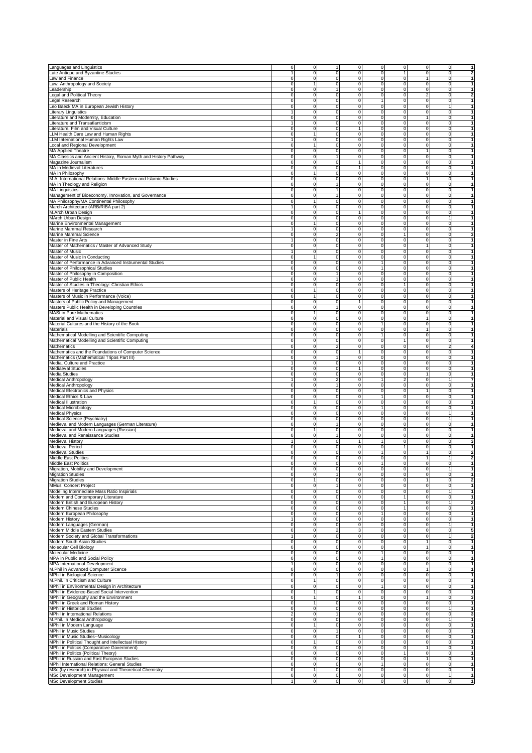| Languages and Linguistics                                                                                                                                                                                                                                                                                                                                                                                                                                                                                                                                                                                                                                                                                                                                                                                                                                                                                                                                                                                                                                                                                                                                                                                                                                                                                                                                                                                                                                                                                                                                                                                                                                                                                                                                                                                                                                                |                         |                             |                         |                     |                                |                          |                        |                                            |                         |
|--------------------------------------------------------------------------------------------------------------------------------------------------------------------------------------------------------------------------------------------------------------------------------------------------------------------------------------------------------------------------------------------------------------------------------------------------------------------------------------------------------------------------------------------------------------------------------------------------------------------------------------------------------------------------------------------------------------------------------------------------------------------------------------------------------------------------------------------------------------------------------------------------------------------------------------------------------------------------------------------------------------------------------------------------------------------------------------------------------------------------------------------------------------------------------------------------------------------------------------------------------------------------------------------------------------------------------------------------------------------------------------------------------------------------------------------------------------------------------------------------------------------------------------------------------------------------------------------------------------------------------------------------------------------------------------------------------------------------------------------------------------------------------------------------------------------------------------------------------------------------|-------------------------|-----------------------------|-------------------------|---------------------|--------------------------------|--------------------------|------------------------|--------------------------------------------|-------------------------|
|                                                                                                                                                                                                                                                                                                                                                                                                                                                                                                                                                                                                                                                                                                                                                                                                                                                                                                                                                                                                                                                                                                                                                                                                                                                                                                                                                                                                                                                                                                                                                                                                                                                                                                                                                                                                                                                                          | 0                       | 0                           |                         | 0                   | $\mathbf 0$                    | 0                        | $\mathbf 0$            | 0                                          | 1                       |
| Late Antique and Byzantine Studies                                                                                                                                                                                                                                                                                                                                                                                                                                                                                                                                                                                                                                                                                                                                                                                                                                                                                                                                                                                                                                                                                                                                                                                                                                                                                                                                                                                                                                                                                                                                                                                                                                                                                                                                                                                                                                       | $\mathbf{1}$            | 0                           | 0                       | 0                   | $\mathbf 0$                    | 1                        | $\mathbf 0$            | 0                                          | 2                       |
| Law and Finance                                                                                                                                                                                                                                                                                                                                                                                                                                                                                                                                                                                                                                                                                                                                                                                                                                                                                                                                                                                                                                                                                                                                                                                                                                                                                                                                                                                                                                                                                                                                                                                                                                                                                                                                                                                                                                                          | 0                       | $\mathbf 0$                 | 0                       | 0                   | $\mathsf{O}\xspace$            | 0                        | $\mathbf{1}$           | $\mathbf 0$                                |                         |
| Law, Anthropology and Society                                                                                                                                                                                                                                                                                                                                                                                                                                                                                                                                                                                                                                                                                                                                                                                                                                                                                                                                                                                                                                                                                                                                                                                                                                                                                                                                                                                                                                                                                                                                                                                                                                                                                                                                                                                                                                            | 0                       |                             | 0                       | 0                   | $\mathbf 0$                    | 0                        | $\mathbf 0$            | 0                                          | 1                       |
| Leadership                                                                                                                                                                                                                                                                                                                                                                                                                                                                                                                                                                                                                                                                                                                                                                                                                                                                                                                                                                                                                                                                                                                                                                                                                                                                                                                                                                                                                                                                                                                                                                                                                                                                                                                                                                                                                                                               | 0                       | $\mathbf 0$                 | 1                       | 0                   | $\mathsf{O}\xspace$            | $\mathbf 0$              | $\mathbf 0$            | $\overline{0}$                             | $\mathbf{1}$            |
| <b>Legal and Political Theory</b>                                                                                                                                                                                                                                                                                                                                                                                                                                                                                                                                                                                                                                                                                                                                                                                                                                                                                                                                                                                                                                                                                                                                                                                                                                                                                                                                                                                                                                                                                                                                                                                                                                                                                                                                                                                                                                        | $\pmb{0}$               | 0                           | $\mathbf 0$             | $\overline{0}$      | $\mathsf{O}$                   | $\mathbf 0$              | $\overline{c}$         | $\overline{0}$                             | $\overline{2}$          |
| Legal Research                                                                                                                                                                                                                                                                                                                                                                                                                                                                                                                                                                                                                                                                                                                                                                                                                                                                                                                                                                                                                                                                                                                                                                                                                                                                                                                                                                                                                                                                                                                                                                                                                                                                                                                                                                                                                                                           | 0                       | 0                           | $\pmb{0}$               | $\pmb{0}$           | 1                              | $\mathbf 0$              | $\mathbf 0$            | $\overline{0}$                             | 1                       |
| Leo Baeck MA in European Jewish History                                                                                                                                                                                                                                                                                                                                                                                                                                                                                                                                                                                                                                                                                                                                                                                                                                                                                                                                                                                                                                                                                                                                                                                                                                                                                                                                                                                                                                                                                                                                                                                                                                                                                                                                                                                                                                  | 0                       | 0                           | 0                       | 0                   | $\mathbf 0$                    | $\mathbf 0$              | $\mathbf 0$            | $\mathbf{1}$                               | $\mathbf{1}$            |
| Literary Linguistics                                                                                                                                                                                                                                                                                                                                                                                                                                                                                                                                                                                                                                                                                                                                                                                                                                                                                                                                                                                                                                                                                                                                                                                                                                                                                                                                                                                                                                                                                                                                                                                                                                                                                                                                                                                                                                                     | $\mathbf{1}$            | 0                           | 0                       | 0                   | $\mathsf{O}$                   | $\mathbf 0$              | $\mathbf 0$            | $\circ$                                    | 1                       |
| Literature and Modernity, Education                                                                                                                                                                                                                                                                                                                                                                                                                                                                                                                                                                                                                                                                                                                                                                                                                                                                                                                                                                                                                                                                                                                                                                                                                                                                                                                                                                                                                                                                                                                                                                                                                                                                                                                                                                                                                                      | $\mathbf 0$             | 0                           | 0                       | 0                   | $\mathsf{O}$                   | $\mathbf 0$              | $\mathbf{1}$           | $\circ$                                    | 1                       |
| Literature and Transatlanticism                                                                                                                                                                                                                                                                                                                                                                                                                                                                                                                                                                                                                                                                                                                                                                                                                                                                                                                                                                                                                                                                                                                                                                                                                                                                                                                                                                                                                                                                                                                                                                                                                                                                                                                                                                                                                                          | $\mathbf{1}$            | $\Omega$                    | 0                       | $\mathbf 0$         | $\mathbf 0$                    | $\mathbf 0$              | ō                      | $\overline{0}$                             | $\mathbf{1}$            |
| Literature, Film and Visual Culture                                                                                                                                                                                                                                                                                                                                                                                                                                                                                                                                                                                                                                                                                                                                                                                                                                                                                                                                                                                                                                                                                                                                                                                                                                                                                                                                                                                                                                                                                                                                                                                                                                                                                                                                                                                                                                      | $\pmb{0}$               | $\mathbf 0$                 | 0                       | $\mathbf{1}$        | $\mathsf{O}\xspace$            | $\mathbf 0$              | $\mathbf 0$            | $\mathbf 0$                                | $\mathbf{1}$            |
|                                                                                                                                                                                                                                                                                                                                                                                                                                                                                                                                                                                                                                                                                                                                                                                                                                                                                                                                                                                                                                                                                                                                                                                                                                                                                                                                                                                                                                                                                                                                                                                                                                                                                                                                                                                                                                                                          |                         |                             |                         |                     |                                |                          |                        |                                            |                         |
| LLM Health Care Law and Human Rights                                                                                                                                                                                                                                                                                                                                                                                                                                                                                                                                                                                                                                                                                                                                                                                                                                                                                                                                                                                                                                                                                                                                                                                                                                                                                                                                                                                                                                                                                                                                                                                                                                                                                                                                                                                                                                     | 0                       | 1                           | 0                       | $\overline{0}$      | $\mathsf{O}$                   | $\mathbf 0$              | ō                      | $\mathbf 0$                                | $\overline{1}$          |
| LLM International Human Rights Law                                                                                                                                                                                                                                                                                                                                                                                                                                                                                                                                                                                                                                                                                                                                                                                                                                                                                                                                                                                                                                                                                                                                                                                                                                                                                                                                                                                                                                                                                                                                                                                                                                                                                                                                                                                                                                       |                         | 0                           | 0                       | 0                   | $\mathbf 0$                    | 0                        | $\mathbf 0$            | $\mathbf 0$                                | $\mathbf{1}$            |
| Local and Regional Development                                                                                                                                                                                                                                                                                                                                                                                                                                                                                                                                                                                                                                                                                                                                                                                                                                                                                                                                                                                                                                                                                                                                                                                                                                                                                                                                                                                                                                                                                                                                                                                                                                                                                                                                                                                                                                           | 0                       | 1                           | 0                       | 0                   | $\mathbf 0$                    | 0                        | $\mathbf 0$            | $\mathbf 0$                                |                         |
| MA Applied Theatre                                                                                                                                                                                                                                                                                                                                                                                                                                                                                                                                                                                                                                                                                                                                                                                                                                                                                                                                                                                                                                                                                                                                                                                                                                                                                                                                                                                                                                                                                                                                                                                                                                                                                                                                                                                                                                                       | 0                       | $\mathbf 0$                 | 0                       | 0                   | $\mathbf 0$                    | 0                        | 1                      | 0                                          | 1                       |
| MA Classics and Ancient History, Roman Myth and History Pathway                                                                                                                                                                                                                                                                                                                                                                                                                                                                                                                                                                                                                                                                                                                                                                                                                                                                                                                                                                                                                                                                                                                                                                                                                                                                                                                                                                                                                                                                                                                                                                                                                                                                                                                                                                                                          | $\mathbf 0$             | $\mathbf 0$                 | 1                       | 0                   | $\mathbf 0$                    | $\mathbf 0$              | $\mathbf 0$            | $\circ$                                    | 1                       |
| Magazine Journalism                                                                                                                                                                                                                                                                                                                                                                                                                                                                                                                                                                                                                                                                                                                                                                                                                                                                                                                                                                                                                                                                                                                                                                                                                                                                                                                                                                                                                                                                                                                                                                                                                                                                                                                                                                                                                                                      | 0                       | $\mathbf 0$                 | 0                       | 1                   | $\mathsf{O}\xspace$            | $\mathbf 0$              | $\mathbf 0$            | $\circ$                                    | 1                       |
| MA in Medieval Literatures                                                                                                                                                                                                                                                                                                                                                                                                                                                                                                                                                                                                                                                                                                                                                                                                                                                                                                                                                                                                                                                                                                                                                                                                                                                                                                                                                                                                                                                                                                                                                                                                                                                                                                                                                                                                                                               | 0                       | 0                           | $\mathbf 0$             | 1                   | $\mathbf 0$                    | $\mathbf 0$              | $\mathbf 0$            | $\overline{0}$                             | $\mathbf{1}$            |
| MA in Philosophy                                                                                                                                                                                                                                                                                                                                                                                                                                                                                                                                                                                                                                                                                                                                                                                                                                                                                                                                                                                                                                                                                                                                                                                                                                                                                                                                                                                                                                                                                                                                                                                                                                                                                                                                                                                                                                                         | 0                       |                             | 0                       | 0                   | $\mathbf 0$                    | $\mathbf 0$              | $\mathbf 0$            | $\overline{0}$                             | 1                       |
| M.A. International Relations: Middle Eastern and Islamic Studies                                                                                                                                                                                                                                                                                                                                                                                                                                                                                                                                                                                                                                                                                                                                                                                                                                                                                                                                                                                                                                                                                                                                                                                                                                                                                                                                                                                                                                                                                                                                                                                                                                                                                                                                                                                                         | 0                       | 0                           | 0                       | 0                   |                                | $\mathbf 0$              |                        | $\overline{0}$                             | 1                       |
|                                                                                                                                                                                                                                                                                                                                                                                                                                                                                                                                                                                                                                                                                                                                                                                                                                                                                                                                                                                                                                                                                                                                                                                                                                                                                                                                                                                                                                                                                                                                                                                                                                                                                                                                                                                                                                                                          |                         |                             |                         |                     | $\mathbf 0$                    |                          | $\mathbf{1}$           |                                            |                         |
| MA in Theology and Religion                                                                                                                                                                                                                                                                                                                                                                                                                                                                                                                                                                                                                                                                                                                                                                                                                                                                                                                                                                                                                                                                                                                                                                                                                                                                                                                                                                                                                                                                                                                                                                                                                                                                                                                                                                                                                                              | 0                       | 0                           | 1                       | 0                   | $\mathsf{O}$                   | $\mathbf 0$              | $\mathbf 0$            | $\circ$                                    | 1                       |
| <b>MA Linguistics</b>                                                                                                                                                                                                                                                                                                                                                                                                                                                                                                                                                                                                                                                                                                                                                                                                                                                                                                                                                                                                                                                                                                                                                                                                                                                                                                                                                                                                                                                                                                                                                                                                                                                                                                                                                                                                                                                    | $\mathbf 0$             | $\Omega$                    | 1                       | $\mathbf 0$         | $\mathbf 0$                    | $\mathbf 0$              | $\mathbf 0$            | $\mathbf{0}$                               | $\mathbf{1}$            |
| Management of Bioeconomy, Innovation, and Governance                                                                                                                                                                                                                                                                                                                                                                                                                                                                                                                                                                                                                                                                                                                                                                                                                                                                                                                                                                                                                                                                                                                                                                                                                                                                                                                                                                                                                                                                                                                                                                                                                                                                                                                                                                                                                     | $\mathbf 0$             | $\mathbf 0$                 | 1                       | $\mathbf 0$         | $\mathsf{O}$                   | $\mathbf 0$              | $\mathbf 0$            | $\mathbf{0}$                               | $\mathbf{1}$            |
| MA Philosophy/MA Continental Philosophy                                                                                                                                                                                                                                                                                                                                                                                                                                                                                                                                                                                                                                                                                                                                                                                                                                                                                                                                                                                                                                                                                                                                                                                                                                                                                                                                                                                                                                                                                                                                                                                                                                                                                                                                                                                                                                  | 0                       | 1                           | $\overline{0}$          | $\overline{0}$      | $\mathsf{O}$                   | ō                        | ō                      | ō                                          | $\overline{1}$          |
| March Architecture (ARB/RIBA part 2)                                                                                                                                                                                                                                                                                                                                                                                                                                                                                                                                                                                                                                                                                                                                                                                                                                                                                                                                                                                                                                                                                                                                                                                                                                                                                                                                                                                                                                                                                                                                                                                                                                                                                                                                                                                                                                     | $\mathbf{1}$            | 0                           | 0                       | 0                   | $\mathbf 0$                    | $\mathbf 0$              | $\mathbf 0$            | $\mathbf 0$                                |                         |
| M.Arch Urban Design                                                                                                                                                                                                                                                                                                                                                                                                                                                                                                                                                                                                                                                                                                                                                                                                                                                                                                                                                                                                                                                                                                                                                                                                                                                                                                                                                                                                                                                                                                                                                                                                                                                                                                                                                                                                                                                      | 0                       | 0                           | 0                       | 1                   | $\mathbf 0$                    | 0                        | $\mathbf 0$            | 0                                          | 1                       |
| MArch Urban Design                                                                                                                                                                                                                                                                                                                                                                                                                                                                                                                                                                                                                                                                                                                                                                                                                                                                                                                                                                                                                                                                                                                                                                                                                                                                                                                                                                                                                                                                                                                                                                                                                                                                                                                                                                                                                                                       | 0                       | $\mathbf 0$                 | 0                       | 0                   | $\mathsf{O}\xspace$            | 0                        | $\mathbf 0$            | 1                                          |                         |
| Marine Environmental Management                                                                                                                                                                                                                                                                                                                                                                                                                                                                                                                                                                                                                                                                                                                                                                                                                                                                                                                                                                                                                                                                                                                                                                                                                                                                                                                                                                                                                                                                                                                                                                                                                                                                                                                                                                                                                                          | 0                       | 1                           | 0                       | 0                   | $\mathbf 0$                    | $\mathbf 0$              | $\mathbf 0$            | $\circ$                                    | 1                       |
| Marine Mammal Research                                                                                                                                                                                                                                                                                                                                                                                                                                                                                                                                                                                                                                                                                                                                                                                                                                                                                                                                                                                                                                                                                                                                                                                                                                                                                                                                                                                                                                                                                                                                                                                                                                                                                                                                                                                                                                                   |                         | $\Omega$                    | 0                       | $\mathsf{O}\xspace$ | $\mathsf{O}\xspace$            | $\mathbf 0$              | $\mathbf 0$            | $\circ$                                    | 1                       |
|                                                                                                                                                                                                                                                                                                                                                                                                                                                                                                                                                                                                                                                                                                                                                                                                                                                                                                                                                                                                                                                                                                                                                                                                                                                                                                                                                                                                                                                                                                                                                                                                                                                                                                                                                                                                                                                                          |                         |                             |                         |                     |                                |                          |                        |                                            |                         |
| Marine Mammal Science                                                                                                                                                                                                                                                                                                                                                                                                                                                                                                                                                                                                                                                                                                                                                                                                                                                                                                                                                                                                                                                                                                                                                                                                                                                                                                                                                                                                                                                                                                                                                                                                                                                                                                                                                                                                                                                    | $\mathbf 0$             | 0                           | $\overline{\mathbf{c}}$ | O                   | $\mathsf{O}$                   | $\mathbf{1}$             | $\mathbf 0$            | $\overline{0}$                             | 3                       |
| Master in Fine Arts                                                                                                                                                                                                                                                                                                                                                                                                                                                                                                                                                                                                                                                                                                                                                                                                                                                                                                                                                                                                                                                                                                                                                                                                                                                                                                                                                                                                                                                                                                                                                                                                                                                                                                                                                                                                                                                      | 1                       | 0                           | 0                       | $\mathsf{O}\xspace$ | $\mathbf 0$                    | $\mathbf 0$              | $\mathbf 0$            | $\overline{0}$                             | 1                       |
| Master of Mathematics / Master of Advanced Study                                                                                                                                                                                                                                                                                                                                                                                                                                                                                                                                                                                                                                                                                                                                                                                                                                                                                                                                                                                                                                                                                                                                                                                                                                                                                                                                                                                                                                                                                                                                                                                                                                                                                                                                                                                                                         | 0                       | 0                           | 0                       | 0                   | $\mathbf 0$                    | $\mathbf 0$              | $\mathbf{1}$           | $\overline{0}$                             | 1                       |
| <b>Master of Music</b>                                                                                                                                                                                                                                                                                                                                                                                                                                                                                                                                                                                                                                                                                                                                                                                                                                                                                                                                                                                                                                                                                                                                                                                                                                                                                                                                                                                                                                                                                                                                                                                                                                                                                                                                                                                                                                                   | $\mathbf{1}$            | $\mathbf 0$                 | 0                       | 0                   | $\mathbf 0$                    | $\mathbf 0$              | $\mathbf 0$            | $\circ$                                    | 1                       |
| Master of Music in Conducting                                                                                                                                                                                                                                                                                                                                                                                                                                                                                                                                                                                                                                                                                                                                                                                                                                                                                                                                                                                                                                                                                                                                                                                                                                                                                                                                                                                                                                                                                                                                                                                                                                                                                                                                                                                                                                            | $\mathbf 0$             | 1                           | 0                       | $\mathsf{O}\xspace$ | $\mathsf{O}$                   | $\mathbf 0$              | $\mathbf 0$            | $\circ$                                    | 1                       |
| Master of Performance in Advanced Instrumental Studies                                                                                                                                                                                                                                                                                                                                                                                                                                                                                                                                                                                                                                                                                                                                                                                                                                                                                                                                                                                                                                                                                                                                                                                                                                                                                                                                                                                                                                                                                                                                                                                                                                                                                                                                                                                                                   | $\overline{0}$          | $\mathbf 0$                 | 0                       | $\mathbf 0$         | 1                              | $\mathbf 0$              | ō                      | $\overline{0}$                             | $\mathbf{1}$            |
| Master of Philosophical Studies                                                                                                                                                                                                                                                                                                                                                                                                                                                                                                                                                                                                                                                                                                                                                                                                                                                                                                                                                                                                                                                                                                                                                                                                                                                                                                                                                                                                                                                                                                                                                                                                                                                                                                                                                                                                                                          | $\overline{0}$          | $\overline{0}$              | $\overline{0}$          | $\overline{0}$      | 1                              | ō                        | ō                      | ō                                          | $\overline{1}$          |
| Master of Philosophy in Composition                                                                                                                                                                                                                                                                                                                                                                                                                                                                                                                                                                                                                                                                                                                                                                                                                                                                                                                                                                                                                                                                                                                                                                                                                                                                                                                                                                                                                                                                                                                                                                                                                                                                                                                                                                                                                                      | 0                       | $\overline{0}$              | 1                       | $\overline{0}$      | $\mathbf 0$                    | $\pmb{0}$                | $\mathbf 0$            | $\mathbf 0$                                | $\overline{1}$          |
| Master of Public Health                                                                                                                                                                                                                                                                                                                                                                                                                                                                                                                                                                                                                                                                                                                                                                                                                                                                                                                                                                                                                                                                                                                                                                                                                                                                                                                                                                                                                                                                                                                                                                                                                                                                                                                                                                                                                                                  | 0                       | 0                           | 1                       | 0                   | $\mathbf 0$                    | 0                        | $\mathbf 0$            | 0                                          | 1                       |
|                                                                                                                                                                                                                                                                                                                                                                                                                                                                                                                                                                                                                                                                                                                                                                                                                                                                                                                                                                                                                                                                                                                                                                                                                                                                                                                                                                                                                                                                                                                                                                                                                                                                                                                                                                                                                                                                          |                         |                             |                         |                     |                                |                          |                        |                                            |                         |
| Master of Studies in Theology: Christian Ethics                                                                                                                                                                                                                                                                                                                                                                                                                                                                                                                                                                                                                                                                                                                                                                                                                                                                                                                                                                                                                                                                                                                                                                                                                                                                                                                                                                                                                                                                                                                                                                                                                                                                                                                                                                                                                          | $\mathbf 0$             | $\mathbf 0$<br>1            | 0                       | 0                   | $\mathsf{O}\xspace$            | 1                        | $\mathbf 0$            | 0                                          | 1                       |
| Masters of Heritage Practice                                                                                                                                                                                                                                                                                                                                                                                                                                                                                                                                                                                                                                                                                                                                                                                                                                                                                                                                                                                                                                                                                                                                                                                                                                                                                                                                                                                                                                                                                                                                                                                                                                                                                                                                                                                                                                             | 0                       |                             | 0                       | 0                   | $\mathbf 0$                    | 0                        | $\mathbf 0$            | 0                                          |                         |
| Masters of Music in Performance (Voice)                                                                                                                                                                                                                                                                                                                                                                                                                                                                                                                                                                                                                                                                                                                                                                                                                                                                                                                                                                                                                                                                                                                                                                                                                                                                                                                                                                                                                                                                                                                                                                                                                                                                                                                                                                                                                                  | 0                       |                             | 0                       | 0                   | $\mathbf 0$                    | $\mathbf 0$              | $\mathbf 0$            | $\circ$                                    | 1                       |
| Masters of Public Policy and Management                                                                                                                                                                                                                                                                                                                                                                                                                                                                                                                                                                                                                                                                                                                                                                                                                                                                                                                                                                                                                                                                                                                                                                                                                                                                                                                                                                                                                                                                                                                                                                                                                                                                                                                                                                                                                                  | 0                       | $\mathbf 0$                 | 0                       | $\mathbf{1}$        | $\mathbf 0$                    | $\mathbf 0$              | $\mathbf 0$            | $\circ$                                    | $\mathbf{1}$            |
| Masters Public Health in Developing Countries                                                                                                                                                                                                                                                                                                                                                                                                                                                                                                                                                                                                                                                                                                                                                                                                                                                                                                                                                                                                                                                                                                                                                                                                                                                                                                                                                                                                                                                                                                                                                                                                                                                                                                                                                                                                                            | 0                       | 0                           | 1                       | 0                   | $\mathbf 0$                    | $\mathbf 0$              | $\mathbf 0$            | $\overline{0}$                             | $\mathbf{1}$            |
| <b>MASt in Pure Mathematics</b>                                                                                                                                                                                                                                                                                                                                                                                                                                                                                                                                                                                                                                                                                                                                                                                                                                                                                                                                                                                                                                                                                                                                                                                                                                                                                                                                                                                                                                                                                                                                                                                                                                                                                                                                                                                                                                          | 0                       | 1                           | 0                       | 0                   | $\mathbf 0$                    | $\mathbf 0$              | $\mathbf 0$            | $\overline{0}$                             | 1                       |
| Material and Visual Culture                                                                                                                                                                                                                                                                                                                                                                                                                                                                                                                                                                                                                                                                                                                                                                                                                                                                                                                                                                                                                                                                                                                                                                                                                                                                                                                                                                                                                                                                                                                                                                                                                                                                                                                                                                                                                                              | 0                       | $\mathbf 0$                 | 0                       | 0                   | $\mathsf{O}$                   | $\mathbf 0$              | $\mathbf{1}$           | $\circ$                                    | 1                       |
| Material Cultures and the History of the Book                                                                                                                                                                                                                                                                                                                                                                                                                                                                                                                                                                                                                                                                                                                                                                                                                                                                                                                                                                                                                                                                                                                                                                                                                                                                                                                                                                                                                                                                                                                                                                                                                                                                                                                                                                                                                            | $\mathbf 0$             | $\mathbf 0$                 | 0                       | $\mathsf{O}\xspace$ | $\mathbf{1}$                   | $\mathbf 0$              | $\mathbf 0$            | $\circ$                                    | 1                       |
| Materials                                                                                                                                                                                                                                                                                                                                                                                                                                                                                                                                                                                                                                                                                                                                                                                                                                                                                                                                                                                                                                                                                                                                                                                                                                                                                                                                                                                                                                                                                                                                                                                                                                                                                                                                                                                                                                                                | $\mathbf 0$             | $\Omega$                    | 0                       | $\mathbf 0$         | $\mathbf 0$                    | $\mathbf 0$              | 1                      | $\mathbf{0}$                               | 1                       |
| Mathematical Modelling and Scientific Computing                                                                                                                                                                                                                                                                                                                                                                                                                                                                                                                                                                                                                                                                                                                                                                                                                                                                                                                                                                                                                                                                                                                                                                                                                                                                                                                                                                                                                                                                                                                                                                                                                                                                                                                                                                                                                          | $\mathbf 0$             | $\mathbf 0$                 | 0                       | $\mathbf 0$         | $\mathbf{1}$                   | $\mathbf 0$              | $\mathbf 0$            | $\overline{0}$                             | $\mathbf{1}$            |
|                                                                                                                                                                                                                                                                                                                                                                                                                                                                                                                                                                                                                                                                                                                                                                                                                                                                                                                                                                                                                                                                                                                                                                                                                                                                                                                                                                                                                                                                                                                                                                                                                                                                                                                                                                                                                                                                          |                         |                             |                         |                     |                                | $\overline{1}$           |                        |                                            | $\mathbf{1}$            |
| Mathematical Modelling and Scientific Computing                                                                                                                                                                                                                                                                                                                                                                                                                                                                                                                                                                                                                                                                                                                                                                                                                                                                                                                                                                                                                                                                                                                                                                                                                                                                                                                                                                                                                                                                                                                                                                                                                                                                                                                                                                                                                          | 0                       | $\overline{0}$              | $\overline{0}$          | $\overline{0}$      | $\mathbf 0$                    |                          | ō                      | ō                                          |                         |
| Mathematics                                                                                                                                                                                                                                                                                                                                                                                                                                                                                                                                                                                                                                                                                                                                                                                                                                                                                                                                                                                                                                                                                                                                                                                                                                                                                                                                                                                                                                                                                                                                                                                                                                                                                                                                                                                                                                                              | 0                       | 0                           | $\overline{\mathbf{c}}$ | 0                   | $\mathbf 0$                    | 0                        | $\mathbf 0$            | $\overline{2}$                             | 4                       |
| Mathematics and the Foundations of Computer Science                                                                                                                                                                                                                                                                                                                                                                                                                                                                                                                                                                                                                                                                                                                                                                                                                                                                                                                                                                                                                                                                                                                                                                                                                                                                                                                                                                                                                                                                                                                                                                                                                                                                                                                                                                                                                      | 0                       | 0                           | 0                       | 1                   | $\mathbf 0$                    | 0                        | $\mathbf 0$            | 0                                          | 1                       |
| Mathematics (Mathematical Tripos Part III)                                                                                                                                                                                                                                                                                                                                                                                                                                                                                                                                                                                                                                                                                                                                                                                                                                                                                                                                                                                                                                                                                                                                                                                                                                                                                                                                                                                                                                                                                                                                                                                                                                                                                                                                                                                                                               | 0                       | 0                           | 1                       | 0                   | $\mathbf 0$                    | 0                        | $\mathbf 0$            | $\mathbf 0$                                | 1                       |
| Media, Culture and Practice                                                                                                                                                                                                                                                                                                                                                                                                                                                                                                                                                                                                                                                                                                                                                                                                                                                                                                                                                                                                                                                                                                                                                                                                                                                                                                                                                                                                                                                                                                                                                                                                                                                                                                                                                                                                                                              |                         | $\Omega$                    | 0                       | 0                   | $\mathbf 0$                    | 0                        | $\mathbf 0$            | $\circ$                                    | $\mathbf{1}$            |
| Mediaeval Studies                                                                                                                                                                                                                                                                                                                                                                                                                                                                                                                                                                                                                                                                                                                                                                                                                                                                                                                                                                                                                                                                                                                                                                                                                                                                                                                                                                                                                                                                                                                                                                                                                                                                                                                                                                                                                                                        | 0                       | $\mathbf 0$                 | 0                       | 1                   | $\mathsf{O}\xspace$            | $\mathbf 0$              | $\mathbf 0$            | $\mathbf 0$                                | $\mathbf{1}$            |
| Media Studies                                                                                                                                                                                                                                                                                                                                                                                                                                                                                                                                                                                                                                                                                                                                                                                                                                                                                                                                                                                                                                                                                                                                                                                                                                                                                                                                                                                                                                                                                                                                                                                                                                                                                                                                                                                                                                                            | $\pmb{0}$               | 0                           | $\overline{0}$          | $\mathbf 0$         | $\mathbf 0$                    | $\mathbf 0$              | $\mathbf{1}$           | $\overline{0}$                             | $\mathbf{1}$            |
| Medical Anthropology                                                                                                                                                                                                                                                                                                                                                                                                                                                                                                                                                                                                                                                                                                                                                                                                                                                                                                                                                                                                                                                                                                                                                                                                                                                                                                                                                                                                                                                                                                                                                                                                                                                                                                                                                                                                                                                     | 1                       | 0                           | $\overline{\mathbf{c}}$ | 0                   | 1                              | $\overline{\mathbf{c}}$  | $\mathbf 0$            | $\mathbf{1}$                               | $\overline{7}$          |
|                                                                                                                                                                                                                                                                                                                                                                                                                                                                                                                                                                                                                                                                                                                                                                                                                                                                                                                                                                                                                                                                                                                                                                                                                                                                                                                                                                                                                                                                                                                                                                                                                                                                                                                                                                                                                                                                          | 0                       |                             | 1                       |                     |                                |                          |                        |                                            |                         |
|                                                                                                                                                                                                                                                                                                                                                                                                                                                                                                                                                                                                                                                                                                                                                                                                                                                                                                                                                                                                                                                                                                                                                                                                                                                                                                                                                                                                                                                                                                                                                                                                                                                                                                                                                                                                                                                                          |                         |                             |                         |                     |                                |                          |                        |                                            |                         |
|                                                                                                                                                                                                                                                                                                                                                                                                                                                                                                                                                                                                                                                                                                                                                                                                                                                                                                                                                                                                                                                                                                                                                                                                                                                                                                                                                                                                                                                                                                                                                                                                                                                                                                                                                                                                                                                                          |                         | 0                           |                         | 0                   | $\mathbf 0$                    | $\mathbf 0$              | $\overline{0}$         | $\overline{0}$                             | $\mathbf{1}$            |
|                                                                                                                                                                                                                                                                                                                                                                                                                                                                                                                                                                                                                                                                                                                                                                                                                                                                                                                                                                                                                                                                                                                                                                                                                                                                                                                                                                                                                                                                                                                                                                                                                                                                                                                                                                                                                                                                          | $\mathbf 0$             | $\mathbf 0$                 | 0                       | $\mathsf{O}\xspace$ | $\mathbf 0$                    | $\mathbf 0$              | $\mathbf{1}$           | $\circ$                                    | 1                       |
|                                                                                                                                                                                                                                                                                                                                                                                                                                                                                                                                                                                                                                                                                                                                                                                                                                                                                                                                                                                                                                                                                                                                                                                                                                                                                                                                                                                                                                                                                                                                                                                                                                                                                                                                                                                                                                                                          | $\mathbf 0$             | $\Omega$                    | 0                       | $\mathbf 0$         | $\mathbf{1}$                   | $\mathbf 0$              | $\mathbf 0$            | $\overline{0}$                             | 1                       |
|                                                                                                                                                                                                                                                                                                                                                                                                                                                                                                                                                                                                                                                                                                                                                                                                                                                                                                                                                                                                                                                                                                                                                                                                                                                                                                                                                                                                                                                                                                                                                                                                                                                                                                                                                                                                                                                                          | 0                       | 1                           | 0                       | $\mathbf 0$         | $\mathsf{O}$                   | $\mathbf 0$              | $\mathbf 0$            | $\overline{0}$                             | $\mathbf{1}$            |
|                                                                                                                                                                                                                                                                                                                                                                                                                                                                                                                                                                                                                                                                                                                                                                                                                                                                                                                                                                                                                                                                                                                                                                                                                                                                                                                                                                                                                                                                                                                                                                                                                                                                                                                                                                                                                                                                          | $\overline{0}$          | $\overline{0}$              | $\overline{0}$          | $\overline{0}$      | 1                              | ō                        | ō                      | ō                                          | $\overline{1}$          |
|                                                                                                                                                                                                                                                                                                                                                                                                                                                                                                                                                                                                                                                                                                                                                                                                                                                                                                                                                                                                                                                                                                                                                                                                                                                                                                                                                                                                                                                                                                                                                                                                                                                                                                                                                                                                                                                                          | 0                       | $\mathbf 0$                 | 0                       | $\overline{0}$      | $\mathbf 0$                    | $\mathbf 0$              | $\circ$                | $\mathbf{1}$                               | $\overline{1}$          |
|                                                                                                                                                                                                                                                                                                                                                                                                                                                                                                                                                                                                                                                                                                                                                                                                                                                                                                                                                                                                                                                                                                                                                                                                                                                                                                                                                                                                                                                                                                                                                                                                                                                                                                                                                                                                                                                                          | 0                       | 0                           | 0                       | 0                   | $\mathbf 0$                    | $\mathbf 0$              | $\mathbf 0$            | 1                                          | $\mathbf{1}$            |
|                                                                                                                                                                                                                                                                                                                                                                                                                                                                                                                                                                                                                                                                                                                                                                                                                                                                                                                                                                                                                                                                                                                                                                                                                                                                                                                                                                                                                                                                                                                                                                                                                                                                                                                                                                                                                                                                          |                         |                             |                         |                     |                                |                          |                        |                                            | $\mathbf{1}$            |
|                                                                                                                                                                                                                                                                                                                                                                                                                                                                                                                                                                                                                                                                                                                                                                                                                                                                                                                                                                                                                                                                                                                                                                                                                                                                                                                                                                                                                                                                                                                                                                                                                                                                                                                                                                                                                                                                          | $\mathbf 0$             | $\mathbf 0$                 | 1                       | 0                   | $\mathbf 0$                    | 0                        | $\mathbf 0$            | $\overline{0}$                             |                         |
|                                                                                                                                                                                                                                                                                                                                                                                                                                                                                                                                                                                                                                                                                                                                                                                                                                                                                                                                                                                                                                                                                                                                                                                                                                                                                                                                                                                                                                                                                                                                                                                                                                                                                                                                                                                                                                                                          | 0                       | 1                           | 0                       | 0                   | $\mathbf 0$                    | 0                        | $\mathbf 0$            | $\overline{0}$                             | 1                       |
|                                                                                                                                                                                                                                                                                                                                                                                                                                                                                                                                                                                                                                                                                                                                                                                                                                                                                                                                                                                                                                                                                                                                                                                                                                                                                                                                                                                                                                                                                                                                                                                                                                                                                                                                                                                                                                                                          | 0                       | $\mathbf 0$                 | 1                       | $\mathsf{O}\xspace$ | $\mathsf{O}\xspace$            | $\mathbf 0$              | $\mathbf 0$            | $\mathbf 0$                                | 1                       |
|                                                                                                                                                                                                                                                                                                                                                                                                                                                                                                                                                                                                                                                                                                                                                                                                                                                                                                                                                                                                                                                                                                                                                                                                                                                                                                                                                                                                                                                                                                                                                                                                                                                                                                                                                                                                                                                                          | 1                       | $\mathbf 0$                 | 0                       | $\mathbf{1}$        | $\mathbf{1}$                   | 0                        | $\mathbf 0$            | $\overline{0}$                             | 3                       |
|                                                                                                                                                                                                                                                                                                                                                                                                                                                                                                                                                                                                                                                                                                                                                                                                                                                                                                                                                                                                                                                                                                                                                                                                                                                                                                                                                                                                                                                                                                                                                                                                                                                                                                                                                                                                                                                                          | 0                       | 0                           | 0                       | 0                   | $\mathbf 0$                    | 1                        | $\mathbf 0$            | $\overline{0}$                             | 1                       |
|                                                                                                                                                                                                                                                                                                                                                                                                                                                                                                                                                                                                                                                                                                                                                                                                                                                                                                                                                                                                                                                                                                                                                                                                                                                                                                                                                                                                                                                                                                                                                                                                                                                                                                                                                                                                                                                                          | 0                       | 0                           | 0                       | 0                   | 1                              | $\mathbf 0$              | $\mathbf{1}$           | $\overline{0}$                             | $\overline{2}$          |
|                                                                                                                                                                                                                                                                                                                                                                                                                                                                                                                                                                                                                                                                                                                                                                                                                                                                                                                                                                                                                                                                                                                                                                                                                                                                                                                                                                                                                                                                                                                                                                                                                                                                                                                                                                                                                                                                          | 0                       | $\mathbf 0$                 | 0                       | $\mathsf{O}\xspace$ | $\mathbf 0$                    | $\mathbf 0$              | 1                      | $\mathbf{1}$                               | $\mathbf{2}$            |
|                                                                                                                                                                                                                                                                                                                                                                                                                                                                                                                                                                                                                                                                                                                                                                                                                                                                                                                                                                                                                                                                                                                                                                                                                                                                                                                                                                                                                                                                                                                                                                                                                                                                                                                                                                                                                                                                          | $\Omega$                | $\Omega$                    | 0                       | $\mathbf 0$         | 1                              | $\mathbf 0$              | $\overline{0}$         | $\mathbf{0}$                               |                         |
|                                                                                                                                                                                                                                                                                                                                                                                                                                                                                                                                                                                                                                                                                                                                                                                                                                                                                                                                                                                                                                                                                                                                                                                                                                                                                                                                                                                                                                                                                                                                                                                                                                                                                                                                                                                                                                                                          | $\mathbf 0$             | $\Omega$                    | 0                       | $\mathbf 0$         | $\mathbf 0$                    | 0                        | $\mathbf 0$            | 1                                          | 1                       |
|                                                                                                                                                                                                                                                                                                                                                                                                                                                                                                                                                                                                                                                                                                                                                                                                                                                                                                                                                                                                                                                                                                                                                                                                                                                                                                                                                                                                                                                                                                                                                                                                                                                                                                                                                                                                                                                                          | $\pmb{0}$               | $\mathbf 0$                 | 1                       | 0                   | $\mathsf{O}\xspace$            | $\mathbf 0$              | $\mathbf 0$            | $\mathbf 0$                                | $\mathbf{1}$            |
|                                                                                                                                                                                                                                                                                                                                                                                                                                                                                                                                                                                                                                                                                                                                                                                                                                                                                                                                                                                                                                                                                                                                                                                                                                                                                                                                                                                                                                                                                                                                                                                                                                                                                                                                                                                                                                                                          | 0                       | 1                           | $\overline{0}$          | $\overline{0}$      | $\mathsf{O}\xspace$            | $\mathbf 0$              | $\overline{1}$         | $\overline{0}$                             | $\overline{\mathbf{2}}$ |
|                                                                                                                                                                                                                                                                                                                                                                                                                                                                                                                                                                                                                                                                                                                                                                                                                                                                                                                                                                                                                                                                                                                                                                                                                                                                                                                                                                                                                                                                                                                                                                                                                                                                                                                                                                                                                                                                          |                         |                             |                         |                     |                                |                          |                        |                                            | 1                       |
|                                                                                                                                                                                                                                                                                                                                                                                                                                                                                                                                                                                                                                                                                                                                                                                                                                                                                                                                                                                                                                                                                                                                                                                                                                                                                                                                                                                                                                                                                                                                                                                                                                                                                                                                                                                                                                                                          | 0                       | 0                           | 1                       | 0                   | $\mathbf 0$                    | 0                        | $\mathbf 0$            | $\circ$                                    |                         |
|                                                                                                                                                                                                                                                                                                                                                                                                                                                                                                                                                                                                                                                                                                                                                                                                                                                                                                                                                                                                                                                                                                                                                                                                                                                                                                                                                                                                                                                                                                                                                                                                                                                                                                                                                                                                                                                                          | $\mathbf 0$             | $\mathbf 0$                 | 0                       | 0                   | $\mathbf 0$                    | 0                        | $\mathbf 0$            | $\mathbf{1}$                               | $\mathbf{1}$            |
|                                                                                                                                                                                                                                                                                                                                                                                                                                                                                                                                                                                                                                                                                                                                                                                                                                                                                                                                                                                                                                                                                                                                                                                                                                                                                                                                                                                                                                                                                                                                                                                                                                                                                                                                                                                                                                                                          | $\mathbf 0$             | $\mathbf 0$                 | 0                       | 0                   | $\mathsf{O}\xspace$            | 1                        | $\mathbf 0$            | $\circ$                                    | $\mathbf{1}$            |
|                                                                                                                                                                                                                                                                                                                                                                                                                                                                                                                                                                                                                                                                                                                                                                                                                                                                                                                                                                                                                                                                                                                                                                                                                                                                                                                                                                                                                                                                                                                                                                                                                                                                                                                                                                                                                                                                          | 0                       | $\mathbf 0$                 | 0                       | $\mathsf{O}\xspace$ | $\mathbf 0$                    | 1                        | $\mathbf 0$            | 1                                          | $\mathbf 2$             |
|                                                                                                                                                                                                                                                                                                                                                                                                                                                                                                                                                                                                                                                                                                                                                                                                                                                                                                                                                                                                                                                                                                                                                                                                                                                                                                                                                                                                                                                                                                                                                                                                                                                                                                                                                                                                                                                                          | 0                       | $\mathbf 0$                 | 0                       | $\mathsf{O}\xspace$ | $\mathsf{O}\xspace$            | 1                        | $\mathbf 0$            | $\circ$                                    | 1                       |
|                                                                                                                                                                                                                                                                                                                                                                                                                                                                                                                                                                                                                                                                                                                                                                                                                                                                                                                                                                                                                                                                                                                                                                                                                                                                                                                                                                                                                                                                                                                                                                                                                                                                                                                                                                                                                                                                          | $\pmb{0}$               | 0                           | 0                       | o                   | 1                              | $\mathbf 0$              | $\mathbf 0$            | $\circ$                                    | $\mathbf{1}$            |
|                                                                                                                                                                                                                                                                                                                                                                                                                                                                                                                                                                                                                                                                                                                                                                                                                                                                                                                                                                                                                                                                                                                                                                                                                                                                                                                                                                                                                                                                                                                                                                                                                                                                                                                                                                                                                                                                          | $\mathbf{1}$            | 0                           | 0                       | $\mathsf{O}\xspace$ | $\mathbf 0$                    | 0                        | $\overline{0}$         | $\circ$                                    | $\mathbf{1}$            |
|                                                                                                                                                                                                                                                                                                                                                                                                                                                                                                                                                                                                                                                                                                                                                                                                                                                                                                                                                                                                                                                                                                                                                                                                                                                                                                                                                                                                                                                                                                                                                                                                                                                                                                                                                                                                                                                                          | 0                       | 0                           | 0                       | $\mathsf{O}\xspace$ | $\mathbf 0$                    | $\mathbf 0$              | $\overline{0}$         | 1                                          | $\mathbf{1}$            |
|                                                                                                                                                                                                                                                                                                                                                                                                                                                                                                                                                                                                                                                                                                                                                                                                                                                                                                                                                                                                                                                                                                                                                                                                                                                                                                                                                                                                                                                                                                                                                                                                                                                                                                                                                                                                                                                                          | $\mathbf 0$             | $\mathbf 0$                 | $\overline{\mathbf{c}}$ | 3                   | $\mathbf 0$                    | $\mathbf 0$              | $\overline{0}$         | $\circ$                                    | 5                       |
|                                                                                                                                                                                                                                                                                                                                                                                                                                                                                                                                                                                                                                                                                                                                                                                                                                                                                                                                                                                                                                                                                                                                                                                                                                                                                                                                                                                                                                                                                                                                                                                                                                                                                                                                                                                                                                                                          | $\mathbf{1}$            | $\mathbf 0$                 | $\overline{0}$          | $\overline{0}$      | ō                              | ō                        | ō                      | $\overline{1}$                             | Ŋ,                      |
|                                                                                                                                                                                                                                                                                                                                                                                                                                                                                                                                                                                                                                                                                                                                                                                                                                                                                                                                                                                                                                                                                                                                                                                                                                                                                                                                                                                                                                                                                                                                                                                                                                                                                                                                                                                                                                                                          |                         |                             |                         |                     |                                |                          |                        |                                            |                         |
|                                                                                                                                                                                                                                                                                                                                                                                                                                                                                                                                                                                                                                                                                                                                                                                                                                                                                                                                                                                                                                                                                                                                                                                                                                                                                                                                                                                                                                                                                                                                                                                                                                                                                                                                                                                                                                                                          | $\mathbf 0$             | $\mathbf 0$                 | 0                       | 0                   | $\mathsf{o}$                   | ō                        | $\mathbf{1}$           | $\overline{0}$                             | $\mathbf{1}$            |
|                                                                                                                                                                                                                                                                                                                                                                                                                                                                                                                                                                                                                                                                                                                                                                                                                                                                                                                                                                                                                                                                                                                                                                                                                                                                                                                                                                                                                                                                                                                                                                                                                                                                                                                                                                                                                                                                          | $\overline{0}$          | $\overline{0}$              | $\overline{0}$          | $\overline{0}$      | ō                              | o                        | $\overline{1}$         | ō                                          | 1                       |
|                                                                                                                                                                                                                                                                                                                                                                                                                                                                                                                                                                                                                                                                                                                                                                                                                                                                                                                                                                                                                                                                                                                                                                                                                                                                                                                                                                                                                                                                                                                                                                                                                                                                                                                                                                                                                                                                          | $\pmb{0}$               | $\mathbf 0$                 | 0                       | 0                   | $\mathbf{1}$                   | $\mathbf 0$              | $\mathbf 0$            | $\circ$                                    | $\mathbf{1}$            |
|                                                                                                                                                                                                                                                                                                                                                                                                                                                                                                                                                                                                                                                                                                                                                                                                                                                                                                                                                                                                                                                                                                                                                                                                                                                                                                                                                                                                                                                                                                                                                                                                                                                                                                                                                                                                                                                                          | $\mathbf 0$             | 0                           | 0                       | 0                   | $\mathbf{1}$                   | 0                        | $\mathbf 0$            | $\overline{0}$                             | $\mathbf 1$             |
|                                                                                                                                                                                                                                                                                                                                                                                                                                                                                                                                                                                                                                                                                                                                                                                                                                                                                                                                                                                                                                                                                                                                                                                                                                                                                                                                                                                                                                                                                                                                                                                                                                                                                                                                                                                                                                                                          | $\mathbf{1}$            | $\mathbf 0$                 | 0                       | $\mathsf{O}\xspace$ | $\mathbf 0$                    | 0                        | $\mathbf 0$            | $\circ$                                    | $\mathbf 1$             |
|                                                                                                                                                                                                                                                                                                                                                                                                                                                                                                                                                                                                                                                                                                                                                                                                                                                                                                                                                                                                                                                                                                                                                                                                                                                                                                                                                                                                                                                                                                                                                                                                                                                                                                                                                                                                                                                                          | 0                       | $\mathbf 0$                 | 0                       | $\mathsf{O}\xspace$ | $\mathsf{O}\xspace$            | 0                        | $\mathbf{1}$           | $\circ$                                    | $\mathbf{1}$            |
|                                                                                                                                                                                                                                                                                                                                                                                                                                                                                                                                                                                                                                                                                                                                                                                                                                                                                                                                                                                                                                                                                                                                                                                                                                                                                                                                                                                                                                                                                                                                                                                                                                                                                                                                                                                                                                                                          | 0                       | $\mathbf 0$                 | 1                       | $\pmb{0}$           | $\mathsf{O}\xspace$            | $\mathbf 0$              | $\mathbf 0$            | $\circ$                                    | $\mathbf{1}$            |
|                                                                                                                                                                                                                                                                                                                                                                                                                                                                                                                                                                                                                                                                                                                                                                                                                                                                                                                                                                                                                                                                                                                                                                                                                                                                                                                                                                                                                                                                                                                                                                                                                                                                                                                                                                                                                                                                          | $\mathbf 0$             | 1                           | 0                       | o                   | $\mathsf{O}$                   | $\mathbf 0$              | $\mathbf 0$            | $\circ$                                    | $\mathbf{1}$            |
|                                                                                                                                                                                                                                                                                                                                                                                                                                                                                                                                                                                                                                                                                                                                                                                                                                                                                                                                                                                                                                                                                                                                                                                                                                                                                                                                                                                                                                                                                                                                                                                                                                                                                                                                                                                                                                                                          | $\mathbf 0$             | $\mathbf 0$                 | 0                       | $\pmb{0}$           | $\mathbf{1}$                   | $\mathbf 0$              | $\mathbf 0$            | $\circ$                                    | $\mathbf{1}$            |
|                                                                                                                                                                                                                                                                                                                                                                                                                                                                                                                                                                                                                                                                                                                                                                                                                                                                                                                                                                                                                                                                                                                                                                                                                                                                                                                                                                                                                                                                                                                                                                                                                                                                                                                                                                                                                                                                          | $\mathbf 0$             | 1                           | 0                       | $\mathsf{O}\xspace$ | $\mathbf 0$                    | $\mathbf 0$              | $\overline{0}$         | $\overline{0}$                             | $\mathbf 1$             |
|                                                                                                                                                                                                                                                                                                                                                                                                                                                                                                                                                                                                                                                                                                                                                                                                                                                                                                                                                                                                                                                                                                                                                                                                                                                                                                                                                                                                                                                                                                                                                                                                                                                                                                                                                                                                                                                                          |                         |                             |                         |                     |                                |                          |                        |                                            |                         |
|                                                                                                                                                                                                                                                                                                                                                                                                                                                                                                                                                                                                                                                                                                                                                                                                                                                                                                                                                                                                                                                                                                                                                                                                                                                                                                                                                                                                                                                                                                                                                                                                                                                                                                                                                                                                                                                                          | $\mathbf 0$             | 1                           | 0                       | $\mathbf{1}$        | $\mathbf 0$                    | $\mathbf 0$              | $\mathbf{1}$           | $\circ$                                    | 3                       |
|                                                                                                                                                                                                                                                                                                                                                                                                                                                                                                                                                                                                                                                                                                                                                                                                                                                                                                                                                                                                                                                                                                                                                                                                                                                                                                                                                                                                                                                                                                                                                                                                                                                                                                                                                                                                                                                                          | $\mathbf 0$             |                             | 0                       | $\mathsf{O}\xspace$ | $\mathsf{O}$                   | $\mathbf 0$              | $\overline{0}$         | $\circ$                                    | $\mathbf{1}$            |
|                                                                                                                                                                                                                                                                                                                                                                                                                                                                                                                                                                                                                                                                                                                                                                                                                                                                                                                                                                                                                                                                                                                                                                                                                                                                                                                                                                                                                                                                                                                                                                                                                                                                                                                                                                                                                                                                          | 0                       | $\mathbf 0$                 | 0                       | 0                   | $\mathbf 0$                    | $\mathbf 0$              | $\mathbf 0$            | $\mathbf{1}$                               | $\mathbf{1}$            |
|                                                                                                                                                                                                                                                                                                                                                                                                                                                                                                                                                                                                                                                                                                                                                                                                                                                                                                                                                                                                                                                                                                                                                                                                                                                                                                                                                                                                                                                                                                                                                                                                                                                                                                                                                                                                                                                                          | $\overline{\mathbf{2}}$ | $\overline{0}$              | $\overline{1}$          | $\overline{0}$      | $\mathsf{O}$                   | o                        | ō                      | ō                                          | 3                       |
|                                                                                                                                                                                                                                                                                                                                                                                                                                                                                                                                                                                                                                                                                                                                                                                                                                                                                                                                                                                                                                                                                                                                                                                                                                                                                                                                                                                                                                                                                                                                                                                                                                                                                                                                                                                                                                                                          | $\pmb{0}$               | $\mathbf 0$                 | $\overline{0}$          | $\overline{0}$      | $\mathsf{o}$                   | $\mathbf 0$              | $\circ$                | $\mathbf{1}$                               | $\mathbf{1}$            |
|                                                                                                                                                                                                                                                                                                                                                                                                                                                                                                                                                                                                                                                                                                                                                                                                                                                                                                                                                                                                                                                                                                                                                                                                                                                                                                                                                                                                                                                                                                                                                                                                                                                                                                                                                                                                                                                                          | 0                       | 1                           | 0                       | 0                   | $\mathbf 0$                    | $\mathbf 0$              | $\mathbf 0$            | $\overline{0}$                             | $\mathbf{1}$            |
|                                                                                                                                                                                                                                                                                                                                                                                                                                                                                                                                                                                                                                                                                                                                                                                                                                                                                                                                                                                                                                                                                                                                                                                                                                                                                                                                                                                                                                                                                                                                                                                                                                                                                                                                                                                                                                                                          | $\mathbf 0$             | $\mathbf 0$                 | 1                       | $\mathsf{O}\xspace$ | $\mathbf 0$                    | $\mathbf 0$              | $\mathbf 0$            | $\circ$                                    | $\mathbf{1}$            |
|                                                                                                                                                                                                                                                                                                                                                                                                                                                                                                                                                                                                                                                                                                                                                                                                                                                                                                                                                                                                                                                                                                                                                                                                                                                                                                                                                                                                                                                                                                                                                                                                                                                                                                                                                                                                                                                                          | $\mathbf 0$             | $\mathbf 0$                 | 0                       | $\mathbf{1}$        | $\mathsf{O}\xspace$            | 0                        | $\mathbf 0$            | $\circ$                                    | 1                       |
|                                                                                                                                                                                                                                                                                                                                                                                                                                                                                                                                                                                                                                                                                                                                                                                                                                                                                                                                                                                                                                                                                                                                                                                                                                                                                                                                                                                                                                                                                                                                                                                                                                                                                                                                                                                                                                                                          |                         | 1                           |                         |                     |                                |                          |                        |                                            | 1                       |
|                                                                                                                                                                                                                                                                                                                                                                                                                                                                                                                                                                                                                                                                                                                                                                                                                                                                                                                                                                                                                                                                                                                                                                                                                                                                                                                                                                                                                                                                                                                                                                                                                                                                                                                                                                                                                                                                          | $\overline{0}$          |                             | 0                       | $\mathsf{O}\xspace$ | $\mathbf 0$                    | 0                        | $\mathbf 0$            | $\circ$                                    |                         |
|                                                                                                                                                                                                                                                                                                                                                                                                                                                                                                                                                                                                                                                                                                                                                                                                                                                                                                                                                                                                                                                                                                                                                                                                                                                                                                                                                                                                                                                                                                                                                                                                                                                                                                                                                                                                                                                                          | $\mathbf 0$             | $\mathbf 0$                 | 0                       | $\mathbf 0$         | $\mathbf 0$                    | $\mathbf 0$              | 1                      | $\circ$                                    | $\mathbf{1}$            |
|                                                                                                                                                                                                                                                                                                                                                                                                                                                                                                                                                                                                                                                                                                                                                                                                                                                                                                                                                                                                                                                                                                                                                                                                                                                                                                                                                                                                                                                                                                                                                                                                                                                                                                                                                                                                                                                                          | $\mathbf 0$             | 0                           | 0                       | O                   | $\mathbf 0$                    | $\mathbf{1}$             | $\circ$                | $\circ$                                    | $\mathbf{1}$            |
|                                                                                                                                                                                                                                                                                                                                                                                                                                                                                                                                                                                                                                                                                                                                                                                                                                                                                                                                                                                                                                                                                                                                                                                                                                                                                                                                                                                                                                                                                                                                                                                                                                                                                                                                                                                                                                                                          | 0                       | 0                           | 0                       | $\mathsf{O}\xspace$ | $\mathbf 0$                    | $\mathbf 0$              | $\mathbf{1}$           | $\circ$                                    | $\mathbf{1}$            |
|                                                                                                                                                                                                                                                                                                                                                                                                                                                                                                                                                                                                                                                                                                                                                                                                                                                                                                                                                                                                                                                                                                                                                                                                                                                                                                                                                                                                                                                                                                                                                                                                                                                                                                                                                                                                                                                                          | $\mathbf 0$             | $\mathbf 0$                 | 0                       | $\mathsf{O}\xspace$ | $\mathbf{1}$                   | $\mathbf 0$              | $\overline{0}$         | $\circ$                                    | $\mathbf{1}$            |
| Medical Anthropology<br>Medical Electronics and Physics<br>Medical Ethics & Law<br>Medical Illustration<br>Medical Microbiology<br><b>Medical Physics</b><br>Medical Science (Psychiatry)<br>Medieval and Modern Languages (German Literature)<br>Medieval and Modern Languages (Russian)<br>Medieval and Renaissance Studies<br>Medieval History<br>Medieval Period<br><b>Medieval Studies</b><br>Middle East Politics<br>Middle East Politics<br>Migration, Mobility and Development<br><b>Migration Studies</b><br><b>Migration Studies</b><br><b>MMus: Concert Project</b><br>Modeling Intermediate Mass Ratio Inspirials<br>Modern and Contemporary Literature<br>Modern British and European History<br><b>Modern Chinese Studies</b><br>Modern European Philosophy<br>Modern History<br>Modern Languages (German)<br>Modern Middle Eastern Studies<br>Modern Society and Global Transformations<br>Modern South Asian Studies<br>Molecular Cell Biology<br>Molecular Medicine<br>MPA in Public and Social Policy<br><b>MPA International Development</b><br>M.Phil in Advanced Computer Sicence<br>MPhil in Biological Science<br>M.Phil. in Criticism and Culture<br>MPhil in Environmental Design in Architecture<br>MPhil in Evidence-Based Social Intervention<br>MPhil in Geography and the Environment<br>MPhil in Greek and Roman History<br><b>MPhil in Historical Studies</b><br>MPhil in International Relations<br>M.Phil. in Medical Anthropology<br>MPhil in Modern Language<br>MPhil in Music Studies<br>MPhil in Music Studies--Musicology<br>MPhil in Political Thought and Intellectual History<br>MPhil in Politics (Comparative Government)<br>MPhil in Politics (Political Theory)<br>MPhil in Russian and East European Studies<br>MPhil International Relations: General Studies<br>MSc (by research) in Physical and Theoretical Chemistry |                         | $\mathbf 0$<br>$\mathbf{1}$ | 0                       | $\mathsf{O}\xspace$ | $\circ$                        | $\mathbf 0$              | $\overline{0}$         | $\circ$                                    | $\mathbf{1}$            |
| MSc Development Management<br><b>MSc Development Studies</b>                                                                                                                                                                                                                                                                                                                                                                                                                                                                                                                                                                                                                                                                                                                                                                                                                                                                                                                                                                                                                                                                                                                                                                                                                                                                                                                                                                                                                                                                                                                                                                                                                                                                                                                                                                                                             | $\overline{0}$          | $\overline{0}$<br>0         | 0<br>0                  | o<br>0              | $\circ$<br>$\mathsf{O}\xspace$ | $\mathbf 0$<br>$\pmb{0}$ | $\circ$<br>$\mathbf 0$ | $\overline{\phantom{a}}$<br>$\overline{0}$ | $\mathbf{1}$            |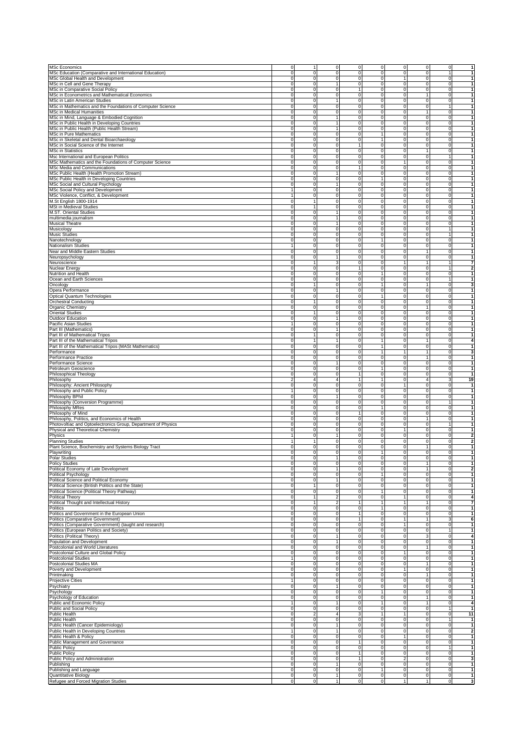| <b>MSc Economics</b>                                                                                                                                                                                                                                                                                                                                                                     | 0                                         |                                  | 0                       | $\mathsf{O}\xspace$ | $\mathbf 0$             | $\mathbf 0$                               | $\mathbf 0$                         | $\mathbf 0$                      |                                                                                                                                                                         |
|------------------------------------------------------------------------------------------------------------------------------------------------------------------------------------------------------------------------------------------------------------------------------------------------------------------------------------------------------------------------------------------|-------------------------------------------|----------------------------------|-------------------------|---------------------|-------------------------|-------------------------------------------|-------------------------------------|----------------------------------|-------------------------------------------------------------------------------------------------------------------------------------------------------------------------|
| MSc Education (Comparative and International Education)                                                                                                                                                                                                                                                                                                                                  | 0                                         | 0                                | 0                       | 0                   | 0                       | 0                                         | $\mathbf 0$                         | 1                                |                                                                                                                                                                         |
| MSc Global Health and Development                                                                                                                                                                                                                                                                                                                                                        | $\mathbf 0$                               | $\Omega$                         | 0                       | 0                   | $\mathbf 0$             | 1                                         | $\mathbf 0$                         | $\mathbf{0}$                     | 1                                                                                                                                                                       |
| MSc in Cell and Gene Therapy                                                                                                                                                                                                                                                                                                                                                             | $\mathbf 0$                               | $\Omega$                         | 1                       | 0                   | $\mathbf 0$             | $\mathbf 0$                               | $\mathbf 0$                         | $\mathbf{0}$                     | 1                                                                                                                                                                       |
| MSc in Comparative Social Policy                                                                                                                                                                                                                                                                                                                                                         | 0                                         | $\mathbf 0$                      | $\mathbf 0$             | $\mathbf{1}$        | $\mathbf 0$             | $\mathbf 0$                               | $\mathbf 0$                         | $\overline{0}$                   | 1                                                                                                                                                                       |
| MSc in Econometrics and Mathematical Economics                                                                                                                                                                                                                                                                                                                                           | 0                                         | 0                                | 0                       | 0                   | $\mathbf 0$             | $\mathbf 0$                               | $\mathbf{1}$                        | $\overline{0}$                   | 1                                                                                                                                                                       |
| MSc in Latin American Studies                                                                                                                                                                                                                                                                                                                                                            | 0                                         | 0                                | 1                       | 0                   | $\mathbf 0$             | $\mathbf 0$                               | $\overline{0}$                      | $\overline{0}$                   | 1                                                                                                                                                                       |
| MSc in Mathematics and the Foundations of Computer Science                                                                                                                                                                                                                                                                                                                               | $\pmb{0}$                                 | $\mathbf 0$                      | 0                       | 0                   | $\mathsf{O}$            | $\mathbf 0$                               | $\mathbf 0$                         | $\mathbf{1}$                     | $\mathbf{1}$                                                                                                                                                            |
| MSc in Medical Humanities                                                                                                                                                                                                                                                                                                                                                                | $\mathbf 0$                               | $\Omega$                         | 0                       | $\mathbf 0$         | $\mathbf 0$             | $\mathbf 0$                               | 1                                   | $\overline{0}$                   | $\mathbf{1}$                                                                                                                                                            |
|                                                                                                                                                                                                                                                                                                                                                                                          | 0                                         | $\mathbf 0$                      | 1                       | $\mathbf 0$         | $\mathsf{O}$            | $\mathbf 0$                               | ō                                   | $\mathbf 0$                      | $\mathbf{1}$                                                                                                                                                            |
| MSc in Mind, Language & Embodied Cognition                                                                                                                                                                                                                                                                                                                                               |                                           |                                  |                         |                     |                         |                                           |                                     |                                  |                                                                                                                                                                         |
| MSc in Public Health in Developing Countries                                                                                                                                                                                                                                                                                                                                             | $\overline{0}$                            | $\overline{0}$                   | 1                       | $\overline{0}$      | $\mathsf{O}$            | o                                         | ō                                   | $\mathbf 0$                      | $\overline{1}$                                                                                                                                                          |
| MSc in Public Health (Public Health Stream)                                                                                                                                                                                                                                                                                                                                              | 0                                         | $\mathbf 0$                      | 1                       | 0                   | $\mathbf 0$             | $\pmb{0}$                                 | $\mathbf 0$                         | $\mathbf 0$                      | $\mathbf{1}$                                                                                                                                                            |
| MSc in Pure Mathematics                                                                                                                                                                                                                                                                                                                                                                  | 0                                         | 0                                | 0                       | 0                   | 1                       | 0                                         | $\mathbf 0$                         | 0                                | 1                                                                                                                                                                       |
| MSc in Skeletal and Dental Bioarchaeology                                                                                                                                                                                                                                                                                                                                                | $\mathbf 0$                               | $\mathbf 0$                      | 0                       | 0                   | $\mathbf{1}$            | 0                                         | $\mathbf 0$                         | $\mathbf 0$                      |                                                                                                                                                                         |
| MSc in Social Science of the Internet                                                                                                                                                                                                                                                                                                                                                    | 0                                         | $\Omega$                         | 0                       | 1                   | $\mathbf 0$             | 0                                         | $\mathbf 0$                         | $\mathbf 0$                      |                                                                                                                                                                         |
| <b>MSc in Statistics</b>                                                                                                                                                                                                                                                                                                                                                                 | 0                                         | $\mathbf 0$                      | 0                       | 0                   | $\mathsf{o}$            | $\mathbf 0$                               | 1                                   | $\mathbf{0}$                     |                                                                                                                                                                         |
| Msc International and European Politics                                                                                                                                                                                                                                                                                                                                                  | $\pmb{0}$                                 | $\mathbf 0$                      | $\overline{0}$          | $\overline{0}$      | $\mathsf{O}$            | $\mathbf 0$                               | $\mathbf 0$                         | $\mathbf{1}$                     | $\mathbf{1}$                                                                                                                                                            |
| MSc Mathematics and the Foundations of Computer Science                                                                                                                                                                                                                                                                                                                                  | 0                                         | 0                                | $\pmb{0}$               | $\mathbf 0$         | $\mathbf 0$             | 1                                         | $\mathbf 0$                         | $\overline{0}$                   | -1                                                                                                                                                                      |
| MSc Media and Communications                                                                                                                                                                                                                                                                                                                                                             |                                           |                                  |                         |                     |                         |                                           |                                     |                                  | 1                                                                                                                                                                       |
|                                                                                                                                                                                                                                                                                                                                                                                          | 0                                         | 0                                | 0                       | 1                   | $\mathbf 0$             | $\mathbf 0$                               | $\mathbf 0$                         | $\overline{0}$                   |                                                                                                                                                                         |
| MSc Public Health (Health Promotion Stream)                                                                                                                                                                                                                                                                                                                                              | 0                                         | 0                                | 1                       | 0                   | $\mathbf 0$             | $\mathbf 0$                               | $\mathbf 0$                         | $\overline{0}$                   | $\mathbf{1}$                                                                                                                                                            |
| MSc Public Health in Developing Countries                                                                                                                                                                                                                                                                                                                                                | 0                                         | 0                                | 0                       | 0                   | $\mathbf{1}$            | $\mathbf 0$                               | $\mathbf 0$                         | $\overline{0}$                   | 1                                                                                                                                                                       |
| MSc Social and Cultural Psychology                                                                                                                                                                                                                                                                                                                                                       | $\mathbf 0$                               | $\mathbf 0$                      | 1                       | $\mathbf 0$         | $\mathbf 0$             | $\mathbf 0$                               | $\mathbf 0$                         | $\mathbf{0}$                     | $\mathbf{1}$                                                                                                                                                            |
| MSc Social Policy and Development                                                                                                                                                                                                                                                                                                                                                        | $\overline{1}$                            | $\mathbf 0$                      | $\overline{0}$          | $\overline{0}$      | $\mathsf{O}$            | o                                         | ō                                   | $\mathbf 0$                      | $\overline{1}$                                                                                                                                                          |
| MSc Violence, Conflict, & Development                                                                                                                                                                                                                                                                                                                                                    | $\mathbf{1}$                              | $\mathbf 0$                      | $\overline{0}$          | $\overline{0}$      | $\mathsf{O}$            | $\mathbf 0$                               | $\mathbf 0$                         | $\mathbf 0$                      | $\mathbf{1}$                                                                                                                                                            |
| M.St English 1800-1914                                                                                                                                                                                                                                                                                                                                                                   | 0                                         |                                  | 0                       | 0                   | $\mathbf 0$             | 0                                         | $\mathbf 0$                         | 0                                | $\blacktriangleleft$                                                                                                                                                    |
| MSt in Medieval Studies                                                                                                                                                                                                                                                                                                                                                                  | 0                                         |                                  | 0                       | 0                   | $\mathbf 0$             | 0                                         | $\mathbf 0$                         | $\mathbf 0$                      |                                                                                                                                                                         |
| M.ST. Oriental Studies                                                                                                                                                                                                                                                                                                                                                                   | 0                                         | 0                                | 1                       | 0                   | 0                       | 0                                         | $\mathbf 0$                         | 0                                |                                                                                                                                                                         |
| multimedia journalism                                                                                                                                                                                                                                                                                                                                                                    | $\mathbf 0$                               | $\Omega$                         | 1                       | 0                   | $\mathbf 0$             | 0                                         | $\mathbf 0$                         | $\circ$                          | 1                                                                                                                                                                       |
|                                                                                                                                                                                                                                                                                                                                                                                          |                                           |                                  | 1                       | 0                   |                         |                                           |                                     | $\mathbf{0}$                     | $\mathbf{1}$                                                                                                                                                            |
| Musical Theatre                                                                                                                                                                                                                                                                                                                                                                          | 0                                         | $\mathbf 0$                      |                         |                     | $\mathbf 0$             | $\mathbf 0$                               | $\mathbf 0$                         |                                  |                                                                                                                                                                         |
| Musicology                                                                                                                                                                                                                                                                                                                                                                               | 0                                         | 0                                | $\pmb{0}$               | $\pmb{0}$           | $\mathbf 0$             | $\mathbf 0$                               | $\mathbf 0$                         | $\mathbf{1}$                     | 1                                                                                                                                                                       |
| Music Studies                                                                                                                                                                                                                                                                                                                                                                            | 0                                         | 0                                | 0                       | 0                   | $\mathbf 0$             | $\mathbf 0$                               | $\overline{0}$                      | 1                                | 1                                                                                                                                                                       |
| Nanotechnology                                                                                                                                                                                                                                                                                                                                                                           | 0                                         | 0                                | 0                       | 0                   | $\mathbf{1}$            | $\mathbf 0$                               | $\overline{0}$                      | $\overline{0}$                   | $\mathbf{1}$                                                                                                                                                            |
| Nationalism Studies                                                                                                                                                                                                                                                                                                                                                                      | $\mathbf{1}$                              | $\mathbf 0$                      | 0                       | 0                   | $\mathsf{O}$            | $\mathbf 0$                               | $\mathbf 0$                         | $\circ$                          | $\mathbf{1}$                                                                                                                                                            |
| Near and Middle Eastern Studies                                                                                                                                                                                                                                                                                                                                                          | $\mathbf 0$                               | $\Omega$                         | 0                       | $\mathbf 0$         | $\mathbf 0$             | $\mathbf 0$                               | 1                                   | $\overline{0}$                   | $\mathbf{1}$                                                                                                                                                            |
| Neuropsychology                                                                                                                                                                                                                                                                                                                                                                          | 0                                         | $\mathbf 0$                      | 1                       | $\mathbf 0$         | $\mathbf 0$             | $\mathbf 0$                               | ō                                   | $\mathbf 0$                      | $\mathbf{1}$                                                                                                                                                            |
| Neuroscience                                                                                                                                                                                                                                                                                                                                                                             | 0                                         | 1                                | 3                       | $\overline{0}$      | $\mathbf 0$             | $\mathbf{1}$                              | $\overline{1}$                      | $\overline{1}$                   | $\overline{7}$                                                                                                                                                          |
| Nuclear Energ                                                                                                                                                                                                                                                                                                                                                                            | 0                                         | 0                                | 0                       | 1                   | $\mathbf 0$             | 0                                         | $\mathbf 0$                         | $\mathbf{1}$                     | $\mathbf{2}$                                                                                                                                                            |
| Nutrition and Health                                                                                                                                                                                                                                                                                                                                                                     | 0                                         | 0                                | 0                       | 0                   | 1                       | 0                                         | $\mathbf 0$                         | $\mathbf 0$                      |                                                                                                                                                                         |
| Ocean and Earth Sciences                                                                                                                                                                                                                                                                                                                                                                 | 0                                         | $\mathbf 0$                      | 0                       | 0                   | $\mathbf 0$             | 0                                         | $\mathbf 0$                         | 1                                |                                                                                                                                                                         |
|                                                                                                                                                                                                                                                                                                                                                                                          | $\mathbf 0$                               | 1                                |                         |                     |                         |                                           |                                     | $\overline{0}$                   | 3                                                                                                                                                                       |
| Oncology                                                                                                                                                                                                                                                                                                                                                                                 |                                           |                                  | 0                       | 0                   | 1                       | 0                                         | 1                                   |                                  |                                                                                                                                                                         |
| Opera Performance                                                                                                                                                                                                                                                                                                                                                                        | 0                                         | $\Omega$                         | 1                       | 0                   | $\mathsf{O}$            | $\mathbf 0$                               | $\mathbf 0$                         | $\overline{0}$                   |                                                                                                                                                                         |
| Optical Quantum Technologies                                                                                                                                                                                                                                                                                                                                                             | $\pmb{0}$                                 | 0                                | $\mathbf 0$             | $\mathsf{O}$        | $\mathbf{1}$            | $\mathbf 0$                               | $\mathbf 0$                         | $\overline{0}$                   | $\mathbf{1}$                                                                                                                                                            |
| <b>Orchestral Conducting</b>                                                                                                                                                                                                                                                                                                                                                             | 0                                         |                                  | 0                       | 0                   | $\mathbf 0$             | $\mathbf 0$                               | $\mathbf 0$                         | $\overline{0}$                   | $\mathbf{1}$                                                                                                                                                            |
| Organic Chemistry                                                                                                                                                                                                                                                                                                                                                                        | 0                                         | 0                                | 0                       | 0                   | $\mathbf 0$             | $\mathbf 0$                               | $\mathbf{1}$                        | $\overline{0}$                   | 1                                                                                                                                                                       |
| <b>Oriental Studies</b>                                                                                                                                                                                                                                                                                                                                                                  | 0                                         |                                  | 0                       | 0                   | $\mathbf 0$             | $\mathbf 0$                               | $\mathbf 0$                         | $\overline{0}$                   | $\mathbf{1}$                                                                                                                                                            |
| Outdoor Education                                                                                                                                                                                                                                                                                                                                                                        | $\mathbf 0$                               | $\Omega$                         | 1                       | $\mathbf 0$         | $\mathbf 0$             | $\mathbf 0$                               | $\mathbf 0$                         | $\overline{0}$                   | 1                                                                                                                                                                       |
| Pacific Asian Studies                                                                                                                                                                                                                                                                                                                                                                    | $\mathbf{1}$                              | $\mathbf 0$                      | 0                       | $\mathbf 0$         | $\mathbf 0$             | $\mathbf 0$                               | $\mathbf 0$                         | $\overline{0}$                   | $\mathbf{1}$                                                                                                                                                            |
|                                                                                                                                                                                                                                                                                                                                                                                          |                                           |                                  |                         |                     |                         |                                           |                                     |                                  | $\overline{1}$                                                                                                                                                          |
| Part III (Mathematics)                                                                                                                                                                                                                                                                                                                                                                   | $\pmb{0}$                                 | 0                                | 1                       | $\overline{0}$      | $\mathsf{O}$            | ō                                         | ō                                   | $\mathbf 0$                      |                                                                                                                                                                         |
| Part III of Mathematical Tripos                                                                                                                                                                                                                                                                                                                                                          | 0                                         | 1                                | $\overline{0}$          | $\overline{0}$      | $\mathsf{O}$            | $\mathbf 0$                               | $\mathbf 0$                         | $\mathbf 0$                      | $\mathbf{1}$                                                                                                                                                            |
| Part III of the Mathematical Tripos                                                                                                                                                                                                                                                                                                                                                      | 0                                         | 1                                | 1                       | 0                   | 1                       | 0                                         | 1                                   | 0                                | 4                                                                                                                                                                       |
| Part III of the Mathematical Tripos (MASt Mathematics)                                                                                                                                                                                                                                                                                                                                   | 0                                         | $\mathbf 0$                      | 0                       | 0                   | $\mathbf{1}$            | 0                                         | $\mathbf 0$                         | $\mathbf 0$                      |                                                                                                                                                                         |
| Performance                                                                                                                                                                                                                                                                                                                                                                              | 0                                         | 0                                | 0                       | 0                   | 1                       | 1                                         | $\mathbf{1}$                        | 0                                | 3                                                                                                                                                                       |
| Performance Practice                                                                                                                                                                                                                                                                                                                                                                     | 0                                         | 0                                | 0                       | 0                   | $\mathsf{O}\xspace$     | 0                                         | 1                                   | $\mathbf{0}$                     | $\mathbf{1}$                                                                                                                                                            |
| Performance Science                                                                                                                                                                                                                                                                                                                                                                      | $\pmb{0}$                                 | 0                                | 1                       | ō                   | $\mathsf{O}$            | $\mathbf 0$                               | $\mathbf 0$                         | $\overline{0}$                   | $\mathbf{1}$                                                                                                                                                            |
|                                                                                                                                                                                                                                                                                                                                                                                          |                                           |                                  |                         |                     |                         |                                           |                                     |                                  |                                                                                                                                                                         |
|                                                                                                                                                                                                                                                                                                                                                                                          |                                           |                                  |                         |                     |                         |                                           |                                     |                                  |                                                                                                                                                                         |
|                                                                                                                                                                                                                                                                                                                                                                                          | 0                                         | 0                                | $\pmb{0}$               | $\mathsf{O}\xspace$ | 1                       | $\mathbf 0$                               | $\mathbf 0$                         | $\overline{0}$                   | 1                                                                                                                                                                       |
|                                                                                                                                                                                                                                                                                                                                                                                          | 0                                         | 0                                | 0                       | 1                   | $\mathbf 0$             | $\mathbf 0$                               | $\overline{0}$                      | $\overline{0}$                   | 1                                                                                                                                                                       |
|                                                                                                                                                                                                                                                                                                                                                                                          | $\overline{\mathbf{c}}$                   | $\overline{4}$                   | 4                       | $\mathbf{1}$        | $\mathbf{1}$            | $\mathbf 0$                               | $\overline{4}$                      | 3 <sup>1</sup>                   | 19                                                                                                                                                                      |
|                                                                                                                                                                                                                                                                                                                                                                                          | $\mathbf 0$                               | 0                                | 0                       | 0                   | $\mathsf{O}$            | 1                                         | $\mathbf 0$                         | $\mathbf{0}$                     | 1                                                                                                                                                                       |
|                                                                                                                                                                                                                                                                                                                                                                                          | $\mathbf{1}$                              | $\Omega$                         | 0                       | $\mathbf 0$         | $\mathbf 0$             | ō                                         | $\mathbf 0$                         | $\mathbf{0}$                     | $\mathbf{1}$                                                                                                                                                            |
|                                                                                                                                                                                                                                                                                                                                                                                          | $\pmb{0}$                                 | 0                                | 1                       | 0                   | $\mathsf{O}\xspace$     | $\mathbf 0$                               | $\mathbf 0$                         | $\mathbf{0}$                     |                                                                                                                                                                         |
|                                                                                                                                                                                                                                                                                                                                                                                          |                                           | 0                                | $\overline{0}$          | $\overline{0}$      | $\mathsf{O}$            | $\mathbf 0$                               | $\mathbf 0$                         | $\mathbf{1}$                     | $\mathbf{1}$                                                                                                                                                            |
|                                                                                                                                                                                                                                                                                                                                                                                          | 0<br>0                                    | 0                                |                         |                     | 1                       |                                           |                                     |                                  | $\mathbf{1}$                                                                                                                                                            |
|                                                                                                                                                                                                                                                                                                                                                                                          |                                           |                                  | 0                       | 0                   |                         | 0                                         | $\mathbf 0$                         | 0                                | 1                                                                                                                                                                       |
|                                                                                                                                                                                                                                                                                                                                                                                          | 0                                         | 0                                | 0                       | 1                   | $\mathbf 0$             | 0                                         | $\mathbf 0$                         | 0                                |                                                                                                                                                                         |
|                                                                                                                                                                                                                                                                                                                                                                                          | 0                                         | $\mathbf 0$                      | 0                       | 0                   | $\mathbf 0$             | 0                                         | $\mathbf{1}$                        | 0                                |                                                                                                                                                                         |
|                                                                                                                                                                                                                                                                                                                                                                                          | $\mathbf 0$                               | $\mathbf 0$                      | 0                       | 0                   | $\mathbf 0$             | $\mathbf 0$                               | $\mathbf 0$                         | $\mathbf{1}$                     |                                                                                                                                                                         |
| Petroleum Geoscience<br>Philosophical Theology<br>Philosophy<br>Philosophy: Ancient Philosophy<br>Philosophy and Public Policy<br>Philosophy BPhil<br>Philosophy (Conversion Programme)<br>Philosophy MRes<br>Philosophy of Mind<br>Philosophy, Politics, and Economics of Health<br>Photovoltiac and Optoelectronics Group, Department of Physics<br>Physical and Theoretical Chemistry | 0                                         | $\mathbf 0$                      | 0                       | 0                   | $\mathsf{O}\xspace$     | 1                                         | $\mathbf 0$                         | $\mathbf{0}$                     | 1                                                                                                                                                                       |
| Physics                                                                                                                                                                                                                                                                                                                                                                                  | $\mathbf{1}$                              | 0                                | 1                       | $\pmb{0}$           | $\mathbf 0$             | $\mathbf 0$                               | $\mathbf 0$                         | $\overline{0}$                   |                                                                                                                                                                         |
| <b>Planning Studies</b>                                                                                                                                                                                                                                                                                                                                                                  |                                           |                                  | 0                       | 0                   | $\mathbf 0$             | $\mathbf 0$                               | $\mathbf 0$                         | $\overline{0}$                   |                                                                                                                                                                         |
| Plant Science, Biochemistry and Systems Biology Tract                                                                                                                                                                                                                                                                                                                                    | 0                                         | 0                                | 0                       | 0                   | $\mathbf 0$             | $\mathbf 0$                               | $\mathbf{1}$                        | $\overline{0}$                   | 1                                                                                                                                                                       |
| Playwriting                                                                                                                                                                                                                                                                                                                                                                              | 0                                         | 0                                | 0                       | $\mathsf{O}\xspace$ | $\mathbf{1}$            | $\mathbf 0$                               | $\mathbf 0$                         | $\circ$                          | $\mathbf{2}$<br>$\overline{2}$<br>1                                                                                                                                     |
| <b>Polar Studies</b>                                                                                                                                                                                                                                                                                                                                                                     | 0                                         | $\mathbf 0$                      | 1                       | $\mathbf 0$         | $\mathbf 0$             | $\mathbf 0$                               | $\overline{0}$                      | $\overline{0}$                   | 1                                                                                                                                                                       |
|                                                                                                                                                                                                                                                                                                                                                                                          |                                           |                                  |                         | $\Omega$            | $\Omega$                |                                           |                                     | $\Omega$                         |                                                                                                                                                                         |
| <b>Policy Studies</b>                                                                                                                                                                                                                                                                                                                                                                    |                                           |                                  | 1                       |                     | $\mathbf 0$             | o                                         | $\overline{1}$                      | o                                | 2                                                                                                                                                                       |
| Political Economy of Late Development                                                                                                                                                                                                                                                                                                                                                    | 0                                         | 0                                |                         | 0                   |                         |                                           |                                     |                                  | $\overline{1}$                                                                                                                                                          |
| <b>Political Psychology</b>                                                                                                                                                                                                                                                                                                                                                              | 0                                         | 0                                | 0<br>1                  | 0                   | $\mathbf{1}$            | $\mathbf 0$                               | $\mathbf 0$                         | $\mathbf 0$                      |                                                                                                                                                                         |
| Political Science and Political Economy                                                                                                                                                                                                                                                                                                                                                  | 0                                         | 0                                |                         | 0                   | $\mathbf 0$             | 0                                         | $\mathbf 0$                         | $\circ$                          | $\mathbf 1$                                                                                                                                                             |
| Political Science (British Politics and the State)                                                                                                                                                                                                                                                                                                                                       | $\mathbf 0$                               |                                  | 0                       | 0                   | $\mathbf 0$             | 0                                         | $\mathbf 0$                         | $\circ$                          | $\mathbf{1}$                                                                                                                                                            |
| Political Science (Political Theory Pathway)                                                                                                                                                                                                                                                                                                                                             | 0                                         | 0                                | 0                       | 0                   | $\mathbf{1}$            | $\mathbf 0$                               | $\mathbf 0$                         | $\circ$                          | $\mathbf{1}$                                                                                                                                                            |
| Political Theory                                                                                                                                                                                                                                                                                                                                                                         | 0                                         | 1                                | $\overline{\mathbf{c}}$ | $\pmb{0}$           | $\mathsf{O}\xspace$     | 1                                         | $\mathbf 0$                         | $\mathbf{0}$                     | $\overline{\mathbf{4}}$                                                                                                                                                 |
| Political Thought and Intellectual History                                                                                                                                                                                                                                                                                                                                               | $\mathbf 0$                               | 1                                | 2                       | $\mathbf{1}$        | 1                       | $\mathbf{1}$                              | $\mathbf{1}$                        | $\overline{0}$                   | $\overline{7}$                                                                                                                                                          |
| Politics                                                                                                                                                                                                                                                                                                                                                                                 | $\mathbf 0$                               | 0                                | 0                       | $\mathsf{O}\xspace$ | 1                       | $\mathbf 0$                               | $\circ$                             | $\overline{0}$                   | 1                                                                                                                                                                       |
| Politics and Government in the European Union                                                                                                                                                                                                                                                                                                                                            | $\mathbf 0$                               | 0                                | 0                       | 1                   | $\mathbf 0$             | $\mathbf 0$                               | $\overline{0}$                      | $\overline{0}$                   | $\mathbf 1$                                                                                                                                                             |
| Politics (Comparative Government)                                                                                                                                                                                                                                                                                                                                                        | $\mathbf 0$                               | 0                                | 0                       | $\mathbf{1}$        | $\mathbf 0$             | $\mathbf{1}$                              | $\mathbf{1}$                        | 3 <sup>1</sup>                   | 6                                                                                                                                                                       |
| Politics (Comparative Government) (taught and research)                                                                                                                                                                                                                                                                                                                                  | $\mathbf 0$                               | 0                                | 0                       | $\mathsf{O}\xspace$ | $\mathsf{O}$            | $\mathbf{1}$                              | $\overline{0}$                      | $\mathbf{0}$                     | $\mathbf 1$                                                                                                                                                             |
|                                                                                                                                                                                                                                                                                                                                                                                          | $\overline{0}$                            | 0                                | $\overline{0}$          | o                   | $\mathsf{O}$            | ō                                         | ō                                   | $\mathbf{1}$                     | 1                                                                                                                                                                       |
| Politics (European Politics and Society)                                                                                                                                                                                                                                                                                                                                                 |                                           |                                  |                         |                     |                         |                                           |                                     |                                  |                                                                                                                                                                         |
| Politics (Political Theory)                                                                                                                                                                                                                                                                                                                                                              | $\mathbf 0$                               | $\overline{0}$                   | $\overline{1}$          | $\overline{0}$      | $\mathsf{O}$            | o                                         | 3                                   | $\overline{0}$                   | 4                                                                                                                                                                       |
| Population and Development                                                                                                                                                                                                                                                                                                                                                               | $\pmb{0}$                                 | $\overline{0}$                   | $\overline{1}$          | 0                   | $\mathsf{o}$            | o                                         | $\circ$                             | $\overline{0}$                   | $\mathbf{1}$                                                                                                                                                            |
| Postcolonial and World Literatures                                                                                                                                                                                                                                                                                                                                                       | 0                                         | 0                                | 0                       | 0                   | $\mathbf 0$             | $\mathbf 0$                               | $\mathbf{1}$                        | $\mathbf{0}$                     | $\mathbf{1}$                                                                                                                                                            |
| Postcolonial Culture and Global Policy                                                                                                                                                                                                                                                                                                                                                   | $\mathbf 0$                               | 0                                | 0                       | 0                   | $\mathbf 0$             | 1                                         | $\mathbf 0$                         | $\mathbf{0}$                     | $\mathbf{1}$                                                                                                                                                            |
| <b>Postcolonial Studies</b>                                                                                                                                                                                                                                                                                                                                                              | 1                                         | 0                                | 0                       | 0                   | $\mathsf{O}\xspace$     | 0                                         | $\mathbf 0$                         | $\circ$                          | $\mathbf{1}$                                                                                                                                                            |
| Postcolonial Studies MA                                                                                                                                                                                                                                                                                                                                                                  | 0                                         | 0                                | 0                       | $\pmb{0}$           | $\mathsf{O}\xspace$     | $\mathbf 0$                               | $\mathbf{1}$                        | $\circ$                          | $\mathbf{1}$                                                                                                                                                            |
| Poverty and Development                                                                                                                                                                                                                                                                                                                                                                  | $\pmb{0}$                                 | 0                                | 0                       | $\mathsf{O}\xspace$ | $\mathsf{O}\xspace$     | $\mathbf{1}$                              | $\circ$                             | $\circ$                          | $\mathbf 1$                                                                                                                                                             |
| Printmaking                                                                                                                                                                                                                                                                                                                                                                              | $\mathbf 0$                               | 0                                | 0                       | $\mathsf{O}\xspace$ | $\mathbf 0$             | $\mathbf 0$                               | $\mathbf{1}$                        | $\overline{0}$                   | 1                                                                                                                                                                       |
| Projective Cities                                                                                                                                                                                                                                                                                                                                                                        | $\mathbf{1}$                              | 0                                | 0                       | 0                   | $\mathbf 0$             | $\mathbf 0$                               | $\overline{0}$                      | $\overline{0}$                   |                                                                                                                                                                         |
| Psychiatry                                                                                                                                                                                                                                                                                                                                                                               | 0                                         | 0                                | 1                       | 0                   | $\mathbf 0$             | $\mathbf 0$                               | $\overline{0}$                      | $\overline{0}$                   |                                                                                                                                                                         |
|                                                                                                                                                                                                                                                                                                                                                                                          |                                           |                                  |                         |                     |                         |                                           |                                     |                                  |                                                                                                                                                                         |
| Psychology                                                                                                                                                                                                                                                                                                                                                                               | $\mathbf 0$                               | 0                                | 0                       | $\mathsf{O}\xspace$ | $\mathbf{1}$            | $\mathbf 0$                               | $\overline{0}$                      | $\mathbf{0}$                     |                                                                                                                                                                         |
| Psychology of Education                                                                                                                                                                                                                                                                                                                                                                  | $\pmb{0}$                                 | $\mathbf 0$                      | 0                       | $\mathsf{O}\xspace$ | $\mathsf{O}$            | $\mathbf 0$                               | $\overline{1}$                      | $\overline{0}$                   |                                                                                                                                                                         |
| Public and Economic Policy                                                                                                                                                                                                                                                                                                                                                               | $\mathbf{1}$                              | 0                                | 1                       | 0                   | $\mathbf{1}$            | $\mathbf 0$                               | $\overline{1}$                      | $\mathbf{0}$                     |                                                                                                                                                                         |
| Public and Social Policy                                                                                                                                                                                                                                                                                                                                                                 | 0                                         | $\overline{0}$                   | 0                       | $\overline{0}$      | $\mathsf{o}$            | o                                         | $\circ$                             | $\overline{1}$                   |                                                                                                                                                                         |
| Public Health                                                                                                                                                                                                                                                                                                                                                                            | 0                                         | $\mathfrak{p}$                   | 4                       | 3                   | 1                       | 1                                         | $\mathbf 0$                         | $\mathbf{0}$                     |                                                                                                                                                                         |
| <b>Public Health</b>                                                                                                                                                                                                                                                                                                                                                                     | 0                                         | 0                                | 0                       | 0                   | $\mathbf 0$             | 0                                         | $\mathbf 0$                         | 1                                |                                                                                                                                                                         |
|                                                                                                                                                                                                                                                                                                                                                                                          | $\mathbf 0$                               | 0                                | 1                       | $\mathsf{O}\xspace$ | $\mathbf 0$             | 0                                         | $\mathbf 0$                         | $\mathbf{0}$                     |                                                                                                                                                                         |
|                                                                                                                                                                                                                                                                                                                                                                                          | $\mathbf{1}$                              | 0                                | 1                       | $\pmb{0}$           | $\mathsf{O}\xspace$     | $\mathbf 0$                               | $\mathbf 0$                         | $\circ$                          |                                                                                                                                                                         |
|                                                                                                                                                                                                                                                                                                                                                                                          |                                           |                                  |                         |                     |                         | 1                                         |                                     |                                  |                                                                                                                                                                         |
|                                                                                                                                                                                                                                                                                                                                                                                          | 0                                         | 0                                | 0                       | $\pmb{0}$           | $\mathsf{O}\xspace$     |                                           | $\mathbf 0$                         | $\circ$                          | $\mathbf 1$<br>$\mathbf 1$<br>$\mathbf 1$<br>1<br>$\overline{\bf 4}$<br>$\overline{1}$<br>11<br>$\mathbf{1}$<br>$\mathbf{1}$<br>$\overline{\mathbf{2}}$<br>$\mathbf{1}$ |
| Public Health (Cancer Epidemiology)<br>Public Health in Developing Countries<br>Public Health & Policy<br>Public Management and Governance                                                                                                                                                                                                                                               | $\mathbf 0$                               | 0                                | $\overline{0}$          | $\mathbf{1}$        | $\mathsf{O}$            | $\mathbf 0$                               | $\mathbf 0$                         | $\circ$                          |                                                                                                                                                                         |
| <b>Public Policy</b>                                                                                                                                                                                                                                                                                                                                                                     | $\pmb{0}$                                 | 0                                | 0                       | $\mathsf{O}\xspace$ | $\mathbf 0$             | $\mathbf 0$                               | $\mathbf 0$                         | $\mathbf{1}$                     |                                                                                                                                                                         |
| <b>Public Policy</b>                                                                                                                                                                                                                                                                                                                                                                     | $\mathbf 0$                               | 0                                | 0                       | 1                   | $\mathbf 0$             | $\mathbf 0$                               | $\overline{0}$                      | $\overline{0}$                   |                                                                                                                                                                         |
| Public Policy and Administration                                                                                                                                                                                                                                                                                                                                                         | $\mathbf 0$                               | 0                                | 0                       | $\mathbf{1}$        | $\mathbf 0$             | $\overline{c}$                            | $\overline{0}$                      | $\circ$                          |                                                                                                                                                                         |
| Publishing                                                                                                                                                                                                                                                                                                                                                                               | $\pmb{0}$                                 | $\mathbf 0$                      | 1                       | $\mathsf{O}\xspace$ | $\mathbf 0$             | $\mathbf 0$                               | $\circ$                             | $\circ$                          |                                                                                                                                                                         |
| Publishing and Language                                                                                                                                                                                                                                                                                                                                                                  | o                                         | $\overline{0}$                   | 0                       | o                   | $\mathbf{1}$            | o                                         | $\overline{0}$                      | $\overline{0}$                   |                                                                                                                                                                         |
| Quantitative Biology<br>Refugee and Forced Migration Studies                                                                                                                                                                                                                                                                                                                             | $\overline{\mathbf{0}}$<br>$\overline{0}$ | $\overline{0}$<br>$\overline{0}$ | $\overline{1}$<br>1     | O<br>O              | $\mathsf{O}$<br>$\circ$ | $\overline{\mathbf{0}}$<br>$\overline{1}$ | $\circ$<br>$\overline{\phantom{a}}$ | $\overline{0}$<br>$\overline{0}$ | $\mathbf{1}$<br>$\mathbf 1$<br>$\mathbf 1$<br>3<br>$\mathbf{1}$<br>$\mathbf{1}$<br>1<br>3                                                                               |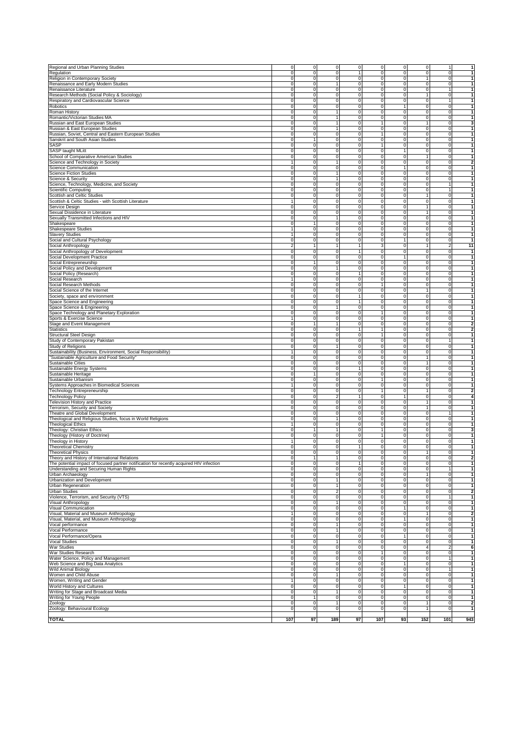| Regional and Urban Planning Studies                                                                                                                                                                                                                                                                                                                            |                  |                |                         |                     |                     |                         |                          |                |                                                                                                |
|----------------------------------------------------------------------------------------------------------------------------------------------------------------------------------------------------------------------------------------------------------------------------------------------------------------------------------------------------------------|------------------|----------------|-------------------------|---------------------|---------------------|-------------------------|--------------------------|----------------|------------------------------------------------------------------------------------------------|
|                                                                                                                                                                                                                                                                                                                                                                | 0                | 0              | 0                       | $\mathsf{O}\xspace$ | $\mathbf 0$         | $\mathbf 0$             | $\mathbf 0$              | 1              |                                                                                                |
| Regulation                                                                                                                                                                                                                                                                                                                                                     | 0                | $\mathbf 0$    | 0                       | 1                   | 0                   | 0                       | $\mathbf 0$              | 0              | 1                                                                                              |
| Religion in Contemporary Society                                                                                                                                                                                                                                                                                                                               | 0                | $\Omega$       | 0                       | $\mathbf 0$         | $\mathbf 0$         | $\mathbf 0$             | 1                        | $\overline{0}$ | 1                                                                                              |
| Renaissance and Early Modern Studies                                                                                                                                                                                                                                                                                                                           | $\mathbf 0$      | $\mathbf 0$    | 1                       | 0                   | $\mathbf 0$         | $\mathbf 0$             | $\mathbf 0$              | $\overline{0}$ | $\mathbf{1}$                                                                                   |
|                                                                                                                                                                                                                                                                                                                                                                |                  |                |                         |                     |                     |                         |                          |                |                                                                                                |
| Renaissance Literature                                                                                                                                                                                                                                                                                                                                         | $\pmb{0}$        | $\mathbf 0$    | $\pmb{0}$               | $\pmb{0}$           | $\mathbf 0$         | $\mathbf 0$             | $\mathbf 0$              | $\mathbf{1}$   | $\mathbf{1}$                                                                                   |
| Research Methods (Social Policy & Sociology)                                                                                                                                                                                                                                                                                                                   | 0                | 0              | 0                       | 0                   | $\mathbf 0$         | $\mathbf 0$             | $\mathbf{1}$             | $\overline{0}$ | 1                                                                                              |
| Respiratory and Cardiovascular Science                                                                                                                                                                                                                                                                                                                         | 0                | 0              | 0                       | 0                   | $\mathbf 0$         | $\mathbf 0$             | $\overline{0}$           | $\mathbf{1}$   | 1                                                                                              |
| Robotics                                                                                                                                                                                                                                                                                                                                                       | $\pmb{0}$        | $\mathbf 0$    | 0                       | 0                   | $\mathsf{O}$        | $\mathbf{1}$            | $\mathbf 0$              | $\overline{0}$ | $\mathbf{1}$                                                                                   |
|                                                                                                                                                                                                                                                                                                                                                                |                  |                |                         |                     |                     |                         |                          |                |                                                                                                |
| Roman History                                                                                                                                                                                                                                                                                                                                                  | $\mathbf 0$      | $\mathbf 0$    | 1                       | $\mathbf 0$         | $\mathbf 0$         | $\mathbf 0$             | $\mathbf 0$              | $\overline{0}$ | $\mathbf{1}$                                                                                   |
| Romantic/Victorian Studies MA                                                                                                                                                                                                                                                                                                                                  | $\pmb{0}$        | $\mathbf 0$    | 1                       | $\mathbf 0$         | $\mathsf{O}$        | $\mathbf 0$             | $\mathbf 0$              | $\overline{0}$ | $\mathbf{1}$                                                                                   |
| Russian and East European Studies                                                                                                                                                                                                                                                                                                                              | $\overline{0}$   | $\mathbf 0$    | 1                       | $\overline{0}$      | 1                   | o                       | $\overline{1}$           | $\mathbf 0$    | 3                                                                                              |
|                                                                                                                                                                                                                                                                                                                                                                |                  |                |                         |                     |                     |                         |                          |                |                                                                                                |
| Russian & East European Studies                                                                                                                                                                                                                                                                                                                                | $\pmb{0}$        | $\mathbf 0$    | 1                       | 0                   | $\mathbf 0$         | $\pmb{0}$               | $\mathbf 0$              | $\mathbf 0$    | 1                                                                                              |
| Russian, Soviet, Central and Eastern European Studies                                                                                                                                                                                                                                                                                                          | 0                | 0              | 0                       | 0                   | 1                   | 0                       | $\mathbf 0$              | 0              | $\mathbf{1}$                                                                                   |
| Sanskrit and South Asian Studies                                                                                                                                                                                                                                                                                                                               | $\mathbf 0$      | 1              | 0                       | $\mathsf{O}\xspace$ | $\mathbf 0$         | 0                       | $\mathbf 0$              | $\circ$        | 1                                                                                              |
|                                                                                                                                                                                                                                                                                                                                                                |                  | $\Omega$       |                         |                     | 1                   |                         |                          | $\overline{0}$ | 1                                                                                              |
| SASP                                                                                                                                                                                                                                                                                                                                                           | 0                |                | 0                       | 0                   |                     | 0                       | $\mathbf 0$              |                |                                                                                                |
| SASP taught MLitt                                                                                                                                                                                                                                                                                                                                              | 0                | $\mathbf 0$    | 0                       | $\mathsf{O}\xspace$ | $\mathsf{O}$        | 1                       | $\mathbf 0$              | $\overline{0}$ | 1                                                                                              |
| School of Comparative American Studies                                                                                                                                                                                                                                                                                                                         | $\pmb{0}$        | $\mathbf 0$    | $\overline{0}$          | $\overline{0}$      | $\mathsf{O}$        | $\mathbf 0$             | $\mathbf{1}$             | $\overline{0}$ | $\mathbf{1}$                                                                                   |
| Science and Technology in Society                                                                                                                                                                                                                                                                                                                              | 1                | 0              | 1                       | $\pmb{0}$           | $\mathbf 0$         | $\mathbf 0$             | $\mathbf 0$              | $\overline{0}$ | $\overline{2}$                                                                                 |
|                                                                                                                                                                                                                                                                                                                                                                |                  |                |                         |                     |                     |                         |                          |                |                                                                                                |
| Science Communication                                                                                                                                                                                                                                                                                                                                          | 0                | 0              | 0                       | 0                   | $\mathbf 0$         | $\mathbf{1}$            | $\overline{0}$           | $\overline{0}$ | 1                                                                                              |
| <b>Science Fiction Studies</b>                                                                                                                                                                                                                                                                                                                                 | 0                | 0              | 1                       | 0                   | $\mathbf 0$         | $\mathbf 0$             | $\mathbf 0$              | $\overline{0}$ | $\mathbf{1}$                                                                                   |
| <b>Science &amp; Security</b>                                                                                                                                                                                                                                                                                                                                  | 0                | 0              | 1                       | 0                   | $\mathbf 0$         | $\mathbf 0$             | $\mathbf 0$              | $\overline{0}$ | $\mathbf{1}$                                                                                   |
|                                                                                                                                                                                                                                                                                                                                                                |                  |                |                         |                     |                     |                         |                          |                |                                                                                                |
| Science, Technology, Medicine, and Society                                                                                                                                                                                                                                                                                                                     | 0                | $\mathbf 0$    | 0                       | $\mathbf 0$         | $\mathsf{O}$        | $\mathbf 0$             | $\mathbf 0$              | 1              | 1                                                                                              |
| Scientific Computing                                                                                                                                                                                                                                                                                                                                           | 0                | 0              | $\overline{0}$          | $\overline{0}$      | $\mathsf{O}$        | o                       | ō                        | 1              | $\overline{1}$                                                                                 |
| Scottish and Celtic Studies                                                                                                                                                                                                                                                                                                                                    | $\pmb{0}$        | 0              | $\overline{0}$          | $\overline{0}$      | $\mathbf 0$         | $\mathbf 0$             | $\overline{1}$           | $\overline{0}$ | $\overline{1}$                                                                                 |
|                                                                                                                                                                                                                                                                                                                                                                |                  |                | 0                       |                     |                     |                         |                          | $\mathbf 0$    | $\mathbf{1}$                                                                                   |
| Scottish & Celtic Studies - with Scottish Literature                                                                                                                                                                                                                                                                                                           |                  | 0              |                         | 0                   | $\mathbf 0$         | 0                       | $\mathbf 0$              |                |                                                                                                |
| Service Design                                                                                                                                                                                                                                                                                                                                                 | 0                | 0              | 0                       | 0                   | $\mathbf 0$         | 0                       | $\mathbf{1}$             | $\mathbf 0$    |                                                                                                |
| Sexual Dissidence in Literature                                                                                                                                                                                                                                                                                                                                | 0                | 0              | 0                       | 0                   | 0                   | 0                       | 1                        | 0              |                                                                                                |
|                                                                                                                                                                                                                                                                                                                                                                | $\mathbf 0$      | $\mathbf 0$    | 1                       |                     |                     |                         |                          |                | 1                                                                                              |
| Sexually Transmitted Infections and HIV                                                                                                                                                                                                                                                                                                                        |                  |                |                         | 0                   | $\mathbf 0$         | $\mathbf 0$             | $\mathbf 0$              | $\circ$        |                                                                                                |
| Shakespeare                                                                                                                                                                                                                                                                                                                                                    | 0                | 1              | 0                       | $\mathbf 0$         | $\mathbf 0$         | $\mathbf 0$             | $\mathbf 0$              | $\overline{0}$ | $\mathbf{1}$                                                                                   |
| Shakespeare Studies                                                                                                                                                                                                                                                                                                                                            | $\mathbf{1}$     | 0              | $\pmb{0}$               | $\mathbf 0$         | $\mathbf 0$         | $\mathbf 0$             | $\mathbf 0$              | $\overline{0}$ | 1                                                                                              |
| <b>Slavery Studies</b>                                                                                                                                                                                                                                                                                                                                         |                  | 0              | 0                       | 0                   | $\mathbf 0$         | $\mathbf 0$             | $\overline{0}$           | $\overline{0}$ | 1                                                                                              |
|                                                                                                                                                                                                                                                                                                                                                                |                  |                |                         |                     |                     |                         |                          |                | $\mathbf{1}$                                                                                   |
| Social and Cultural Psychology                                                                                                                                                                                                                                                                                                                                 | 0                | 0              | 0                       | 0                   | $\mathbf 0$         | 1                       | $\overline{0}$           | $\overline{0}$ |                                                                                                |
| Social Anthropology                                                                                                                                                                                                                                                                                                                                            | $\boldsymbol{2}$ | 1              | 1                       | $\mathbf{1}$        | $\mathbf{3}$        | $\mathbf 0$             | $\mathbf{1}$             | $\overline{2}$ | 11                                                                                             |
| Social Anthropology of Development                                                                                                                                                                                                                                                                                                                             | $\mathbf 0$      | $\Omega$       | 0                       | $\mathbf{1}$        | $\mathbf 0$         | $\mathbf 0$             | ō                        | $\overline{0}$ | $\mathbf{1}$                                                                                   |
|                                                                                                                                                                                                                                                                                                                                                                | $\pmb{0}$        | $\mathbf 0$    | 0                       | $\mathbf 0$         | $\mathsf{O}$        | $\mathbf{1}$            | $\mathbf 0$              | $\overline{0}$ | $\mathbf{1}$                                                                                   |
| Social Development Practice                                                                                                                                                                                                                                                                                                                                    |                  |                |                         |                     |                     |                         |                          |                |                                                                                                |
| Social Entrepreneurship                                                                                                                                                                                                                                                                                                                                        | $\pmb{0}$        | 1              | 0                       | $\overline{0}$      | $\mathbf 0$         | $\mathbf 0$             | $\mathbf 0$              | $\mathbf 0$    | $\overline{1}$                                                                                 |
| Social Policy and Development                                                                                                                                                                                                                                                                                                                                  | 0                | 0              | 1                       | 0                   | $\mathbf 0$         | 0                       | $\mathbf 0$              | 0              | 1                                                                                              |
| Social Policy (Research)                                                                                                                                                                                                                                                                                                                                       | 0                | 0              | 0                       | 1                   | $\mathbf 0$         | 0                       | $\mathbf 0$              | $\mathbf 0$    | $\mathbf{1}$                                                                                   |
|                                                                                                                                                                                                                                                                                                                                                                |                  |                |                         |                     |                     |                         |                          |                |                                                                                                |
| Social Research                                                                                                                                                                                                                                                                                                                                                |                  | $\mathbf 0$    | 0                       | 0                   | $\mathbf 0$         | 0                       | $\mathbf 0$              | 0              | 1                                                                                              |
| Social Research Methods                                                                                                                                                                                                                                                                                                                                        | 0                | 0              | 0                       | 0                   | 1                   | $\mathbf 0$             | $\mathbf 0$              | $\circ$        | 1                                                                                              |
| Social Science of the Internet                                                                                                                                                                                                                                                                                                                                 | 0                | 0              | 0                       | 0                   | $\mathsf{O}$        | $\mathbf 0$             | 1                        | $\circ$        | 1                                                                                              |
|                                                                                                                                                                                                                                                                                                                                                                |                  |                |                         |                     |                     |                         |                          |                |                                                                                                |
| Society, space and environment                                                                                                                                                                                                                                                                                                                                 | $\mathbf 0$      | 0              | $\mathbf 0$             | $\mathbf{1}$        | $\mathbf 0$         | $\mathbf 0$             | $\mathbf 0$              | $\overline{0}$ | $\mathbf{1}$                                                                                   |
| Space Science and Engineering                                                                                                                                                                                                                                                                                                                                  | 0                | 0              | 0                       | 1                   | $\mathbf 0$         | $\mathbf 0$             | $\mathbf 0$              | $\overline{0}$ | $\mathbf{1}$                                                                                   |
| Space Science & Engineering                                                                                                                                                                                                                                                                                                                                    | 0                | 0              | 1                       | 0                   | $\mathbf 0$         | $\mathbf 0$             | $\mathbf 0$              | $\overline{0}$ | 1                                                                                              |
|                                                                                                                                                                                                                                                                                                                                                                |                  |                |                         |                     |                     |                         |                          |                |                                                                                                |
| Space Technology and Planetary Exploration                                                                                                                                                                                                                                                                                                                     | 0                | 0              | 0                       | 0                   | $\mathbf{1}$        | $\mathbf 0$             | $\mathbf 0$              | $\overline{0}$ | $\mathbf{1}$                                                                                   |
| Sports & Exercise Science                                                                                                                                                                                                                                                                                                                                      | $\mathbf{1}$     | $\Omega$       | 0                       | $\mathbf 0$         | $\mathbf 0$         | $\mathbf 0$             | $\mathbf 0$              | $\overline{0}$ | $\mathbf{1}$                                                                                   |
| Stage and Event Management                                                                                                                                                                                                                                                                                                                                     | 0                | 1              | 1                       | $\mathbf 0$         | $\mathsf{O}$        | $\mathbf 0$             | $\mathbf 0$              | $\overline{0}$ | $\overline{2}$                                                                                 |
|                                                                                                                                                                                                                                                                                                                                                                |                  |                |                         |                     |                     |                         |                          |                |                                                                                                |
| Statistics                                                                                                                                                                                                                                                                                                                                                     | $\pmb{0}$        | 0              | 0                       | $\overline{1}$      | 1                   | $\mathbf 0$             | $\mathbf 0$              | $\mathbf 0$    | $\overline{2}$                                                                                 |
| Structural Steel Design                                                                                                                                                                                                                                                                                                                                        | 0                | 0              | $\overline{0}$          | $\overline{0}$      | $\mathbf{1}$        | $\mathbf 0$             | $\mathbf 0$              | $\overline{0}$ | 1                                                                                              |
| Study of Contemporary Pakistan                                                                                                                                                                                                                                                                                                                                 | 0                | 0              | 0                       | 0                   | $\mathbf 0$         | 0                       | $\mathbf 0$              | 1              | 1                                                                                              |
| Study of Religions                                                                                                                                                                                                                                                                                                                                             | 0                | $\mathbf 0$    | 1                       | 0                   | $\mathsf{O}\xspace$ | 0                       | $\mathbf 0$              | $\overline{0}$ |                                                                                                |
|                                                                                                                                                                                                                                                                                                                                                                |                  |                |                         |                     |                     |                         |                          |                |                                                                                                |
| Sustainability (Business, Environment, Social Responsibility)                                                                                                                                                                                                                                                                                                  | $\mathbf{1}$     | 0              | 0                       | 0                   | $\mathbf 0$         | 0                       | $\mathbf 0$              | 0              |                                                                                                |
| "Sustainable Agriculture and Food Security                                                                                                                                                                                                                                                                                                                     | 0                | 0              | 0                       | $\mathsf{O}\xspace$ | $\mathsf{O}\xspace$ | $\mathbf 0$             | $\mathbf{1}$             | $\circ$        | $\mathbf{1}$                                                                                   |
| Sustainable Cities                                                                                                                                                                                                                                                                                                                                             | $\pmb{0}$        | 0              | $\pmb{0}$               | ō                   | $\mathsf{O}$        | $\mathbf 0$             | $\mathbf{1}$             | $\overline{0}$ | $\mathbf{1}$                                                                                   |
|                                                                                                                                                                                                                                                                                                                                                                |                  |                |                         |                     |                     |                         |                          |                |                                                                                                |
| Sustainable Energy Systems                                                                                                                                                                                                                                                                                                                                     |                  |                |                         |                     |                     |                         |                          |                |                                                                                                |
|                                                                                                                                                                                                                                                                                                                                                                | 0                | 0              | $\mathbf 0$             | 1                   | $\mathbf 0$         | $\mathbf 0$             | $\mathbf 0$              | $\overline{0}$ |                                                                                                |
|                                                                                                                                                                                                                                                                                                                                                                | 0                | 1              | 0                       | 0                   | $\mathbf 0$         | $\mathbf 0$             |                          | $\overline{0}$ |                                                                                                |
| Sustainable Heritage                                                                                                                                                                                                                                                                                                                                           |                  |                |                         |                     |                     |                         | $\overline{0}$           |                |                                                                                                |
| Sustainable Urbanism                                                                                                                                                                                                                                                                                                                                           | $\pmb{0}$        | 0              | 0                       | 0                   | $\mathbf{1}$        | $\mathbf 0$             | $\mathbf 0$              | $\circ$        |                                                                                                |
|                                                                                                                                                                                                                                                                                                                                                                | $\mathbf{1}$     | 0              | 0                       | 0                   | $\mathsf{O}$        | $\mathbf 0$             | $\mathbf 0$              | $\circ$        | 1<br>1<br>1<br>1                                                                               |
| Systems Approaches in Biomedical Sciences<br>Technology Entrepreneurship                                                                                                                                                                                                                                                                                       | $\mathbf 0$      | $\mathbf 0$    | 0                       | $\mathbf 0$         | 1                   | $\mathbf 0$             | 1                        | $\overline{0}$ |                                                                                                |
|                                                                                                                                                                                                                                                                                                                                                                |                  |                |                         |                     |                     |                         |                          |                |                                                                                                |
| <b>Technology Policy</b>                                                                                                                                                                                                                                                                                                                                       | $\pmb{0}$        | 0              | $\overline{c}$          | $\mathbf{1}$        | $\mathsf{O}\xspace$ | $\mathbf{1}$            | $\mathbf 0$              | $\mathbf 0$    |                                                                                                |
| Television History and Practice                                                                                                                                                                                                                                                                                                                                | 0                | 0              | 0                       | $\overline{0}$      | $\mathsf{O}$        | $\mathbf 0$             | $\overline{1}$           | $\mathbf 0$    | $\mathbf{1}$                                                                                   |
| Terrorism, Security and Society                                                                                                                                                                                                                                                                                                                                | 0                | 0              | 0                       | 0                   | $\mathbf 0$         | 0                       | 1                        | 0              | $\mathbf{1}$                                                                                   |
| Theatre and Global Development                                                                                                                                                                                                                                                                                                                                 | 0                | 0              | 0                       | 0                   | $\mathbf 0$         | 0                       | $\mathbf 0$              | 1              |                                                                                                |
|                                                                                                                                                                                                                                                                                                                                                                |                  |                |                         |                     |                     |                         |                          |                | 1                                                                                              |
| Theological and Religious Studies, focus in World Religions                                                                                                                                                                                                                                                                                                    | 0                | $\mathbf 0$    | 1                       | 0                   | $\mathsf{O}\xspace$ | 0                       | $\mathbf 0$              | 0              |                                                                                                |
| <b>Theological Ethics</b>                                                                                                                                                                                                                                                                                                                                      |                  | $\mathbf 0$    | 0                       | 0                   | $\mathbf 0$         | $\mathbf 0$             | $\mathbf 0$              | $\circ$        | 1                                                                                              |
|                                                                                                                                                                                                                                                                                                                                                                | 0                | 1              | 1                       | $\mathsf{O}\xspace$ | 1                   | $\mathbf 0$             | $\mathbf 0$              | $\circ$        | $\overline{2}$<br>$\overline{\mathbf{4}}$<br>1<br>3                                            |
|                                                                                                                                                                                                                                                                                                                                                                |                  |                |                         |                     |                     |                         |                          |                | 1                                                                                              |
|                                                                                                                                                                                                                                                                                                                                                                | 0                | 0              | $\mathbf 0$             | $\pmb{0}$           | 1                   | $\mathbf 0$             | $\mathbf 0$              | $\overline{0}$ |                                                                                                |
|                                                                                                                                                                                                                                                                                                                                                                |                  | 0              | 0                       | 0                   | $\mathbf 0$         | $\mathbf 0$             | $\mathbf 0$              | $\overline{0}$ | 1                                                                                              |
|                                                                                                                                                                                                                                                                                                                                                                | 0                | 0              | 0                       | 1                   | $\mathbf 0$         | $\mathbf 0$             | $\mathbf 0$              | $\overline{0}$ | 1                                                                                              |
|                                                                                                                                                                                                                                                                                                                                                                | 0                | 0              | 0                       | 0                   | $\mathbf 0$         | $\mathbf 0$             | $\mathbf{1}$             | $\circ$        | 1                                                                                              |
|                                                                                                                                                                                                                                                                                                                                                                |                  | 1              | 1                       |                     |                     |                         |                          |                |                                                                                                |
|                                                                                                                                                                                                                                                                                                                                                                | 0                |                |                         | $\mathbf 0$         | $\mathbf 0$         | $\mathbf 0$             | $\mathbf 0$              | $\overline{0}$ | $\overline{2}$                                                                                 |
|                                                                                                                                                                                                                                                                                                                                                                |                  |                |                         | $\mathbf{1}$        | $\Omega$            |                         | $\Omega$                 | $\Omega$       |                                                                                                |
|                                                                                                                                                                                                                                                                                                                                                                | $\pmb{0}$        | 0              | 0                       | 0                   | $\mathbf 0$         | $\pmb{0}$               | $\mathbf 0$              | $\overline{1}$ | $\overline{1}$                                                                                 |
|                                                                                                                                                                                                                                                                                                                                                                |                  | 0              | 0                       | 0                   | $\mathbf 0$         | $\mathbf 0$             | $\mathbf{1}$             | $\mathbf 0$    | $\overline{1}$                                                                                 |
| Theology: Christian Ethics<br>Theology (History of Doctrine)<br>Theology in History<br><b>Theoretical Chemistry</b><br><b>Theoretical Physics</b><br>Theory and History of International Relations<br>The potential impact of focused partner notification for recently acquired HIV infection<br>Understanding and Securing Human Rights<br>Urban Archaeology | 0                |                |                         |                     |                     |                         |                          |                |                                                                                                |
| Urbanization and Development                                                                                                                                                                                                                                                                                                                                   | 0                | 0              | 1                       | 0                   | $\mathbf 0$         | 0                       | $\mathbf 0$              | $\overline{0}$ |                                                                                                |
| Urban Regeneration                                                                                                                                                                                                                                                                                                                                             | $\mathbf 0$      | 0              | 1                       | 0                   | $\mathsf{O}\xspace$ | 0                       | $\mathbf 0$              | $\circ$        | $\mathbf{1}$                                                                                   |
| Urban Studies                                                                                                                                                                                                                                                                                                                                                  | 0                | 0              | $\overline{\mathbf{c}}$ | 0                   | $\mathsf{O}\xspace$ | $\pmb{0}$               | $\mathbf 0$              | $\circ$        |                                                                                                |
|                                                                                                                                                                                                                                                                                                                                                                |                  |                |                         |                     |                     |                         |                          |                | $\mathbf 1$<br>$\overline{\mathbf{2}}$<br>$\mathbf{1}$                                         |
|                                                                                                                                                                                                                                                                                                                                                                | 0                | 0              | 0                       | $\pmb{0}$           | $\mathsf{O}\xspace$ | $\mathbf 0$             | $\mathbf 0$              | 1              |                                                                                                |
|                                                                                                                                                                                                                                                                                                                                                                | $\mathbf 0$      | 0              | 1                       | $\mathsf{O}\xspace$ | $\mathbf 0$         | $\mathbf 0$             | $\mathbf 0$              | $\overline{0}$ | $\mathbf{1}$                                                                                   |
|                                                                                                                                                                                                                                                                                                                                                                | 0                | 0              | 0                       | $\mathsf{O}\xspace$ | 0                   | 1                       | $\overline{0}$           | $\overline{0}$ | $\mathbf{1}$                                                                                   |
|                                                                                                                                                                                                                                                                                                                                                                | 1                | 0              | 0                       | 0                   | $\mathbf 0$         | $\mathbf 0$             | $\mathbf{1}$             | $\overline{0}$ | $\mathbf{2}$                                                                                   |
|                                                                                                                                                                                                                                                                                                                                                                |                  |                |                         |                     |                     |                         |                          |                | $\mathbf{1}$                                                                                   |
|                                                                                                                                                                                                                                                                                                                                                                | 0                | 0              | 0                       | 0                   | $\mathbf 0$         | 1                       | $\mathbf 0$              | $\circ$        |                                                                                                |
|                                                                                                                                                                                                                                                                                                                                                                | $\mathbf 0$      | $\mathbf 0$    | 1                       | $\mathsf{O}\xspace$ | $\mathsf{O}$        | $\mathbf 0$             | $\overline{0}$           | $\circ$        |                                                                                                |
|                                                                                                                                                                                                                                                                                                                                                                | $\overline{0}$   | $\mathbf 0$    | 1                       | 0                   | $\mathbf 0$         | $\mathbf 0$             | ō                        | $\overline{0}$ |                                                                                                |
|                                                                                                                                                                                                                                                                                                                                                                |                  |                |                         |                     |                     | $\overline{1}$          |                          |                |                                                                                                |
| Violence, Terrorism, and Security (VTS)<br>Visual Anthropology<br>Visual Communication<br>Visual, Material and Museum Anthropology<br>Visual, Material, and Museum Anthropology<br>Vocal performance<br>Vocal Performance<br>Vocal Performance/Opera                                                                                                           | $\pmb{0}$        | $\overline{0}$ | 0                       | 0                   | $\mathsf{O}$        |                         | $\circ$                  | ō              | $\mathbf{1}$<br>$\mathbf{1}$<br>1                                                              |
|                                                                                                                                                                                                                                                                                                                                                                | $\pmb{0}$        | $\overline{0}$ | 1                       | 0                   | $\mathsf{O}$        | $\mathbf 0$             | $\circ$                  | $\mathbf 0$    | $\mathbf{1}$                                                                                   |
|                                                                                                                                                                                                                                                                                                                                                                | 0                | 0              | 0                       | 0                   | $\mathbf 0$         | 0                       | $\overline{4}$           | $\overline{a}$ | 6                                                                                              |
|                                                                                                                                                                                                                                                                                                                                                                | $\mathbf 0$      | $\mathbf 0$    | 0                       | 0                   | $\mathbf{1}$        | 0                       | $\mathbf 0$              | $\circ$        | $\mathbf{1}$                                                                                   |
|                                                                                                                                                                                                                                                                                                                                                                |                  |                |                         |                     |                     |                         |                          |                |                                                                                                |
|                                                                                                                                                                                                                                                                                                                                                                | $\pmb{0}$        | $\mathbf 0$    | 0                       | 0                   | $\mathsf{O}\xspace$ | 0                       | $\mathbf 0$              | 1              |                                                                                                |
|                                                                                                                                                                                                                                                                                                                                                                | 0                | $\mathbf 0$    | 0                       | $\pmb{0}$           | $\mathsf{O}\xspace$ | 1                       | $\mathbf 0$              | $\circ$        |                                                                                                |
|                                                                                                                                                                                                                                                                                                                                                                | $\pmb{0}$        | 0              | 0                       | $\pmb{0}$           | $\mathbf 0$         | $\pmb{0}$               | $\mathbf 0$              | $\mathbf{1}$   |                                                                                                |
|                                                                                                                                                                                                                                                                                                                                                                |                  |                |                         |                     |                     |                         |                          |                | 1<br>$\mathbf{1}$<br>1                                                                         |
|                                                                                                                                                                                                                                                                                                                                                                | $\mathbf 0$      | 0              | 1                       | $\mathsf{O}\xspace$ | 0                   | $\mathbf 0$             | $\mathbf 0$              | $\circ$        |                                                                                                |
|                                                                                                                                                                                                                                                                                                                                                                | $\mathbf{1}$     | 0              | 0                       | 0                   | $\mathbf 0$         | $\mathbf 0$             | $\overline{0}$           | $\overline{0}$ |                                                                                                |
|                                                                                                                                                                                                                                                                                                                                                                | 0                | 0              | 0                       | 0                   | $\mathbf 0$         | 1                       | $\overline{0}$           | $\overline{0}$ |                                                                                                |
| Vocal Studies<br>War Studies<br>War Studies Research<br>Water Science, Policy and Management<br>Web Science and Big Data Analytics<br>Wild Animal Biology<br>Women and Child Abuse<br>Women, Writing and Gender<br>World History and Cultures<br>Writing for Stage and Broadcast Media                                                                         | $\mathbf 0$      | $\mathbf 0$    | 1                       | $\mathsf{O}\xspace$ | $\mathsf{O}$        | $\mathbf 0$             | $\overline{0}$           | $\circ$        |                                                                                                |
|                                                                                                                                                                                                                                                                                                                                                                |                  | 1              |                         |                     |                     |                         |                          |                |                                                                                                |
| Writing for Young People                                                                                                                                                                                                                                                                                                                                       | 0                |                | 0                       | $\mathsf{O}\xspace$ | $\mathbf 0$         | $\mathbf 0$             | $\overline{0}$           | $\overline{0}$ |                                                                                                |
| Zoology                                                                                                                                                                                                                                                                                                                                                        | 0                | $\mathbf 0$    | 1                       | 0                   | $\mathsf{O}$        | $\mathbf 0$             | $\mathbf{1}$             | $\circ$        |                                                                                                |
| Zoology: Behavioural Ecology                                                                                                                                                                                                                                                                                                                                   | 0                | $\overline{0}$ | $\overline{0}$          | $\overline{0}$      | $\mathsf{O}$        | $\overline{\mathbf{0}}$ | $\overline{\phantom{a}}$ | $\overline{0}$ |                                                                                                |
| <b>TOTAL</b>                                                                                                                                                                                                                                                                                                                                                   |                  | 97             | 189                     | 97                  | 107                 | 93                      | 152                      | 101            | 1<br>1<br>$\mathbf 1$<br>$\mathbf{1}$<br>$\mathbf{1}$<br>$\overline{2}$<br>$\mathbf{1}$<br>943 |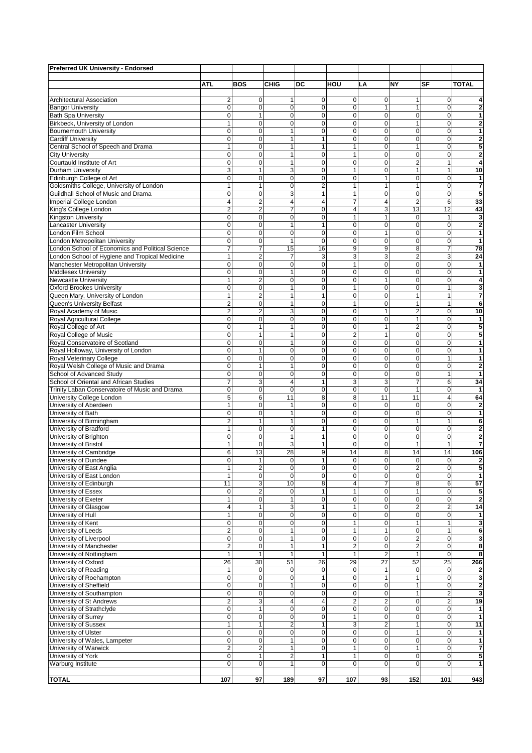| Preferred UK University - Endorsed                                                       |                              |                               |                    |                     |                               |                                 |                     |                               |                                           |
|------------------------------------------------------------------------------------------|------------------------------|-------------------------------|--------------------|---------------------|-------------------------------|---------------------------------|---------------------|-------------------------------|-------------------------------------------|
|                                                                                          | <b>ATL</b>                   | <b>BOS</b>                    | <b>CHIG</b>        | DC                  | HOU                           | LA                              | <b>NY</b>           | SF                            | <b>TOTAL</b>                              |
|                                                                                          |                              |                               |                    |                     |                               |                                 |                     |                               |                                           |
| Architectural Association                                                                | 2                            | $\mathbf 0$                   | 1                  | 0                   | $\mathbf 0$                   | 0                               | 1                   | 0                             | 4                                         |
| <b>Bangor University</b>                                                                 | 0                            | 0                             | 0                  | 0                   | $\mathbf 0$                   | $\mathbf{1}$                    | 1                   | 0                             | $\overline{2}$                            |
| <b>Bath Spa University</b>                                                               | 0                            | 1                             | 0                  | 0                   | $\mathbf 0$                   | $\mathbf 0$                     | 0                   | 0                             | 1                                         |
| Birkbeck, University of London<br><b>Bournemouth University</b>                          | $\mathbf{1}$<br>0            | $\mathbf 0$<br>$\mathbf 0$    | 0<br>$\mathbf{1}$  | 0<br>0              | $\mathbf 0$<br>$\overline{O}$ | $\mathbf 0$<br>$\mathbf 0$      | 1<br>0              | $\mathbf 0$<br>$\mathbf 0$    | $\overline{2}$<br>1                       |
| <b>Cardiff University</b>                                                                | 0                            | $\mathbf 0$                   | $\mathbf{1}$       | $\mathbf{1}$        | $\mathbf 0$                   | 0                               | 0                   | 0                             | $\overline{\mathbf{c}}$                   |
| Central School of Speech and Drama                                                       | $\mathbf{1}$                 | 0                             | $\mathbf{1}$       | 1                   | $\overline{1}$                | $\mathbf 0$                     | 1                   | $\overline{0}$                | 5                                         |
| <b>City University</b>                                                                   | 0                            | $\mathbf 0$                   | $\mathbf{1}$       | 0                   | $\mathbf{1}$                  | $\mathbf 0$                     | $\mathbf 0$         | $\mathbf 0$                   | $\overline{\mathbf{c}}$                   |
| Courtauld Institute of Art                                                               | 0                            | $\mathbf 0$                   | $\mathbf{1}$       | 0                   | $\Omega$                      | $\mathbf 0$                     | $\overline{2}$      | 1                             | 4                                         |
| Durham University                                                                        | 3                            | 1                             | 3                  | 0                   | 1                             | $\mathbf 0$                     | 1                   | 1                             | 10                                        |
| Edinburgh College of Art<br>Goldsmiths College, University of London                     | 0<br>$\mathbf{1}$            | $\mathbf 0$<br>1              | 0<br>0             | 0<br>$\overline{2}$ | $\mathbf 0$<br>$\mathbf{1}$   | $\mathbf{1}$<br>$\mathbf{1}$    | $\mathbf 0$<br>1    | $\mathbf 0$<br>$\mathbf 0$    | 1<br>7                                    |
| Guildhall School of Music and Drama                                                      | 0                            | $\mathbf 0$                   | 3                  | $\mathbf{1}$        | $\mathbf{1}$                  | 0                               | $\mathbf 0$         | $\mathbf 0$                   | 5                                         |
| Imperial College London                                                                  | 4                            | $\overline{\mathbf{c}}$       | 4                  | 4                   | $\overline{7}$                | $\overline{4}$                  | $\overline{2}$      | 6                             | 33                                        |
| King's College London                                                                    | $\overline{\mathbf{c}}$      | $\overline{\mathbf{c}}$       | 7                  | 0                   | $\overline{4}$                | 3                               | 13                  | 12                            | 43                                        |
| Kingston University                                                                      | $\mathbf 0$                  | $\mathbf 0$                   | 0                  | 0                   | $\mathbf{1}$                  | $\mathbf{1}$                    | $\Omega$            | 1                             | 3                                         |
| <b>Lancaster University</b>                                                              | 0                            | $\mathbf 0$                   | 1                  | 1                   | $\mathbf 0$                   | 0                               | 0                   | 0                             | $\overline{2}$                            |
| London Film School                                                                       | 0                            | $\mathbf 0$                   | 0                  | 0                   | $\mathbf 0$                   | $\mathbf{1}$                    | 0                   | $\overline{0}$                | 1                                         |
| London Metropolitan University<br>London School of Economics and Political Science       | 0<br>$\overline{7}$          | $\mathbf 0$                   | $\mathbf{1}$<br>15 | 0<br>16             | $\mathbf 0$<br>9              | 0<br>9                          | $\overline{0}$<br>8 | 0<br>7                        | 1<br>78                                   |
| London School of Hygiene and Tropical Medicine                                           | 1                            | 7<br>$\overline{c}$           | 7                  | 3                   | 3                             | 3                               | $\overline{2}$      | 3                             | 24                                        |
| Manchester Metropolitan University                                                       | 0                            | 0                             | 0                  | 0                   | $\mathbf{1}$                  | $\mathbf 0$                     | $\mathbf 0$         | 0                             | 1                                         |
| Middlesex University                                                                     | 0                            | $\mathbf 0$                   | 1                  | 0                   | $\mathbf 0$                   | $\mathbf 0$                     | $\mathbf 0$         | $\mathbf 0$                   | 1                                         |
| <b>Newcastle University</b>                                                              | $\mathbf{1}$                 | $\overline{2}$                | 0                  | 0                   | $\mathbf 0$                   | $\mathbf{1}$                    | $\mathbf 0$         | $\overline{0}$                | 4                                         |
| <b>Oxford Brookes University</b>                                                         | 0                            | $\mathbf 0$                   | $\mathbf{1}$       | 0                   | $\mathbf{1}$                  | $\mathbf 0$                     | 0                   | 1                             | 3                                         |
| Queen Mary, University of London                                                         | $\mathbf{1}$                 | $\overline{2}$                | $\mathbf{1}$       | 1                   | $\overline{O}$                | $\pmb{0}$                       | 1                   | 1                             | 7                                         |
| Queen's University Belfast                                                               | $\overline{2}$               | $\mathbf 0$                   | $\mathbf{1}$       | 0                   | $\mathbf{1}$                  | 0                               | 1                   | 1                             | 6                                         |
| Royal Academy of Music<br>Royal Agricultural College                                     | $\overline{\mathbf{c}}$<br>0 | $\overline{c}$<br>$\mathbf 0$ | 3<br>0             | 0<br>0              | $\mathbf 0$<br>$\overline{O}$ | $\mathbf{1}$<br>0               | $\overline{2}$<br>1 | 0<br>0                        | 10                                        |
| Royal College of Art                                                                     | 0                            | 1                             | 1                  | 0                   | $\mathbf 0$                   | $\mathbf{1}$                    | $\overline{2}$      | 0                             | 1<br>5                                    |
| Royal College of Music                                                                   | 0                            | $\mathbf{1}$                  | $\mathbf{1}$       | 0                   | $\overline{2}$                | $\mathbf{1}$                    | 0                   | $\overline{0}$                | 5                                         |
| Royal Conservatoire of Scotland                                                          | 0                            | $\mathbf 0$                   | 1                  | 0                   | $\pmb{0}$                     | 0                               | $\overline{0}$      | $\overline{0}$                | 1                                         |
| Royal Holloway, University of London                                                     | $\overline{0}$               | 1                             | 0                  | 0                   | $\mathbf 0$                   | $\mathbf 0$                     | $\overline{0}$      | $\overline{0}$                | 1                                         |
| Royal Veterinary College                                                                 | $\overline{0}$               | $\mathbf 0$                   | 0                  | 0                   | $\overline{0}$                | $\mathbf 0$                     | $\mathbf 0$         | 1                             | 1                                         |
| Royal Welsh College of Music and Drama                                                   | $\mathbf 0$                  | 1                             | $\mathbf{1}$       | 0                   | $\mathbf 0$                   | $\mathbf 0$                     | $\mathbf 0$         | $\overline{0}$                | $\overline{2}$                            |
| School of Advanced Study                                                                 | $\mathbf 0$                  | $\mathbf 0$                   | 0                  | 0                   | $\mathbf 0$<br>3              | $\mathbf 0$                     | $\mathbf 0$         | 1                             | $\mathbf{1}$                              |
| School of Oriental and African Studies<br>Trinity Laban Conservatoire of Music and Drama | $\overline{7}$<br>0          | 3<br>$\mathbf 0$              | 4<br>$\mathbf 0$   | $\mathbf{1}$<br>0   | $\mathbf 0$                   | 3<br>$\mathbf 0$                | 7<br>$\mathbf{1}$   | 6<br>$\mathbf 0$              | 34<br>1                                   |
| University College London                                                                | 5                            | 6                             | 11                 | 8                   | 8                             | 11                              | 11                  | 4                             | 64                                        |
| University of Aberdeen                                                                   | $\mathbf{1}$                 | $\mathbf 0$                   | $\mathbf{1}$       | 0                   | $\mathbf 0$                   | $\pmb{0}$                       | 0                   | $\overline{0}$                | $\overline{\mathbf{2}}$                   |
| University of Bath                                                                       | 0                            | $\mathbf 0$                   | $\mathbf{1}$       | 0                   | $\mathbf 0$                   | $\mathbf 0$                     | 0                   | 0                             | 1                                         |
| University of Birmingham                                                                 | 2                            | 1                             | $\mathbf{1}$       | 0                   | $\mathbf{O}$                  | 0                               | 1                   | 1                             | 6                                         |
| University of Bradford                                                                   | $\mathbf{1}$                 | $\mathbf 0$                   | 0                  | 1                   | $\mathbf 0$                   | 0                               | 0                   | 0                             | $\overline{\mathbf{c}}$                   |
| University of Brighton                                                                   | 0<br>$\mathbf{1}$            | $\mathbf 0$<br>$\overline{0}$ | $\mathbf{1}$<br>3  | $\mathbf{1}$<br>1   | $\mathbf 0$<br>$\mathbf 0$    | 0<br>$\pmb{0}$                  | $\mathbf 0$<br>1    | 0<br>1                        | $\overline{\mathbf{c}}$<br>$\overline{7}$ |
| University of Bristol<br>University of Cambridge                                         | 6                            | 13                            | 28                 | 9                   | 14                            | 8                               | 14                  | 14                            | 106                                       |
| University of Dundee                                                                     | $\mathbf 0$                  | 1                             | 0                  | $\mathbf{1}$        | 0                             | $\mathbf 0$                     | 0                   | 0                             | $\overline{\mathbf{c}}$                   |
| University of East Anglia                                                                | 1                            | 2                             | $\boldsymbol{0}$   | $\pmb{0}$           | $\overline{0}$                | $\overline{0}$                  | 2                   | 0                             | 5                                         |
| University of East London                                                                | $\mathbf{1}$                 | $\mathbf 0$                   | 0                  | 0                   | $\mathbf 0$                   | $\mathbf 0$                     | 0                   | $\mathbf 0$                   | 1                                         |
| University of Edinburgh                                                                  | 11                           | 3                             | 10                 | 8                   | 4                             | $\overline{7}$                  | 8                   | 6                             | 57                                        |
| University of Essex                                                                      | 0                            | $\overline{2}$                | 0                  | 1                   | 1                             | $\pmb{0}$                       | 1                   | $\overline{0}$                | 5                                         |
| University of Exeter<br>University of Glasgow                                            | 1<br>4                       | $\pmb{0}$<br>1                | 1<br>3             | 0<br>1              | $\mathbf 0$<br>$\mathbf{1}$   | $\mathbf 0$<br>$\pmb{0}$        | 0<br>$\overline{2}$ | $\mathbf 0$<br>$\overline{2}$ | $\overline{2}$<br>14                      |
| University of Hull                                                                       | $\mathbf{1}$                 | $\mathbf 0$                   | $\pmb{0}$          | 0                   | $\mathbf 0$                   | $\mathbf 0$                     | 0                   | $\mathbf 0$                   | 1                                         |
| University of Kent                                                                       | 0                            | 0                             | $\mathbf 0$        | 0                   | 1                             | 0                               | 1                   | 1                             | 3                                         |
| University of Leeds                                                                      | 2                            | $\mathbf 0$                   | 1                  | 0                   | $\mathbf{1}$                  | $\mathbf{1}$                    | 0                   | 1                             | 6                                         |
| University of Liverpool                                                                  | $\mathbf 0$                  | $\mathbf 0$                   | $\mathbf{1}$       | 0                   | $\mathbf 0$                   | $\mathbf 0$                     | $\overline{c}$      | $\mathbf 0$                   | 3                                         |
| University of Manchester                                                                 | $\overline{2}$               | $\mathbf 0$                   | 1                  | 1                   | $\overline{a}$                | $\pmb{0}$                       | $\overline{2}$      | $\mathbf 0$                   | 8                                         |
| University of Nottingham<br>University of Oxford                                         | $\mathbf{1}$<br>26           | $\mathbf{1}$<br>30            | 1<br>51            | $\mathbf{1}$<br>26  | 29                            | $\overline{\mathbf{c}}$<br>27   | 52                  | $\Omega$<br>25                | 8<br>266                                  |
| University of Reading                                                                    | 1                            | 0                             | 0                  | 0                   | $\overline{0}$                | $\mathbf{1}$                    | 0                   | 0                             | $\overline{\mathbf{2}}$                   |
| University of Roehampton                                                                 | 0                            | $\mathbf 0$                   | 0                  | $\mathbf{1}$        | $\mathbf{O}$                  | $\mathbf{1}$                    | $\mathbf{1}$        | $\mathbf 0$                   | 3                                         |
| University of Sheffield                                                                  | 0                            | $\mathbf 0$                   | $\mathbf{1}$       | 0                   | $\mathbf 0$                   | $\mathbf 0$                     | 1                   | $\overline{0}$                | $\overline{\mathbf{2}}$                   |
| University of Southampton                                                                | 0                            | $\mathbf 0$                   | 0                  | 0                   | $\mathbf 0$                   | $\pmb{0}$                       | 1                   | $\overline{c}$                | 3                                         |
| University of St Andrews                                                                 | 2                            | 3                             | 4                  | 4                   | $\overline{c}$                | $\overline{\mathbf{c}}$         | 0                   | $\overline{c}$                | 19                                        |
| University of Strathclyde                                                                | 0                            | $\mathbf{1}$                  | 0                  | 0                   | $\mathbf 0$                   | $\pmb{0}$                       | 0                   | $\overline{0}$                | 1                                         |
| University of Surrey<br>University of Sussex                                             | 0<br>1                       | $\pmb{0}$<br>1                | $\pmb{0}$<br>2     | 0<br>1              | $\mathbf{1}$<br>3             | $\mathbf 0$<br>$\boldsymbol{2}$ | 0<br>1              | $\mathbf 0$<br>0              | $\mathbf{1}$<br>11                        |
| University of Ulster                                                                     | 0                            | $\mathbf 0$                   | 0                  | 0                   | $\overline{0}$                | $\pmb{0}$                       | 1                   | 0                             | 1                                         |
| University of Wales, Lampeter                                                            | $\mathbf 0$                  | $\mathbf 0$                   | $\mathbf{1}$       | 0                   | $\mathbf 0$                   | $\mathbf 0$                     | 0                   | 0                             | 1                                         |
| University of Warwick                                                                    | $\overline{2}$               | $\overline{2}$                | 1                  | 0                   | $\mathbf{1}$                  | $\mathbf 0$                     | 1                   | $\mathbf 0$                   | 7                                         |
| University of York                                                                       | 0                            | 1                             | 2                  | $\mathbf{1}$        | 1                             | $\mathbf 0$                     | 0                   | 0                             | 5                                         |
| Warburg Institute                                                                        | 0                            | $\mathbf 0$                   | $\mathbf{1}$       | 0                   | $\mathbf 0$                   | $\mathbf 0$                     | $\mathbf 0$         | $\Omega$                      | 1                                         |
| <b>TOTAL</b>                                                                             | 107                          | 97                            | 189                | 97                  | 107                           | 93                              | 152                 | 101                           | 943                                       |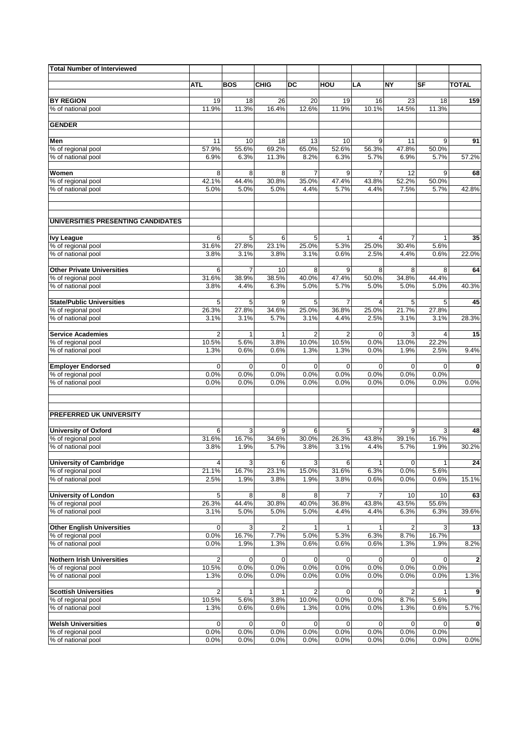| <b>Total Number of Interviewed</b>             |                                  |                     |                     |                         |                  |                     |                |                     |              |
|------------------------------------------------|----------------------------------|---------------------|---------------------|-------------------------|------------------|---------------------|----------------|---------------------|--------------|
|                                                |                                  |                     |                     |                         |                  |                     |                |                     |              |
|                                                | <b>ATL</b>                       | <b>BOS</b>          | CHIG                | DC                      | HOU              | LA                  | <b>NY</b>      | SF                  | <b>TOTAL</b> |
| <b>BY REGION</b>                               | 19                               | 18                  | 26                  | 20                      | 19               | 16                  | 23             | 18                  | 159          |
| % of national pool                             | 11.9%                            | 11.3%               | 16.4%               | 12.6%                   | 11.9%            | 10.1%               | 14.5%          | 11.3%               |              |
|                                                |                                  |                     |                     |                         |                  |                     |                |                     |              |
| <b>GENDER</b>                                  |                                  |                     |                     |                         |                  |                     |                |                     |              |
| Men                                            | 11                               | 10                  | 18                  | 13                      | 10               | 9                   | 11             | 9                   | 91           |
| % of regional pool                             | 57.9%                            | 55.6%               | 69.2%               | 65.0%                   | 52.6%            | 56.3%               | 47.8%          | 50.0%               |              |
| % of national pool                             | 6.9%                             | 6.3%                | 11.3%               | 8.2%                    | 6.3%             | 5.7%                | 6.9%           | 5.7%                | 57.2%        |
| Women                                          | 8                                | 8                   | 8                   | $\overline{7}$          | 9                | 7                   | 12             | 9                   | 68           |
| % of regional pool                             | 42.1%                            | 44.4%               | 30.8%               | 35.0%                   | 47.4%            | 43.8%               | 52.2%          | 50.0%               |              |
| % of national pool                             | 5.0%                             | 5.0%                | 5.0%                | 4.4%                    | 5.7%             | 4.4%                | 7.5%           | 5.7%                | 42.8%        |
|                                                |                                  |                     |                     |                         |                  |                     |                |                     |              |
| UNIVERSITIES PRESENTING CANDIDATES             |                                  |                     |                     |                         |                  |                     |                |                     |              |
|                                                |                                  |                     |                     |                         |                  |                     |                |                     |              |
| <b>Ivy League</b>                              | 6                                | 5                   | 6                   | 5                       | $\mathbf{1}$     | 4                   | $\overline{7}$ | $\mathbf{1}$        | 35           |
| % of regional pool<br>% of national pool       | 31.6%<br>3.8%                    | 27.8%<br>3.1%       | 23.1%<br>3.8%       | 25.0%<br>3.1%           | 5.3%<br>0.6%     | 25.0%<br>2.5%       | 30.4%<br>4.4%  | 5.6%<br>0.6%        | 22.0%        |
|                                                |                                  |                     |                     |                         |                  |                     |                |                     |              |
| <b>Other Private Universities</b>              | 6                                | $\overline{7}$      | 10                  | 8                       | 9                | 8                   | 8              | 8                   | 64           |
| % of regional pool                             | 31.6%                            | 38.9%               | 38.5%               | 40.0%                   | 47.4%            | 50.0%               | 34.8%          | 44.4%               |              |
| % of national pool                             | 3.8%                             | 4.4%                | 6.3%                | 5.0%                    | 5.7%             | 5.0%                | 5.0%           | 5.0%                | 40.3%        |
| <b>State/Public Universities</b>               | 5                                | 5                   | 9                   | 5                       | 7                | 4                   | 5              | 5                   | 45           |
| % of regional pool                             | 26.3%                            | 27.8%               | 34.6%               | 25.0%                   | 36.8%            | 25.0%               | 21.7%          | 27.8%               |              |
| % of national pool                             | 3.1%                             | 3.1%                | 5.7%                | 3.1%                    | 4.4%             | 2.5%                | 3.1%           | 3.1%                | 28.3%        |
| <b>Service Academies</b>                       | $\overline{2}$                   | 1                   | $\mathbf{1}$        | $\overline{2}$          | $\overline{2}$   | $\mathbf 0$         | 3              | $\overline{4}$      | 15           |
| % of regional pool                             | 10.5%                            | 5.6%                | 3.8%                | 10.0%                   | 10.5%            | 0.0%                | 13.0%          | 22.2%               |              |
| % of national pool                             | 1.3%                             | 0.6%                | 0.6%                | 1.3%                    | 1.3%             | 0.0%                | 1.9%           | 2.5%                | 9.4%         |
|                                                |                                  |                     |                     |                         |                  |                     |                |                     |              |
| <b>Employer Endorsed</b><br>% of regional pool | 0<br>0.0%                        | $\mathbf 0$<br>0.0% | $\mathbf 0$<br>0.0% | 0<br>0.0%               | $\Omega$<br>0.0% | $\mathbf 0$<br>0.0% | 0<br>0.0%      | $\mathbf 0$<br>0.0% | 0            |
| % of national pool                             | 0.0%                             | 0.0%                | 0.0%                | 0.0%                    | 0.0%             | 0.0%                | 0.0%           | 0.0%                | 0.0%         |
|                                                |                                  |                     |                     |                         |                  |                     |                |                     |              |
| PREFERRED UK UNIVERSITY                        |                                  |                     |                     |                         |                  |                     |                |                     |              |
|                                                |                                  |                     |                     |                         |                  |                     |                |                     |              |
| <b>University of Oxford</b>                    | 6                                | 3                   | 9                   | 6                       | 5                | 7                   | 9              | 3                   | 48           |
| % of regional pool                             | 31.6%                            | 16.7%               | 34.6%               | 30.0%                   | 26.3%            | 43.8%               | 39.1%          | 16.7%               |              |
| % of national pool                             | 3.8%                             | 1.9%                | 5.7%                | 3.8%                    | 3.1%             | 4.4%                | 5.7%           | 1.9%                | 30.2%        |
| <b>University of Cambridge</b>                 | 4                                | 3                   | 6                   | 3                       | 6                | $\mathbf{1}$        | $\mathbf 0$    | $\mathbf{1}$        | 24           |
| % of regional pool                             | 21.1%                            | 16.7%               | 23.1%               | 15.0%                   | 31.6%            | 6.3%                | 0.0%           | 5.6%                |              |
| % of national pool                             | 2.5%                             | 1.9%                | 3.8%                | 1.9%                    | 3.8%             | 0.6%                | 0.0%           | 0.6%                | 15.1%        |
| <b>University of London</b>                    | 5                                | 8                   | 8                   | 8                       | $\overline{7}$   | $\overline{7}$      | 10             | 10                  | 63           |
| % of regional pool                             | 26.3%                            | 44.4%               | 30.8%               | 40.0%                   | 36.8%            | 43.8%               | 43.5%          | 55.6%               |              |
| % of national pool                             | 3.1%                             | 5.0%                | 5.0%                | 5.0%                    | 4.4%             | 4.4%                | 6.3%           | 6.3%                | 39.6%        |
| <b>Other English Universities</b>              | 0                                | 3                   | 2                   | 1                       | 1                | 1                   | 2              | 3                   | 13           |
| % of regional pool                             | 0.0%                             | 16.7%               | 7.7%                | 5.0%                    | 5.3%             | 6.3%                | 8.7%           | 16.7%               |              |
| % of national pool                             | 0.0%                             | 1.9%                | 1.3%                | 0.6%                    | 0.6%             | 0.6%                | 1.3%           | 1.9%                | 8.2%         |
| <b>Nothern Irish Universities</b>              |                                  |                     | 0                   | 0                       | $\mathbf 0$      | 0                   |                | 0                   |              |
| % of regional pool                             | $\overline{\mathbf{c}}$<br>10.5% | 0<br>0.0%           | 0.0%                | 0.0%                    | 0.0%             | 0.0%                | 0<br>0.0%      | $0.0\%$             | $\mathbf{2}$ |
| % of national pool                             | 1.3%                             | 0.0%                | 0.0%                | 0.0%                    | 0.0%             | 0.0%                | 0.0%           | 0.0%                | 1.3%         |
|                                                |                                  |                     |                     |                         |                  |                     |                |                     |              |
| <b>Scottish Universities</b>                   | $\overline{\mathbf{c}}$          | 1                   | 1                   | $\overline{\mathbf{c}}$ | $\mathbf 0$      | 0                   | 2              | $\mathbf{1}$        | 9            |
| % of regional pool<br>% of national pool       | 10.5%<br>1.3%                    | 5.6%<br>0.6%        | 3.8%<br>0.6%        | 10.0%<br>1.3%           | 0.0%<br>0.0%     | 0.0%<br>0.0%        | 8.7%<br>1.3%   | 5.6%<br>0.6%        | 5.7%         |
|                                                |                                  |                     |                     |                         |                  |                     |                |                     |              |
| <b>Welsh Universities</b>                      | 0                                | 0                   | 0                   | 0                       | $\mathbf 0$      | 0                   | 0              | 0                   | 0            |
| % of regional pool                             | 0.0%                             | 0.0%                | 0.0%                | 0.0%                    | 0.0%             | 0.0%                | 0.0%           | 0.0%                |              |
| % of national pool                             | 0.0%                             | 0.0%                | 0.0%                | 0.0%                    | 0.0%             | 0.0%                | 0.0%           | 0.0%                | 0.0%         |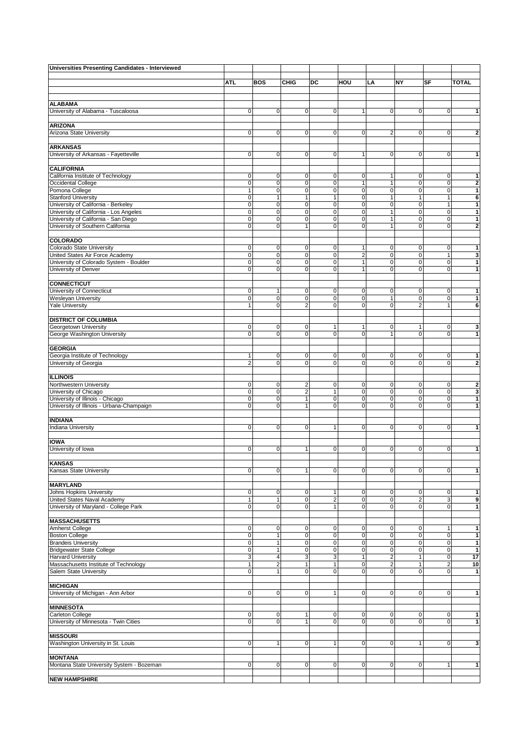| Universities Presenting Candidates - Interviewed            |                                |                               |                              |              |                          |                         |                   |                     |                              |
|-------------------------------------------------------------|--------------------------------|-------------------------------|------------------------------|--------------|--------------------------|-------------------------|-------------------|---------------------|------------------------------|
|                                                             | ATI.                           | <b>BOS</b>                    | <b>CHIG</b>                  | DC           | HOU                      |                         | <b>NY</b>         | SF                  | <b>TOTAL</b>                 |
|                                                             |                                |                               |                              |              |                          | LA                      |                   |                     |                              |
|                                                             |                                |                               |                              |              |                          |                         |                   |                     |                              |
| <b>ALABAMA</b>                                              |                                |                               |                              |              |                          |                         |                   |                     |                              |
| University of Alabama - Tuscaloosa                          | $\overline{0}$                 | $\mathbf 0$                   | $\mathsf 0$                  | 0            | 1                        | 0                       | 0                 | $\mathbf 0$         | 1                            |
| <b>ARIZONA</b>                                              |                                |                               |                              |              |                          |                         |                   |                     |                              |
| Arizona State University                                    | $\overline{0}$                 | $\mathbf 0$                   | $\mathbf 0$                  | $\mathbf 0$  | $\mathbf 0$              | $\overline{2}$          | 0                 | $\mathbf 0$         | $\overline{\mathbf{2}}$      |
|                                                             |                                |                               |                              |              |                          |                         |                   |                     |                              |
| <b>ARKANSAS</b>                                             | $\overline{0}$                 | $\mathbf 0$                   | $\mathsf 0$                  | 0            | 1                        | 0                       | $\mathbf 0$       | $\mathbf 0$         | 1                            |
| University of Arkansas - Fayetteville                       |                                |                               |                              |              |                          |                         |                   |                     |                              |
| <b>CALIFORNIA</b>                                           |                                |                               |                              |              |                          |                         |                   |                     |                              |
| California Institute of Technology                          | $\mathbf 0$                    | 0                             | 0                            | 0            | $\mathbf 0$              | 1                       | 0                 | 0                   | $\mathbf{1}$                 |
| Occidental College                                          | $\mathbf 0$                    | $\mathbf 0$                   | $\mathbf 0$                  | $\mathbf 0$  | $\mathbf{1}$             | 1                       | 0                 | $\mathbf 0$         | $\overline{\mathbf{2}}$      |
| Pomona College<br><b>Stanford University</b>                | $\mathbf{1}$<br>$\overline{0}$ | $\mathbf 0$<br>$\overline{1}$ | $\mathbf 0$<br>$\mathbf{1}$  | 0<br>1       | $\pmb{0}$<br>$\mathbf 0$ | $\mathbf 0$<br>1        | 0<br>$\mathbf{1}$ | $\mathbf 0$<br>1    | $\mathbf{1}$<br>6            |
| University of California - Berkeley                         | $\overline{0}$                 | $\mathbf 0$                   | $\mathsf 0$                  | 0            | $\pmb{0}$                | 0                       | $\pmb{0}$         | 1                   | $\mathbf{1}$                 |
| University of California - Los Angeles                      | $\overline{0}$                 | $\mathbf 0$                   | $\mathbf 0$                  | 0            | $\mathbf 0$              | 1                       | 0                 | $\mathbf 0$         | 1                            |
| University of California - San Diego                        | $\mathbf 0$                    | $\mathbf 0$                   | $\mathbf 0$                  | $\mathbf 0$  | $\pmb{0}$                | $\mathbf{1}$            | $\pmb{0}$         | $\mathsf{O}\xspace$ | $\mathbf{1}$                 |
| University of Southern California                           | $\mathbf 0$                    | $\mathbf 0$                   | $\overline{1}$               | 0            | 0                        | 1                       | 0                 | $\mathbf 0$         | $\mathbf 2$                  |
| <b>COLORADO</b>                                             |                                |                               |                              |              |                          |                         |                   |                     |                              |
| Colorado State University                                   | $\overline{0}$                 | $\mathbf 0$                   | 0                            | 0            | 1                        | 0                       | 0                 | 0                   | 1                            |
| United States Air Force Academy                             | $\overline{0}$                 | $\mathbf 0$                   | $\mathbf 0$                  | 0            | $\overline{\mathbf{c}}$  | 0                       | 0                 | 1                   | 3                            |
| University of Colorado System - Boulder                     | $\overline{0}$                 | $\mathbf 0$                   | $\mathbf 0$                  | $\mathbf 0$  | $\mathbf{1}$             | $\mathbf 0$             | $\pmb{0}$         | $\mathsf{O}\xspace$ | $\mathbf{1}$                 |
| University of Denver                                        | $\overline{0}$                 | $\Omega$                      | $\mathbf 0$                  | $\mathbf 0$  | 1                        | $\mathbf 0$             | 0                 | $\mathbf 0$         | 1                            |
| <b>CONNECTICUT</b>                                          |                                |                               |                              |              |                          |                         |                   |                     |                              |
| University of Connecticut                                   | $\overline{0}$                 | $\overline{1}$                | 0                            | 0            | $\mathbf 0$              | 0                       | 0                 | 0                   | 1                            |
| Wesleyan University                                         | $\mathbf 0$                    | $\mathbf 0$                   | $\mathbf 0$                  | $\mathbf 0$  | $\mathbf 0$              | $\mathbf{1}$            | $\mathbf 0$       | $\mathbf 0$         | $\mathbf{1}$                 |
| <b>Yale University</b>                                      | 1                              | $\Omega$                      | $\overline{2}$               | 0            | $\pmb{0}$                | $\mathbf 0$             | $\overline{2}$    | 1                   | 6                            |
|                                                             |                                |                               |                              |              |                          |                         |                   |                     |                              |
| <b>DISTRICT OF COLUMBIA</b><br>Georgetown University        | $\mathbf 0$                    | 0                             | 0                            | 1            | 1                        | 0                       | 1                 | $\mathbf 0$         | 3                            |
| George Washington University                                | $\overline{0}$                 | $\Omega$                      | $\mathbf 0$                  | 0            | 0                        | 1                       | 0                 | $\mathsf{O}\xspace$ | $\mathbf{1}$                 |
|                                                             |                                |                               |                              |              |                          |                         |                   |                     |                              |
| <b>GEORGIA</b>                                              |                                |                               |                              |              |                          |                         |                   |                     |                              |
| Georgia Institute of Technology                             | 1                              | $\mathbf 0$                   | 0                            | 0            | $\mathbf 0$              | 0                       | 0                 | 0                   | $\mathbf{1}$                 |
| University of Georgia                                       | $\overline{2}$                 | $\mathbf 0$                   | $\mathsf 0$                  | 0            | $\mathbf 0$              | 0                       | $\mathbf 0$       | $\mathbf 0$         | $\mathbf 2$                  |
| <b>ILLINOIS</b>                                             |                                |                               |                              |              |                          |                         |                   |                     |                              |
| Northwestern University                                     | $\mathbf 0$                    | 0                             | $\overline{\mathbf{c}}$      | 0            | 0                        | 0                       | 0                 | 0                   | $\overline{2}$               |
| University of Chicago                                       | $\mathbf 0$                    | $\mathbf 0$                   | $\overline{2}$               | $\mathbf{1}$ | 0                        | 0                       | 0                 | $\pmb{0}$           | 3                            |
| University of Illinois - Chicago                            | $\overline{0}$                 | $\mathbf 0$                   | $\mathbf{1}$                 | $\mathbf 0$  | 0                        | $\mathbf 0$             | $\mathbf 0$       | $\mathsf{O}\xspace$ | $\mathbf{1}$                 |
| University of Illinois - Urbana-Champaign                   | $\overline{0}$                 | $\mathbf 0$                   | $\mathbf{1}$                 | 0            | 0                        | 0                       | 0                 | $\mathbf 0$         | 1                            |
| <b>INDIANA</b>                                              |                                |                               |                              |              |                          |                         |                   |                     |                              |
| Indiana University                                          | $\overline{0}$                 | $\mathbf 0$                   | $\mathbf 0$                  | $\mathbf{1}$ | $\mathbf 0$              | 0                       | $\mathbf 0$       | $\mathbf 0$         | 1                            |
|                                                             |                                |                               |                              |              |                          |                         |                   |                     |                              |
| <b>IOWA</b><br>University of Iowa                           |                                |                               |                              |              |                          |                         |                   |                     |                              |
|                                                             | $\overline{0}$                 | 0                             | $\mathbf{1}$                 | 0            | 0                        | 0                       | 0                 | 0                   | 1                            |
| <b>KANSAS</b>                                               |                                |                               |                              |              |                          |                         |                   |                     |                              |
| Kansas State University                                     | 0l                             | $\overline{0}$                | $\mathbf{1}$                 | 0            | $\mathbf 0$              | 0                       | $\mathbf 0$       | $\mathbf 0$         | $\mathbf{1}$                 |
|                                                             |                                |                               |                              |              |                          |                         |                   |                     |                              |
| <b>MARYLAND</b><br>Johns Hopkins University                 | $\overline{0}$                 | 0                             | 0                            | 1            | $\mathbf 0$              | $\pmb{0}$               | $\mathbf 0$       | $\mathbf 0$         | 1                            |
| United States Naval Academy                                 | 1                              |                               | $\mathbf 0$                  | $\mathbf 2$  | 0                        | $\mathbf 0$             | $\mathbf 2$       | 3                   | 9                            |
| University of Maryland - College Park                       | $\overline{0}$                 | $\mathbf 0$                   | $\mathbf 0$                  | $\mathbf{1}$ | $\mathbf{0}$             | $\mathbf 0$             | $\mathbf 0$       | $\mathbf 0$         | $\mathbf{1}$                 |
|                                                             |                                |                               |                              |              |                          |                         |                   |                     |                              |
| <b>MASSACHUSETTS</b>                                        |                                |                               |                              |              |                          |                         |                   |                     |                              |
| Amherst College<br><b>Boston College</b>                    | $\mathbf 0$<br>$\overline{0}$  | $\mathbf 0$<br>$\overline{1}$ | 0<br>$\mathsf 0$             | 0<br>0       | 0<br>$\mathbf 0$         | 0<br>0                  | 0<br>0            | 1<br>$\mathbf 0$    | $\mathbf{1}$<br>$\mathbf{1}$ |
| <b>Brandeis University</b>                                  | $\mathbf 0$                    | $\overline{1}$                | $\pmb{0}$                    | 0            | $\pmb{0}$                | $\mathbf 0$             | $\pmb{0}$         | $\mathbf 0$         | $\mathbf{1}$                 |
| <b>Bridgewater State College</b>                            | $\overline{0}$                 | 1                             | $\pmb{0}$                    | 0            | $\mathbf 0$              | $\pmb{0}$               | 0                 | $\mathbf 0$         | $\mathbf{1}$                 |
| <b>Harvard University</b>                                   | 3                              | $\overline{4}$                | 3                            | 3            | $\mathbf{1}$             | $\overline{\mathbf{c}}$ | $\mathbf{1}$      | $\mathsf{O}\xspace$ | 17                           |
| Massachusetts Institute of Technology                       | $\mathbf{1}$                   | $\overline{2}$                | $\mathbf{1}$                 | $\mathbf{1}$ | 0                        | $\overline{\mathbf{c}}$ | $\mathbf{1}$      | $\overline{a}$      | 10                           |
| Salem State University                                      | $\overline{0}$                 | 1                             | $\mathsf 0$                  | 0            | $\mathbf 0$              | 0                       | $\mathbf 0$       | $\mathbf 0$         | $\mathbf{1}$                 |
| <b>MICHIGAN</b>                                             |                                |                               |                              |              |                          |                         |                   |                     |                              |
| University of Michigan - Ann Arbor                          | $\mathbf 0$                    | $\mathbf 0$                   | $\mathsf 0$                  | $\mathbf{1}$ | $\mathbf 0$              | $\mathbf 0$             | $\mathbf 0$       | $\mathbf 0$         | 1                            |
|                                                             |                                |                               |                              |              |                          |                         |                   |                     |                              |
| <b>MINNESOTA</b>                                            |                                |                               |                              |              |                          |                         |                   |                     |                              |
| Carleton College<br>University of Minnesota - Twin Cities   | $\mathbf 0$<br>$\overline{0}$  | 0<br>$\mathbf 0$              | $\mathbf{1}$<br>$\mathbf{1}$ | 0<br>0       | 0<br>0                   | 0<br>$\mathbf 0$        | 0<br>$\mathbf 0$  | 0<br>$\mathbf 0$    | 1<br>$\mathbf{1}$            |
|                                                             |                                |                               |                              |              |                          |                         |                   |                     |                              |
| <b>MISSOURI</b>                                             |                                |                               |                              |              |                          |                         |                   |                     |                              |
| Washington University in St. Louis                          | $\mathbf 0$                    | 1                             | $\mathsf 0$                  | $\mathbf{1}$ | $\mathbf 0$              | 0                       | 1                 | $\mathbf 0$         | 3                            |
|                                                             |                                |                               |                              |              |                          |                         |                   |                     |                              |
| <b>MONTANA</b><br>Montana State University System - Bozeman | $\mathbf 0$                    | $\mathbf 0$                   | 0                            | 0            | $\mathbf 0$              | 0                       | 0                 | 1                   | $\mathbf{1}$                 |
|                                                             |                                |                               |                              |              |                          |                         |                   |                     |                              |
| <b>NEW HAMPSHIRE</b>                                        |                                |                               |                              |              |                          |                         |                   |                     |                              |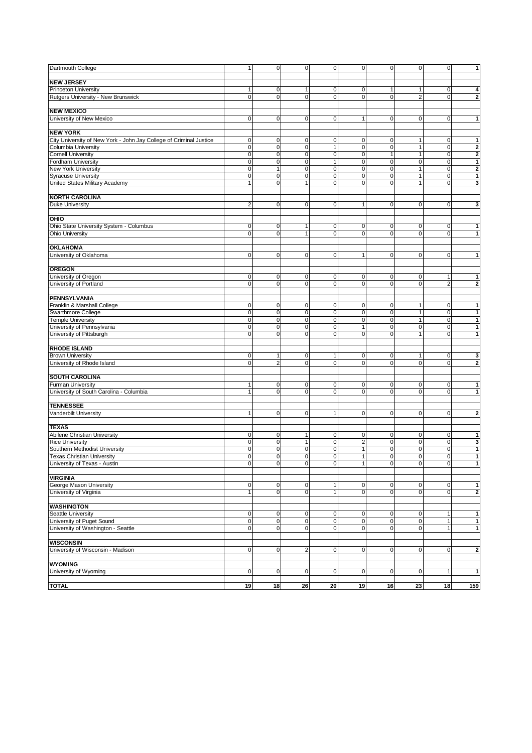| Dartmouth College                                                  | 1              | $\mathbf 0$    | 0                       | 0            | $\pmb{0}$               | $\pmb{0}$    | $\mathbf 0$         | $\mathbf 0$    | 1                       |
|--------------------------------------------------------------------|----------------|----------------|-------------------------|--------------|-------------------------|--------------|---------------------|----------------|-------------------------|
|                                                                    |                |                |                         |              |                         |              |                     |                |                         |
| <b>NEW JERSEY</b>                                                  |                |                |                         |              |                         |              |                     |                |                         |
| Princeton University                                               | -1             | 0              | 1                       | $\mathbf 0$  | $\mathbf 0$             | $\mathbf{1}$ | 1                   | $\mathbf 0$    | 4                       |
| Rutgers University - New Brunswick                                 | $\mathbf 0$    | $\mathbf 0$    | $\mathbf 0$             | $\mathbf 0$  | $\mathbf 0$             | $\mathbf 0$  | $\overline{2}$      | $\mathbf 0$    | $\bf{2}$                |
|                                                                    |                |                |                         |              |                         |              |                     |                |                         |
| <b>NEW MEXICO</b>                                                  |                |                |                         |              |                         |              |                     |                |                         |
| University of New Mexico                                           | $\mathbf 0$    | $\mathbf 0$    | $\mathbf 0$             | $\mathbf 0$  | $\mathbf{1}$            | $\pmb{0}$    | $\mathbf 0$         | $\mathbf 0$    | $\mathbf{1}$            |
|                                                                    |                |                |                         |              |                         |              |                     |                |                         |
| <b>NEW YORK</b>                                                    |                |                |                         |              |                         |              |                     |                |                         |
| City University of New York - John Jay College of Criminal Justice | 0              | 0              | 0                       | 0            | 0                       | 0            | 1                   | $\mathbf 0$    | 1                       |
| Columbia University                                                | $\mathbf 0$    | $\mathbf 0$    | $\mathbf 0$             | $\mathbf{1}$ | $\mathbf 0$             | $\pmb{0}$    | $\mathbf{1}$        | $\mathbf 0$    | $\boldsymbol{2}$        |
| <b>Cornell University</b>                                          | $\mathbf 0$    | $\mathbf 0$    | $\mathbf 0$             | $\mathbf 0$  | $\mathbf 0$             | $\mathbf{1}$ | $\mathbf{1}$        | $\mathbf 0$    | $\overline{\mathbf{2}}$ |
| Fordham University                                                 | $\mathbf 0$    | $\mathbf 0$    | $\mathbf 0$             | 1            | $\pmb{0}$               | $\pmb{0}$    | $\mathsf{O}\xspace$ | $\mathbf 0$    | $\mathbf 1$             |
|                                                                    | $\mathbf 0$    | $\overline{1}$ | $\mathbf 0$             | $\mathbf 0$  | $\mathbf 0$             | $\pmb{0}$    | $\mathbf{1}$        | $\mathbf 0$    |                         |
| New York University                                                | $\mathbf 0$    | $\mathbf 0$    |                         | $\mathbf 0$  | $\mathbf 0$             |              | $\mathbf{1}$        | $\mathbf 0$    | $\boldsymbol{2}$        |
| <b>Syracuse University</b>                                         |                |                | $\pmb{0}$               | $\mathbf 0$  |                         | $\pmb{0}$    |                     | $\mathbf 0$    | $\mathbf{1}$            |
| United States Military Academy                                     | $\mathbf{1}$   | $\mathbf 0$    | $\mathbf{1}$            |              | $\mathbf 0$             | $\pmb{0}$    | $\mathbf{1}$        |                | 3                       |
|                                                                    |                |                |                         |              |                         |              |                     |                |                         |
| <b>NORTH CAROLINA</b>                                              |                |                |                         |              |                         |              |                     |                |                         |
| Duke University                                                    | $\overline{2}$ | $\mathbf 0$    | $\mathsf 0$             | 0            | $\mathbf{1}$            | $\pmb{0}$    | $\mathbf 0$         | $\mathbf 0$    | $\mathbf{3}$            |
|                                                                    |                |                |                         |              |                         |              |                     |                |                         |
| OHIO                                                               |                |                |                         |              |                         |              |                     |                |                         |
| Ohio State University System - Columbus                            | 0              | 0              | $\mathbf{1}$            | 0            | 0                       | 0            | 0                   | 0              | 1                       |
| Ohio University                                                    | $\mathbf 0$    | $\mathbf 0$    | $\mathbf{1}$            | $\mathbf 0$  | $\mathbf 0$             | $\mathbf 0$  | $\mathbf 0$         | $\mathbf 0$    | $\mathbf{1}$            |
|                                                                    |                |                |                         |              |                         |              |                     |                |                         |
| <b>OKLAHOMA</b>                                                    |                |                |                         |              |                         |              |                     |                |                         |
| University of Oklahoma                                             | $\mathbf 0$    | $\mathbf 0$    | $\mathbf 0$             | $\mathbf 0$  | $\mathbf{1}$            | $\mathbf 0$  | $\mathbf 0$         | $\mathbf 0$    | $\mathbf{1}$            |
|                                                                    |                |                |                         |              |                         |              |                     |                |                         |
| <b>OREGON</b>                                                      |                |                |                         |              |                         |              |                     |                |                         |
| University of Oregon                                               | $\mathbf 0$    | 0              | $\mathbf 0$             | $\mathbf 0$  | $\mathbf 0$             | $\mathbf 0$  | $\mathbf 0$         | $\overline{1}$ | 1                       |
| University of Portland                                             | $\mathbf 0$    | $\mathbf 0$    | $\mathbf 0$             | $\mathbf 0$  | $\mathbf 0$             | $\mathbf 0$  | $\mathbf 0$         | $\overline{2}$ | $\boldsymbol{2}$        |
|                                                                    |                |                |                         |              |                         |              |                     |                |                         |
| PENNSYLVANIA                                                       |                |                |                         |              |                         |              |                     |                |                         |
| Franklin & Marshall College                                        | $\mathbf 0$    | 0              | $\pmb{0}$               | 0            | $\mathbf 0$             | 0            | $\mathbf{1}$        | $\mathbf 0$    | 1                       |
| Swarthmore College                                                 | $\mathbf 0$    | $\mathbf 0$    | $\mathbf 0$             | $\mathbf 0$  | $\mathbf 0$             | $\pmb{0}$    | $\mathbf{1}$        | $\pmb{0}$      | $\mathbf{1}$            |
| <b>Temple University</b>                                           | 0              | 0              | $\pmb{0}$               | $\mathbf 0$  | $\pmb{0}$               | $\pmb{0}$    | $\mathbf{1}$        | $\mathbf 0$    | $\mathbf{1}$            |
| University of Pennsylvania                                         | $\mathbf 0$    | $\mathbf 0$    | $\pmb{0}$               | $\mathbf 0$  | $\mathbf{1}$            | $\pmb{0}$    | $\mathbf 0$         | $\mathbf 0$    | 1                       |
| University of Pittsburgh                                           | $\mathbf 0$    | $\mathbf 0$    | $\mathbf 0$             | $\mathbf 0$  | $\mathbf 0$             | $\mathbf 0$  | $\mathbf{1}$        | $\mathbf 0$    | $\mathbf{1}$            |
|                                                                    |                |                |                         |              |                         |              |                     |                |                         |
| <b>RHODE ISLAND</b>                                                |                |                |                         |              |                         |              |                     |                |                         |
| <b>Brown University</b>                                            | $\mathbf 0$    | $\mathbf 1$    | $\mathbf 0$             | 1            | 0                       | 0            | $\mathbf{1}$        | 0              | 3                       |
| University of Rhode Island                                         | $\mathbf 0$    | $\overline{2}$ | $\mathbf 0$             | $\mathbf 0$  | $\mathbf 0$             | $\pmb{0}$    | $\mathbf 0$         | $\mathbf 0$    | $\mathbf{2}$            |
|                                                                    |                |                |                         |              |                         |              |                     |                |                         |
| <b>SOUTH CAROLINA</b>                                              |                |                |                         |              |                         |              |                     |                |                         |
| <b>Furman University</b>                                           | $\mathbf{1}$   | 0              | $\mathbf 0$             | $\mathbf 0$  | $\mathbf 0$             | 0            | $\mathbf 0$         | $\mathbf 0$    | 1                       |
| University of South Carolina - Columbia                            | $\mathbf{1}$   | $\mathbf 0$    | $\mathbf 0$             | $\mathbf 0$  | $\pmb{0}$               | $\pmb{0}$    | $\mathbf 0$         | $\mathbf 0$    | 1                       |
|                                                                    |                |                |                         |              |                         |              |                     |                |                         |
| <b>TENNESSEE</b>                                                   |                |                |                         |              |                         |              |                     |                |                         |
| Vanderbilt University                                              | $\overline{1}$ | $\mathbf 0$    | $\mathbf 0$             | 1            | $\pmb{0}$               | $\pmb{0}$    | 0                   | $\mathbf 0$    | $\bf 2$                 |
|                                                                    |                |                |                         |              |                         |              |                     |                |                         |
| <b>TEXAS</b>                                                       |                |                |                         |              |                         |              |                     |                |                         |
| Abilene Christian University                                       | $\mathbf 0$    | 0              | $\mathbf{1}$            | 0            | $\mathbf 0$             | 0            | $\mathbf 0$         | $\mathbf 0$    | 1                       |
| <b>Rice University</b>                                             | $\mathbf 0$    | $\mathbf 0$    | $\mathbf{1}$            | $\mathbf 0$  | $\overline{\mathbf{c}}$ | $\pmb{0}$    | $\mathbf 0$         | $\mathbf 0$    | 3                       |
| Southern Methodist University                                      | $\mathbf 0$    | $\mathbf 0$    | $\pmb{0}$               | $\mathbf 0$  | $\mathbf{1}$            | $\pmb{0}$    | $\mathbf 0$         | $\mathbf 0$    | 1                       |
| <b>Texas Christian University</b>                                  | $\mathbf 0$    | $\mathbf 0$    | $\mathbf 0$             | $\mathbf 0$  | $\mathbf{1}$            | $\pmb{0}$    | $\mathbf 0$         | $\mathbf 0$    | 1                       |
| University of Texas - Austin                                       | 0              | 0              | 0                       | 0            | 1                       | $\pmb{0}$    | $\pmb{0}$           | $\pmb{0}$      | $\mathbf{1}$            |
|                                                                    |                |                |                         |              |                         |              |                     |                |                         |
| <b>VIRGINIA</b>                                                    |                |                |                         |              |                         |              |                     |                |                         |
| George Mason University                                            | $\mathbf 0$    | $\mathbf 0$    | $\pmb{0}$               | 1            | $\pmb{0}$               | $\pmb{0}$    | $\mathbf 0$         | $\mathbf 0$    | 1                       |
| University of Virginia                                             | $\overline{1}$ | $\mathbf 0$    | $\mathbf 0$             | $\mathbf{1}$ | $\mathbf 0$             | $\pmb{0}$    | $\mathbf 0$         | $\mathbf 0$    | $\mathbf{2}$            |
|                                                                    |                |                |                         |              |                         |              |                     |                |                         |
| <b>WASHINGTON</b>                                                  |                |                |                         |              |                         |              |                     |                |                         |
|                                                                    |                |                |                         |              |                         |              |                     |                |                         |
| Seattle University                                                 | $\overline{0}$ | $\pmb{0}$      | $\pmb{0}$               | 0            | $\pmb{0}$               | $\pmb{0}$    | $\mathbf 0$         | $\mathbf{1}$   | $\mathbf 1$             |
| University of Puget Sound                                          | $\mathbf 0$    | $\mathbf 0$    | $\pmb{0}$               | 0            | $\pmb{0}$               | $\pmb{0}$    | $\pmb{0}$           | $\mathbf{1}$   | $\mathbf{1}$            |
| University of Washington - Seattle                                 | $\mathbf 0$    | $\mathbf 0$    | 0                       | $\mathbf 0$  | $\mathbf 0$             | $\pmb{0}$    | $\mathbf 0$         | $\mathbf{1}$   | $\mathbf{1}$            |
|                                                                    |                |                |                         |              |                         |              |                     |                |                         |
| <b>WISCONSIN</b>                                                   |                |                |                         |              |                         |              |                     |                |                         |
| University of Wisconsin - Madison                                  | $\mathbf 0$    | $\mathbf 0$    | $\overline{\mathbf{c}}$ | $\mathbf 0$  | $\mathbf 0$             | $\pmb{0}$    | $\mathbf 0$         | $\mathbf 0$    | $\overline{\mathbf{c}}$ |
|                                                                    |                |                |                         |              |                         |              |                     |                |                         |
| <b>WYOMING</b>                                                     |                |                |                         |              |                         |              |                     |                |                         |
| University of Wyoming                                              | $\mathbf 0$    | $\mathbf 0$    | $\mathsf 0$             | $\mathbf 0$  | $\pmb{0}$               | $\pmb{0}$    | $\mathbf 0$         | $\mathbf{1}$   | $\mathbf{1}$            |
|                                                                    |                |                |                         |              |                         |              |                     |                |                         |
| <b>TOTAL</b>                                                       | 19             | 18             | 26                      | 20           | 19                      | 16           | 23                  | 18             | 159                     |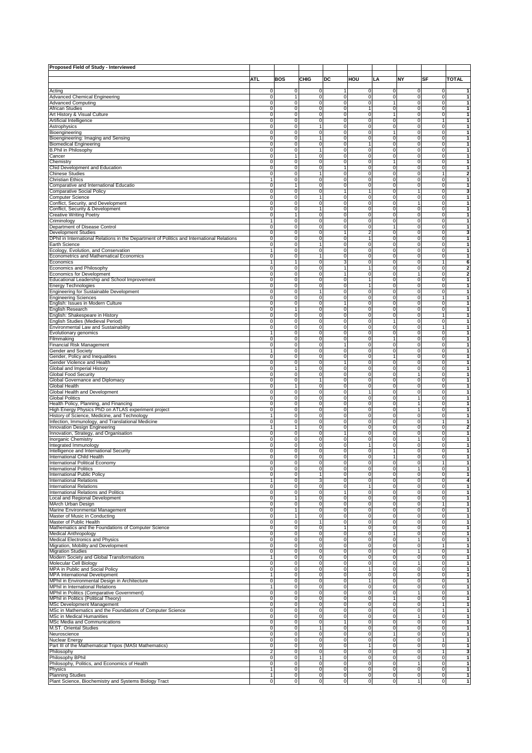| Proposed Field of Study - Interviewed                                                      |                   |                     |                             |                     |                               |                            |                            |                         |                              |
|--------------------------------------------------------------------------------------------|-------------------|---------------------|-----------------------------|---------------------|-------------------------------|----------------------------|----------------------------|-------------------------|------------------------------|
|                                                                                            |                   |                     |                             |                     |                               |                            |                            |                         |                              |
|                                                                                            | ATL               | BOS                 | <b>CHIG</b>                 | DC                  | <b>HOU</b>                    | LA                         | ΝY                         | SF                      | <b>TOTAL</b>                 |
|                                                                                            |                   |                     |                             |                     |                               |                            |                            |                         |                              |
| Acting<br>Advanced Chemical Engineering                                                    | 0<br>0            | 0<br>1              | $\pmb{0}$<br>$\pmb{0}$      | 1<br>0              | $\mathsf 0$<br>$\overline{0}$ | 0<br>$\pmb{0}$             | $\pmb{0}$<br>$\pmb{0}$     | 0<br>$\overline{0}$     | $\mathbf{1}$<br>1            |
| <b>Advanced Computing</b>                                                                  | 0                 | 0                   | $\mathbf 0$                 | 0                   | 0                             | 1                          | 0                          | $\pmb{0}$               | 1                            |
| African Studies                                                                            | 0                 | 0                   | 0                           | 0                   | 1                             | $\mathbf 0$                | $\mathbf 0$                | $\overline{0}$          | 1                            |
| Art History & Visual Culture                                                               | 0                 | 0                   | 0                           | 0                   | $\mathbf 0$                   | 1                          | 0                          | 0                       | 1                            |
| Artificial Intelligence                                                                    | $\pmb{0}$         | $\mathbf 0$         | $\pmb{0}$                   | 0                   | $\mathsf 0$                   | 0                          | $\mathbf 0$                | $\mathbf{1}$            | 1                            |
| Astrophysics                                                                               | 0                 | 0                   | $\mathbf{1}$                | 0                   | $\overline{0}$                | 0                          | 0                          | $\mathsf 0$             | 1                            |
| Bioengineering                                                                             | 0                 | $\mathbf 0$         | $\mathbf 0$                 | 0                   | 0                             | 1                          | $\mathbf 0$                | 0                       | 1                            |
| Bioengineering: Imaging and Sensing<br><b>Biomedical Engineering</b>                       | 0<br>0            | 0<br>0              | $\mathbf{1}$<br>0           | $\overline{0}$<br>0 | $\overline{0}$<br>1           | 0<br>0                     | 0<br>0                     | $\overline{0}$<br>0     | 1<br>1                       |
| <b>B.Phil in Philosophy</b>                                                                | $\pmb{0}$         | 0                   | $\mathbf{1}$                | 0                   | $\mathsf 0$                   | 0                          | $\mathbf 0$                | 0                       | 1                            |
| Cancer                                                                                     | 0                 | 1                   | 0                           | 0                   | $\overline{0}$                | 0                          | 0                          | $\pmb{0}$               | 1                            |
| Chemistry                                                                                  | 0                 | 0                   | $\mathbf 0$                 | 0                   | 0                             | 1                          | $\mathbf 0$                | $\pmb{0}$               | 1                            |
| Chid Development and Education                                                             | 0                 | $\mathbf 0$         | $\overline{0}$              | 1                   | $\overline{0}$                | 0                          | $\mathbf 0$                | $\overline{0}$          | $\mathbf{1}$                 |
| <b>Chinese Studies</b>                                                                     | 0                 | 0                   | $\mathbf{1}$                | 0                   | 0                             | 0                          | 0                          | 1                       | $\overline{\mathbf{2}}$      |
| Christian Ethics                                                                           | 1                 | $\mathbf 0$         | $\pmb{0}$                   | 0                   | $\mathsf 0$                   | 0                          | $\mathbf 0$                | $\mathsf 0$             | 1                            |
| Comparative and International Educatio                                                     | 0                 | 1                   | 0                           | 0                   | $\overline{0}$                | 0                          | 0                          | $\pmb{0}$               | 1                            |
| <b>Comparative Social Policy</b><br>Computer Science                                       | 0<br>0            | 0<br>$\mathbf 0$    | $\mathbf 0$<br>1            | 1<br>0              | 1<br>$\overline{0}$           | 0<br>0                     | 1<br>0                     | 0<br>$\overline{0}$     | 3<br>1                       |
| Conflict, Security, and Development                                                        | 0                 | 0                   | 0                           | 0                   | 0                             | 0                          | $\mathbf{1}$               | $\mathsf 0$             | 1                            |
| Conflict, Security & Development                                                           | $\pmb{0}$         | 0                   | $\mathbf{1}$                | 0                   | $\mathsf 0$                   | 0                          | $\pmb{0}$                  | 0                       | 1                            |
| <b>Creative Writing Poetry</b>                                                             | 0                 | 1                   | 0                           | 0                   | $\overline{0}$                | 0                          | 0                          | $\pmb{0}$               | 1                            |
| Criminology                                                                                | 1                 | 0                   | $\mathbf 0$                 | 0                   | 0                             | 0                          | $\mathbf 0$                | 0                       | 1                            |
| Department of Disease Control                                                              | 0                 | 0                   | $\overline{0}$              | $\overline{0}$      | $\overline{0}$                | 1                          | $\mathbf 0$                | $\overline{0}$          | $\mathbf{1}$                 |
| Development Studies                                                                        | 0                 | 0                   | 0                           | $\overline{1}$      | 2                             | 0                          | 0                          | 0                       | 3                            |
| DPhil in International Relations in the Department of Politics and International Relations | $\mathbf 0$       | $\mathbf 0$         | $\mathsf 0$                 | 0                   | $\mathbf{1}$                  | 0                          | $\mathbf 0$                | 0                       | 1                            |
| Earth Science                                                                              | 0                 | 0                   | $\mathbf{1}$                | 0                   | $\overline{0}$                | 0                          | 0                          | 0                       | 1                            |
| Ecology, Evolution, and Conservation<br>Econometrics and Mathematical Economics            | 0                 | $\Omega$<br>0       | $\mathbf 0$<br>$\mathbf{1}$ | 0<br>0              | 0<br>$\mathsf 0$              | 0<br>0                     | $\mathbf 0$<br>0           | 0<br>$\pmb{0}$          | 1<br>1                       |
| Economics                                                                                  | $\mathbf{1}$      | 1                   | 0                           | 3                   | 0                             | 0                          | 0                          | 1                       | 6                            |
| Economics and Philosophy                                                                   | $\pmb{0}$         | 0                   | $\mathsf 0$                 | 1                   | $\mathbf{1}$                  | $\mathbf 0$                | $\mathbf 0$                | 0                       | $\overline{\mathbf{2}}$      |
| <b>Economics for Development</b>                                                           | 0                 | 0                   | 0                           | 1                   | $\overline{0}$                | 0                          | 1                          | 0                       | 2                            |
| Educational Leadership and School Improvement                                              | 0                 | 0                   | $\mathbf 0$                 | 0                   | 1                             | 0                          | $\mathbf 0$                | 0                       | 1                            |
| Energy Technologies                                                                        | 0                 | 0                   | $\mathsf 0$                 | 0                   | 1                             | 0                          | 0                          | $\pmb{0}$               | $\mathbf{1}$                 |
| Engineering for Sustainable Development                                                    | 0                 | 0                   | $\mathbf{1}$                | 0                   | $\mathbf 0$                   | 0                          | 0                          | 0                       | 1                            |
| <b>Engineering Sciences</b>                                                                | $\mathbf 0$       | $\mathbf 0$         | $\mathsf 0$                 | 0                   | $\mathsf 0$                   | $\mathbf 0$                | $\mathbf 0$                | 1                       | 1                            |
| English: Issues in Modern Culture                                                          | 0                 | 0                   | 0                           | 1                   | $\overline{0}$                | 0                          | 0                          | 0                       | 1                            |
| English Research                                                                           | 0                 | 1                   | $\mathbf 0$                 | 0                   | 0                             | 0                          | $\mathbf 0$                | 0                       | 1<br>1                       |
| English: Shakespeare in History<br>English Studies (Medieval Period)                       | 0<br>0            | 0<br>0              | $\pmb{0}$<br>0              | 0<br>0              | $\mathsf 0$<br>0              | 0<br>1                     | 0<br>0                     | $\mathbf{1}$<br>0       | $\mathbf{1}$                 |
| Environmental Law and Sustainability                                                       | $\mathbf 0$       | $\mathbf 0$         | $\pmb{0}$                   | 0                   | $\mathsf 0$                   | $\mathbf 0$                | $\mathbf 0$                | 1                       | 1                            |
| Evolutionary genomics                                                                      | 1                 | 0                   | 0                           | 0                   | $\overline{0}$                | 0                          | 0                          | $\overline{0}$          | 1                            |
| Filmmaking                                                                                 | 0                 | 0                   | $\mathbf 0$                 | 0                   | 0                             | 1                          | 0                          | 0                       | 1                            |
| Financial Risk Management                                                                  | 0                 | 0                   | $\pmb{0}$                   | $\mathbf{1}$        | $\mathsf 0$                   | 0                          | 0                          | $\pmb{0}$               | $\mathbf{1}$                 |
| Gender and Society                                                                         | 1                 | 0                   | 0                           | 0                   | 0                             | 0                          | 0                          | 0                       | 1                            |
| Gender, Policy and Inequalities                                                            | $\mathbf 0$       | $\mathbf 0$         | $\pmb{0}$                   | 0                   | $\mathsf 0$                   | 1                          | $\mathbf 0$                | 0                       | 1                            |
| Gender Violence and Health                                                                 | 0                 | 0                   | 0                           | 1                   | $\overline{0}$                | 0                          | 0                          | 0                       | 1                            |
| Global and Imperial History                                                                | 0                 | 1                   | $\mathbf 0$                 | 0                   | 0                             | 0                          | 0                          | 0                       | 1                            |
| <b>Global Food Security</b>                                                                | 0<br>0            | 0<br>0              | $\pmb{0}$<br>$\mathbf{1}$   | 0<br>0              | $\mathsf 0$<br>0              | 0<br>0                     | $\mathbf{1}$<br>0          | $\pmb{0}$<br>0          | 1<br>$\mathbf{1}$            |
| Global Governance and Diplomacy<br>Global Health                                           | $\mathbf 0$       | 1                   | $\pmb{0}$                   | 0                   | $\mathsf 0$                   | $\mathbf 0$                | $\mathbf 0$                | 0                       | 1                            |
| Global Health and Development                                                              | 0                 | 0                   | 0                           | 0                   | 1                             | 0                          | 0                          | $\overline{0}$          | 1                            |
| <b>Global Politics</b>                                                                     | 0                 | 0                   | $\mathbf 0$                 | 0                   | 0                             | 0                          | 1                          | 0                       | 1                            |
| Health Policy, Planning, and Financing                                                     | 0                 | 0                   | $\pmb{0}$                   | 0                   | $\mathsf 0$                   | 0                          | 1                          | $\pmb{0}$               | $\mathbf{1}$                 |
| High Energy Physics PhD on ATLAS experiment project                                        | 0                 | 0                   | 0                           | 0                   | 0                             | 0                          | $\mathbf{1}$               | 0                       | 1                            |
| History of Science, Medicine, and Technology                                               | 1                 | $\mathbf 0$         | $\bf 0$                     | 0                   | $\mathsf 0$                   | 0                          | $\mathbf 0$                | 0                       | 1                            |
| Infection, Immunology, and Translational Medicine                                          | 0                 | 0<br>1              | 0                           | 0                   | $\overline{0}$                | 0                          | 0                          | 1                       | 1                            |
| Innovation Design Engineering<br>Innovation, Strategy, and Organisation                    | 0                 | 0                   | $\mathbf 0$<br>$\pmb{0}$    | 0<br>$\mathbf{1}$   | $\mathsf 0$<br>$\mathsf 0$    | 0<br>0                     | 0<br>0                     | 0<br>$\pmb{0}$          | $\overline{\mathbf{2}}$<br>1 |
| <b>Inorganic Chemistry</b>                                                                 | 0                 | 0                   | 0                           | 0                   | 0                             | 0                          | $\mathbf{1}$               | 0                       | 1                            |
| Integrated Immunology                                                                      | $\mathbf 0$       | $\mathbf 0$         | $\bf 0$                     | 0                   | $\mathbf{1}$                  | $\mathbf 0$                | $\pmb{0}$                  | 0                       | 1                            |
| Intelligence and International Security                                                    | 0                 | 0                   | 0                           | 0                   | o                             | 1                          | 0                          | 0                       | 1                            |
| International Child Health                                                                 | 0                 | 0                   | $\mathbf 0$                 | 0                   | $\mathsf 0$                   | 1                          | 0                          | 0                       | 1                            |
| International Political Economy                                                            | 0                 | 0                   | $\pmb{0}$                   | 0                   | $\overline{0}$                | 0                          | 0                          | 1                       | 1                            |
| International Politics                                                                     | 0                 | 0                   | 0                           | 0                   | 0                             | 0                          | 1                          | 0                       | 1                            |
| International Public Policy                                                                | $\pmb{0}$         | $\mathbf 0$         | 1                           | 0                   | $\mathsf 0$<br>ō              | $\mathbf 0$                | $\mathbf 0$                | 0<br>ō                  | 1                            |
| <b>International Relations</b><br><b>International Relations</b>                           | $\mathbf{1}$<br>0 | 0<br>0              | 3<br>$\pmb{0}$              | 0<br>0              | 1                             | $\mathbf 0$<br>0           | $\mathbf 0$<br>0           | 0                       | 4<br>1                       |
| International Relations and Politics                                                       | 0                 | 0                   | $\pmb{0}$                   | $\mathbf{1}$        | ō                             | $\mathbf 0$                | $\mathbf 0$                | $\overline{0}$          | $\mathbf{1}$                 |
| Local and Regional Development                                                             | 0                 | 1                   | 0                           | 0                   | $\mathbf 0$                   | 0                          | $\mathbf 0$                | 0                       | 1                            |
| MArch Urban Design                                                                         | $\pmb{0}$         | 0                   | $\pmb{0}$                   | 0                   | $\mathsf 0$                   | $\bf 0$                    | $\pmb{0}$                  | 1                       | 1                            |
| Marine Environmental Management                                                            | 0                 | 1                   | $\pmb{0}$                   | 0                   | $\mathbf 0$                   | 0                          | $\mathbf 0$                | ō                       | 1                            |
| Master of Music in Conducting                                                              | 0                 | $\mathbf{1}$        | $\pmb{0}$                   | 0                   | $\mathsf 0$                   | 0                          | 0                          | $\pmb{0}$               | 1                            |
| Master of Public Health                                                                    | 0                 | 0                   | $\mathbf{1}$                | 0                   | $\mathsf 0$                   | $\mathbf 0$                | $\mathbf 0$                | $\overline{0}$          | $\mathbf{1}$                 |
| Mathematics and the Foundations of Computer Science<br>Medical Anthropology                | 0<br>$\pmb{0}$    | 0<br>0              | $\mathbf 0$<br>$\mathsf 0$  | 1<br>0              | $\mathbf 0$<br>$\mathsf 0$    | 0<br>1                     | $\mathbf 0$<br>$\mathbf 0$ | 0<br>0                  | 1<br>1                       |
| <b>Medical Electronics and Physics</b>                                                     | 0                 | 0                   | 0                           | 0                   | $\mathbf 0$                   | $\mathbf 0$                | $\mathbf{1}$               | $\mathbf 0$             | $\mathbf{1}$                 |
| Migration, Mobility and Development                                                        | 0                 | 0                   | $\mathsf 0$                 | 0                   | $\mathsf 0$                   | 0                          | 0                          | 1                       | 1                            |
| <b>Migration Studies</b>                                                                   | 0                 | 0                   | $\mathsf 0$                 | $\overline{0}$      | $\overline{0}$                | $\mathbf 0$                | $\mathbf{1}$               | $\overline{0}$          | $\mathbf{1}$                 |
| Modern Society and Global Transformations                                                  | 1                 | 0                   | 0                           | 0                   | $\mathbf 0$                   | 0                          | $\mathbf 0$                | 0                       | 1                            |
| Molecular Cell Biology                                                                     | $\pmb{0}$         | 0                   | $\pmb{0}$                   | 0                   | $\mathsf 0$                   | $\pmb{0}$                  | $\mathbf{1}$               | 0                       | 1                            |
| MPA in Public and Social Policy                                                            | 0                 | 0                   | $\mathsf 0$                 | 0                   | $\mathbf{1}$                  | 0                          | $\mathbf 0$                | ō                       | 1                            |
| MPA International Development                                                              | 1                 | 0                   | $\mathsf 0$                 | 0                   | $\mathsf 0$                   | 0                          | 0                          | $\mathsf 0$             | 1                            |
| MPhil in Environmental Design in Architecture                                              | 0<br>$\mathbf{1}$ | 0<br>0              | $\mathsf 0$<br>0            | 0<br>0              | 1<br>$\mathbf 0$              | $\mathbf 0$<br>0           | $\mathbf 0$<br>$\mathbf 0$ | $\overline{0}$<br>0     | $\mathbf{1}$<br>$\mathbf{1}$ |
| MPhil in International Relations<br>MPhil in Politics (Comparative Government)             | $\pmb{0}$         | 0                   | $\pmb{0}$                   | 0                   | $\mathsf 0$                   | $\pmb{0}$                  | $\overline{1}$             | 0                       | 1                            |
| MPhil in Politics (Political Theory)                                                       | 0                 | 0                   | 0                           | 0                   | $\mathbf 0$                   | $\mathbf{1}$               | $\mathbf 0$                | $\mathbf 0$             | $\mathbf{1}$                 |
| MSc Development Management                                                                 | 0                 | 0                   | $\pmb{0}$                   | 0                   | $\mathsf 0$                   | $\mathbf 0$                | 0                          | 1                       | 1                            |
| MSc in Mathematics and the Foundations of Computer Science                                 | 0                 | 0                   | $\pmb{0}$                   | 0                   | $\mathsf 0$                   | $\mathbf 0$                | $\mathbf 0$                | $\mathbf{1}$            | $\mathbf{1}$                 |
| MSc in Medical Humanities                                                                  | 0                 | 0                   | 0                           | 0                   | $\mathbf 0$                   | 0                          | $\mathbf{1}$               | 0                       | 1                            |
| MSc Media and Communications                                                               | $\pmb{0}$         | 0                   | $\pmb{0}$                   | 1                   | $\mathsf 0$                   | 0                          | $\pmb{0}$                  | 0                       | 1                            |
| M.ST. Oriental Studies                                                                     | 0                 | 0                   | $\mathbf{1}$                | 0                   | $\mathbf 0$                   | 0                          | 0                          | $\overline{0}$          | 1                            |
| Neuroscience                                                                               | 0                 | $\mathbf 0$         | $\pmb{0}$                   | 0                   | $\mathsf 0$                   | 1                          | 0                          | $\mathsf 0$             | 1                            |
| Nuclear Energy<br>Part III of the Mathematical Tripos (MASt Mathematics)                   | 0<br>0            | 0<br>0              | $\pmb{0}$<br>$\mathbf 0$    | 0<br>0              | $\mathbf 0$<br>1              | $\mathbf 0$<br>$\mathbf 0$ | $\mathbf 0$<br>$\mathbf 0$ | $\mathbf{1}$<br>0       | $\mathbf{1}$<br>$\mathbf{1}$ |
| Philosophy                                                                                 | $\overline{2}$    | 0                   | $\pmb{0}$                   | 0                   | $\mathsf 0$                   | $\mathbf 0$                | $\mathbf 0$                | 1                       | 3                            |
| Philosophy BPhil                                                                           | 0                 | 0                   | $\mathbf{1}$                | 0                   | $\mathbf 0$                   | 0                          | $\mathbf 0$                | $\mathsf 0$             | 1                            |
| Philosophy, Politics, and Economics of Health                                              | 0                 | 0                   | 0                           | $\pmb{0}$           | $\mathsf 0$                   | $\mathbf 0$                | $\mathbf{1}$               | $\mathsf 0$             | 1                            |
| Physics                                                                                    | $\mathbf{1}$      | $\mathsf{O}\xspace$ | $\mathbf 0$                 | $\overline{0}$      | $\bullet$                     | $\mathbf 0$                | $\mathbf 0$                | $\overline{\mathbf{0}}$ | $\mathbf{1}$                 |
| <b>Planning Studies</b>                                                                    | $\mathbf{1}$      | 0                   | $\mathbf 0$                 | 0                   | $\mathbf 0$                   | $\mathbf 0$                | $\mathbf 0$                | 0                       | 1                            |
| Plant Science, Biochemistry and Systems Biology Tract                                      | $\pmb{0}$         | 0                   | $\pmb{0}$                   | $\overline{0}$      | $\bullet$                     | 0                          | $\mathbf{1}$               | 0                       | $\mathbf{1}$                 |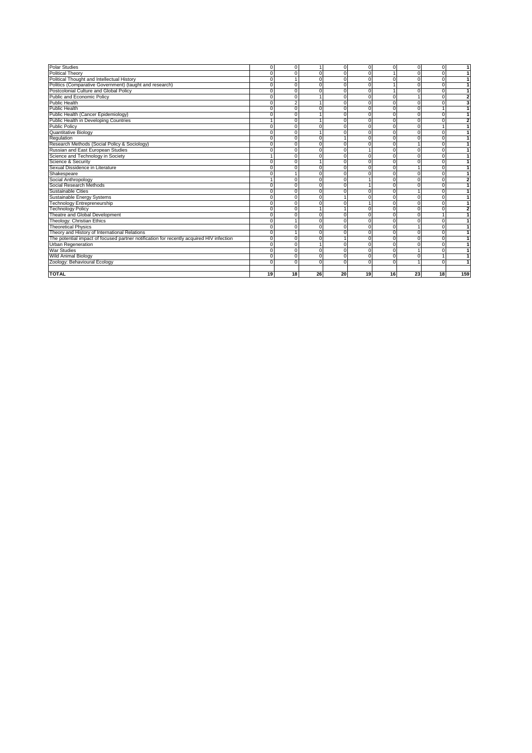| <b>TOTAL</b>                                                                                                          | 19       | 18                   | 26             | 20          | 19       | 16       | 23                   | 18             | 159 |
|-----------------------------------------------------------------------------------------------------------------------|----------|----------------------|----------------|-------------|----------|----------|----------------------|----------------|-----|
|                                                                                                                       |          |                      |                |             |          |          |                      |                |     |
| Zoology: Behavioural Ecology                                                                                          |          | $\Omega$             | $\Omega$       | $\Omega$    | $\Omega$ | $\Omega$ |                      | $\Omega$       |     |
| <b>Wild Animal Biology</b>                                                                                            |          | $\Omega$             | $\Omega$       | 0           |          | n        | $\Omega$             | 0<br>1         |     |
| <b>War Studies</b>                                                                                                    |          | $\Omega$             | $\Omega$       | $\Omega$    |          |          |                      |                |     |
| The potential impact of focused partner notification for recently acquired HIV infection<br><b>Urban Regeneration</b> |          | $\Omega$<br>$\Omega$ | $\Omega$<br>1  | 0           | $\Omega$ | $\Omega$ | $\Omega$<br>$\Omega$ | 0<br>0         | 1   |
| Theory and History of International Relations                                                                         |          |                      | $\Omega$       | 0           | $\Omega$ | $\Omega$ | $\Omega$             | 0              | 1   |
| <b>Theoretical Physics</b>                                                                                            |          | $\Omega$             | $\overline{0}$ | 0           | $\Omega$ | n        |                      | Ō              | 1   |
| Theology: Christian Ethics                                                                                            |          |                      | $\Omega$       | $\mathbf 0$ |          | C        |                      | 0              |     |
| Theatre and Global Development                                                                                        |          | O                    | $\Omega$       | $\mathbf 0$ |          |          | $\Omega$             |                |     |
| <b>Technology Policy</b>                                                                                              |          | $\Omega$             | 1              |             |          | n        | $\Omega$             | $\Omega$       | 2   |
| Technology Entrepreneurship                                                                                           |          | $\Omega$             | $\mathbf 0$    | $\mathbf 0$ |          | n        | $\Omega$             | 0              | 1   |
| Sustainable Energy Systems                                                                                            |          | O                    | $\overline{0}$ |             |          |          | $\Omega$             | $\overline{0}$ | 1   |
| Sustainable Cities                                                                                                    |          | $\Omega$             | $\Omega$       | $\Omega$    |          | n        |                      | $\Omega$       | 1   |
| Social Research Methods                                                                                               |          | $\Omega$             | $\Omega$       | $\Omega$    |          | n        | $\Omega$             | $\Omega$       | 1   |
| Social Anthropology                                                                                                   |          | $\Omega$             | $\Omega$       | $\Omega$    |          | $\Omega$ | $\Omega$             | 0              | 2   |
| Shakespeare                                                                                                           |          |                      | $\Omega$       | 0           |          | $\Omega$ | $\Omega$             | 0              | 1   |
| Sexual Dissidence in Literature                                                                                       |          | $\Omega$             | $\overline{0}$ | 0           | $\Omega$ | $\Omega$ |                      | 0              | 1   |
| Science & Security                                                                                                    |          | $\Omega$             | 1              | $\Omega$    | U        | n        | $\Omega$             | 0              | 1   |
| Science and Technology in Society                                                                                     |          | $\Omega$             | $\Omega$       | $\Omega$    |          |          | $\Omega$             | $\Omega$       |     |
| Russian and East European Studies                                                                                     |          | $\Omega$             | $\Omega$       | $\mathbf 0$ |          |          | $\Omega$             | 0              | 1   |
| Research Methods (Social Policy & Sociology)                                                                          |          | 0                    | $\Omega$       | 0           |          |          |                      | 0              |     |
| Regulation                                                                                                            |          | $\Omega$             | 0              |             |          |          |                      | 0              |     |
| Quantitative Biology                                                                                                  |          | $\Omega$             |                | $\Omega$    |          |          |                      | 0              |     |
| <b>Public Policy</b>                                                                                                  |          | O                    | $\Omega$       | $\Omega$    |          |          |                      |                |     |
| Public Health in Developing Countries                                                                                 |          | $\Omega$             |                | $\Omega$    |          |          | $\Omega$             | $\Omega$       | 2   |
| Public Health (Cancer Epidemiology)                                                                                   |          | $\Omega$             | 1              | $\mathbf 0$ |          |          | $\Omega$             | $\Omega$       | 1   |
| <b>Public Health</b>                                                                                                  |          | $\Omega$             | $\Omega$       | $\Omega$    |          |          | $\Omega$             |                |     |
| <b>Public Health</b>                                                                                                  |          |                      |                | $\Omega$    |          |          | $\Omega$             | $\Omega$       | 3   |
| Public and Economic Policy                                                                                            |          | $\Omega$             |                | 0           | $\Omega$ | n        |                      | $\mathbf 0$    | 2   |
| Postcolonial Culture and Global Policy                                                                                |          | $\Omega$             | $\Omega$       | $\mathbf 0$ | $\Omega$ |          | $\Omega$             | 0              | 1   |
| Politics (Comparative Government) (taught and research)                                                               |          | $\Omega$             | $\Omega$       | $\mathbf 0$ | O        |          | $\Omega$             | 0              | 1   |
| Political Thought and Intellectual History                                                                            |          |                      | $\Omega$       | 0           | $\Omega$ |          | $\Omega$             | 0              | 1   |
| <b>Political Theory</b>                                                                                               |          |                      | $\Omega$       | $\Omega$    |          |          | $\Omega$             | 0              | 1   |
| <b>Polar Studies</b>                                                                                                  | $\Omega$ | $\Omega$             | $\mathbf{1}$   | 0           | $\Omega$ | $\Omega$ | $\Omega$             | 0              | 1   |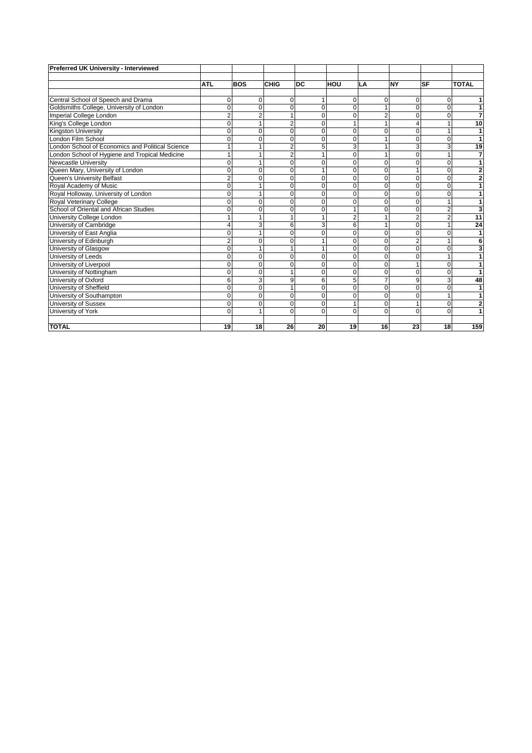| Preferred UK University - Interviewed            |                |                |                |             |                |                |                |                |                |
|--------------------------------------------------|----------------|----------------|----------------|-------------|----------------|----------------|----------------|----------------|----------------|
|                                                  | <b>ATL</b>     | <b>BOS</b>     | CHIG           | <b>DC</b>   | <b>HOU</b>     | LA             | <b>NY</b>      | <b>SF</b>      | <b>TOTAL</b>   |
|                                                  |                |                |                |             |                |                |                |                |                |
| Central School of Speech and Drama               | 0              | 0              | 0              |             | $\mathbf 0$    | 0              | 0              | 0              | 1              |
| Goldsmiths College, University of London         | $\Omega$       | $\mathbf 0$    | $\Omega$       | $\Omega$    | $\Omega$       | 1              | $\Omega$       | $\Omega$       | 1              |
| Imperial College London                          | $\overline{2}$ | $\overline{2}$ |                | $\Omega$    | $\Omega$       | $\overline{2}$ | $\Omega$       | $\Omega$       | 7              |
| King's College London                            | $\Omega$       | $\mathbf{1}$   | $\overline{2}$ | $\Omega$    |                | 1              | 4              |                | 10             |
| Kingston University                              | ŋ              | $\mathbf 0$    | $\Omega$       | $\Omega$    | $\Omega$       | $\Omega$       | $\Omega$       |                | 1              |
| London Film School                               | O              | $\mathbf 0$    | $\Omega$       | $\Omega$    | $\Omega$       | 1              | $\Omega$       | 0              | 1              |
| London School of Economics and Political Science |                |                |                | 5           | 3              | 1              | 3              | 3              | 19             |
| London School of Hygiene and Tropical Medicine   |                | 1              | 2              | 1           | $\Omega$       | 1              | $\Omega$       |                | $\overline{7}$ |
| <b>Newcastle University</b>                      | $\Omega$       | $\mathbf{1}$   | $\Omega$       | $\Omega$    | $\Omega$       | $\Omega$       | $\Omega$       | $\Omega$       | 1              |
| Queen Mary, University of London                 | Ō              | $\mathbf 0$    | $\Omega$       | 1           | $\Omega$       | 0              |                | 0              | $\overline{2}$ |
| Queen's University Belfast                       | $\overline{c}$ | $\mathbf 0$    | $\Omega$       | $\Omega$    | $\Omega$       | $\overline{0}$ | $\Omega$       | 0              | $\overline{2}$ |
| Royal Academy of Music                           | 0              | $\mathbf{1}$   | O              | 0           | $\mathbf 0$    | 0              | $\Omega$       | 0              | 1              |
| Royal Holloway, University of London             | 0              | $\mathbf{1}$   | $\Omega$       | 0           | $\mathbf 0$    | $\overline{0}$ | $\Omega$       | $\Omega$       | 1              |
| Royal Veterinary College                         | O              | 0              | $\Omega$       | $\Omega$    | $\Omega$       | $\overline{0}$ | $\Omega$       |                | 1              |
| School of Oriental and African Studies           | Ō              | $\mathbf 0$    | $\Omega$       | 0           |                | 0              | 0              | $\overline{2}$ | 3              |
| University College London                        |                | $\mathbf{1}$   |                | 1           | $\overline{2}$ | 1              | $\overline{2}$ | $\overline{2}$ | 11             |
| University of Cambridge                          | 4              | 3              | 6              | 3           | 6              | 1              | $\Omega$       |                | 24             |
| University of East Anglia                        | O              | 1              | $\Omega$       | $\Omega$    | $\Omega$       | $\overline{0}$ | $\Omega$       | 0              | 1              |
| University of Edinburgh                          | $\overline{2}$ | 0              |                |             | $\Omega$       | $\Omega$       | $\overline{2}$ |                | 6              |
| University of Glasgow                            | $\Omega$       | $\mathbf{1}$   |                | 1           | $\Omega$       | $\Omega$       | $\Omega$       | $\Omega$       | 3              |
| University of Leeds                              | 0              | $\mathbf 0$    | 0              | 0           | $\mathbf 0$    | 0              | $\Omega$       |                | 1              |
| University of Liverpool                          | O              | $\mathbf 0$    | O              | $\Omega$    | $\Omega$       | $\mathbf 0$    |                | 0              |                |
| University of Nottingham                         | $\Omega$       | $\mathbf 0$    |                | $\Omega$    | $\Omega$       | 0              | $\Omega$       | $\Omega$       |                |
| University of Oxford                             | 6              | 3              | 9              | 6           | 5              | $\overline{7}$ | 9              | 3              | 48             |
| University of Sheffield                          | $\Omega$       | $\mathbf 0$    |                | $\Omega$    | $\Omega$       | $\Omega$       | $\Omega$       | $\Omega$       | 1              |
| University of Southampton                        | 0              | 0              | $\Omega$       | 0           | $\mathbf 0$    | 0              | $\Omega$       |                | 1              |
| University of Sussex                             | $\Omega$       | $\mathbf 0$    | $\Omega$       | $\mathbf 0$ |                | $\mathbf 0$    |                | 0              | $\overline{2}$ |
| University of York                               | $\Omega$       | 1              | $\Omega$       | $\Omega$    | $\Omega$       | $\Omega$       | $\Omega$       | $\Omega$       | 1              |
|                                                  |                |                |                |             |                |                |                |                |                |
| <b>TOTAL</b>                                     | 19             | 18             | 26             | 20          | 19             | 16             | 23             | 18             | 159            |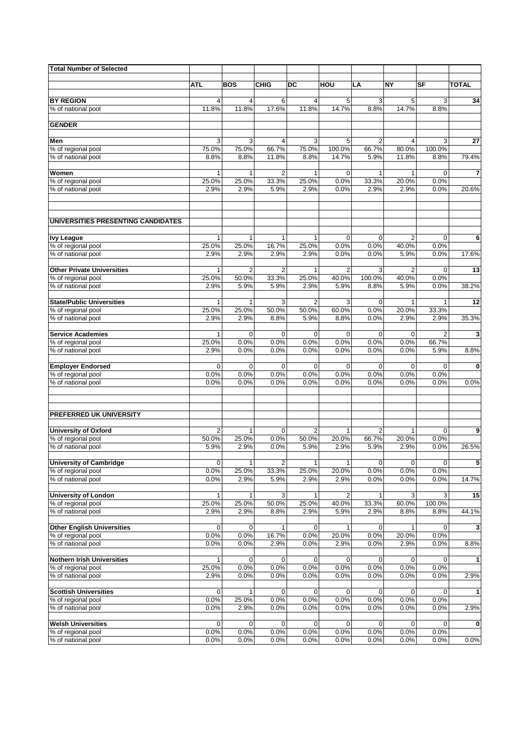| <b>Total Number of Selected</b>                   |                       |                         |                         |                       |                     |                     |                         |                     |              |
|---------------------------------------------------|-----------------------|-------------------------|-------------------------|-----------------------|---------------------|---------------------|-------------------------|---------------------|--------------|
|                                                   |                       | <b>BOS</b>              |                         |                       |                     |                     | <b>NY</b>               |                     |              |
|                                                   | ATL                   |                         | <b>CHIG</b>             | DC                    | HOU                 | LA                  |                         | SF                  | <b>TOTAL</b> |
| <b>BY REGION</b>                                  | 4                     | $\overline{4}$          | 6                       | 4                     | 5                   | 3                   | 5                       | 3                   | 34           |
| % of national pool                                | 11.8%                 | 11.8%                   | 17.6%                   | 11.8%                 | 14.7%               | 8.8%                | 14.7%                   | 8.8%                |              |
| <b>GENDER</b>                                     |                       |                         |                         |                       |                     |                     |                         |                     |              |
|                                                   |                       |                         |                         |                       |                     |                     |                         |                     |              |
| Men                                               | 3                     | 3                       | 4                       | 3                     | 5                   | $\overline{2}$      | 4                       | 3                   | 27           |
| % of regional pool                                | 75.0%                 | 75.0%                   | 66.7%                   | 75.0%                 | 100.0%              | 66.7%               | 80.0%                   | 100.0%              |              |
| % of national pool                                | 8.8%                  | 8.8%                    | 11.8%                   | 8.8%                  | 14.7%               | 5.9%                | 11.8%                   | 8.8%                | 79.4%        |
| Women                                             | 1                     | 1                       | $\overline{2}$          | $\mathbf{1}$          | $\mathbf 0$         | 1                   | 1                       | $\mathbf 0$         | 7            |
| % of regional pool                                | 25.0%                 | 25.0%                   | 33.3%                   | 25.0%                 | 0.0%                | 33.3%               | 20.0%                   | 0.0%                |              |
| % of national pool                                | 2.9%                  | 2.9%                    | 5.9%                    | 2.9%                  | 0.0%                | 2.9%                | 2.9%                    | 0.0%                | 20.6%        |
| UNIVERSITIES PRESENTING CANDIDATES                |                       |                         |                         |                       |                     |                     |                         |                     |              |
|                                                   |                       |                         |                         |                       |                     |                     |                         |                     |              |
| <b>Ivy League</b><br>% of regional pool           | $\mathbf{1}$<br>25.0% | $\mathbf{1}$<br>25.0%   | $\mathbf{1}$<br>16.7%   | $\mathbf{1}$<br>25.0% | $\mathbf 0$<br>0.0% | $\mathbf 0$<br>0.0% | 2<br>40.0%              | $\mathbf 0$<br>0.0% | 6            |
| % of national pool                                | 2.9%                  | 2.9%                    | 2.9%                    | 2.9%                  | 0.0%                | 0.0%                | 5.9%                    | 0.0%                | 17.6%        |
|                                                   |                       |                         |                         |                       |                     |                     |                         |                     |              |
| <b>Other Private Universities</b>                 | $\mathbf{1}$<br>25.0% | $\overline{2}$<br>50.0% | $\overline{2}$<br>33.3% | $\mathbf{1}$<br>25.0% | 2<br>40.0%          | 3<br>100.0%         | $\overline{2}$<br>40.0% | $\mathbf 0$<br>0.0% | 13           |
| % of regional pool<br>% of national pool          | 2.9%                  | 5.9%                    | 5.9%                    | 2.9%                  | 5.9%                | 8.8%                | 5.9%                    | 0.0%                | 38.2%        |
|                                                   |                       |                         |                         |                       |                     |                     |                         |                     |              |
| <b>State/Public Universities</b>                  | 1                     | 1                       | 3                       | 2                     | 3                   | $\mathbf 0$         |                         | 1                   | 12           |
| % of regional pool                                | 25.0%                 | 25.0%                   | 50.0%                   | 50.0%                 | 60.0%               | 0.0%                | 20.0%                   | 33.3%               |              |
| % of national pool                                | 2.9%                  | 2.9%                    | 8.8%                    | 5.9%                  | 8.8%                | 0.0%                | 2.9%                    | 2.9%                | 35.3%        |
| <b>Service Academies</b>                          | 1                     | 0                       | $\mathbf 0$             | 0                     | $\mathbf 0$         | $\mathbf 0$         | $\mathbf 0$             | $\overline{2}$      | 3            |
| % of regional pool                                | 25.0%                 | 0.0%                    | 0.0%                    | 0.0%                  | 0.0%                | 0.0%                | 0.0%                    | 66.7%               |              |
| % of national pool                                | 2.9%                  | 0.0%                    | 0.0%                    | 0.0%                  | 0.0%                | 0.0%                | 0.0%                    | 5.9%                | 8.8%         |
| <b>Employer Endorsed</b>                          | 0                     | 0                       | $\mathbf 0$             | $\mathbf 0$           | $\mathbf 0$         | $\mathbf 0$         | $\mathbf 0$             | $\mathbf 0$         | 0            |
| % of regional pool                                | 0.0%                  | 0.0%                    | 0.0%                    | 0.0%                  | 0.0%                | 0.0%                | 0.0%                    | 0.0%                |              |
| % of national pool                                | 0.0%                  | 0.0%                    | 0.0%                    | 0.0%                  | 0.0%                | 0.0%                | 0.0%                    | 0.0%                | 0.0%         |
|                                                   |                       |                         |                         |                       |                     |                     |                         |                     |              |
| PREFERRED UK UNIVERSITY                           |                       |                         |                         |                       |                     |                     |                         |                     |              |
| <b>University of Oxford</b>                       | 2                     | 1                       | $\mathbf 0$             | 2                     | $\mathbf{1}$        | $\overline{2}$      | 1                       | $\mathbf 0$         | 9            |
| % of regional pool                                | 50.0%                 | 25.0%                   | 0.0%                    | 50.0%                 | 20.0%               | 66.7%               | 20.0%                   | 0.0%                |              |
| % of national pool                                | 5.9%                  | 2.9%                    | 0.0%                    | 5.9%                  | 2.9%                | 5.9%                | 2.9%                    | 0.0%                | 26.5%        |
| <b>University of Cambridge</b>                    | 0                     | $\mathbf{1}$            | $\overline{2}$          | 1                     | $\mathbf{1}$        | $\mathbf 0$         | 0                       | 0                   | 5            |
| % of regional pool                                | 0.0%                  | 25.0%                   | 33.3%                   | 25.0%                 | 20.0%               | 0.0%                | 0.0%                    | 0.0%                |              |
| % of national pool                                | 0.0%                  | 2.9%                    | 5.9%                    | 2.9%                  | 2.9%                | 0.0%                | 0.0%                    | 0.0%                | 14.7%        |
|                                                   |                       |                         |                         |                       |                     |                     |                         |                     |              |
| <b>University of London</b><br>% of regional pool | $\mathbf{1}$<br>25.0% | 1<br>25.0%              | 3<br>50.0%              | 1<br>25.0%            | 2<br>40.0%          | 1<br>33.3%          | 3<br>60.0%              | 3<br>100.0%         | 15           |
| % of national pool                                | 2.9%                  | 2.9%                    | 8.8%                    | 2.9%                  | 5.9%                | 2.9%                | 8.8%                    | 8.8%                | 44.1%        |
|                                                   |                       |                         |                         |                       |                     |                     |                         |                     |              |
| <b>Other English Universities</b>                 | 0                     | 0                       | 1                       | 0                     | $\mathbf{1}$        | 0                   |                         | 0                   | 3            |
| % of regional pool<br>% of national pool          | 0.0%<br>0.0%          | 0.0%<br>0.0%            | 16.7%<br>2.9%           | 0.0%<br>0.0%          | 20.0%<br>2.9%       | 0.0%<br>0.0%        | 20.0%<br>2.9%           | 0.0%<br>0.0%        | 8.8%         |
|                                                   |                       |                         |                         |                       |                     |                     |                         |                     |              |
| <b>Nothern Irish Universities</b>                 | $\mathbf{1}$          | 0                       | 0                       | 0                     | 0                   | 0                   | 0                       | 0                   | $\mathbf{1}$ |
| % of regional pool                                | 25.0%                 | 0.0%                    | 0.0%                    | 0.0%                  | 0.0%                | 0.0%                | 0.0%                    | 0.0%                |              |
| % of national pool                                | 2.9%                  | 0.0%                    | 0.0%                    | 0.0%                  | 0.0%                | 0.0%                | 0.0%                    | 0.0%                | 2.9%         |
| <b>Scottish Universities</b>                      | 0                     | 1                       | 0                       | 0                     | 0                   | 0                   | 0                       | 0                   | $\mathbf{1}$ |
| % of regional pool                                | 0.0%                  | 25.0%                   | 0.0%                    | 0.0%                  | 0.0%                | 0.0%                | 0.0%                    | 0.0%                |              |
| % of national pool                                | 0.0%                  | 2.9%                    | 0.0%                    | 0.0%                  | 0.0%                | 0.0%                | 0.0%                    | 0.0%                | 2.9%         |
| <b>Welsh Universities</b>                         | 0                     | 0                       | 0                       | 0                     | $\mathbf 0$         | 0                   | 0                       | 0                   | 0            |
| % of regional pool                                | 0.0%                  | 0.0%                    | 0.0%                    | 0.0%                  | 0.0%                | 0.0%                | 0.0%                    | 0.0%                |              |
| % of national pool                                | 0.0%                  | 0.0%                    | 0.0%                    | 0.0%                  | 0.0%                | 0.0%                | 0.0%                    | 0.0%                | 0.0%         |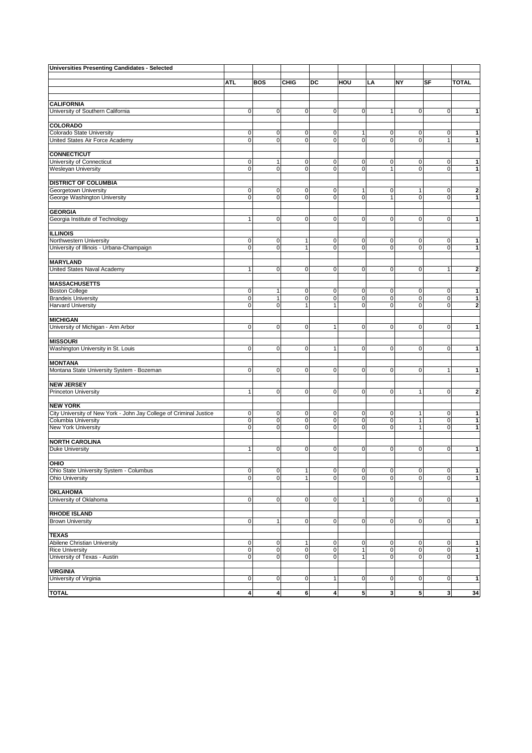| Universities Presenting Candidates - Selected                      |                                  |                            |                            |                             |                              |                            |                              |                                  |                             |
|--------------------------------------------------------------------|----------------------------------|----------------------------|----------------------------|-----------------------------|------------------------------|----------------------------|------------------------------|----------------------------------|-----------------------------|
|                                                                    |                                  |                            |                            |                             |                              |                            |                              |                                  |                             |
|                                                                    | ATI.                             | <b>BOS</b>                 | <b>CHIG</b>                | DC                          | HOU                          | LA                         | NY                           | SF                               | <b>TOTAL</b>                |
|                                                                    |                                  |                            |                            |                             |                              |                            |                              |                                  |                             |
| <b>CALIFORNIA</b>                                                  |                                  |                            |                            |                             |                              |                            |                              |                                  |                             |
| University of Southern California                                  | $\overline{0}$                   | $\mathbf 0$                | $\mathbf 0$                | $\mathbf 0$                 | $\mathbf 0$                  | $\mathbf{1}$               | $\mathbf 0$                  | $\overline{0}$                   | $\mathbf{1}$                |
| <b>COLORADO</b>                                                    |                                  |                            |                            |                             |                              |                            |                              |                                  |                             |
| Colorado State University                                          | $\mathbf 0$                      | 0                          | 0                          | $\mathsf{O}\xspace$         | 1                            | $\mathbf 0$                | $\mathbf 0$                  | $\overline{0}$                   | $\mathbf{1}$                |
| United States Air Force Academy                                    | $\overline{0}$                   | $\mathbf 0$                | $\mathbf 0$                | $\mathbf 0$                 | $\mathbf 0$                  | $\mathbf 0$                | $\mathsf 0$                  | $\mathbf{1}$                     | $\mathbf{1}$                |
|                                                                    |                                  |                            |                            |                             |                              |                            |                              |                                  |                             |
| <b>CONNECTICUT</b>                                                 |                                  |                            |                            |                             |                              |                            |                              |                                  |                             |
| University of Connecticut                                          | $\mathbf 0$                      | 1                          | 0                          | 0                           | 0                            | 0                          | 0                            | 0                                | 1                           |
| <b>Wesleyan University</b>                                         | $\mathbf 0$                      | $\mathbf 0$                | $\mathbf 0$                | $\mathbf 0$                 | 0                            | $\mathbf{1}$               | $\mathbf 0$                  | $\overline{0}$                   | 1                           |
| <b>DISTRICT OF COLUMBIA</b>                                        |                                  |                            |                            |                             |                              |                            |                              |                                  |                             |
| Georgetown University                                              | $\mathbf 0$                      | 0                          | 0                          | 0                           | 1                            | $\mathbf 0$                | 1                            | 0                                | $\bf{2}$                    |
| George Washington University                                       | $\overline{0}$                   | $\Omega$                   | $\mathbf 0$                | $\mathbf 0$                 | $\mathbf 0$                  | $\mathbf{1}$               | $\mathbf 0$                  | $\overline{0}$                   | $\mathbf{1}$                |
| <b>GEORGIA</b>                                                     |                                  |                            |                            |                             |                              |                            |                              |                                  |                             |
| Georgia Institute of Technology                                    | 1                                | $\mathbf 0$                | $\mathbf 0$                | $\mathbf 0$                 | $\mathbf 0$                  | $\mathbf 0$                | $\mathsf 0$                  | $\overline{0}$                   | $\mathbf 1$                 |
|                                                                    |                                  |                            |                            |                             |                              |                            |                              |                                  |                             |
| <b>ILLINOIS</b>                                                    |                                  |                            |                            |                             |                              |                            |                              |                                  |                             |
| Northwestern University                                            | $\mathbf 0$                      | 0                          | 1                          | 0                           | 0                            | 0                          | 0                            | $\overline{0}$                   | $\mathbf 1$                 |
| University of Illinois - Urbana-Champaign                          | $\overline{0}$                   | $\mathbf 0$                | $\mathbf{1}$               | $\mathbf 0$                 | $\mathbf 0$                  | $\mathbf 0$                | $\mathbf 0$                  | $\overline{0}$                   | $\mathbf{1}$                |
| <b>MARYLAND</b>                                                    |                                  |                            |                            |                             |                              |                            |                              |                                  |                             |
| United States Naval Academy                                        | $\mathbf{1}$                     | $\mathbf 0$                | $\mathbf 0$                | $\mathbf 0$                 | $\mathbf 0$                  | $\mathbf 0$                | $\mathsf 0$                  | $\mathbf{1}$                     | $\mathbf{2}$                |
|                                                                    |                                  |                            |                            |                             |                              |                            |                              |                                  |                             |
| <b>MASSACHUSETTS</b>                                               |                                  |                            |                            |                             |                              |                            |                              |                                  |                             |
| <b>Boston College</b>                                              | $\mathbf 0$                      | $\mathbf{1}$               | $\mathbf 0$                | $\mathbf 0$                 | $\mathbf 0$                  | 0                          | $\mathsf 0$                  | $\overline{0}$                   | $\mathbf{1}$                |
| <b>Brandeis University</b><br><b>Harvard University</b>            | $\overline{0}$<br>$\overline{0}$ | 1<br>$\mathbf 0$           | $\pmb{0}$<br>$\mathbf{1}$  | $\mathbf 0$<br>$\mathbf{1}$ | $\mathbf 0$<br>$\mathbf 0$   | $\mathbf 0$<br>$\mathbf 0$ | $\pmb{0}$<br>$\mathsf 0$     | $\overline{0}$<br>$\overline{0}$ | $\mathbf 1$<br>$\mathbf{z}$ |
|                                                                    |                                  |                            |                            |                             |                              |                            |                              |                                  |                             |
| <b>MICHIGAN</b>                                                    |                                  |                            |                            |                             |                              |                            |                              |                                  |                             |
| University of Michigan - Ann Arbor                                 | $\overline{0}$                   | $\mathbf 0$                | $\mathbf 0$                | $\mathbf{1}$                | $\pmb{0}$                    | $\mathbf 0$                | $\mathsf 0$                  | $\overline{0}$                   | 1                           |
|                                                                    |                                  |                            |                            |                             |                              |                            |                              |                                  |                             |
| <b>MISSOURI</b><br>Washington University in St. Louis              | $\mathbf 0$                      | $\mathbf 0$                | $\mathbf 0$                | 1                           | $\mathbf 0$                  | $\pmb{0}$                  | $\mathsf 0$                  | $\overline{0}$                   | 1                           |
|                                                                    |                                  |                            |                            |                             |                              |                            |                              |                                  |                             |
| <b>MONTANA</b>                                                     |                                  |                            |                            |                             |                              |                            |                              |                                  |                             |
| Montana State University System - Bozeman                          | $\mathbf 0$                      | $\mathbf 0$                | $\mathbf 0$                | $\mathbf 0$                 | $\mathbf 0$                  | $\mathbf 0$                | $\mathsf 0$                  | $\mathbf{1}$                     | 1                           |
|                                                                    |                                  |                            |                            |                             |                              |                            |                              |                                  |                             |
| <b>NEW JERSEY</b><br><b>Princeton University</b>                   | 1                                | $\mathbf 0$                | $\mathbf 0$                | $\mathbf 0$                 | $\mathbf 0$                  | $\mathbf 0$                | $\mathbf{1}$                 | 0                                | $\mathbf{2}$                |
|                                                                    |                                  |                            |                            |                             |                              |                            |                              |                                  |                             |
| <b>NEW YORK</b>                                                    |                                  |                            |                            |                             |                              |                            |                              |                                  |                             |
| City University of New York - John Jay College of Criminal Justice | $\mathbf 0$                      | 0                          | 0                          | 0                           | 0                            | 0                          | 1                            | 0                                | $\mathbf 1$                 |
| Columbia University                                                | $\overline{0}$<br>$\overline{0}$ | 0<br>$\mathbf 0$           | $\mathbf 0$<br>$\mathbf 0$ | 0<br>$\mathbf 0$            | $\mathbf 0$<br>$\mathbf 0$   | $\mathbf 0$<br>$\mathbf 0$ | $\mathbf{1}$<br>$\mathbf{1}$ | $\overline{0}$<br>$\overline{0}$ | $\mathbf 1$<br>$\mathbf{1}$ |
| New York University                                                |                                  |                            |                            |                             |                              |                            |                              |                                  |                             |
| <b>NORTH CAROLINA</b>                                              |                                  |                            |                            |                             |                              |                            |                              |                                  |                             |
| <b>Duke University</b>                                             | 1                                | $\mathbf 0$                | 0                          | $\mathbf 0$                 | $\mathbf 0$                  | $\mathbf 0$                | $\mathbf 0$                  | $\overline{0}$                   | $\mathbf{1}$                |
|                                                                    |                                  |                            |                            |                             |                              |                            |                              |                                  |                             |
| OHIO<br>Ohio State University System - Columbus                    | $\overline{0}$                   | $\overline{0}$             | $\mathbf{1}$               | $\mathsf{O}\xspace$         | $\mathbf 0$                  | $\mathbf 0$                | $\mathbf 0$                  | $\overline{0}$                   | $\mathbf{1}$                |
| Ohio University                                                    | $\overline{0}$                   | $\mathbf 0$                | $\mathbf{1}$               | $\mathsf{O}\xspace$         | $\mathbf 0$                  | $\pmb{0}$                  | $\mathbf 0$                  | $\overline{0}$                   | $\mathbf{1}$                |
|                                                                    |                                  |                            |                            |                             |                              |                            |                              |                                  |                             |
| <b>OKLAHOMA</b>                                                    |                                  |                            |                            |                             |                              |                            |                              |                                  |                             |
| University of Oklahoma                                             | $\mathbf 0$                      | $\overline{0}$             | 0                          | $\mathbf 0$                 | 1                            | $\mathbf 0$                | $\mathbf 0$                  | $\overline{0}$                   | $\mathbf{1}$                |
| <b>RHODE ISLAND</b>                                                |                                  |                            |                            |                             |                              |                            |                              |                                  |                             |
| <b>Brown University</b>                                            | $\overline{0}$                   | $\mathbf{1}$               | 0                          | $\mathbf 0$                 | $\mathbf 0$                  | $\pmb{0}$                  | $\mathbf 0$                  | $\overline{0}$                   | $\mathbf{1}$                |
|                                                                    |                                  |                            |                            |                             |                              |                            |                              |                                  |                             |
| <b>TEXAS</b>                                                       |                                  |                            |                            |                             |                              |                            |                              |                                  |                             |
| Abilene Christian University                                       | $\overline{0}$                   | 0                          | 1                          | 0                           | $\mathbf 0$                  | 0                          | 0                            | $\overline{0}$                   | $\mathbf{1}$                |
| <b>Rice University</b><br>University of Texas - Austin             | $\overline{0}$<br>$\mathbf 0$    | $\mathbf 0$<br>$\mathbf 0$ | $\pmb{0}$<br>$\mathbf 0$   | $\mathbf 0$<br>$\mathbf 0$  | $\mathbf{1}$<br>$\mathbf{1}$ | $\pmb{0}$<br>$\pmb{0}$     | $\pmb{0}$<br>$\mathbf 0$     | $\overline{0}$<br>$\overline{0}$ | $\mathbf 1$<br>$\mathbf 1$  |
|                                                                    |                                  |                            |                            |                             |                              |                            |                              |                                  |                             |
| <b>VIRGINIA</b>                                                    |                                  |                            |                            |                             |                              |                            |                              |                                  |                             |
| University of Virginia                                             | $\mathbf 0$                      | $\mathbf 0$                | $\pmb{0}$                  | $\mathbf{1}$                | $\mathbf 0$                  | $\mathbf 0$                | $\mathbf 0$                  | $\overline{0}$                   | $\overline{1}$              |
| <b>TOTAL</b>                                                       |                                  |                            |                            |                             |                              |                            |                              |                                  |                             |
|                                                                    | $\boldsymbol{4}$                 | $\overline{4}$             | 6                          | $\overline{\mathbf{4}}$     | 5                            | $\mathbf{3}$               | $\sqrt{5}$                   | $\mathbf{3}$                     | 34                          |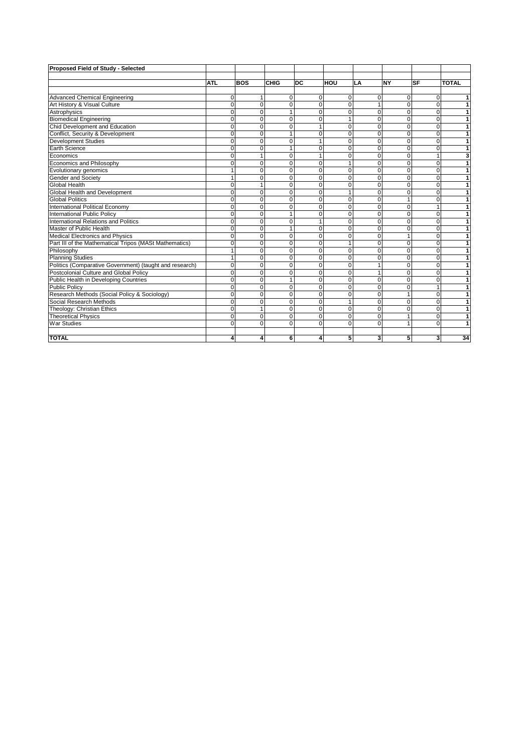| Proposed Field of Study - Selected                      |              |            |              |                |                |          |                |             |              |
|---------------------------------------------------------|--------------|------------|--------------|----------------|----------------|----------|----------------|-------------|--------------|
|                                                         |              |            |              |                |                |          |                |             |              |
|                                                         | <b>ATL</b>   | <b>BOS</b> | CHIG         | <b>DC</b>      | HOU            | LA       | <b>NY</b>      | <b>SF</b>   | <b>TOTAL</b> |
| <b>Advanced Chemical Engineering</b>                    | 0            |            | $\mathbf 0$  | $\mathbf{0}$   | 0              | $\Omega$ | 0              | 0           | 1            |
| Art History & Visual Culture                            | $\mathbf 0$  | $\Omega$   | $\Omega$     | $\Omega$       | $\Omega$       | 1        | $\Omega$       | $\Omega$    | 1            |
| Astrophysics                                            | $\mathbf 0$  | $\Omega$   | $\mathbf{1}$ | 0              | $\Omega$       | $\Omega$ | $\Omega$       | $\Omega$    | 1            |
| <b>Biomedical Engineering</b>                           | $\Omega$     | $\Omega$   | $\Omega$     | 0              | 1              | $\Omega$ | $\Omega$       | $\Omega$    | 1            |
| Chid Development and Education                          | $\Omega$     | $\Omega$   | $\Omega$     | 1              | $\Omega$       | $\Omega$ | $\Omega$       | $\Omega$    | 1            |
| Conflict, Security & Development                        | $\mathbf 0$  | $\Omega$   | 1            | 0              | $\mathbf 0$    | $\Omega$ | $\Omega$       | $\Omega$    | 1            |
| Development Studies                                     | $\Omega$     | $\Omega$   | $\Omega$     | 1              | $\Omega$       | $\Omega$ | $\Omega$       | $\Omega$    | 1            |
| Earth Science                                           | $\Omega$     | $\Omega$   | 1            | $\Omega$       | $\Omega$       | $\Omega$ | $\Omega$       | $\Omega$    | 1            |
| Economics                                               | $\mathbf 0$  |            | $\Omega$     | $\mathbf{1}$   | $\mathbf 0$    | $\Omega$ | 0              | 1           | 3            |
| Economics and Philosophy                                | $\mathbf 0$  | $\Omega$   | $\Omega$     | $\mathbf{0}$   | 1              | $\Omega$ | $\mathbf 0$    | $\Omega$    | 1            |
| Evolutionary genomics                                   | $\mathbf{1}$ | $\Omega$   | $\mathbf 0$  | $\mathbf{0}$   | 0              | $\Omega$ | $\mathbf 0$    | $\mathbf 0$ | 1            |
| Gender and Society                                      | $\mathbf{1}$ | $\Omega$   | $\Omega$     | $\mathbf{0}$   | $\mathbf 0$    | $\Omega$ | $\Omega$       | $\Omega$    | 1            |
| <b>Global Health</b>                                    | $\mathbf 0$  |            | $\Omega$     | $\mathbf{0}$   | 0              | $\Omega$ | $\Omega$       | $\Omega$    | 1            |
| Global Health and Development                           | $\Omega$     | $\Omega$   | $\Omega$     | $\Omega$       | 1              | $\Omega$ | $\Omega$       | $\Omega$    | 1            |
| <b>Global Politics</b>                                  | 0            | $\Omega$   | $\Omega$     | $\overline{0}$ | 0              | $\Omega$ | 1              | $\Omega$    | 1            |
| International Political Economy                         | 0            | $\Omega$   | $\Omega$     | $\mathbf{0}$   | 0              | $\Omega$ | 0              | 1           | 1            |
| International Public Policy                             | $\mathbf 0$  | $\Omega$   | $\mathbf{1}$ | $\mathbf 0$    | 0              | $\Omega$ | 0              | $\Omega$    | 1            |
| International Relations and Politics                    | $\mathbf 0$  | $\Omega$   | $\Omega$     | $\mathbf{1}$   | $\overline{0}$ | $\Omega$ | $\Omega$       | $\Omega$    | 1            |
| Master of Public Health                                 | $\mathbf 0$  | $\Omega$   | $\mathbf{1}$ | $\mathbf{0}$   | $\overline{0}$ | $\Omega$ | 0              | $\Omega$    | 1            |
| <b>Medical Electronics and Physics</b>                  | $\Omega$     | $\Omega$   | $\Omega$     | $\mathbf{0}$   | $\Omega$       | $\Omega$ | 1              | $\Omega$    | 1            |
| Part III of the Mathematical Tripos (MASt Mathematics)  | $\Omega$     | $\Omega$   | $\Omega$     | $\Omega$       | 1              | $\Omega$ | $\Omega$       | $\Omega$    | 1            |
| Philosophy                                              |              | $\Omega$   | $\Omega$     | $\Omega$       | 0              | $\Omega$ | 0              | $\Omega$    | 1            |
| <b>Planning Studies</b>                                 |              | $\Omega$   | $\Omega$     | $\Omega$       | $\overline{0}$ | $\Omega$ | 0              | $\Omega$    | 1            |
| Politics (Comparative Government) (taught and research) | $\mathbf 0$  | $\Omega$   | $\Omega$     | $\Omega$       | $\Omega$       |          | $\Omega$       | $\Omega$    |              |
| Postcolonial Culture and Global Policy                  | $\mathbf 0$  | 0          | 0            | $\Omega$       | 0              |          | 0              | $\Omega$    |              |
| Public Health in Developing Countries                   | $\mathbf 0$  | 0          | 1            | $\Omega$       | $\overline{0}$ | $\Omega$ | 0              | $\Omega$    |              |
| <b>Public Policy</b>                                    | $\mathbf 0$  | $\Omega$   | $\Omega$     | $\Omega$       | $\Omega$       | $\Omega$ | $\overline{0}$ |             |              |
| Research Methods (Social Policy & Sociology)            | 0            | $\Omega$   | $\Omega$     | $\mathbf 0$    | 0              | $\Omega$ | 1              | $\Omega$    | 1            |
| Social Research Methods                                 | $\mathbf 0$  | $\Omega$   | $\Omega$     | $\Omega$       | 1              | $\Omega$ | 0              | $\Omega$    | 1            |
| Theology: Christian Ethics                              | $\Omega$     |            | $\Omega$     | $\Omega$       | $\Omega$       | $\Omega$ | $\Omega$       | $\Omega$    | 1            |
| <b>Theoretical Physics</b>                              | 0            | $\Omega$   | $\Omega$     | $\Omega$       | $\Omega$       | $\Omega$ | 1              | $\Omega$    | 1            |
| <b>War Studies</b>                                      | $\Omega$     | $\Omega$   | $\Omega$     | $\Omega$       | $\Omega$       | $\Omega$ | 1              | $\Omega$    | 1            |
|                                                         |              |            |              |                |                |          |                |             |              |
| <b>TOTAL</b>                                            | 4            |            | 6            | 4              | 5              | 3        | 5              | 3           | 34           |